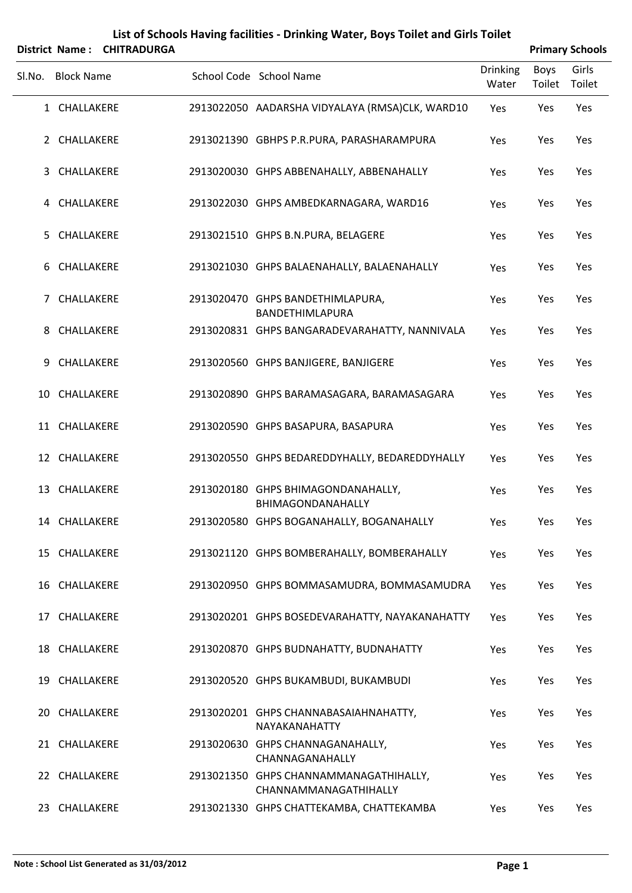| List of Schools Having facilities - Drinking Water, Boys Toilet and Girls Toilet<br><b>CHITRADURGA</b><br><b>Primary Schools</b><br><b>District Name:</b> |                   |  |                                                                 |                   |                       |                 |  |  |  |  |
|-----------------------------------------------------------------------------------------------------------------------------------------------------------|-------------------|--|-----------------------------------------------------------------|-------------------|-----------------------|-----------------|--|--|--|--|
| Sl.No.                                                                                                                                                    | <b>Block Name</b> |  | School Code School Name                                         | Drinking<br>Water | <b>Boys</b><br>Toilet | Girls<br>Toilet |  |  |  |  |
|                                                                                                                                                           | 1 CHALLAKERE      |  | 2913022050 AADARSHA VIDYALAYA (RMSA)CLK, WARD10                 | Yes               | Yes                   | Yes             |  |  |  |  |
|                                                                                                                                                           | 2 CHALLAKERE      |  | 2913021390 GBHPS P.R.PURA, PARASHARAMPURA                       | Yes               | Yes                   | Yes             |  |  |  |  |
| 3                                                                                                                                                         | CHALLAKERE        |  | 2913020030 GHPS ABBENAHALLY, ABBENAHALLY                        | Yes               | Yes                   | Yes             |  |  |  |  |
|                                                                                                                                                           | 4 CHALLAKERE      |  | 2913022030 GHPS AMBEDKARNAGARA, WARD16                          | Yes               | Yes                   | Yes             |  |  |  |  |
| 5.                                                                                                                                                        | CHALLAKERE        |  | 2913021510 GHPS B.N.PURA, BELAGERE                              | Yes               | Yes                   | Yes             |  |  |  |  |
| 6                                                                                                                                                         | CHALLAKERE        |  | 2913021030 GHPS BALAENAHALLY, BALAENAHALLY                      | Yes               | Yes                   | Yes             |  |  |  |  |
|                                                                                                                                                           | 7 CHALLAKERE      |  | 2913020470 GHPS BANDETHIMLAPURA,<br><b>BANDETHIMLAPURA</b>      | Yes               | Yes                   | Yes             |  |  |  |  |
| 8                                                                                                                                                         | CHALLAKERE        |  | 2913020831 GHPS BANGARADEVARAHATTY, NANNIVALA                   | Yes               | Yes                   | Yes             |  |  |  |  |
| 9                                                                                                                                                         | CHALLAKERE        |  | 2913020560 GHPS BANJIGERE, BANJIGERE                            | Yes               | Yes                   | Yes             |  |  |  |  |
|                                                                                                                                                           | 10 CHALLAKERE     |  | 2913020890 GHPS BARAMASAGARA, BARAMASAGARA                      | Yes               | Yes                   | Yes             |  |  |  |  |
|                                                                                                                                                           | 11 CHALLAKERE     |  | 2913020590 GHPS BASAPURA, BASAPURA                              | Yes               | Yes                   | Yes             |  |  |  |  |
|                                                                                                                                                           | 12 CHALLAKERE     |  | 2913020550 GHPS BEDAREDDYHALLY, BEDAREDDYHALLY                  | Yes               | Yes                   | Yes             |  |  |  |  |
|                                                                                                                                                           | 13 CHALLAKERE     |  | 2913020180 GHPS BHIMAGONDANAHALLY,<br>BHIMAGONDANAHALLY         | Yes               | Yes                   | Yes             |  |  |  |  |
|                                                                                                                                                           | 14 CHALLAKERE     |  | 2913020580 GHPS BOGANAHALLY, BOGANAHALLY                        | Yes               | Yes                   | Yes             |  |  |  |  |
|                                                                                                                                                           | 15 CHALLAKERE     |  | 2913021120 GHPS BOMBERAHALLY, BOMBERAHALLY                      | Yes               | Yes                   | Yes             |  |  |  |  |
|                                                                                                                                                           | 16 CHALLAKERE     |  | 2913020950 GHPS BOMMASAMUDRA, BOMMASAMUDRA                      | Yes               | Yes                   | Yes             |  |  |  |  |
|                                                                                                                                                           | 17 CHALLAKERE     |  | 2913020201 GHPS BOSEDEVARAHATTY, NAYAKANAHATTY                  | Yes               | Yes                   | Yes             |  |  |  |  |
|                                                                                                                                                           | 18 CHALLAKERE     |  | 2913020870 GHPS BUDNAHATTY, BUDNAHATTY                          | Yes               | Yes                   | Yes             |  |  |  |  |
|                                                                                                                                                           | 19 CHALLAKERE     |  | 2913020520 GHPS BUKAMBUDI, BUKAMBUDI                            | Yes               | Yes                   | Yes             |  |  |  |  |
| 20                                                                                                                                                        | CHALLAKERE        |  | 2913020201 GHPS CHANNABASAIAHNAHATTY,<br>NAYAKANAHATTY          | Yes               | Yes                   | Yes             |  |  |  |  |
|                                                                                                                                                           | 21 CHALLAKERE     |  | 2913020630 GHPS CHANNAGANAHALLY,<br>CHANNAGANAHALLY             | Yes               | Yes                   | Yes             |  |  |  |  |
|                                                                                                                                                           | 22 CHALLAKERE     |  | 2913021350 GHPS CHANNAMMANAGATHIHALLY,<br>CHANNAMMANAGATHIHALLY | Yes               | Yes                   | Yes             |  |  |  |  |
|                                                                                                                                                           | 23 CHALLAKERE     |  | 2913021330 GHPS CHATTEKAMBA, CHATTEKAMBA                        | Yes               | Yes                   | Yes             |  |  |  |  |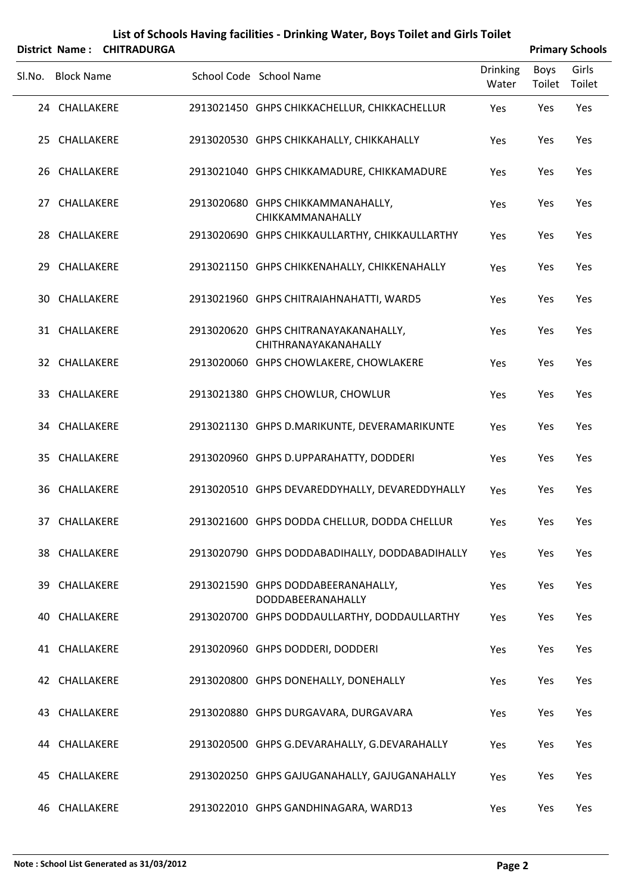|                   | District Name: CHITRADURGA |                                                              |                          |                | <b>Primary Schools</b> |
|-------------------|----------------------------|--------------------------------------------------------------|--------------------------|----------------|------------------------|
| Sl.No. Block Name |                            | School Code School Name                                      | <b>Drinking</b><br>Water | Boys<br>Toilet | Girls<br>Toilet        |
| 24 CHALLAKERE     |                            | 2913021450 GHPS CHIKKACHELLUR, CHIKKACHELLUR                 | Yes                      | Yes            | Yes                    |
| 25 CHALLAKERE     |                            | 2913020530 GHPS CHIKKAHALLY, CHIKKAHALLY                     | Yes                      | Yes            | Yes                    |
| 26 CHALLAKERE     |                            | 2913021040 GHPS CHIKKAMADURE, CHIKKAMADURE                   | Yes                      | Yes            | Yes                    |
| 27 CHALLAKERE     |                            | 2913020680 GHPS CHIKKAMMANAHALLY,<br>CHIKKAMMANAHALLY        | Yes                      | Yes            | Yes                    |
| 28 CHALLAKERE     |                            | 2913020690 GHPS CHIKKAULLARTHY, CHIKKAULLARTHY               | Yes                      | Yes            | Yes                    |
| 29 CHALLAKERE     |                            | 2913021150 GHPS CHIKKENAHALLY, CHIKKENAHALLY                 | Yes                      | Yes            | Yes                    |
| 30 CHALLAKERE     |                            | 2913021960 GHPS CHITRAIAHNAHATTI, WARD5                      | Yes                      | Yes            | Yes                    |
| 31 CHALLAKERE     |                            | 2913020620 GHPS CHITRANAYAKANAHALLY,<br>CHITHRANAYAKANAHALLY | Yes                      | Yes            | Yes                    |
| 32 CHALLAKERE     |                            | 2913020060 GHPS CHOWLAKERE, CHOWLAKERE                       | Yes                      | Yes            | Yes                    |
| 33 CHALLAKERE     |                            | 2913021380 GHPS CHOWLUR, CHOWLUR                             | Yes                      | Yes            | Yes                    |
| 34 CHALLAKERE     |                            | 2913021130 GHPS D.MARIKUNTE, DEVERAMARIKUNTE                 | Yes                      | Yes            | Yes                    |
| 35 CHALLAKERE     |                            | 2913020960 GHPS D.UPPARAHATTY, DODDERI                       | Yes                      | Yes            | Yes                    |
| 36 CHALLAKERE     |                            | 2913020510 GHPS DEVAREDDYHALLY, DEVAREDDYHALLY               | Yes                      | Yes            | Yes                    |
| 37 CHALLAKERE     |                            | 2913021600 GHPS DODDA CHELLUR, DODDA CHELLUR                 | Yes                      | Yes            | Yes                    |
| 38 CHALLAKERE     |                            | 2913020790 GHPS DODDABADIHALLY, DODDABADIHALLY               | Yes                      | Yes            | Yes                    |
| 39 CHALLAKERE     |                            | 2913021590 GHPS DODDABEERANAHALLY,<br>DODDABEERANAHALLY      | Yes                      | Yes            | Yes                    |
| 40 CHALLAKERE     |                            | 2913020700 GHPS DODDAULLARTHY, DODDAULLARTHY                 | Yes                      | Yes            | Yes                    |
| 41 CHALLAKERE     |                            | 2913020960 GHPS DODDERI, DODDERI                             | Yes                      | Yes            | Yes                    |
| 42 CHALLAKERE     |                            | 2913020800 GHPS DONEHALLY, DONEHALLY                         | Yes                      | Yes            | Yes                    |
| 43 CHALLAKERE     |                            | 2913020880 GHPS DURGAVARA, DURGAVARA                         | Yes                      | Yes            | Yes                    |
| 44 CHALLAKERE     |                            | 2913020500 GHPS G.DEVARAHALLY, G.DEVARAHALLY                 | Yes                      | Yes            | Yes                    |
| 45 CHALLAKERE     |                            | 2913020250 GHPS GAJUGANAHALLY, GAJUGANAHALLY                 | Yes                      | Yes            | Yes                    |
| 46 CHALLAKERE     |                            | 2913022010 GHPS GANDHINAGARA, WARD13                         | Yes                      | Yes            | Yes                    |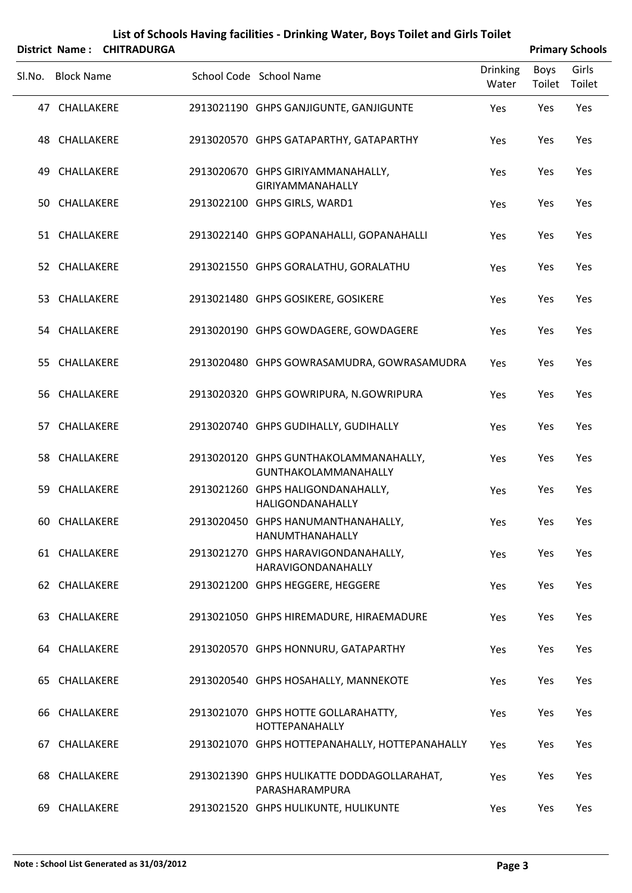|    |                       | List of Schools Having facilities - Drinking Water, Boys Toilet and Girls Toilet |  |                                                               |                          |                       |                        |  |  |  |  |
|----|-----------------------|----------------------------------------------------------------------------------|--|---------------------------------------------------------------|--------------------------|-----------------------|------------------------|--|--|--|--|
|    | <b>District Name:</b> | <b>CHITRADURGA</b>                                                               |  |                                                               |                          |                       | <b>Primary Schools</b> |  |  |  |  |
|    | Sl.No. Block Name     |                                                                                  |  | School Code School Name                                       | <b>Drinking</b><br>Water | <b>Boys</b><br>Toilet | Girls<br>Toilet        |  |  |  |  |
|    | 47 CHALLAKERE         |                                                                                  |  | 2913021190 GHPS GANJIGUNTE, GANJIGUNTE                        | Yes                      | Yes                   | Yes                    |  |  |  |  |
|    | 48 CHALLAKERE         |                                                                                  |  | 2913020570 GHPS GATAPARTHY, GATAPARTHY                        | Yes                      | Yes                   | Yes                    |  |  |  |  |
| 49 | CHALLAKERE            |                                                                                  |  | 2913020670 GHPS GIRIYAMMANAHALLY,<br><b>GIRIYAMMANAHALLY</b>  | Yes                      | Yes                   | Yes                    |  |  |  |  |
|    | 50 CHALLAKERE         |                                                                                  |  | 2913022100 GHPS GIRLS, WARD1                                  | Yes                      | Yes                   | Yes                    |  |  |  |  |
|    | 51 CHALLAKERE         |                                                                                  |  | 2913022140 GHPS GOPANAHALLI, GOPANAHALLI                      | Yes                      | Yes                   | Yes                    |  |  |  |  |
|    | 52 CHALLAKERE         |                                                                                  |  | 2913021550 GHPS GORALATHU, GORALATHU                          | Yes                      | Yes                   | Yes                    |  |  |  |  |
|    | 53 CHALLAKERE         |                                                                                  |  | 2913021480 GHPS GOSIKERE, GOSIKERE                            | Yes                      | Yes                   | Yes                    |  |  |  |  |
|    | 54 CHALLAKERE         |                                                                                  |  | 2913020190 GHPS GOWDAGERE, GOWDAGERE                          | Yes                      | Yes                   | Yes                    |  |  |  |  |
|    | 55 CHALLAKERE         |                                                                                  |  | 2913020480 GHPS GOWRASAMUDRA, GOWRASAMUDRA                    | Yes                      | Yes                   | Yes                    |  |  |  |  |
|    | 56 CHALLAKERE         |                                                                                  |  | 2913020320 GHPS GOWRIPURA, N.GOWRIPURA                        | Yes                      | Yes                   | Yes                    |  |  |  |  |
|    | 57 CHALLAKERE         |                                                                                  |  | 2913020740 GHPS GUDIHALLY, GUDIHALLY                          | Yes                      | Yes                   | Yes                    |  |  |  |  |
|    | 58 CHALLAKERE         |                                                                                  |  | 2913020120 GHPS GUNTHAKOLAMMANAHALLY,<br>GUNTHAKOLAMMANAHALLY | Yes                      | Yes                   | Yes                    |  |  |  |  |
|    | 59 CHALLAKERE         |                                                                                  |  | 2913021260 GHPS HALIGONDANAHALLY,<br>HALIGONDANAHALLY         | Yes                      | Yes                   | Yes                    |  |  |  |  |
|    | 60 CHALLAKERE         |                                                                                  |  | 2913020450 GHPS HANUMANTHANAHALLY,<br>HANUMTHANAHALLY         | Yes                      | Yes                   | Yes                    |  |  |  |  |
|    | 61 CHALLAKERE         |                                                                                  |  | 2913021270 GHPS HARAVIGONDANAHALLY,<br>HARAVIGONDANAHALLY     | Yes                      | Yes                   | Yes                    |  |  |  |  |
|    | 62 CHALLAKERE         |                                                                                  |  | 2913021200 GHPS HEGGERE, HEGGERE                              | Yes                      | Yes                   | Yes                    |  |  |  |  |
|    | 63 CHALLAKERE         |                                                                                  |  | 2913021050 GHPS HIREMADURE, HIRAEMADURE                       | Yes                      | Yes                   | Yes                    |  |  |  |  |
|    | 64 CHALLAKERE         |                                                                                  |  | 2913020570 GHPS HONNURU, GATAPARTHY                           | Yes                      | Yes                   | Yes                    |  |  |  |  |
|    | 65 CHALLAKERE         |                                                                                  |  | 2913020540 GHPS HOSAHALLY, MANNEKOTE                          | Yes                      | Yes                   | Yes                    |  |  |  |  |
|    | 66 CHALLAKERE         |                                                                                  |  | 2913021070 GHPS HOTTE GOLLARAHATTY,<br>HOTTEPANAHALLY         | Yes                      | Yes                   | Yes                    |  |  |  |  |
|    | 67 CHALLAKERE         |                                                                                  |  | 2913021070 GHPS HOTTEPANAHALLY, HOTTEPANAHALLY                | Yes                      | Yes                   | Yes                    |  |  |  |  |
|    | 68 CHALLAKERE         |                                                                                  |  | 2913021390 GHPS HULIKATTE DODDAGOLLARAHAT,<br>PARASHARAMPURA  | Yes                      | Yes                   | Yes                    |  |  |  |  |
|    | 69 CHALLAKERE         |                                                                                  |  | 2913021520 GHPS HULIKUNTE, HULIKUNTE                          | Yes                      | Yes                   | Yes                    |  |  |  |  |

#### **Note : School List Generated as 31/03/2012 Page 3**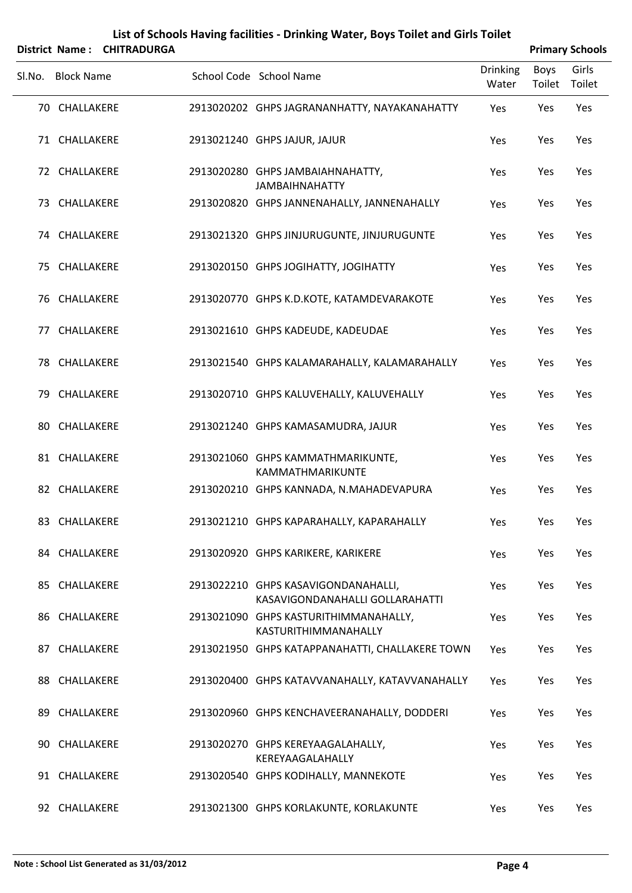|        |                   | District Name: CHITRADURGA |                                                                        |                          |                       | <b>Primary Schools</b> |
|--------|-------------------|----------------------------|------------------------------------------------------------------------|--------------------------|-----------------------|------------------------|
| SI.No. | <b>Block Name</b> |                            | School Code School Name                                                | <b>Drinking</b><br>Water | <b>Boys</b><br>Toilet | Girls<br>Toilet        |
|        | 70 CHALLAKERE     |                            | 2913020202 GHPS JAGRANANHATTY, NAYAKANAHATTY                           | Yes                      | Yes                   | Yes                    |
|        | 71 CHALLAKERE     |                            | 2913021240 GHPS JAJUR, JAJUR                                           | Yes                      | Yes                   | Yes                    |
|        | 72 CHALLAKERE     |                            | 2913020280 GHPS JAMBAIAHNAHATTY,<br><b>JAMBAIHNAHATTY</b>              | Yes                      | Yes                   | Yes                    |
|        | 73 CHALLAKERE     |                            | 2913020820 GHPS JANNENAHALLY, JANNENAHALLY                             | Yes                      | Yes                   | Yes                    |
|        | 74 CHALLAKERE     |                            | 2913021320 GHPS JINJURUGUNTE, JINJURUGUNTE                             | Yes                      | Yes                   | Yes                    |
|        | 75 CHALLAKERE     |                            | 2913020150 GHPS JOGIHATTY, JOGIHATTY                                   | Yes                      | Yes                   | Yes                    |
|        | 76 CHALLAKERE     |                            | 2913020770 GHPS K.D.KOTE, KATAMDEVARAKOTE                              | Yes                      | Yes                   | Yes                    |
|        | 77 CHALLAKERE     |                            | 2913021610 GHPS KADEUDE, KADEUDAE                                      | Yes                      | Yes                   | Yes                    |
|        | 78 CHALLAKERE     |                            | 2913021540 GHPS KALAMARAHALLY, KALAMARAHALLY                           | Yes                      | Yes                   | Yes                    |
|        | 79 CHALLAKERE     |                            | 2913020710 GHPS KALUVEHALLY, KALUVEHALLY                               | Yes                      | Yes                   | Yes                    |
|        | 80 CHALLAKERE     |                            | 2913021240 GHPS KAMASAMUDRA, JAJUR                                     | Yes                      | Yes                   | Yes                    |
|        | 81 CHALLAKERE     |                            | 2913021060 GHPS KAMMATHMARIKUNTE,<br>KAMMATHMARIKUNTE                  | Yes                      | Yes                   | Yes                    |
| 82     | CHALLAKERE        |                            | 2913020210 GHPS KANNADA, N.MAHADEVAPURA                                | Yes                      | Yes                   | Yes                    |
|        | 83 CHALLAKERE     |                            | 2913021210 GHPS KAPARAHALLY, KAPARAHALLY                               | Yes                      | Yes                   | Yes                    |
|        | 84 CHALLAKERE     |                            | 2913020920 GHPS KARIKERE, KARIKERE                                     | Yes                      | Yes                   | Yes                    |
|        | 85 CHALLAKERE     |                            | 2913022210 GHPS KASAVIGONDANAHALLI,<br>KASAVIGONDANAHALLI GOLLARAHATTI | Yes                      | Yes                   | Yes                    |
|        | 86 CHALLAKERE     |                            | 2913021090 GHPS KASTURITHIMMANAHALLY,<br>KASTURITHIMMANAHALLY          | Yes                      | Yes                   | Yes                    |
|        | 87 CHALLAKERE     |                            | 2913021950 GHPS KATAPPANAHATTI, CHALLAKERE TOWN                        | Yes                      | Yes                   | Yes                    |
|        | 88 CHALLAKERE     |                            | 2913020400 GHPS KATAVVANAHALLY, KATAVVANAHALLY                         | Yes                      | Yes                   | Yes                    |
|        | 89 CHALLAKERE     |                            | 2913020960 GHPS KENCHAVEERANAHALLY, DODDERI                            | Yes                      | Yes                   | Yes                    |
|        | 90 CHALLAKERE     |                            | 2913020270 GHPS KEREYAAGALAHALLY,<br>KEREYAAGALAHALLY                  | Yes                      | Yes                   | Yes                    |
|        | 91 CHALLAKERE     |                            | 2913020540 GHPS KODIHALLY, MANNEKOTE                                   | Yes                      | Yes                   | Yes                    |
|        | 92 CHALLAKERE     |                            | 2913021300 GHPS KORLAKUNTE, KORLAKUNTE                                 | Yes                      | Yes                   | Yes                    |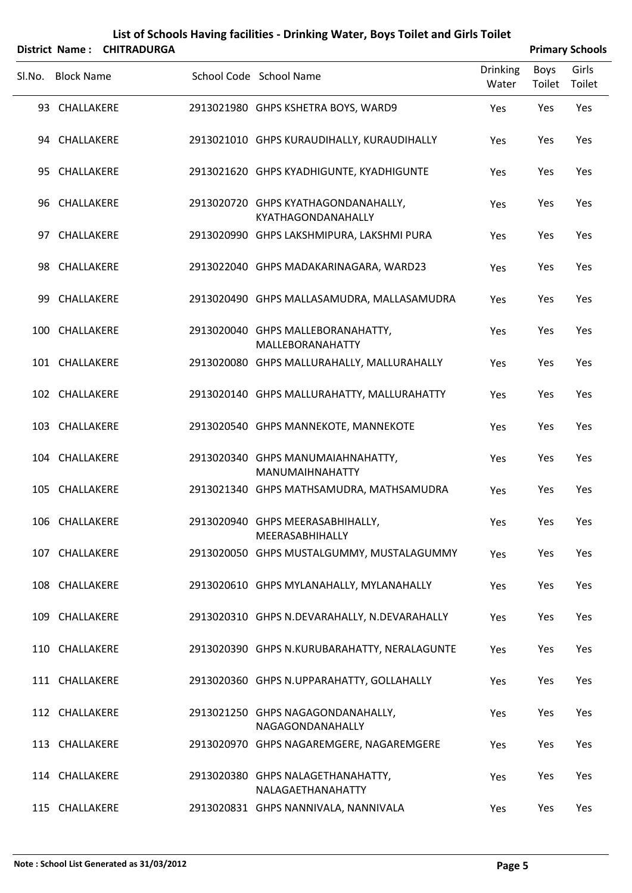|        | <b>District Name:</b> | <b>CHITRADURGA</b> |                                                           |                          |                       | <b>Primary Schools</b> |
|--------|-----------------------|--------------------|-----------------------------------------------------------|--------------------------|-----------------------|------------------------|
| Sl.No. | <b>Block Name</b>     |                    | School Code School Name                                   | <b>Drinking</b><br>Water | <b>Boys</b><br>Toilet | Girls<br>Toilet        |
|        | 93 CHALLAKERE         |                    | 2913021980 GHPS KSHETRA BOYS, WARD9                       | Yes                      | Yes                   | Yes                    |
|        | 94 CHALLAKERE         |                    | 2913021010 GHPS KURAUDIHALLY, KURAUDIHALLY                | Yes                      | Yes                   | Yes                    |
|        | 95 CHALLAKERE         |                    | 2913021620 GHPS KYADHIGUNTE, KYADHIGUNTE                  | Yes                      | Yes                   | Yes                    |
|        | 96 CHALLAKERE         |                    | 2913020720 GHPS KYATHAGONDANAHALLY,<br>KYATHAGONDANAHALLY | Yes                      | Yes                   | Yes                    |
|        | 97 CHALLAKERE         |                    | 2913020990 GHPS LAKSHMIPURA, LAKSHMI PURA                 | Yes                      | Yes                   | Yes                    |
|        | 98 CHALLAKERE         |                    | 2913022040 GHPS MADAKARINAGARA, WARD23                    | Yes                      | Yes                   | Yes                    |
|        | 99 CHALLAKERE         |                    | 2913020490 GHPS MALLASAMUDRA, MALLASAMUDRA                | Yes                      | Yes                   | Yes                    |
|        | 100 CHALLAKERE        |                    | 2913020040 GHPS MALLEBORANAHATTY,<br>MALLEBORANAHATTY     | Yes                      | Yes                   | Yes                    |
|        | 101 CHALLAKERE        |                    | 2913020080 GHPS MALLURAHALLY, MALLURAHALLY                | Yes                      | Yes                   | Yes                    |
|        | 102 CHALLAKERE        |                    | 2913020140 GHPS MALLURAHATTY, MALLURAHATTY                | Yes                      | Yes                   | Yes                    |
|        | 103 CHALLAKERE        |                    | 2913020540 GHPS MANNEKOTE, MANNEKOTE                      | Yes                      | Yes                   | Yes                    |
|        | 104 CHALLAKERE        |                    | 2913020340 GHPS MANUMAIAHNAHATTY,<br>MANUMAIHNAHATTY      | Yes                      | Yes                   | Yes                    |
|        | 105 CHALLAKERE        |                    | 2913021340 GHPS MATHSAMUDRA, MATHSAMUDRA                  | Yes                      | Yes                   | Yes                    |
|        | 106 CHALLAKERE        |                    | 2913020940 GHPS MEERASABHIHALLY,<br>MEERASABHIHALLY       | Yes                      | Yes                   | Yes                    |
|        | 107 CHALLAKERE        |                    | 2913020050 GHPS MUSTALGUMMY, MUSTALAGUMMY                 | Yes                      | Yes                   | Yes                    |
|        | 108 CHALLAKERE        |                    | 2913020610 GHPS MYLANAHALLY, MYLANAHALLY                  | Yes                      | Yes                   | Yes                    |
|        | 109 CHALLAKERE        |                    | 2913020310 GHPS N.DEVARAHALLY, N.DEVARAHALLY              | Yes                      | Yes                   | Yes                    |
|        | 110 CHALLAKERE        |                    | 2913020390 GHPS N.KURUBARAHATTY, NERALAGUNTE              | Yes                      | Yes                   | Yes                    |
|        | 111 CHALLAKERE        |                    | 2913020360 GHPS N.UPPARAHATTY, GOLLAHALLY                 | Yes                      | Yes                   | Yes                    |
|        | 112 CHALLAKERE        |                    | 2913021250 GHPS NAGAGONDANAHALLY,<br>NAGAGONDANAHALLY     | Yes                      | Yes                   | Yes                    |
|        | 113 CHALLAKERE        |                    | 2913020970 GHPS NAGAREMGERE, NAGAREMGERE                  | Yes                      | Yes                   | Yes                    |
|        | 114 CHALLAKERE        |                    | 2913020380 GHPS NALAGETHANAHATTY,<br>NALAGAETHANAHATTY    | Yes                      | Yes                   | Yes                    |
|        | 115 CHALLAKERE        |                    | 2913020831 GHPS NANNIVALA, NANNIVALA                      | Yes                      | Yes                   | Yes                    |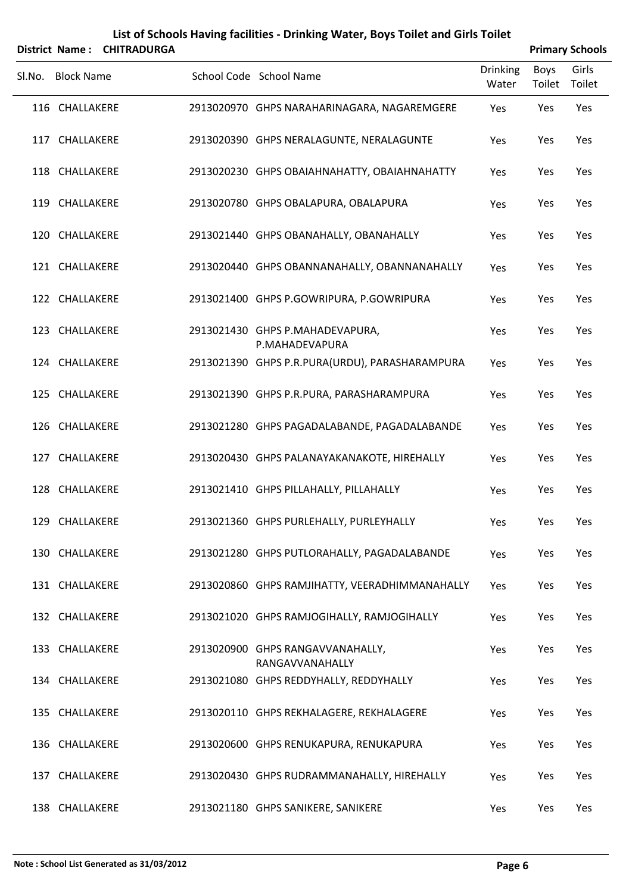|        | District Name:    | <b>CHITRADURGA</b> |                                                     |                          |                       | <b>Primary Schools</b> |
|--------|-------------------|--------------------|-----------------------------------------------------|--------------------------|-----------------------|------------------------|
| SI.No. | <b>Block Name</b> |                    | School Code School Name                             | <b>Drinking</b><br>Water | <b>Boys</b><br>Toilet | Girls<br>Toilet        |
|        | 116 CHALLAKERE    |                    | 2913020970 GHPS NARAHARINAGARA, NAGAREMGERE         | Yes                      | Yes                   | Yes                    |
|        | 117 CHALLAKERE    |                    | 2913020390 GHPS NERALAGUNTE, NERALAGUNTE            | Yes                      | Yes                   | Yes                    |
|        | 118 CHALLAKERE    |                    | 2913020230 GHPS OBAIAHNAHATTY, OBAIAHNAHATTY        | Yes                      | Yes                   | Yes                    |
|        | 119 CHALLAKERE    |                    | 2913020780 GHPS OBALAPURA, OBALAPURA                | Yes                      | Yes                   | Yes                    |
|        | 120 CHALLAKERE    |                    | 2913021440 GHPS OBANAHALLY, OBANAHALLY              | Yes                      | Yes                   | Yes                    |
|        | 121 CHALLAKERE    |                    | 2913020440 GHPS OBANNANAHALLY, OBANNANAHALLY        | Yes                      | Yes                   | Yes                    |
|        | 122 CHALLAKERE    |                    | 2913021400 GHPS P.GOWRIPURA, P.GOWRIPURA            | Yes                      | Yes                   | Yes                    |
|        | 123 CHALLAKERE    |                    | 2913021430 GHPS P.MAHADEVAPURA,<br>P.MAHADEVAPURA   | Yes                      | Yes                   | Yes                    |
|        | 124 CHALLAKERE    |                    | 2913021390 GHPS P.R.PURA(URDU), PARASHARAMPURA      | Yes                      | Yes                   | Yes                    |
|        | 125 CHALLAKERE    |                    | 2913021390 GHPS P.R.PURA, PARASHARAMPURA            | Yes                      | Yes                   | Yes                    |
|        | 126 CHALLAKERE    |                    | 2913021280 GHPS PAGADALABANDE, PAGADALABANDE        | Yes                      | Yes                   | Yes                    |
|        | 127 CHALLAKERE    |                    | 2913020430 GHPS PALANAYAKANAKOTE, HIREHALLY         | Yes                      | Yes                   | Yes                    |
|        | 128 CHALLAKERE    |                    | 2913021410 GHPS PILLAHALLY, PILLAHALLY              | Yes                      | Yes                   | Yes                    |
|        | 129 CHALLAKERE    |                    | 2913021360 GHPS PURLEHALLY, PURLEYHALLY             | Yes                      | Yes                   | Yes                    |
|        | 130 CHALLAKERE    |                    | 2913021280 GHPS PUTLORAHALLY, PAGADALABANDE         | Yes                      | Yes                   | Yes                    |
|        | 131 CHALLAKERE    |                    | 2913020860 GHPS RAMJIHATTY, VEERADHIMMANAHALLY      | Yes                      | Yes                   | Yes                    |
|        | 132 CHALLAKERE    |                    | 2913021020 GHPS RAMJOGIHALLY, RAMJOGIHALLY          | Yes                      | Yes                   | Yes                    |
|        | 133 CHALLAKERE    |                    | 2913020900 GHPS RANGAVVANAHALLY,<br>RANGAVVANAHALLY | Yes                      | Yes                   | Yes                    |
|        | 134 CHALLAKERE    |                    | 2913021080 GHPS REDDYHALLY, REDDYHALLY              | Yes                      | Yes                   | Yes                    |
|        | 135 CHALLAKERE    |                    | 2913020110 GHPS REKHALAGERE, REKHALAGERE            | Yes                      | Yes                   | Yes                    |
|        | 136 CHALLAKERE    |                    | 2913020600 GHPS RENUKAPURA, RENUKAPURA              | Yes                      | Yes                   | Yes                    |
|        | 137 CHALLAKERE    |                    | 2913020430 GHPS RUDRAMMANAHALLY, HIREHALLY          | Yes                      | Yes                   | Yes                    |
|        | 138 CHALLAKERE    |                    | 2913021180 GHPS SANIKERE, SANIKERE                  | Yes                      | Yes                   | Yes                    |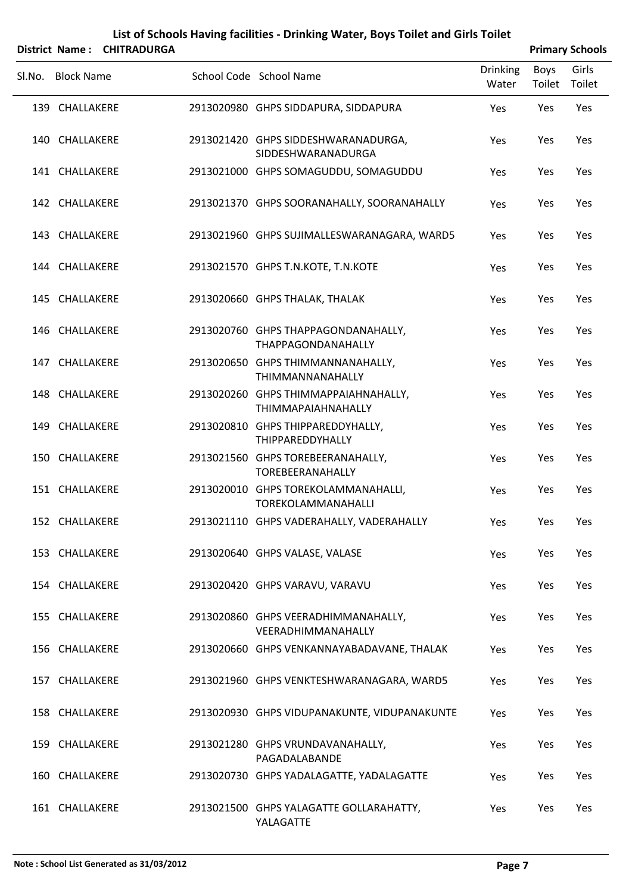| List of Schools Having facilities - Drinking Water, Boys Toilet and Girls Toilet |  |
|----------------------------------------------------------------------------------|--|
|                                                                                  |  |

|        |                   | District Name: CHITRADURGA |                                                                   |                          |                | <b>Primary Schools</b> |
|--------|-------------------|----------------------------|-------------------------------------------------------------------|--------------------------|----------------|------------------------|
| SI.No. | <b>Block Name</b> |                            | School Code School Name                                           | <b>Drinking</b><br>Water | Boys<br>Toilet | Girls<br>Toilet        |
|        | 139 CHALLAKERE    |                            | 2913020980 GHPS SIDDAPURA, SIDDAPURA                              | Yes                      | Yes            | Yes                    |
|        | 140 CHALLAKERE    |                            | 2913021420 GHPS SIDDESHWARANADURGA,<br>SIDDESHWARANADURGA         | Yes                      | Yes            | Yes                    |
|        | 141 CHALLAKERE    |                            | 2913021000 GHPS SOMAGUDDU, SOMAGUDDU                              | Yes                      | Yes            | Yes                    |
|        | 142 CHALLAKERE    |                            | 2913021370 GHPS SOORANAHALLY, SOORANAHALLY                        | Yes                      | Yes            | Yes                    |
|        | 143 CHALLAKERE    |                            | 2913021960 GHPS SUJIMALLESWARANAGARA, WARD5                       | Yes                      | Yes            | Yes                    |
|        | 144 CHALLAKERE    |                            | 2913021570 GHPS T.N.KOTE, T.N.KOTE                                | Yes                      | Yes            | Yes                    |
|        | 145 CHALLAKERE    |                            | 2913020660 GHPS THALAK, THALAK                                    | Yes                      | Yes            | Yes                    |
|        | 146 CHALLAKERE    |                            | 2913020760 GHPS THAPPAGONDANAHALLY,<br>THAPPAGONDANAHALLY         | Yes                      | Yes            | Yes                    |
|        | 147 CHALLAKERE    |                            | 2913020650 GHPS THIMMANNANAHALLY,<br>THIMMANNANAHALLY             | Yes                      | Yes            | Yes                    |
|        | 148 CHALLAKERE    |                            | 2913020260 GHPS THIMMAPPAIAHNAHALLY,<br><b>THIMMAPAIAHNAHALLY</b> | Yes                      | Yes            | Yes                    |
|        | 149 CHALLAKERE    |                            | 2913020810 GHPS THIPPAREDDYHALLY,<br>THIPPAREDDYHALLY             | Yes                      | Yes            | Yes                    |
|        | 150 CHALLAKERE    |                            | 2913021560 GHPS TOREBEERANAHALLY,<br><b>TOREBEERANAHALLY</b>      | Yes                      | Yes            | Yes                    |
|        | 151 CHALLAKERE    |                            | 2913020010 GHPS TOREKOLAMMANAHALLI,<br><b>TOREKOLAMMANAHALLI</b>  | Yes                      | Yes            | Yes                    |
|        | 152 CHALLAKERE    |                            | 2913021110 GHPS VADERAHALLY, VADERAHALLY                          | Yes                      | Yes            | Yes                    |
|        | 153 CHALLAKERE    |                            | 2913020640 GHPS VALASE, VALASE                                    | Yes                      | Yes            | Yes                    |
|        | 154 CHALLAKERE    |                            | 2913020420 GHPS VARAVU, VARAVU                                    | Yes                      | Yes            | Yes                    |
|        | 155 CHALLAKERE    |                            | 2913020860 GHPS VEERADHIMMANAHALLY,<br>VEERADHIMMANAHALLY         | Yes                      | Yes            | Yes                    |
|        | 156 CHALLAKERE    |                            | 2913020660 GHPS VENKANNAYABADAVANE, THALAK                        | Yes                      | Yes            | Yes                    |
|        | 157 CHALLAKERE    |                            | 2913021960 GHPS VENKTESHWARANAGARA, WARD5                         | Yes                      | Yes            | Yes                    |
|        | 158 CHALLAKERE    |                            | 2913020930 GHPS VIDUPANAKUNTE, VIDUPANAKUNTE                      | Yes                      | Yes            | Yes                    |
|        | 159 CHALLAKERE    |                            | 2913021280 GHPS VRUNDAVANAHALLY,<br>PAGADALABANDE                 | Yes                      | Yes            | Yes                    |
|        | 160 CHALLAKERE    |                            | 2913020730 GHPS YADALAGATTE, YADALAGATTE                          | Yes                      | Yes            | Yes                    |
|        | 161 CHALLAKERE    |                            | 2913021500 GHPS YALAGATTE GOLLARAHATTY,<br>YALAGATTE              | Yes                      | Yes            | Yes                    |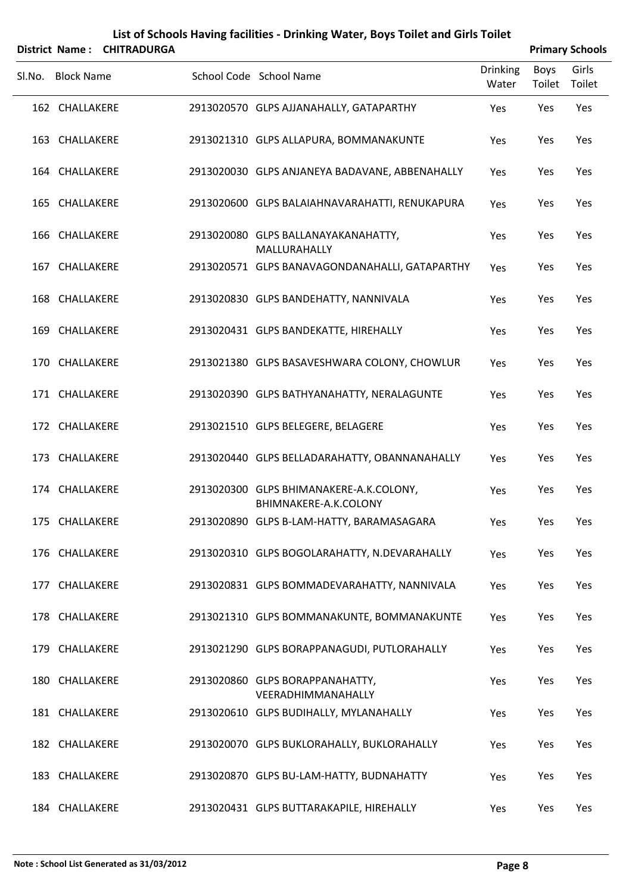|        |                   | District Name: CHITRADURGA |                                                                  |                          |                       | <b>Primary Schools</b> |
|--------|-------------------|----------------------------|------------------------------------------------------------------|--------------------------|-----------------------|------------------------|
| Sl.No. | <b>Block Name</b> |                            | School Code School Name                                          | <b>Drinking</b><br>Water | <b>Boys</b><br>Toilet | Girls<br>Toilet        |
|        | 162 CHALLAKERE    |                            | 2913020570 GLPS AJJANAHALLY, GATAPARTHY                          | Yes                      | Yes                   | Yes                    |
|        | 163 CHALLAKERE    |                            | 2913021310 GLPS ALLAPURA, BOMMANAKUNTE                           | Yes                      | Yes                   | Yes                    |
|        | 164 CHALLAKERE    |                            | 2913020030 GLPS ANJANEYA BADAVANE, ABBENAHALLY                   | Yes                      | Yes                   | Yes                    |
|        | 165 CHALLAKERE    |                            | 2913020600 GLPS BALAIAHNAVARAHATTI, RENUKAPURA                   | Yes                      | Yes                   | Yes                    |
|        | 166 CHALLAKERE    |                            | 2913020080 GLPS BALLANAYAKANAHATTY,<br>MALLURAHALLY              | Yes                      | Yes                   | Yes                    |
|        | 167 CHALLAKERE    |                            | 2913020571 GLPS BANAVAGONDANAHALLI, GATAPARTHY                   | Yes                      | Yes                   | Yes                    |
|        | 168 CHALLAKERE    |                            | 2913020830 GLPS BANDEHATTY, NANNIVALA                            | Yes                      | Yes                   | Yes                    |
|        | 169 CHALLAKERE    |                            | 2913020431 GLPS BANDEKATTE, HIREHALLY                            | Yes                      | Yes                   | Yes                    |
| 170    | CHALLAKERE        |                            | 2913021380 GLPS BASAVESHWARA COLONY, CHOWLUR                     | Yes                      | Yes                   | Yes                    |
|        | 171 CHALLAKERE    |                            | 2913020390 GLPS BATHYANAHATTY, NERALAGUNTE                       | Yes                      | Yes                   | Yes                    |
|        | 172 CHALLAKERE    |                            | 2913021510 GLPS BELEGERE, BELAGERE                               | Yes                      | Yes                   | Yes                    |
|        | 173 CHALLAKERE    |                            | 2913020440 GLPS BELLADARAHATTY, OBANNANAHALLY                    | Yes                      | Yes                   | Yes                    |
|        | 174 CHALLAKERE    |                            | 2913020300 GLPS BHIMANAKERE-A.K.COLONY,<br>BHIMNAKERE-A.K.COLONY | Yes                      | Yes                   | Yes                    |
|        | 175 CHALLAKERE    |                            | 2913020890 GLPS B-LAM-HATTY, BARAMASAGARA                        | Yes                      | Yes                   | Yes                    |
|        | 176 CHALLAKERE    |                            | 2913020310 GLPS BOGOLARAHATTY, N.DEVARAHALLY                     | Yes                      | Yes                   | Yes                    |
|        | 177 CHALLAKERE    |                            | 2913020831 GLPS BOMMADEVARAHATTY, NANNIVALA                      | Yes                      | Yes                   | Yes                    |
|        | 178 CHALLAKERE    |                            | 2913021310 GLPS BOMMANAKUNTE, BOMMANAKUNTE                       | Yes                      | Yes                   | Yes                    |
|        | 179 CHALLAKERE    |                            | 2913021290 GLPS BORAPPANAGUDI, PUTLORAHALLY                      | Yes                      | Yes                   | Yes                    |
|        | 180 CHALLAKERE    |                            | 2913020860 GLPS BORAPPANAHATTY,<br>VEERADHIMMANAHALLY            | Yes                      | Yes                   | Yes                    |
|        | 181 CHALLAKERE    |                            | 2913020610 GLPS BUDIHALLY, MYLANAHALLY                           | Yes                      | Yes                   | Yes                    |
|        | 182 CHALLAKERE    |                            | 2913020070 GLPS BUKLORAHALLY, BUKLORAHALLY                       | Yes                      | Yes                   | Yes                    |
|        | 183 CHALLAKERE    |                            | 2913020870 GLPS BU-LAM-HATTY, BUDNAHATTY                         | Yes                      | Yes                   | Yes                    |
|        | 184 CHALLAKERE    |                            | 2913020431 GLPS BUTTARAKAPILE, HIREHALLY                         | Yes                      | Yes                   | Yes                    |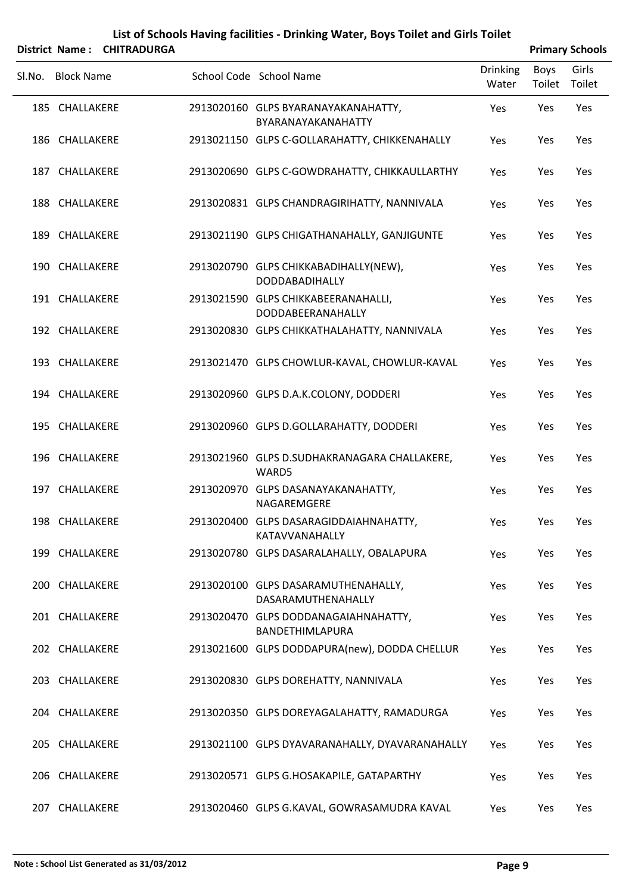|        |                   | District Name: CHITRADURGA |                                                           |                          |                | <b>Primary Schools</b> |
|--------|-------------------|----------------------------|-----------------------------------------------------------|--------------------------|----------------|------------------------|
| SI.No. | <b>Block Name</b> |                            | School Code School Name                                   | <b>Drinking</b><br>Water | Boys<br>Toilet | Girls<br>Toilet        |
|        | 185 CHALLAKERE    |                            | 2913020160 GLPS BYARANAYAKANAHATTY,<br>BYARANAYAKANAHATTY | Yes                      | Yes            | Yes                    |
|        | 186 CHALLAKERE    |                            | 2913021150 GLPS C-GOLLARAHATTY, CHIKKENAHALLY             | Yes                      | Yes            | Yes                    |
|        | 187 CHALLAKERE    |                            | 2913020690 GLPS C-GOWDRAHATTY, CHIKKAULLARTHY             | Yes                      | Yes            | Yes                    |
|        | 188 CHALLAKERE    |                            | 2913020831 GLPS CHANDRAGIRIHATTY, NANNIVALA               | Yes                      | Yes            | Yes                    |
|        | 189 CHALLAKERE    |                            | 2913021190 GLPS CHIGATHANAHALLY, GANJIGUNTE               | Yes                      | Yes            | Yes                    |
|        | 190 CHALLAKERE    |                            | 2913020790 GLPS CHIKKABADIHALLY(NEW),<br>DODDABADIHALLY   | Yes                      | Yes            | Yes                    |
|        | 191 CHALLAKERE    |                            | 2913021590 GLPS CHIKKABEERANAHALLI,<br>DODDABEERANAHALLY  | Yes                      | Yes            | Yes                    |
|        | 192 CHALLAKERE    |                            | 2913020830 GLPS CHIKKATHALAHATTY, NANNIVALA               | Yes                      | Yes            | Yes                    |
|        | 193 CHALLAKERE    |                            | 2913021470 GLPS CHOWLUR-KAVAL, CHOWLUR-KAVAL              | Yes                      | Yes            | Yes                    |
|        | 194 CHALLAKERE    |                            | 2913020960 GLPS D.A.K.COLONY, DODDERI                     | Yes                      | Yes            | Yes                    |
|        | 195 CHALLAKERE    |                            | 2913020960 GLPS D.GOLLARAHATTY, DODDERI                   | Yes                      | Yes            | Yes                    |
|        | 196 CHALLAKERE    |                            | 2913021960 GLPS D.SUDHAKRANAGARA CHALLAKERE,<br>WARD5     | Yes                      | Yes            | Yes                    |
|        | 197 CHALLAKERE    |                            | 2913020970 GLPS DASANAYAKANAHATTY,<br>NAGAREMGERE         | Yes                      | Yes            | Yes                    |
|        | 198 CHALLAKERE    |                            | 2913020400 GLPS DASARAGIDDAIAHNAHATTY,<br>KATAVVANAHALLY  | Yes                      | Yes            | Yes                    |
|        | 199 CHALLAKERE    |                            | 2913020780 GLPS DASARALAHALLY, OBALAPURA                  | Yes                      | Yes            | Yes                    |
|        | 200 CHALLAKERE    |                            | 2913020100 GLPS DASARAMUTHENAHALLY,<br>DASARAMUTHENAHALLY | Yes                      | Yes            | Yes                    |
|        | 201 CHALLAKERE    |                            | 2913020470 GLPS DODDANAGAIAHNAHATTY,<br>BANDETHIMLAPURA   | Yes                      | Yes            | Yes                    |
|        | 202 CHALLAKERE    |                            | 2913021600 GLPS DODDAPURA(new), DODDA CHELLUR             | Yes                      | Yes            | Yes                    |
|        | 203 CHALLAKERE    |                            | 2913020830 GLPS DOREHATTY, NANNIVALA                      | Yes                      | Yes            | Yes                    |
|        | 204 CHALLAKERE    |                            | 2913020350 GLPS DOREYAGALAHATTY, RAMADURGA                | Yes                      | Yes            | Yes                    |
|        | 205 CHALLAKERE    |                            | 2913021100 GLPS DYAVARANAHALLY, DYAVARANAHALLY            | Yes                      | Yes            | Yes                    |
|        | 206 CHALLAKERE    |                            | 2913020571 GLPS G.HOSAKAPILE, GATAPARTHY                  | Yes                      | Yes            | Yes                    |
|        | 207 CHALLAKERE    |                            | 2913020460 GLPS G.KAVAL, GOWRASAMUDRA KAVAL               | Yes                      | Yes            | Yes                    |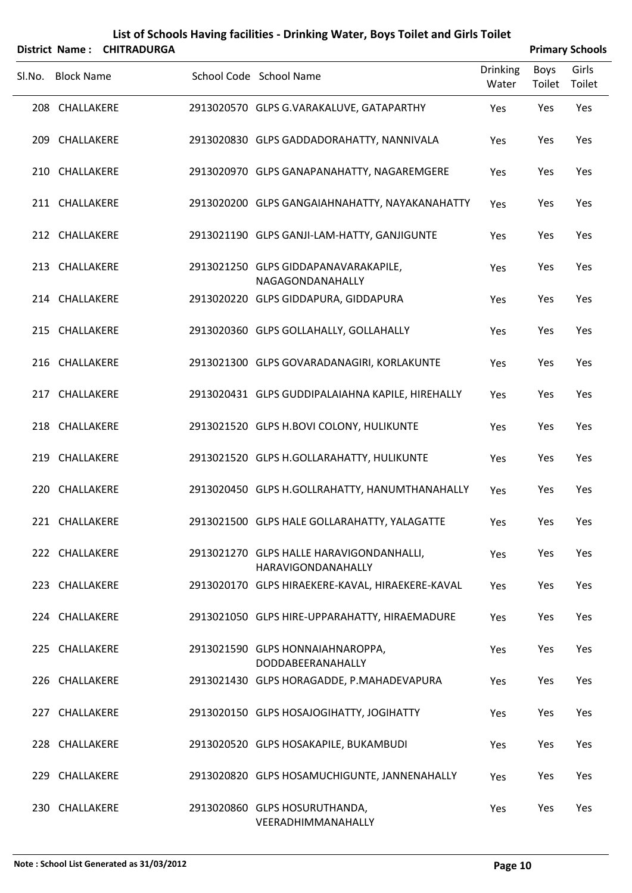|        |                   | District Name: CHITRADURGA |                                                                |                          |                | <b>Primary Schools</b> |
|--------|-------------------|----------------------------|----------------------------------------------------------------|--------------------------|----------------|------------------------|
| Sl.No. | <b>Block Name</b> |                            | School Code School Name                                        | <b>Drinking</b><br>Water | Boys<br>Toilet | Girls<br>Toilet        |
|        | 208 CHALLAKERE    |                            | 2913020570 GLPS G.VARAKALUVE, GATAPARTHY                       | Yes                      | Yes            | Yes                    |
|        | 209 CHALLAKERE    |                            | 2913020830 GLPS GADDADORAHATTY, NANNIVALA                      | Yes                      | Yes            | Yes                    |
|        | 210 CHALLAKERE    |                            | 2913020970 GLPS GANAPANAHATTY, NAGAREMGERE                     | Yes                      | Yes            | Yes                    |
|        | 211 CHALLAKERE    |                            | 2913020200 GLPS GANGAIAHNAHATTY, NAYAKANAHATTY                 | Yes                      | Yes            | Yes                    |
|        | 212 CHALLAKERE    |                            | 2913021190 GLPS GANJI-LAM-HATTY, GANJIGUNTE                    | Yes                      | Yes            | Yes                    |
|        | 213 CHALLAKERE    |                            | 2913021250 GLPS GIDDAPANAVARAKAPILE,<br>NAGAGONDANAHALLY       | Yes                      | Yes            | Yes                    |
|        | 214 CHALLAKERE    |                            | 2913020220 GLPS GIDDAPURA, GIDDAPURA                           | Yes                      | Yes            | Yes                    |
|        | 215 CHALLAKERE    |                            | 2913020360 GLPS GOLLAHALLY, GOLLAHALLY                         | Yes                      | Yes            | Yes                    |
|        | 216 CHALLAKERE    |                            | 2913021300 GLPS GOVARADANAGIRI, KORLAKUNTE                     | Yes                      | Yes            | Yes                    |
|        | 217 CHALLAKERE    |                            | 2913020431 GLPS GUDDIPALAIAHNA KAPILE, HIREHALLY               | Yes                      | Yes            | Yes                    |
|        | 218 CHALLAKERE    |                            | 2913021520 GLPS H.BOVI COLONY, HULIKUNTE                       | Yes                      | Yes            | Yes                    |
|        | 219 CHALLAKERE    |                            | 2913021520 GLPS H.GOLLARAHATTY, HULIKUNTE                      | Yes                      | Yes            | Yes                    |
|        | 220 CHALLAKERE    |                            | 2913020450 GLPS H.GOLLRAHATTY, HANUMTHANAHALLY                 | Yes                      | Yes            | Yes                    |
|        | 221 CHALLAKERE    |                            | 2913021500 GLPS HALE GOLLARAHATTY, YALAGATTE                   | Yes                      | Yes            | Yes                    |
|        | 222 CHALLAKERE    |                            | 2913021270 GLPS HALLE HARAVIGONDANHALLI,<br>HARAVIGONDANAHALLY | Yes                      | Yes            | Yes                    |
|        | 223 CHALLAKERE    |                            | 2913020170 GLPS HIRAEKERE-KAVAL, HIRAEKERE-KAVAL               | Yes                      | Yes            | Yes                    |
|        | 224 CHALLAKERE    |                            | 2913021050 GLPS HIRE-UPPARAHATTY, HIRAEMADURE                  | Yes                      | Yes            | Yes                    |
|        | 225 CHALLAKERE    |                            | 2913021590 GLPS HONNAIAHNAROPPA,<br>DODDABEERANAHALLY          | Yes                      | Yes            | Yes                    |
|        | 226 CHALLAKERE    |                            | 2913021430 GLPS HORAGADDE, P.MAHADEVAPURA                      | Yes                      | Yes            | Yes                    |
|        | 227 CHALLAKERE    |                            | 2913020150 GLPS HOSAJOGIHATTY, JOGIHATTY                       | Yes                      | Yes            | Yes                    |
|        | 228 CHALLAKERE    |                            | 2913020520 GLPS HOSAKAPILE, BUKAMBUDI                          | Yes                      | Yes            | Yes                    |
|        | 229 CHALLAKERE    |                            | 2913020820 GLPS HOSAMUCHIGUNTE, JANNENAHALLY                   | Yes                      | Yes            | Yes                    |
|        | 230 CHALLAKERE    |                            | 2913020860 GLPS HOSURUTHANDA,<br>VEERADHIMMANAHALLY            | Yes                      | Yes            | Yes                    |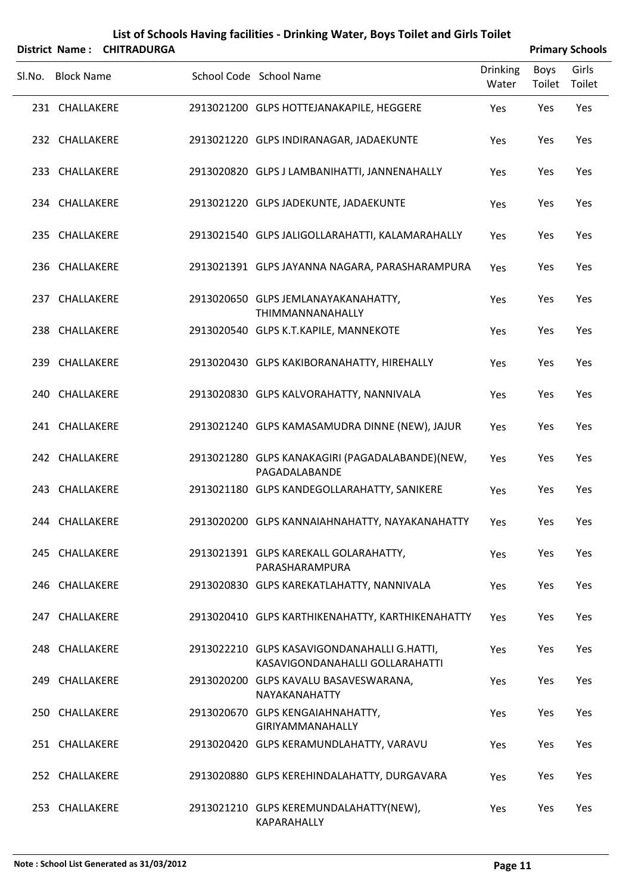|        |                   | District Name: CHITRADURGA |                                                                                |                          |                | <b>Primary Schools</b> |
|--------|-------------------|----------------------------|--------------------------------------------------------------------------------|--------------------------|----------------|------------------------|
| Sl.No. | <b>Block Name</b> |                            | School Code School Name                                                        | <b>Drinking</b><br>Water | Boys<br>Toilet | Girls<br>Toilet        |
|        | 231 CHALLAKERE    |                            | 2913021200 GLPS HOTTEJANAKAPILE, HEGGERE                                       | Yes                      | Yes            | Yes                    |
|        | 232 CHALLAKERE    |                            | 2913021220 GLPS INDIRANAGAR, JADAEKUNTE                                        | Yes                      | Yes            | Yes                    |
|        | 233 CHALLAKERE    |                            | 2913020820 GLPS J LAMBANIHATTI, JANNENAHALLY                                   | Yes                      | Yes            | Yes                    |
|        | 234 CHALLAKERE    |                            | 2913021220 GLPS JADEKUNTE, JADAEKUNTE                                          | Yes                      | Yes            | Yes                    |
|        | 235 CHALLAKERE    |                            | 2913021540 GLPS JALIGOLLARAHATTI, KALAMARAHALLY                                | Yes                      | Yes            | Yes                    |
|        | 236 CHALLAKERE    |                            | 2913021391 GLPS JAYANNA NAGARA, PARASHARAMPURA                                 | Yes                      | Yes            | Yes                    |
|        | 237 CHALLAKERE    |                            | 2913020650 GLPS JEMLANAYAKANAHATTY,<br>THIMMANNANAHALLY                        | Yes                      | Yes            | Yes                    |
|        | 238 CHALLAKERE    |                            | 2913020540 GLPS K.T.KAPILE, MANNEKOTE                                          | Yes                      | Yes            | Yes                    |
|        | 239 CHALLAKERE    |                            | 2913020430 GLPS KAKIBORANAHATTY, HIREHALLY                                     | Yes                      | Yes            | Yes                    |
|        | 240 CHALLAKERE    |                            | 2913020830 GLPS KALVORAHATTY, NANNIVALA                                        | Yes                      | Yes            | Yes                    |
|        | 241 CHALLAKERE    |                            | 2913021240 GLPS KAMASAMUDRA DINNE (NEW), JAJUR                                 | Yes                      | Yes            | Yes                    |
|        | 242 CHALLAKERE    |                            | 2913021280 GLPS KANAKAGIRI (PAGADALABANDE)(NEW,<br>PAGADALABANDE               | Yes                      | Yes            | Yes                    |
|        | 243 CHALLAKERE    |                            | 2913021180 GLPS KANDEGOLLARAHATTY, SANIKERE                                    | Yes                      | Yes            | Yes                    |
|        | 244 CHALLAKERE    |                            | 2913020200 GLPS KANNAIAHNAHATTY, NAYAKANAHATTY                                 | Yes                      | Yes            | Yes                    |
|        | 245 CHALLAKERE    |                            | 2913021391 GLPS KAREKALL GOLARAHATTY,<br>PARASHARAMPURA                        | Yes                      | Yes            | Yes                    |
|        | 246 CHALLAKERE    |                            | 2913020830 GLPS KAREKATLAHATTY, NANNIVALA                                      | Yes                      | Yes            | Yes                    |
|        | 247 CHALLAKERE    |                            | 2913020410 GLPS KARTHIKENAHATTY, KARTHIKENAHATTY                               | Yes                      | Yes            | Yes                    |
|        | 248 CHALLAKERE    |                            | 2913022210 GLPS KASAVIGONDANAHALLI G.HATTI,<br>KASAVIGONDANAHALLI GOLLARAHATTI | Yes                      | Yes            | Yes                    |
|        | 249 CHALLAKERE    |                            | 2913020200 GLPS KAVALU BASAVESWARANA,<br>NAYAKANAHATTY                         | Yes                      | Yes            | Yes                    |
|        | 250 CHALLAKERE    |                            | 2913020670 GLPS KENGAIAHNAHATTY,<br><b>GIRIYAMMANAHALLY</b>                    | Yes                      | Yes            | Yes                    |
|        | 251 CHALLAKERE    |                            | 2913020420 GLPS KERAMUNDLAHATTY, VARAVU                                        | Yes                      | Yes            | Yes                    |
|        | 252 CHALLAKERE    |                            | 2913020880 GLPS KEREHINDALAHATTY, DURGAVARA                                    | Yes                      | Yes            | Yes                    |
|        | 253 CHALLAKERE    |                            | 2913021210 GLPS KEREMUNDALAHATTY(NEW),<br>KAPARAHALLY                          | Yes                      | Yes            | Yes                    |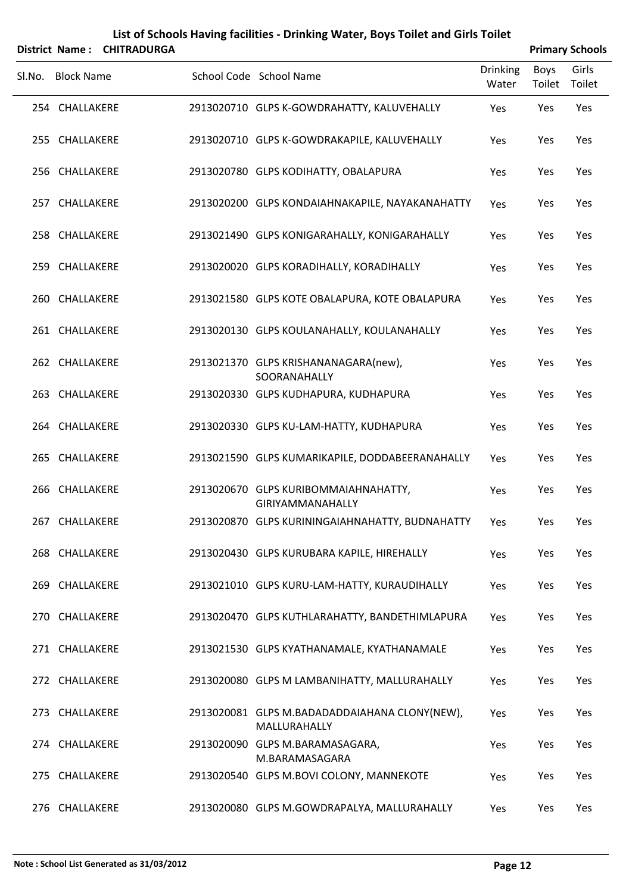|        | District Name:    | List of Schools Having facilities - Drinking Water, Boys Toilet and Girls Toilet<br><b>CHITRADURGA</b> | <b>Primary Schools</b>                                        |                          |                |                 |
|--------|-------------------|--------------------------------------------------------------------------------------------------------|---------------------------------------------------------------|--------------------------|----------------|-----------------|
| Sl.No. | <b>Block Name</b> |                                                                                                        | School Code School Name                                       | <b>Drinking</b><br>Water | Boys<br>Toilet | Girls<br>Toilet |
|        | 254 CHALLAKERE    |                                                                                                        | 2913020710 GLPS K-GOWDRAHATTY, KALUVEHALLY                    | Yes                      | Yes            | Yes             |
|        | 255 CHALLAKERE    |                                                                                                        | 2913020710 GLPS K-GOWDRAKAPILE, KALUVEHALLY                   | Yes                      | Yes            | Yes             |
|        | 256 CHALLAKERE    |                                                                                                        | 2913020780 GLPS KODIHATTY, OBALAPURA                          | Yes                      | Yes            | Yes             |
|        | 257 CHALLAKERE    |                                                                                                        | 2913020200 GLPS KONDAIAHNAKAPILE, NAYAKANAHATTY               | Yes                      | Yes            | Yes             |
|        | 258 CHALLAKERE    |                                                                                                        | 2913021490 GLPS KONIGARAHALLY, KONIGARAHALLY                  | Yes                      | Yes            | Yes             |
|        | 259 CHALLAKERE    |                                                                                                        | 2913020020 GLPS KORADIHALLY, KORADIHALLY                      | Yes                      | Yes            | Yes             |
|        | 260 CHALLAKERE    |                                                                                                        | 2913021580 GLPS KOTE OBALAPURA, KOTE OBALAPURA                | Yes                      | Yes            | Yes             |
|        | 261 CHALLAKERE    |                                                                                                        | 2913020130 GLPS KOULANAHALLY, KOULANAHALLY                    | Yes                      | Yes            | Yes             |
|        | 262 CHALLAKERE    |                                                                                                        | 2913021370 GLPS KRISHANANAGARA(new),<br>SOORANAHALLY          | Yes                      | Yes            | Yes             |
|        | 263 CHALLAKERE    |                                                                                                        | 2913020330 GLPS KUDHAPURA, KUDHAPURA                          | Yes                      | Yes            | Yes             |
|        | 264 CHALLAKERE    |                                                                                                        | 2913020330 GLPS KU-LAM-HATTY, KUDHAPURA                       | Yes                      | Yes            | Yes             |
| 265    | CHALLAKERE        |                                                                                                        | 2913021590 GLPS KUMARIKAPILE, DODDABEERANAHALLY               | Yes                      | Yes            | Yes             |
|        | 266 CHALLAKERE    |                                                                                                        | 2913020670 GLPS KURIBOMMAIAHNAHATTY,<br>GIRIYAMMANAHALLY      | Yes                      | Yes            | Yes             |
|        | 267 CHALLAKERE    |                                                                                                        | 2913020870 GLPS KURININGAIAHNAHATTY, BUDNAHATTY               | Yes                      | Yes            | Yes             |
|        | 268 CHALLAKERE    |                                                                                                        | 2913020430 GLPS KURUBARA KAPILE, HIREHALLY                    | Yes                      | Yes            | Yes             |
| 269    | CHALLAKERE        |                                                                                                        | 2913021010 GLPS KURU-LAM-HATTY, KURAUDIHALLY                  | Yes                      | Yes            | Yes             |
|        | 270 CHALLAKERE    |                                                                                                        | 2913020470 GLPS KUTHLARAHATTY, BANDETHIMLAPURA                | Yes                      | Yes            | Yes             |
|        | 271 CHALLAKERE    |                                                                                                        | 2913021530 GLPS KYATHANAMALE, KYATHANAMALE                    | Yes                      | Yes            | Yes             |
|        | 272 CHALLAKERE    |                                                                                                        | 2913020080 GLPS M LAMBANIHATTY, MALLURAHALLY                  | Yes                      | Yes            | Yes             |
|        | 273 CHALLAKERE    |                                                                                                        | 2913020081 GLPS M.BADADADDAIAHANA CLONY(NEW),<br>MALLURAHALLY | Yes                      | Yes            | Yes             |
|        | 274 CHALLAKERE    |                                                                                                        | 2913020090 GLPS M.BARAMASAGARA,<br>M.BARAMASAGARA             | Yes                      | Yes            | Yes             |
| 275    | CHALLAKERE        |                                                                                                        | 2913020540 GLPS M.BOVI COLONY, MANNEKOTE                      | Yes                      | Yes            | Yes             |
|        | 276 CHALLAKERE    |                                                                                                        | 2913020080 GLPS M.GOWDRAPALYA, MALLURAHALLY                   | Yes                      | Yes            | Yes             |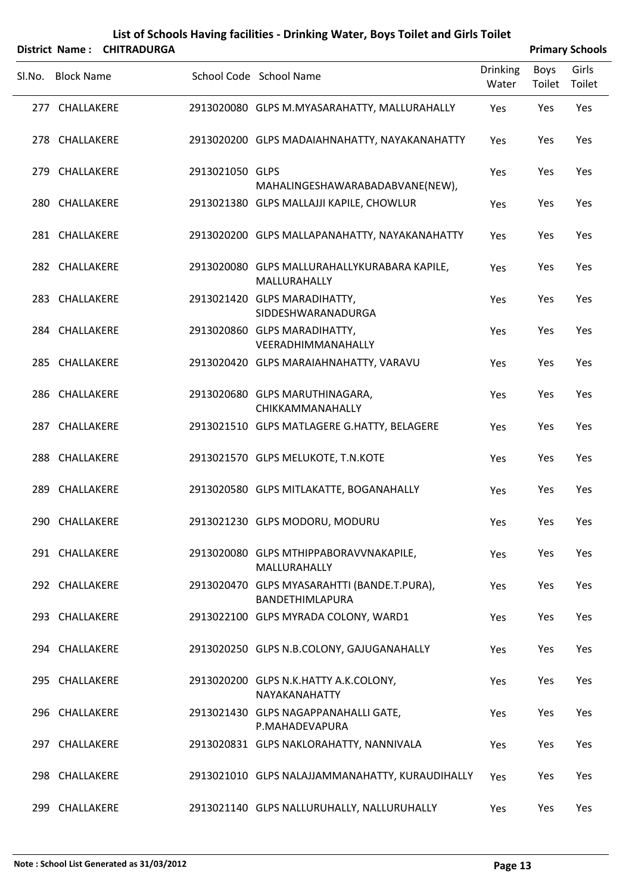|        |                   | District Name: CHITRADURGA |                 |                                                                       |                          |                | <b>Primary Schools</b> |
|--------|-------------------|----------------------------|-----------------|-----------------------------------------------------------------------|--------------------------|----------------|------------------------|
| SI.No. | <b>Block Name</b> |                            |                 | School Code School Name                                               | <b>Drinking</b><br>Water | Boys<br>Toilet | Girls<br>Toilet        |
|        | 277 CHALLAKERE    |                            |                 | 2913020080 GLPS M.MYASARAHATTY, MALLURAHALLY                          | Yes                      | Yes            | Yes                    |
|        | 278 CHALLAKERE    |                            |                 | 2913020200 GLPS MADAIAHNAHATTY, NAYAKANAHATTY                         | Yes                      | Yes            | Yes                    |
|        | 279 CHALLAKERE    |                            | 2913021050 GLPS | MAHALINGESHAWARABADABVANE(NEW),                                       | Yes                      | Yes            | Yes                    |
|        | 280 CHALLAKERE    |                            |                 | 2913021380 GLPS MALLAJJI KAPILE, CHOWLUR                              | Yes                      | Yes            | Yes                    |
|        | 281 CHALLAKERE    |                            |                 | 2913020200 GLPS MALLAPANAHATTY, NAYAKANAHATTY                         | Yes                      | Yes            | Yes                    |
|        | 282 CHALLAKERE    |                            |                 | 2913020080 GLPS MALLURAHALLYKURABARA KAPILE,<br>MALLURAHALLY          | Yes                      | Yes            | Yes                    |
|        | 283 CHALLAKERE    |                            |                 | 2913021420 GLPS MARADIHATTY,<br>SIDDESHWARANADURGA                    | Yes                      | Yes            | Yes                    |
|        | 284 CHALLAKERE    |                            |                 | 2913020860 GLPS MARADIHATTY,<br>VEERADHIMMANAHALLY                    | Yes                      | Yes            | Yes                    |
|        | 285 CHALLAKERE    |                            |                 | 2913020420 GLPS MARAIAHNAHATTY, VARAVU                                | Yes                      | Yes            | Yes                    |
|        | 286 CHALLAKERE    |                            |                 | 2913020680 GLPS MARUTHINAGARA,<br>CHIKKAMMANAHALLY                    | Yes                      | Yes            | Yes                    |
|        | 287 CHALLAKERE    |                            |                 | 2913021510 GLPS MATLAGERE G.HATTY, BELAGERE                           | Yes                      | Yes            | Yes                    |
|        | 288 CHALLAKERE    |                            |                 | 2913021570 GLPS MELUKOTE, T.N.KOTE                                    | Yes                      | Yes            | Yes                    |
|        | 289 CHALLAKERE    |                            |                 | 2913020580 GLPS MITLAKATTE, BOGANAHALLY                               | Yes                      | Yes            | Yes                    |
|        | 290 CHALLAKERE    |                            |                 | 2913021230 GLPS MODORU, MODURU                                        | Yes                      | Yes            | Yes                    |
|        | 291 CHALLAKERE    |                            |                 | 2913020080 GLPS MTHIPPABORAVVNAKAPILE,<br>MALLURAHALLY                | Yes                      | Yes            | Yes                    |
|        | 292 CHALLAKERE    |                            |                 | 2913020470 GLPS MYASARAHTTI (BANDE.T.PURA),<br><b>BANDETHIMLAPURA</b> | Yes                      | Yes            | Yes                    |
|        | 293 CHALLAKERE    |                            |                 | 2913022100 GLPS MYRADA COLONY, WARD1                                  | Yes                      | Yes            | Yes                    |
|        | 294 CHALLAKERE    |                            |                 | 2913020250 GLPS N.B.COLONY, GAJUGANAHALLY                             | Yes                      | Yes            | Yes                    |
|        | 295 CHALLAKERE    |                            |                 | 2913020200 GLPS N.K.HATTY A.K.COLONY,<br>NAYAKANAHATTY                | Yes                      | Yes            | Yes                    |
|        | 296 CHALLAKERE    |                            |                 | 2913021430 GLPS NAGAPPANAHALLI GATE,<br>P.MAHADEVAPURA                | Yes                      | Yes            | Yes                    |
|        | 297 CHALLAKERE    |                            |                 | 2913020831 GLPS NAKLORAHATTY, NANNIVALA                               | Yes                      | Yes            | Yes                    |
|        | 298 CHALLAKERE    |                            |                 | 2913021010 GLPS NALAJJAMMANAHATTY, KURAUDIHALLY                       | Yes                      | Yes            | Yes                    |
|        | 299 CHALLAKERE    |                            |                 | 2913021140 GLPS NALLURUHALLY, NALLURUHALLY                            | Yes                      | Yes            | Yes                    |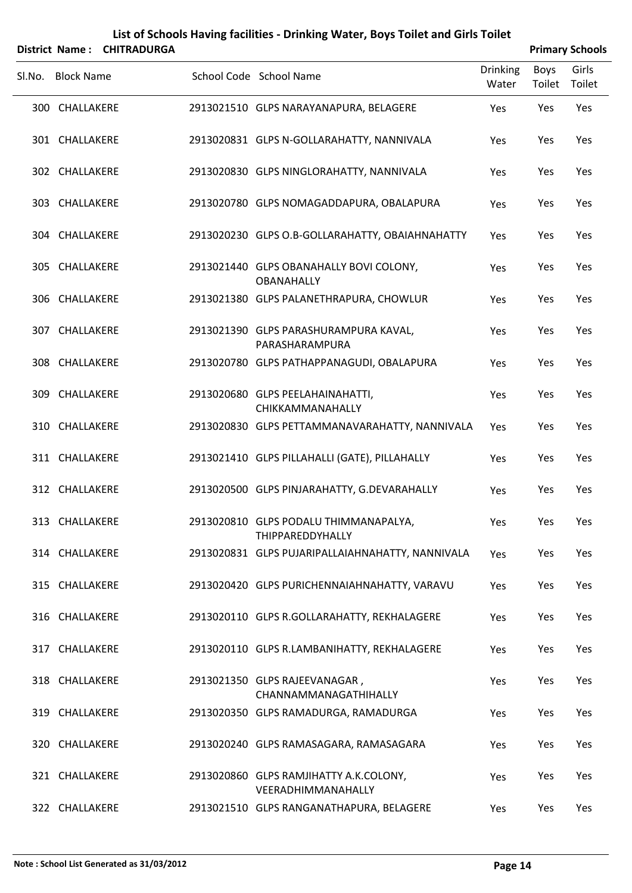|        |                   | District Name: CHITRADURGA |                                                              |                          |                | <b>Primary Schools</b> |
|--------|-------------------|----------------------------|--------------------------------------------------------------|--------------------------|----------------|------------------------|
| SI.No. | <b>Block Name</b> |                            | School Code School Name                                      | <b>Drinking</b><br>Water | Boys<br>Toilet | Girls<br>Toilet        |
|        | 300 CHALLAKERE    |                            | 2913021510 GLPS NARAYANAPURA, BELAGERE                       | Yes                      | Yes            | Yes                    |
|        | 301 CHALLAKERE    |                            | 2913020831 GLPS N-GOLLARAHATTY, NANNIVALA                    | Yes                      | Yes            | Yes                    |
|        | 302 CHALLAKERE    |                            | 2913020830 GLPS NINGLORAHATTY, NANNIVALA                     | Yes                      | Yes            | Yes                    |
|        | 303 CHALLAKERE    |                            | 2913020780 GLPS NOMAGADDAPURA, OBALAPURA                     | Yes                      | Yes            | Yes                    |
|        | 304 CHALLAKERE    |                            | 2913020230 GLPS O.B-GOLLARAHATTY, OBAIAHNAHATTY              | Yes                      | Yes            | Yes                    |
|        | 305 CHALLAKERE    |                            | 2913021440 GLPS OBANAHALLY BOVI COLONY,<br><b>OBANAHALLY</b> | Yes                      | Yes            | Yes                    |
|        | 306 CHALLAKERE    |                            | 2913021380 GLPS PALANETHRAPURA, CHOWLUR                      | Yes                      | Yes            | Yes                    |
|        | 307 CHALLAKERE    |                            | 2913021390 GLPS PARASHURAMPURA KAVAL,<br>PARASHARAMPURA      | Yes                      | Yes            | Yes                    |
|        | 308 CHALLAKERE    |                            | 2913020780 GLPS PATHAPPANAGUDI, OBALAPURA                    | Yes                      | Yes            | Yes                    |
|        | 309 CHALLAKERE    |                            | 2913020680 GLPS PEELAHAINAHATTI,<br>CHIKKAMMANAHALLY         | Yes                      | Yes            | Yes                    |
|        | 310 CHALLAKERE    |                            | 2913020830 GLPS PETTAMMANAVARAHATTY, NANNIVALA               | Yes                      | Yes            | Yes                    |
|        | 311 CHALLAKERE    |                            | 2913021410 GLPS PILLAHALLI (GATE), PILLAHALLY                | Yes                      | Yes            | Yes                    |
|        | 312 CHALLAKERE    |                            | 2913020500 GLPS PINJARAHATTY, G.DEVARAHALLY                  | Yes                      | Yes            | Yes                    |
|        | 313 CHALLAKERE    |                            | 2913020810 GLPS PODALU THIMMANAPALYA,<br>THIPPAREDDYHALLY    | Yes                      | Yes            | Yes                    |
|        | 314 CHALLAKERE    |                            | 2913020831 GLPS PUJARIPALLAIAHNAHATTY, NANNIVALA             | Yes                      | Yes            | Yes                    |
|        | 315 CHALLAKERE    |                            | 2913020420 GLPS PURICHENNAIAHNAHATTY, VARAVU                 | Yes                      | Yes            | Yes                    |
|        | 316 CHALLAKERE    |                            | 2913020110 GLPS R.GOLLARAHATTY, REKHALAGERE                  | Yes                      | Yes            | Yes                    |
|        | 317 CHALLAKERE    |                            | 2913020110 GLPS R.LAMBANIHATTY, REKHALAGERE                  | Yes                      | Yes            | Yes                    |
|        | 318 CHALLAKERE    |                            | 2913021350 GLPS RAJEEVANAGAR,<br>CHANNAMMANAGATHIHALLY       | Yes                      | Yes            | Yes                    |
|        | 319 CHALLAKERE    |                            | 2913020350 GLPS RAMADURGA, RAMADURGA                         | Yes                      | Yes            | Yes                    |
|        | 320 CHALLAKERE    |                            | 2913020240 GLPS RAMASAGARA, RAMASAGARA                       | Yes                      | Yes            | Yes                    |
|        | 321 CHALLAKERE    |                            | 2913020860 GLPS RAMJIHATTY A.K.COLONY,<br>VEERADHIMMANAHALLY | Yes                      | Yes            | Yes                    |
|        | 322 CHALLAKERE    |                            | 2913021510 GLPS RANGANATHAPURA, BELAGERE                     | Yes                      | Yes            | Yes                    |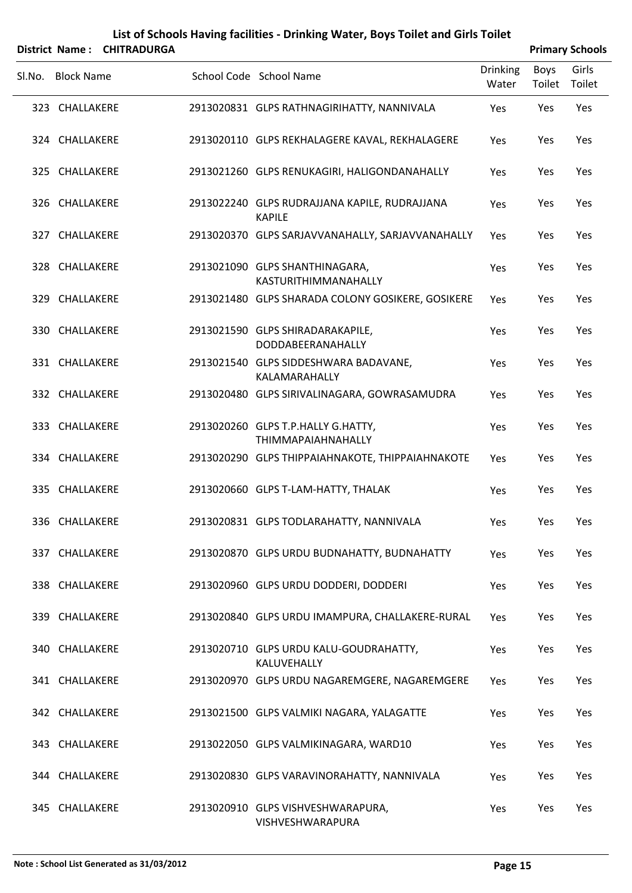|        |                   | District Name: CHITRADURGA |                                                                 |                          |                | <b>Primary Schools</b> |
|--------|-------------------|----------------------------|-----------------------------------------------------------------|--------------------------|----------------|------------------------|
| SI.No. | <b>Block Name</b> |                            | School Code School Name                                         | <b>Drinking</b><br>Water | Boys<br>Toilet | Girls<br>Toilet        |
|        | 323 CHALLAKERE    |                            | 2913020831 GLPS RATHNAGIRIHATTY, NANNIVALA                      | Yes                      | Yes            | Yes                    |
|        | 324 CHALLAKERE    |                            | 2913020110 GLPS REKHALAGERE KAVAL, REKHALAGERE                  | Yes                      | Yes            | Yes                    |
|        | 325 CHALLAKERE    |                            | 2913021260 GLPS RENUKAGIRI, HALIGONDANAHALLY                    | Yes                      | Yes            | Yes                    |
|        | 326 CHALLAKERE    |                            | 2913022240 GLPS RUDRAJJANA KAPILE, RUDRAJJANA<br><b>KAPILE</b>  | Yes                      | Yes            | Yes                    |
|        | 327 CHALLAKERE    |                            | 2913020370 GLPS SARJAVVANAHALLY, SARJAVVANAHALLY                | Yes                      | Yes            | Yes                    |
|        | 328 CHALLAKERE    |                            | 2913021090 GLPS SHANTHINAGARA,<br>KASTURITHIMMANAHALLY          | Yes                      | Yes            | Yes                    |
|        | 329 CHALLAKERE    |                            | 2913021480 GLPS SHARADA COLONY GOSIKERE, GOSIKERE               | Yes                      | Yes            | Yes                    |
|        | 330 CHALLAKERE    |                            | 2913021590 GLPS SHIRADARAKAPILE,<br>DODDABEERANAHALLY           | Yes                      | Yes            | Yes                    |
|        | 331 CHALLAKERE    |                            | 2913021540 GLPS SIDDESHWARA BADAVANE,<br>KALAMARAHALLY          | Yes                      | Yes            | Yes                    |
|        | 332 CHALLAKERE    |                            | 2913020480 GLPS SIRIVALINAGARA, GOWRASAMUDRA                    | Yes                      | Yes            | Yes                    |
|        | 333 CHALLAKERE    |                            | 2913020260 GLPS T.P.HALLY G.HATTY,<br><b>THIMMAPAIAHNAHALLY</b> | Yes                      | Yes            | Yes                    |
|        | 334 CHALLAKERE    |                            | 2913020290 GLPS THIPPAIAHNAKOTE, THIPPAIAHNAKOTE                | Yes                      | Yes            | Yes                    |
|        | 335 CHALLAKERE    |                            | 2913020660 GLPS T-LAM-HATTY, THALAK                             | Yes                      | Yes            | Yes                    |
|        | 336 CHALLAKERE    |                            | 2913020831 GLPS TODLARAHATTY, NANNIVALA                         | Yes                      | Yes            | Yes                    |
|        | 337 CHALLAKERE    |                            | 2913020870 GLPS URDU BUDNAHATTY, BUDNAHATTY                     | Yes                      | Yes            | Yes                    |
|        | 338 CHALLAKERE    |                            | 2913020960 GLPS URDU DODDERI, DODDERI                           | Yes                      | Yes            | Yes                    |
|        | 339 CHALLAKERE    |                            | 2913020840 GLPS URDU IMAMPURA, CHALLAKERE-RURAL                 | Yes                      | Yes            | Yes                    |
|        | 340 CHALLAKERE    |                            | 2913020710 GLPS URDU KALU-GOUDRAHATTY,<br>KALUVEHALLY           | Yes                      | Yes            | Yes                    |
|        | 341 CHALLAKERE    |                            | 2913020970 GLPS URDU NAGAREMGERE, NAGAREMGERE                   | Yes                      | Yes            | Yes                    |
|        | 342 CHALLAKERE    |                            | 2913021500 GLPS VALMIKI NAGARA, YALAGATTE                       | Yes                      | Yes            | Yes                    |
|        | 343 CHALLAKERE    |                            | 2913022050 GLPS VALMIKINAGARA, WARD10                           | Yes                      | Yes            | Yes                    |
|        | 344 CHALLAKERE    |                            | 2913020830 GLPS VARAVINORAHATTY, NANNIVALA                      | Yes                      | Yes            | Yes                    |
|        | 345 CHALLAKERE    |                            | 2913020910 GLPS VISHVESHWARAPURA,<br>VISHVESHWARAPURA           | Yes                      | Yes            | Yes                    |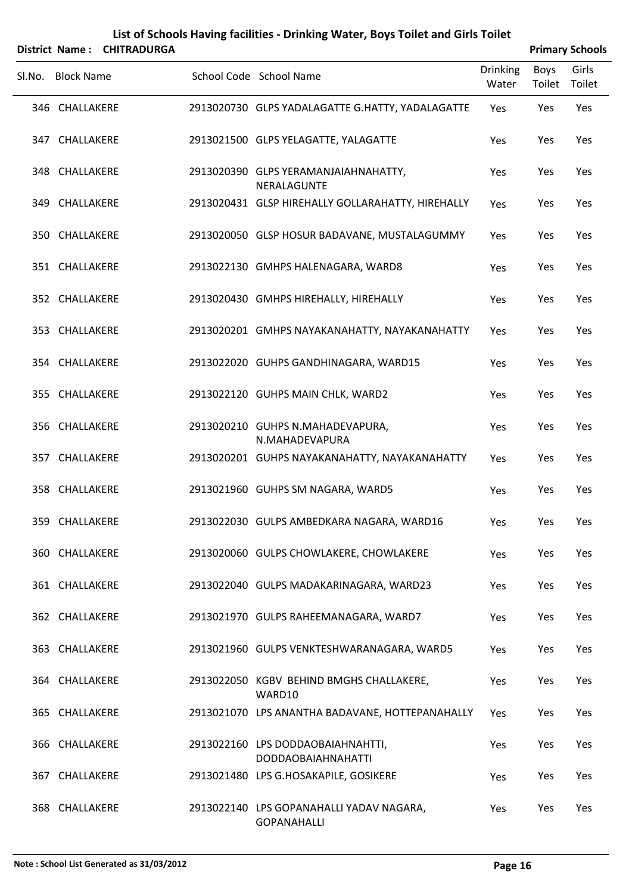|        |                       |                    | List of Schools Having facilities - Drinking Water, Boys Toilet and Girls Toilet |                          |                       |                        |
|--------|-----------------------|--------------------|----------------------------------------------------------------------------------|--------------------------|-----------------------|------------------------|
|        | <b>District Name:</b> | <b>CHITRADURGA</b> |                                                                                  |                          |                       | <b>Primary Schools</b> |
| SI.No. | <b>Block Name</b>     |                    | School Code School Name                                                          | <b>Drinking</b><br>Water | <b>Boys</b><br>Toilet | Girls<br>Toilet        |
|        | 346 CHALLAKERE        |                    | 2913020730 GLPS YADALAGATTE G.HATTY, YADALAGATTE                                 | Yes                      | Yes                   | Yes                    |
|        | 347 CHALLAKERE        |                    | 2913021500 GLPS YELAGATTE, YALAGATTE                                             | Yes                      | Yes                   | Yes                    |
|        | 348 CHALLAKERE        |                    | 2913020390 GLPS YERAMANJAIAHNAHATTY,<br>NERALAGUNTE                              | Yes                      | Yes                   | Yes                    |
|        | 349 CHALLAKERE        |                    | 2913020431 GLSP HIREHALLY GOLLARAHATTY, HIREHALLY                                | Yes                      | Yes                   | Yes                    |
|        | 350 CHALLAKERE        |                    | 2913020050 GLSP HOSUR BADAVANE, MUSTALAGUMMY                                     | Yes                      | Yes                   | Yes                    |
|        | 351 CHALLAKERE        |                    | 2913022130 GMHPS HALENAGARA, WARD8                                               | Yes                      | Yes                   | Yes                    |
|        | 352 CHALLAKERE        |                    | 2913020430 GMHPS HIREHALLY, HIREHALLY                                            | Yes                      | Yes                   | Yes                    |
|        | 353 CHALLAKERE        |                    | 2913020201 GMHPS NAYAKANAHATTY, NAYAKANAHATTY                                    | Yes                      | Yes                   | Yes                    |
|        | 354 CHALLAKERE        |                    | 2913022020 GUHPS GANDHINAGARA, WARD15                                            | Yes                      | Yes                   | Yes                    |
|        | 355 CHALLAKERE        |                    | 2913022120 GUHPS MAIN CHLK, WARD2                                                | Yes                      | Yes                   | Yes                    |
|        | 356 CHALLAKERE        |                    | 2913020210 GUHPS N.MAHADEVAPURA,<br>N.MAHADEVAPURA                               | Yes                      | Yes                   | Yes                    |
|        | 357 CHALLAKERE        |                    | 2913020201 GUHPS NAYAKANAHATTY, NAYAKANAHATTY                                    | Yes                      | Yes                   | Yes                    |
|        | 358 CHALLAKERE        |                    | 2913021960 GUHPS SM NAGARA, WARD5                                                | Yes                      | Yes                   | Yes                    |
|        | 359 CHALLAKERE        |                    | 2913022030 GULPS AMBEDKARA NAGARA, WARD16                                        | Yes                      | Yes                   | Yes                    |
|        | 360 CHALLAKERE        |                    | 2913020060 GULPS CHOWLAKERE, CHOWLAKERE                                          | Yes                      | Yes                   | Yes                    |
|        | 361 CHALLAKERE        |                    | 2913022040 GULPS MADAKARINAGARA, WARD23                                          | Yes                      | Yes                   | Yes                    |
|        | 362 CHALLAKERE        |                    | 2913021970 GULPS RAHEEMANAGARA, WARD7                                            | Yes                      | Yes                   | Yes                    |
|        | 363 CHALLAKERE        |                    | 2913021960 GULPS VENKTESHWARANAGARA, WARD5                                       | Yes                      | Yes                   | Yes                    |
|        | 364 CHALLAKERE        |                    | 2913022050 KGBV BEHIND BMGHS CHALLAKERE,<br>WARD10                               | Yes                      | Yes                   | Yes                    |
|        | 365 CHALLAKERE        |                    | 2913021070 LPS ANANTHA BADAVANE, HOTTEPANAHALLY                                  | Yes                      | Yes                   | Yes                    |
|        | 366 CHALLAKERE        |                    | 2913022160 LPS DODDAOBAIAHNAHTTI,<br><b>DODDAOBAIAHNAHATTI</b>                   | Yes                      | Yes                   | Yes                    |
| 367    | CHALLAKERE            |                    | 2913021480 LPS G.HOSAKAPILE, GOSIKERE                                            | Yes                      | Yes                   | Yes                    |
|        | 368 CHALLAKERE        |                    | 2913022140 LPS GOPANAHALLI YADAV NAGARA,<br><b>GOPANAHALLI</b>                   | Yes                      | Yes                   | Yes                    |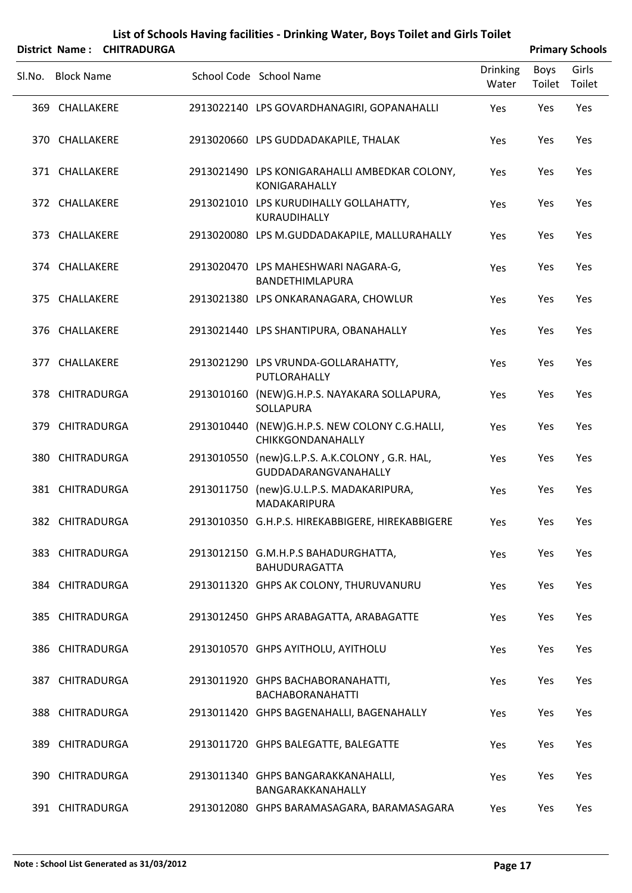|        |                   | District Name: CHITRADURGA |                                                                        |                          |                | <b>Primary Schools</b> |
|--------|-------------------|----------------------------|------------------------------------------------------------------------|--------------------------|----------------|------------------------|
| Sl.No. | <b>Block Name</b> |                            | School Code School Name                                                | <b>Drinking</b><br>Water | Boys<br>Toilet | Girls<br>Toilet        |
|        | 369 CHALLAKERE    |                            | 2913022140 LPS GOVARDHANAGIRI, GOPANAHALLI                             | Yes                      | Yes            | Yes                    |
|        | 370 CHALLAKERE    |                            | 2913020660 LPS GUDDADAKAPILE, THALAK                                   | Yes                      | Yes            | Yes                    |
|        | 371 CHALLAKERE    |                            | 2913021490 LPS KONIGARAHALLI AMBEDKAR COLONY,<br>KONIGARAHALLY         | Yes                      | Yes            | Yes                    |
|        | 372 CHALLAKERE    |                            | 2913021010 LPS KURUDIHALLY GOLLAHATTY,<br>KURAUDIHALLY                 | Yes                      | Yes            | Yes                    |
|        | 373 CHALLAKERE    |                            | 2913020080 LPS M.GUDDADAKAPILE, MALLURAHALLY                           | Yes                      | Yes            | Yes                    |
|        | 374 CHALLAKERE    |                            | 2913020470 LPS MAHESHWARI NAGARA-G,<br>BANDETHIMLAPURA                 | Yes                      | Yes            | Yes                    |
|        | 375 CHALLAKERE    |                            | 2913021380 LPS ONKARANAGARA, CHOWLUR                                   | Yes                      | Yes            | Yes                    |
|        | 376 CHALLAKERE    |                            | 2913021440 LPS SHANTIPURA, OBANAHALLY                                  | Yes                      | Yes            | Yes                    |
|        | 377 CHALLAKERE    |                            | 2913021290 LPS VRUNDA-GOLLARAHATTY,<br>PUTLORAHALLY                    | Yes                      | Yes            | Yes                    |
|        | 378 CHITRADURGA   |                            | 2913010160 (NEW)G.H.P.S. NAYAKARA SOLLAPURA,<br>SOLLAPURA              | Yes                      | Yes            | Yes                    |
|        | 379 CHITRADURGA   |                            | 2913010440 (NEW)G.H.P.S. NEW COLONY C.G.HALLI,<br>CHIKKGONDANAHALLY    | Yes                      | Yes            | Yes                    |
|        | 380 CHITRADURGA   |                            | 2913010550 (new)G.L.P.S. A.K.COLONY, G.R. HAL,<br>GUDDADARANGVANAHALLY | Yes                      | Yes            | Yes                    |
|        | 381 CHITRADURGA   |                            | 2913011750 (new)G.U.L.P.S. MADAKARIPURA,<br>MADAKARIPURA               | Yes                      | Yes            | Yes                    |
|        | 382 CHITRADURGA   |                            | 2913010350 G.H.P.S. HIREKABBIGERE, HIREKABBIGERE                       | Yes                      | Yes            | Yes                    |
|        | 383 CHITRADURGA   |                            | 2913012150 G.M.H.P.S BAHADURGHATTA,<br><b>BAHUDURAGATTA</b>            | Yes                      | Yes            | Yes                    |
|        | 384 CHITRADURGA   |                            | 2913011320 GHPS AK COLONY, THURUVANURU                                 | Yes                      | Yes            | Yes                    |
|        | 385 CHITRADURGA   |                            | 2913012450 GHPS ARABAGATTA, ARABAGATTE                                 | Yes                      | Yes            | Yes                    |
|        | 386 CHITRADURGA   |                            | 2913010570 GHPS AYITHOLU, AYITHOLU                                     | Yes                      | Yes            | Yes                    |
|        | 387 CHITRADURGA   |                            | 2913011920 GHPS BACHABORANAHATTI,<br><b>BACHABORANAHATTI</b>           | Yes                      | Yes            | Yes                    |
|        | 388 CHITRADURGA   |                            | 2913011420 GHPS BAGENAHALLI, BAGENAHALLY                               | Yes                      | Yes            | Yes                    |
|        | 389 CHITRADURGA   |                            | 2913011720 GHPS BALEGATTE, BALEGATTE                                   | Yes                      | Yes            | Yes                    |
|        | 390 CHITRADURGA   |                            | 2913011340 GHPS BANGARAKKANAHALLI,<br>BANGARAKKANAHALLY                | Yes                      | Yes            | Yes                    |
|        | 391 CHITRADURGA   |                            | 2913012080 GHPS BARAMASAGARA, BARAMASAGARA                             | Yes                      | Yes            | Yes                    |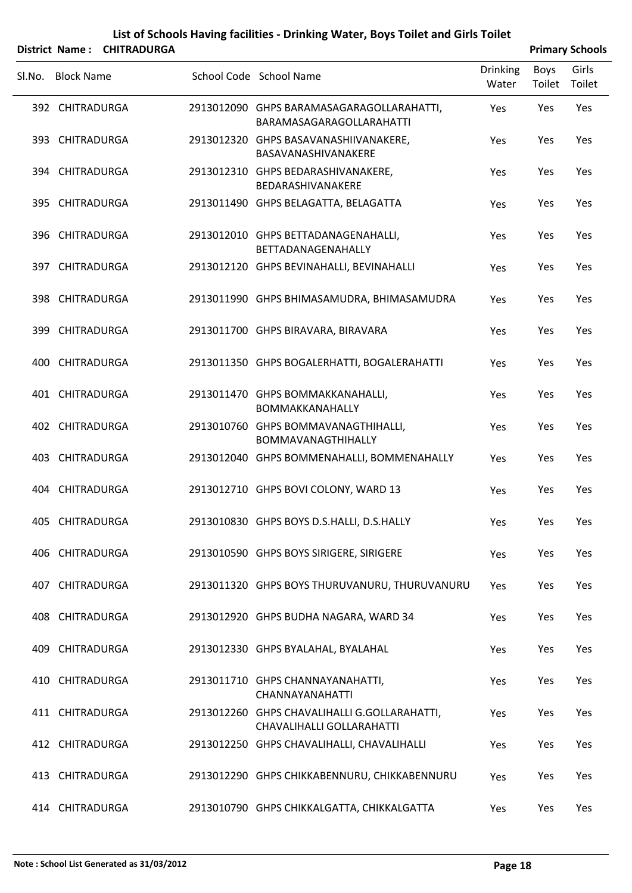|        |                   | District Name: CHITRADURGA |                                                                           |                          |                | <b>Primary Schools</b> |
|--------|-------------------|----------------------------|---------------------------------------------------------------------------|--------------------------|----------------|------------------------|
| Sl.No. | <b>Block Name</b> |                            | School Code School Name                                                   | <b>Drinking</b><br>Water | Boys<br>Toilet | Girls<br>Toilet        |
|        | 392 CHITRADURGA   |                            | 2913012090 GHPS BARAMASAGARAGOLLARAHATTI,<br>BARAMASAGARAGOLLARAHATTI     | Yes                      | Yes            | Yes                    |
|        | 393 CHITRADURGA   |                            | 2913012320 GHPS BASAVANASHIIVANAKERE,<br>BASAVANASHIVANAKERE              | Yes                      | Yes            | Yes                    |
|        | 394 CHITRADURGA   |                            | 2913012310 GHPS BEDARASHIVANAKERE,<br>BEDARASHIVANAKERE                   | Yes                      | Yes            | Yes                    |
|        | 395 CHITRADURGA   |                            | 2913011490 GHPS BELAGATTA, BELAGATTA                                      | Yes                      | Yes            | Yes                    |
|        | 396 CHITRADURGA   |                            | 2913012010 GHPS BETTADANAGENAHALLI,<br>BETTADANAGENAHALLY                 | Yes                      | Yes            | Yes                    |
|        | 397 CHITRADURGA   |                            | 2913012120 GHPS BEVINAHALLI, BEVINAHALLI                                  | Yes                      | Yes            | Yes                    |
|        | 398 CHITRADURGA   |                            | 2913011990 GHPS BHIMASAMUDRA, BHIMASAMUDRA                                | Yes                      | Yes            | Yes                    |
|        | 399 CHITRADURGA   |                            | 2913011700 GHPS BIRAVARA, BIRAVARA                                        | Yes                      | Yes            | Yes                    |
|        | 400 CHITRADURGA   |                            | 2913011350 GHPS BOGALERHATTI, BOGALERAHATTI                               | Yes                      | Yes            | Yes                    |
|        | 401 CHITRADURGA   |                            | 2913011470 GHPS BOMMAKKANAHALLI,<br>BOMMAKKANAHALLY                       | Yes                      | Yes            | Yes                    |
|        | 402 CHITRADURGA   |                            | 2913010760 GHPS BOMMAVANAGTHIHALLI,<br>BOMMAVANAGTHIHALLY                 | Yes                      | Yes            | Yes                    |
|        | 403 CHITRADURGA   |                            | 2913012040 GHPS BOMMENAHALLI, BOMMENAHALLY                                | Yes                      | Yes            | Yes                    |
|        | 404 CHITRADURGA   |                            | 2913012710 GHPS BOVI COLONY, WARD 13                                      | Yes                      | Yes            | Yes                    |
|        | 405 CHITRADURGA   |                            | 2913010830 GHPS BOYS D.S.HALLI, D.S.HALLY                                 | Yes                      | Yes            | Yes                    |
|        | 406 CHITRADURGA   |                            | 2913010590 GHPS BOYS SIRIGERE, SIRIGERE                                   | Yes                      | Yes            | Yes                    |
|        | 407 CHITRADURGA   |                            | 2913011320 GHPS BOYS THURUVANURU, THURUVANURU                             | Yes                      | Yes            | Yes                    |
|        | 408 CHITRADURGA   |                            | 2913012920 GHPS BUDHA NAGARA, WARD 34                                     | Yes                      | Yes            | Yes                    |
|        | 409 CHITRADURGA   |                            | 2913012330 GHPS BYALAHAL, BYALAHAL                                        | Yes                      | Yes            | Yes                    |
|        | 410 CHITRADURGA   |                            | 2913011710 GHPS CHANNAYANAHATTI,<br>CHANNAYANAHATTI                       | Yes                      | Yes            | Yes                    |
|        | 411 CHITRADURGA   |                            | 2913012260 GHPS CHAVALIHALLI G.GOLLARAHATTI,<br>CHAVALIHALLI GOLLARAHATTI | Yes                      | Yes            | Yes                    |
|        | 412 CHITRADURGA   |                            | 2913012250 GHPS CHAVALIHALLI, CHAVALIHALLI                                | Yes                      | Yes            | Yes                    |
|        | 413 CHITRADURGA   |                            | 2913012290 GHPS CHIKKABENNURU, CHIKKABENNURU                              | Yes                      | Yes            | Yes                    |
|        | 414 CHITRADURGA   |                            | 2913010790 GHPS CHIKKALGATTA, CHIKKALGATTA                                | Yes                      | Yes            | Yes                    |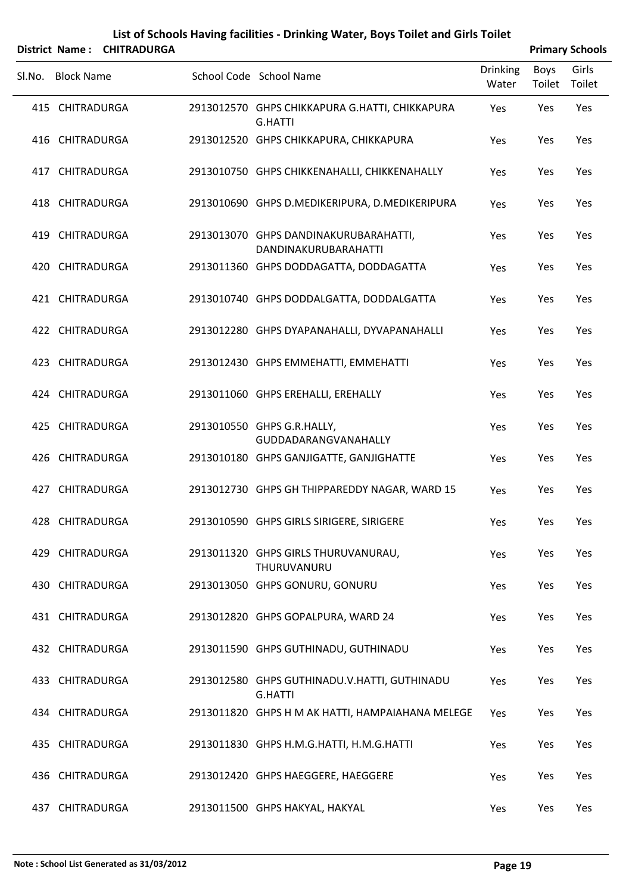|        |                   | District Name: CHITRADURGA |                                                                  |                          |                | <b>Primary Schools</b> |
|--------|-------------------|----------------------------|------------------------------------------------------------------|--------------------------|----------------|------------------------|
| SI.No. | <b>Block Name</b> |                            | School Code School Name                                          | <b>Drinking</b><br>Water | Boys<br>Toilet | Girls<br>Toilet        |
|        | 415 CHITRADURGA   |                            | 2913012570 GHPS CHIKKAPURA G.HATTI, CHIKKAPURA<br><b>G.HATTI</b> | Yes                      | Yes            | Yes                    |
|        | 416 CHITRADURGA   |                            | 2913012520 GHPS CHIKKAPURA, CHIKKAPURA                           | Yes                      | Yes            | Yes                    |
|        | 417 CHITRADURGA   |                            | 2913010750 GHPS CHIKKENAHALLI, CHIKKENAHALLY                     | Yes                      | Yes            | Yes                    |
|        | 418 CHITRADURGA   |                            | 2913010690 GHPS D.MEDIKERIPURA, D.MEDIKERIPURA                   | Yes                      | Yes            | Yes                    |
|        | 419 CHITRADURGA   |                            | 2913013070 GHPS DANDINAKURUBARAHATTI,<br>DANDINAKURUBARAHATTI    | Yes                      | Yes            | Yes                    |
|        | 420 CHITRADURGA   |                            | 2913011360 GHPS DODDAGATTA, DODDAGATTA                           | Yes                      | Yes            | Yes                    |
|        | 421 CHITRADURGA   |                            | 2913010740 GHPS DODDALGATTA, DODDALGATTA                         | Yes                      | Yes            | Yes                    |
|        | 422 CHITRADURGA   |                            | 2913012280 GHPS DYAPANAHALLI, DYVAPANAHALLI                      | Yes                      | Yes            | Yes                    |
|        | 423 CHITRADURGA   |                            | 2913012430 GHPS EMMEHATTI, EMMEHATTI                             | Yes                      | Yes            | Yes                    |
|        | 424 CHITRADURGA   |                            | 2913011060 GHPS EREHALLI, EREHALLY                               | Yes                      | Yes            | Yes                    |
|        | 425 CHITRADURGA   |                            | 2913010550 GHPS G.R.HALLY,<br>GUDDADARANGVANAHALLY               | Yes                      | Yes            | Yes                    |
|        | 426 CHITRADURGA   |                            | 2913010180 GHPS GANJIGATTE, GANJIGHATTE                          | Yes                      | Yes            | Yes                    |
|        | 427 CHITRADURGA   |                            | 2913012730 GHPS GH THIPPAREDDY NAGAR, WARD 15                    | Yes                      | Yes            | Yes                    |
|        | 428 CHITRADURGA   |                            | 2913010590 GHPS GIRLS SIRIGERE, SIRIGERE                         | Yes                      | Yes            | Yes                    |
|        | 429 CHITRADURGA   |                            | 2913011320 GHPS GIRLS THURUVANURAU,<br>THURUVANURU               | Yes                      | Yes            | Yes                    |
|        | 430 CHITRADURGA   |                            | 2913013050 GHPS GONURU, GONURU                                   | Yes                      | Yes            | Yes                    |
|        | 431 CHITRADURGA   |                            | 2913012820 GHPS GOPALPURA, WARD 24                               | Yes                      | Yes            | Yes                    |
|        | 432 CHITRADURGA   |                            | 2913011590 GHPS GUTHINADU, GUTHINADU                             | Yes                      | Yes            | Yes                    |
|        | 433 CHITRADURGA   |                            | 2913012580 GHPS GUTHINADU.V.HATTI, GUTHINADU<br><b>G.HATTI</b>   | Yes                      | Yes            | Yes                    |
|        | 434 CHITRADURGA   |                            | 2913011820 GHPS H M AK HATTI, HAMPAIAHANA MELEGE                 | Yes                      | Yes            | Yes                    |
|        | 435 CHITRADURGA   |                            | 2913011830 GHPS H.M.G.HATTI, H.M.G.HATTI                         | Yes                      | Yes            | Yes                    |
|        | 436 CHITRADURGA   |                            | 2913012420 GHPS HAEGGERE, HAEGGERE                               | Yes                      | Yes            | Yes                    |
|        | 437 CHITRADURGA   |                            | 2913011500 GHPS HAKYAL, HAKYAL                                   | Yes                      | Yes            | Yes                    |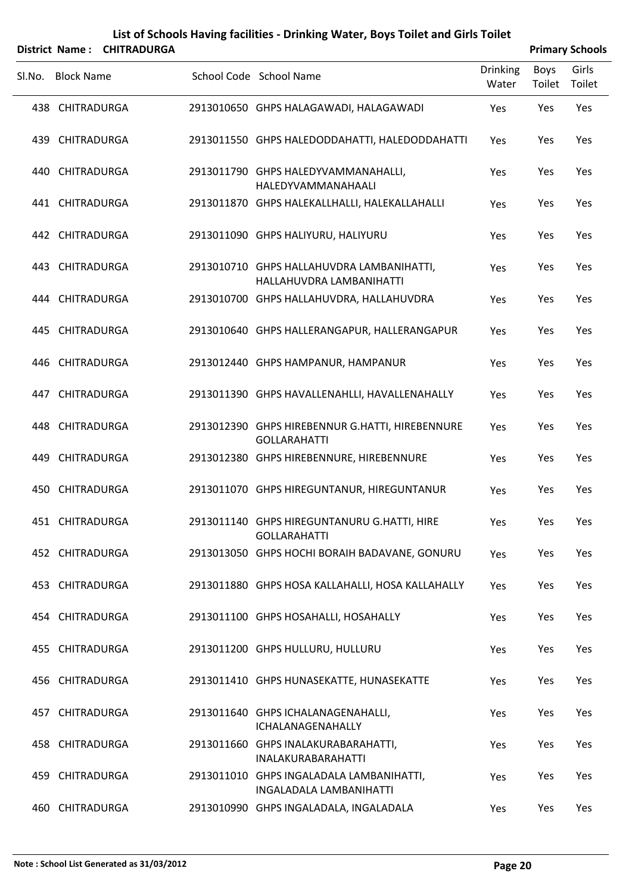|        |                   | District Name: CHITRADURGA |                                                                        |                          |                | <b>Primary Schools</b> |
|--------|-------------------|----------------------------|------------------------------------------------------------------------|--------------------------|----------------|------------------------|
| SI.No. | <b>Block Name</b> |                            | School Code School Name                                                | <b>Drinking</b><br>Water | Boys<br>Toilet | Girls<br>Toilet        |
|        | 438 CHITRADURGA   |                            | 2913010650 GHPS HALAGAWADI, HALAGAWADI                                 | Yes                      | Yes            | Yes                    |
|        | 439 CHITRADURGA   |                            | 2913011550 GHPS HALEDODDAHATTI, HALEDODDAHATTI                         | Yes                      | Yes            | Yes                    |
|        | 440 CHITRADURGA   |                            | 2913011790 GHPS HALEDYVAMMANAHALLI,<br>HALEDYVAMMANAHAALI              | Yes                      | Yes            | Yes                    |
|        | 441 CHITRADURGA   |                            | 2913011870 GHPS HALEKALLHALLI, HALEKALLAHALLI                          | Yes                      | Yes            | Yes                    |
|        | 442 CHITRADURGA   |                            | 2913011090 GHPS HALIYURU, HALIYURU                                     | Yes                      | Yes            | Yes                    |
|        | 443 CHITRADURGA   |                            | 2913010710 GHPS HALLAHUVDRA LAMBANIHATTI,<br>HALLAHUVDRA LAMBANIHATTI  | Yes                      | Yes            | Yes                    |
|        | 444 CHITRADURGA   |                            | 2913010700 GHPS HALLAHUVDRA, HALLAHUVDRA                               | Yes                      | Yes            | Yes                    |
|        | 445 CHITRADURGA   |                            | 2913010640 GHPS HALLERANGAPUR, HALLERANGAPUR                           | Yes                      | Yes            | Yes                    |
|        | 446 CHITRADURGA   |                            | 2913012440 GHPS HAMPANUR, HAMPANUR                                     | Yes                      | Yes            | Yes                    |
|        | 447 CHITRADURGA   |                            | 2913011390 GHPS HAVALLENAHLLI, HAVALLENAHALLY                          | Yes                      | Yes            | Yes                    |
|        | 448 CHITRADURGA   |                            | 2913012390 GHPS HIREBENNUR G.HATTI, HIREBENNURE<br><b>GOLLARAHATTI</b> | Yes                      | Yes            | Yes                    |
|        | 449 CHITRADURGA   |                            | 2913012380 GHPS HIREBENNURE, HIREBENNURE                               | Yes                      | Yes            | Yes                    |
|        | 450 CHITRADURGA   |                            | 2913011070 GHPS HIREGUNTANUR, HIREGUNTANUR                             | Yes                      | Yes            | Yes                    |
|        | 451 CHITRADURGA   |                            | 2913011140 GHPS HIREGUNTANURU G.HATTI, HIRE<br><b>GOLLARAHATTI</b>     | Yes                      | Yes            | Yes                    |
|        | 452 CHITRADURGA   |                            | 2913013050 GHPS HOCHI BORAIH BADAVANE, GONURU                          | Yes                      | Yes            | Yes                    |
|        | 453 CHITRADURGA   |                            | 2913011880 GHPS HOSA KALLAHALLI, HOSA KALLAHALLY                       | Yes                      | Yes            | Yes                    |
|        | 454 CHITRADURGA   |                            | 2913011100 GHPS HOSAHALLI, HOSAHALLY                                   | Yes                      | Yes            | Yes                    |
|        | 455 CHITRADURGA   |                            | 2913011200 GHPS HULLURU, HULLURU                                       | Yes                      | Yes            | Yes                    |
|        | 456 CHITRADURGA   |                            | 2913011410 GHPS HUNASEKATTE, HUNASEKATTE                               | Yes                      | Yes            | Yes                    |
|        | 457 CHITRADURGA   |                            | 2913011640 GHPS ICHALANAGENAHALLI,<br>ICHALANAGENAHALLY                | Yes                      | Yes            | Yes                    |
|        | 458 CHITRADURGA   |                            | 2913011660 GHPS INALAKURABARAHATTI,<br>INALAKURABARAHATTI              | Yes                      | Yes            | Yes                    |
|        | 459 CHITRADURGA   |                            | 2913011010 GHPS INGALADALA LAMBANIHATTI,<br>INGALADALA LAMBANIHATTI    | Yes                      | Yes            | Yes                    |
|        | 460 CHITRADURGA   |                            | 2913010990 GHPS INGALADALA, INGALADALA                                 | Yes                      | Yes            | Yes                    |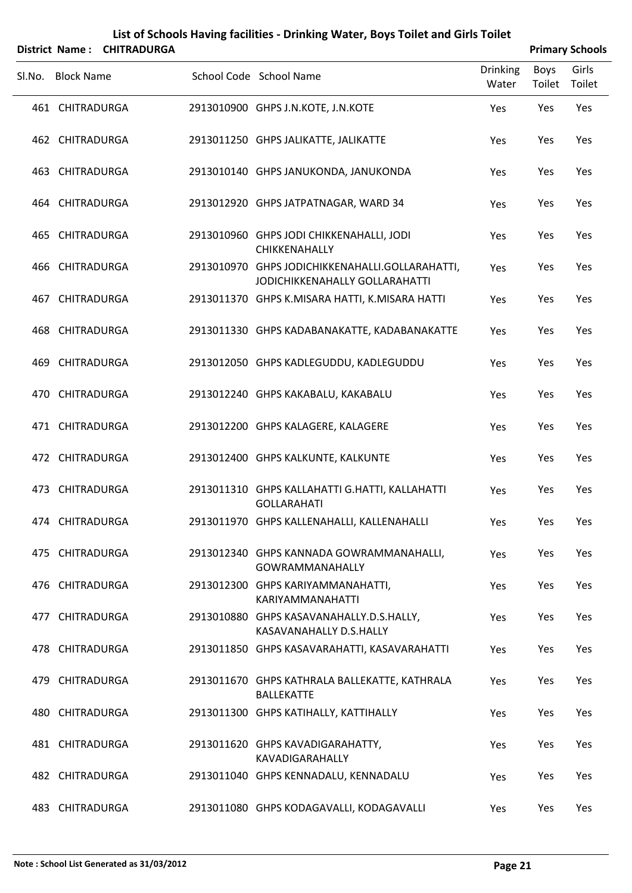|        |                   | District Name: CHITRADURGA |                                                                                   |                          |                | <b>Primary Schools</b> |
|--------|-------------------|----------------------------|-----------------------------------------------------------------------------------|--------------------------|----------------|------------------------|
| SI.No. | <b>Block Name</b> |                            | School Code School Name                                                           | <b>Drinking</b><br>Water | Boys<br>Toilet | Girls<br>Toilet        |
|        | 461 CHITRADURGA   |                            | 2913010900 GHPS J.N.KOTE, J.N.KOTE                                                | Yes                      | Yes            | Yes                    |
|        | 462 CHITRADURGA   |                            | 2913011250 GHPS JALIKATTE, JALIKATTE                                              | Yes                      | Yes            | Yes                    |
|        | 463 CHITRADURGA   |                            | 2913010140 GHPS JANUKONDA, JANUKONDA                                              | Yes                      | Yes            | Yes                    |
|        | 464 CHITRADURGA   |                            | 2913012920 GHPS JATPATNAGAR, WARD 34                                              | Yes                      | Yes            | Yes                    |
|        | 465 CHITRADURGA   |                            | 2913010960 GHPS JODI CHIKKENAHALLI, JODI<br>CHIKKENAHALLY                         | Yes                      | Yes            | Yes                    |
|        | 466 CHITRADURGA   |                            | 2913010970 GHPS JODICHIKKENAHALLI.GOLLARAHATTI,<br>JODICHIKKENAHALLY GOLLARAHATTI | Yes                      | Yes            | Yes                    |
|        | 467 CHITRADURGA   |                            | 2913011370 GHPS K.MISARA HATTI, K.MISARA HATTI                                    | Yes                      | Yes            | Yes                    |
|        | 468 CHITRADURGA   |                            | 2913011330 GHPS KADABANAKATTE, KADABANAKATTE                                      | Yes                      | Yes            | Yes                    |
|        | 469 CHITRADURGA   |                            | 2913012050 GHPS KADLEGUDDU, KADLEGUDDU                                            | Yes                      | Yes            | Yes                    |
|        | 470 CHITRADURGA   |                            | 2913012240 GHPS KAKABALU, KAKABALU                                                | Yes                      | Yes            | Yes                    |
|        | 471 CHITRADURGA   |                            | 2913012200 GHPS KALAGERE, KALAGERE                                                | Yes                      | Yes            | Yes                    |
|        | 472 CHITRADURGA   |                            | 2913012400 GHPS KALKUNTE, KALKUNTE                                                | Yes                      | Yes            | Yes                    |
|        | 473 CHITRADURGA   |                            | 2913011310 GHPS KALLAHATTI G.HATTI, KALLAHATTI<br><b>GOLLARAHATI</b>              | Yes                      | Yes            | Yes                    |
|        | 474 CHITRADURGA   |                            | 2913011970 GHPS KALLENAHALLI, KALLENAHALLI                                        | Yes                      | Yes            | Yes                    |
|        | 475 CHITRADURGA   |                            | 2913012340 GHPS KANNADA GOWRAMMANAHALLI,<br><b>GOWRAMMANAHALLY</b>                | Yes                      | Yes            | Yes                    |
|        | 476 CHITRADURGA   |                            | 2913012300 GHPS KARIYAMMANAHATTI,<br>KARIYAMMANAHATTI                             | Yes                      | Yes            | Yes                    |
|        | 477 CHITRADURGA   |                            | 2913010880 GHPS KASAVANAHALLY.D.S.HALLY,<br>KASAVANAHALLY D.S.HALLY               | Yes                      | Yes            | Yes                    |
|        | 478 CHITRADURGA   |                            | 2913011850 GHPS KASAVARAHATTI, KASAVARAHATTI                                      | Yes                      | Yes            | Yes                    |
|        | 479 CHITRADURGA   |                            | 2913011670 GHPS KATHRALA BALLEKATTE, KATHRALA<br><b>BALLEKATTE</b>                | Yes                      | Yes            | Yes                    |
|        | 480 CHITRADURGA   |                            | 2913011300 GHPS KATIHALLY, KATTIHALLY                                             | Yes                      | Yes            | Yes                    |
|        | 481 CHITRADURGA   |                            | 2913011620 GHPS KAVADIGARAHATTY,<br>KAVADIGARAHALLY                               | Yes                      | Yes            | Yes                    |
|        | 482 CHITRADURGA   |                            | 2913011040 GHPS KENNADALU, KENNADALU                                              | Yes                      | Yes            | Yes                    |
|        | 483 CHITRADURGA   |                            | 2913011080 GHPS KODAGAVALLI, KODAGAVALLI                                          | Yes                      | Yes            | Yes                    |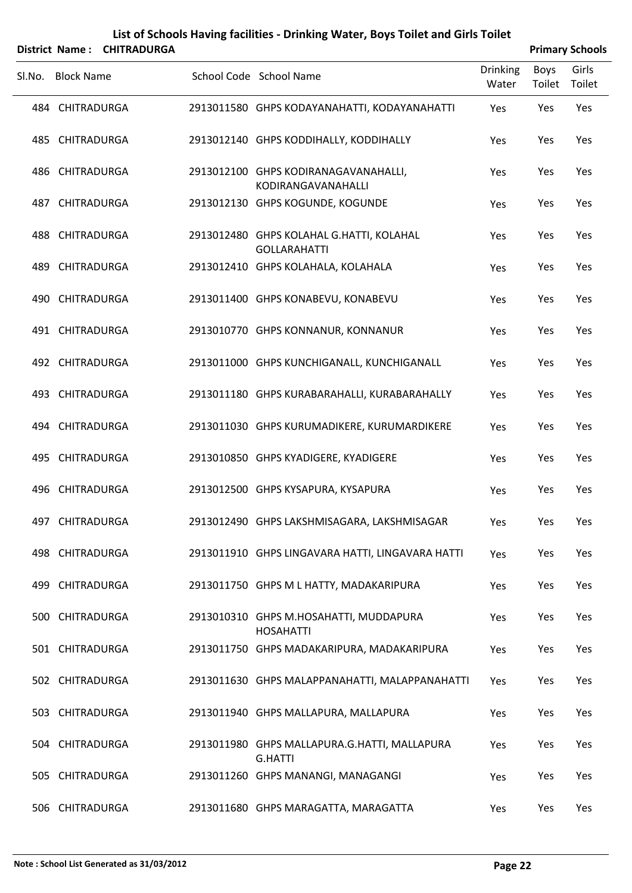|        |                   | District Name: CHITRADURGA |                                                                 |                          |                | <b>Primary Schools</b> |
|--------|-------------------|----------------------------|-----------------------------------------------------------------|--------------------------|----------------|------------------------|
| SI.No. | <b>Block Name</b> |                            | School Code School Name                                         | <b>Drinking</b><br>Water | Boys<br>Toilet | Girls<br>Toilet        |
|        | 484 CHITRADURGA   |                            | 2913011580 GHPS KODAYANAHATTI, KODAYANAHATTI                    | Yes                      | Yes            | Yes                    |
|        | 485 CHITRADURGA   |                            | 2913012140 GHPS KODDIHALLY, KODDIHALLY                          | Yes                      | Yes            | Yes                    |
|        | 486 CHITRADURGA   |                            | 2913012100 GHPS KODIRANAGAVANAHALLI,<br>KODIRANGAVANAHALLI      | Yes                      | Yes            | Yes                    |
|        | 487 CHITRADURGA   |                            | 2913012130 GHPS KOGUNDE, KOGUNDE                                | Yes                      | Yes            | Yes                    |
|        | 488 CHITRADURGA   |                            | 2913012480 GHPS KOLAHAL G.HATTI, KOLAHAL<br><b>GOLLARAHATTI</b> | Yes                      | Yes            | Yes                    |
|        | 489 CHITRADURGA   |                            | 2913012410 GHPS KOLAHALA, KOLAHALA                              | Yes                      | Yes            | Yes                    |
|        | 490 CHITRADURGA   |                            | 2913011400 GHPS KONABEVU, KONABEVU                              | Yes                      | Yes            | Yes                    |
|        | 491 CHITRADURGA   |                            | 2913010770 GHPS KONNANUR, KONNANUR                              | Yes                      | Yes            | Yes                    |
|        | 492 CHITRADURGA   |                            | 2913011000 GHPS KUNCHIGANALL, KUNCHIGANALL                      | Yes                      | Yes            | Yes                    |
|        | 493 CHITRADURGA   |                            | 2913011180 GHPS KURABARAHALLI, KURABARAHALLY                    | Yes                      | Yes            | Yes                    |
|        | 494 CHITRADURGA   |                            | 2913011030 GHPS KURUMADIKERE, KURUMARDIKERE                     | Yes                      | Yes            | Yes                    |
|        | 495 CHITRADURGA   |                            | 2913010850 GHPS KYADIGERE, KYADIGERE                            | Yes                      | Yes            | Yes                    |
|        | 496 CHITRADURGA   |                            | 2913012500 GHPS KYSAPURA, KYSAPURA                              | Yes                      | Yes            | Yes                    |
|        | 497 CHITRADURGA   |                            | 2913012490 GHPS LAKSHMISAGARA, LAKSHMISAGAR                     | Yes                      | Yes            | Yes                    |
|        | 498 CHITRADURGA   |                            | 2913011910 GHPS LINGAVARA HATTI, LINGAVARA HATTI                | Yes                      | Yes            | Yes                    |
|        | 499 CHITRADURGA   |                            | 2913011750 GHPS M L HATTY, MADAKARIPURA                         | Yes                      | Yes            | Yes                    |
|        | 500 CHITRADURGA   |                            | 2913010310 GHPS M.HOSAHATTI, MUDDAPURA<br><b>HOSAHATTI</b>      | Yes                      | Yes            | Yes                    |
|        | 501 CHITRADURGA   |                            | 2913011750 GHPS MADAKARIPURA, MADAKARIPURA                      | Yes                      | Yes            | Yes                    |
|        | 502 CHITRADURGA   |                            | 2913011630 GHPS MALAPPANAHATTI, MALAPPANAHATTI                  | Yes                      | Yes            | Yes                    |
|        | 503 CHITRADURGA   |                            | 2913011940 GHPS MALLAPURA, MALLAPURA                            | Yes                      | Yes            | Yes                    |
|        | 504 CHITRADURGA   |                            | 2913011980 GHPS MALLAPURA.G.HATTI, MALLAPURA<br><b>G.HATTI</b>  | Yes                      | Yes            | Yes                    |
|        | 505 CHITRADURGA   |                            | 2913011260 GHPS MANANGI, MANAGANGI                              | Yes                      | Yes            | Yes                    |
|        | 506 CHITRADURGA   |                            | 2913011680 GHPS MARAGATTA, MARAGATTA                            | Yes                      | Yes            | Yes                    |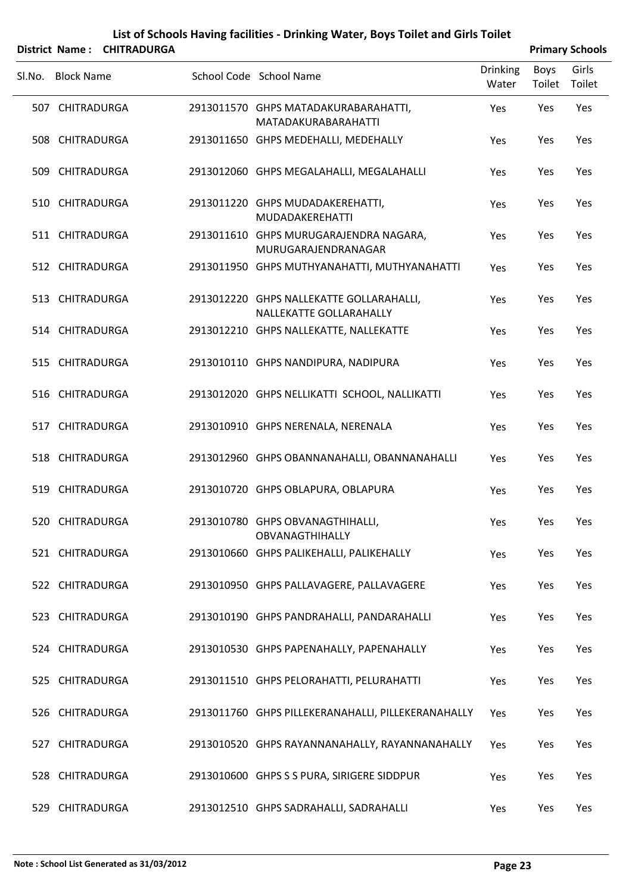|        |                   | District Name: CHITRADURGA |                                                                     |                          |                | <b>Primary Schools</b> |
|--------|-------------------|----------------------------|---------------------------------------------------------------------|--------------------------|----------------|------------------------|
| SI.No. | <b>Block Name</b> |                            | School Code School Name                                             | <b>Drinking</b><br>Water | Boys<br>Toilet | Girls<br>Toilet        |
|        | 507 CHITRADURGA   |                            | 2913011570 GHPS MATADAKURABARAHATTI,<br>MATADAKURABARAHATTI         | Yes                      | Yes            | Yes                    |
|        | 508 CHITRADURGA   |                            | 2913011650 GHPS MEDEHALLI, MEDEHALLY                                | Yes                      | Yes            | Yes                    |
|        | 509 CHITRADURGA   |                            | 2913012060 GHPS MEGALAHALLI, MEGALAHALLI                            | Yes                      | Yes            | Yes                    |
|        | 510 CHITRADURGA   |                            | 2913011220 GHPS MUDADAKEREHATTI,<br>MUDADAKEREHATTI                 | Yes                      | Yes            | Yes                    |
|        | 511 CHITRADURGA   |                            | 2913011610 GHPS MURUGARAJENDRA NAGARA,<br>MURUGARAJENDRANAGAR       | Yes                      | Yes            | Yes                    |
|        | 512 CHITRADURGA   |                            | 2913011950 GHPS MUTHYANAHATTI, MUTHYANAHATTI                        | Yes                      | Yes            | Yes                    |
|        | 513 CHITRADURGA   |                            | 2913012220 GHPS NALLEKATTE GOLLARAHALLI,<br>NALLEKATTE GOLLARAHALLY | Yes                      | Yes            | Yes                    |
|        | 514 CHITRADURGA   |                            | 2913012210 GHPS NALLEKATTE, NALLEKATTE                              | Yes                      | Yes            | Yes                    |
|        | 515 CHITRADURGA   |                            | 2913010110 GHPS NANDIPURA, NADIPURA                                 | Yes                      | Yes            | Yes                    |
|        | 516 CHITRADURGA   |                            | 2913012020 GHPS NELLIKATTI SCHOOL, NALLIKATTI                       | Yes                      | Yes            | Yes                    |
|        | 517 CHITRADURGA   |                            | 2913010910 GHPS NERENALA, NERENALA                                  | Yes                      | Yes            | Yes                    |
|        | 518 CHITRADURGA   |                            | 2913012960 GHPS OBANNANAHALLI, OBANNANAHALLI                        | Yes                      | Yes            | Yes                    |
|        | 519 CHITRADURGA   |                            | 2913010720 GHPS OBLAPURA, OBLAPURA                                  | Yes                      | Yes            | Yes                    |
|        | 520 CHITRADURGA   |                            | 2913010780 GHPS OBVANAGTHIHALLI,<br><b>OBVANAGTHIHALLY</b>          | Yes                      | Yes            | Yes                    |
|        | 521 CHITRADURGA   |                            | 2913010660 GHPS PALIKEHALLI, PALIKEHALLY                            | Yes                      | Yes            | Yes                    |
|        | 522 CHITRADURGA   |                            | 2913010950 GHPS PALLAVAGERE, PALLAVAGERE                            | Yes                      | Yes            | Yes                    |
|        | 523 CHITRADURGA   |                            | 2913010190 GHPS PANDRAHALLI, PANDARAHALLI                           | Yes                      | Yes            | Yes                    |
|        | 524 CHITRADURGA   |                            | 2913010530 GHPS PAPENAHALLY, PAPENAHALLY                            | Yes                      | Yes            | Yes                    |
|        | 525 CHITRADURGA   |                            | 2913011510 GHPS PELORAHATTI, PELURAHATTI                            | Yes                      | Yes            | Yes                    |
|        | 526 CHITRADURGA   |                            | 2913011760 GHPS PILLEKERANAHALLI, PILLEKERANAHALLY                  | Yes                      | Yes            | Yes                    |
|        | 527 CHITRADURGA   |                            | 2913010520 GHPS RAYANNANAHALLY, RAYANNANAHALLY                      | Yes                      | Yes            | Yes                    |
|        | 528 CHITRADURGA   |                            | 2913010600 GHPS S S PURA, SIRIGERE SIDDPUR                          | Yes                      | Yes            | Yes                    |
|        | 529 CHITRADURGA   |                            | 2913012510 GHPS SADRAHALLI, SADRAHALLI                              | Yes                      | Yes            | Yes                    |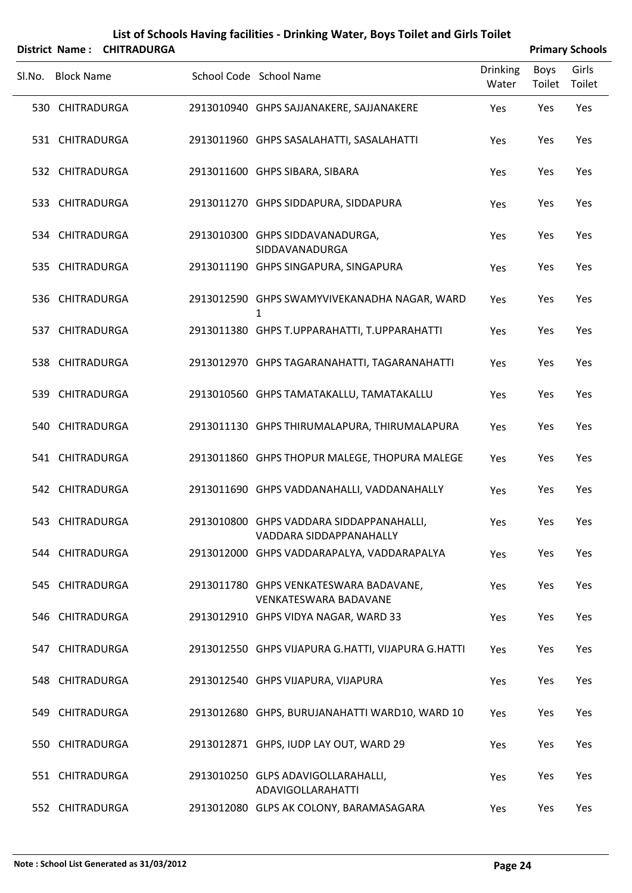|        |                   | District Name: CHITRADURGA |                                                                        |                          |                | <b>Primary Schools</b> |
|--------|-------------------|----------------------------|------------------------------------------------------------------------|--------------------------|----------------|------------------------|
| Sl.No. | <b>Block Name</b> |                            | School Code School Name                                                | <b>Drinking</b><br>Water | Boys<br>Toilet | Girls<br>Toilet        |
|        | 530 CHITRADURGA   |                            | 2913010940 GHPS SAJJANAKERE, SAJJANAKERE                               | Yes                      | Yes            | Yes                    |
|        | 531 CHITRADURGA   |                            | 2913011960 GHPS SASALAHATTI, SASALAHATTI                               | Yes                      | Yes            | Yes                    |
|        | 532 CHITRADURGA   |                            | 2913011600 GHPS SIBARA, SIBARA                                         | Yes                      | Yes            | Yes                    |
|        | 533 CHITRADURGA   |                            | 2913011270 GHPS SIDDAPURA, SIDDAPURA                                   | Yes                      | Yes            | Yes                    |
|        | 534 CHITRADURGA   |                            | 2913010300 GHPS SIDDAVANADURGA,<br>SIDDAVANADURGA                      | Yes                      | Yes            | Yes                    |
|        | 535 CHITRADURGA   |                            | 2913011190 GHPS SINGAPURA, SINGAPURA                                   | Yes                      | Yes            | Yes                    |
|        | 536 CHITRADURGA   |                            | 2913012590 GHPS SWAMYVIVEKANADHA NAGAR, WARD<br>1                      | Yes                      | Yes            | Yes                    |
|        | 537 CHITRADURGA   |                            | 2913011380 GHPS T.UPPARAHATTI, T.UPPARAHATTI                           | Yes                      | Yes            | Yes                    |
|        | 538 CHITRADURGA   |                            | 2913012970 GHPS TAGARANAHATTI, TAGARANAHATTI                           | Yes                      | Yes            | Yes                    |
|        | 539 CHITRADURGA   |                            | 2913010560 GHPS TAMATAKALLU, TAMATAKALLU                               | Yes                      | Yes            | Yes                    |
|        | 540 CHITRADURGA   |                            | 2913011130 GHPS THIRUMALAPURA, THIRUMALAPURA                           | Yes                      | Yes            | Yes                    |
|        | 541 CHITRADURGA   |                            | 2913011860 GHPS THOPUR MALEGE, THOPURA MALEGE                          | Yes                      | Yes            | Yes                    |
|        | 542 CHITRADURGA   |                            | 2913011690 GHPS VADDANAHALLI, VADDANAHALLY                             | Yes                      | Yes            | Yes                    |
|        | 543 CHITRADURGA   |                            | 2913010800 GHPS VADDARA SIDDAPPANAHALLI,<br>VADDARA SIDDAPPANAHALLY    | Yes                      | Yes            | Yes                    |
|        | 544 CHITRADURGA   |                            | 2913012000 GHPS VADDARAPALYA, VADDARAPALYA                             | Yes                      | Yes            | Yes                    |
|        | 545 CHITRADURGA   |                            | 2913011780 GHPS VENKATESWARA BADAVANE,<br><b>VENKATESWARA BADAVANE</b> | Yes                      | Yes            | Yes                    |
|        | 546 CHITRADURGA   |                            | 2913012910 GHPS VIDYA NAGAR, WARD 33                                   | Yes                      | Yes            | Yes                    |
|        | 547 CHITRADURGA   |                            | 2913012550 GHPS VIJAPURA G.HATTI, VIJAPURA G.HATTI                     | Yes                      | Yes            | Yes                    |
|        | 548 CHITRADURGA   |                            | 2913012540 GHPS VIJAPURA, VIJAPURA                                     | Yes                      | Yes            | Yes                    |
|        | 549 CHITRADURGA   |                            | 2913012680 GHPS, BURUJANAHATTI WARD10, WARD 10                         | Yes                      | Yes            | Yes                    |
|        | 550 CHITRADURGA   |                            | 2913012871 GHPS, IUDP LAY OUT, WARD 29                                 | Yes                      | Yes            | Yes                    |
|        | 551 CHITRADURGA   |                            | 2913010250 GLPS ADAVIGOLLARAHALLI,<br><b>ADAVIGOLLARAHATTI</b>         | Yes                      | Yes            | Yes                    |
|        | 552 CHITRADURGA   |                            | 2913012080 GLPS AK COLONY, BARAMASAGARA                                | Yes                      | Yes            | Yes                    |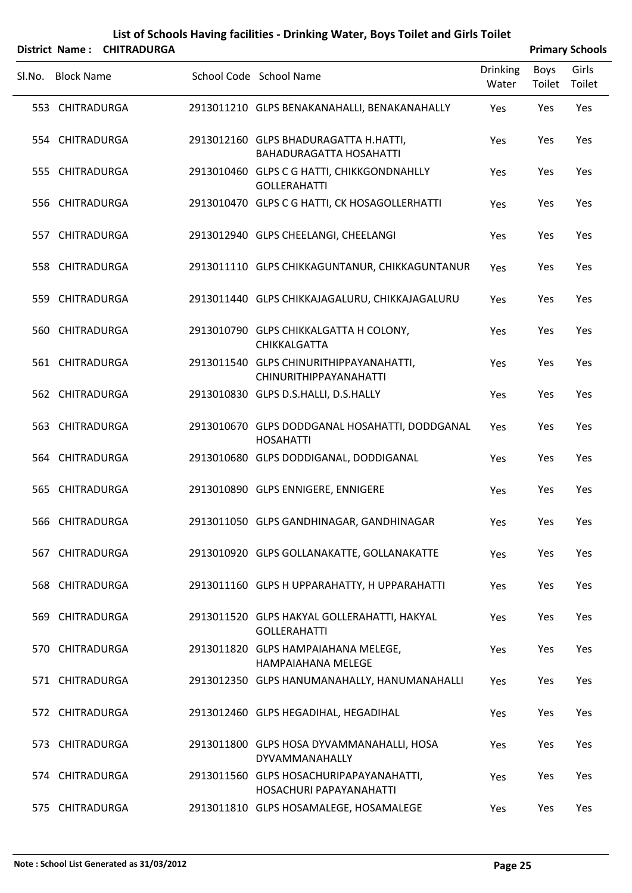|        |                   | District Name: CHITRADURGA |                                                                          |                          |                | <b>Primary Schools</b> |
|--------|-------------------|----------------------------|--------------------------------------------------------------------------|--------------------------|----------------|------------------------|
| SI.No. | <b>Block Name</b> |                            | School Code School Name                                                  | <b>Drinking</b><br>Water | Boys<br>Toilet | Girls<br>Toilet        |
|        | 553 CHITRADURGA   |                            | 2913011210 GLPS BENAKANAHALLI, BENAKANAHALLY                             | Yes                      | Yes            | Yes                    |
|        | 554 CHITRADURGA   |                            | 2913012160 GLPS BHADURAGATTA H.HATTI,<br><b>BAHADURAGATTA HOSAHATTI</b>  | Yes                      | Yes            | Yes                    |
|        | 555 CHITRADURGA   |                            | 2913010460 GLPS C G HATTI, CHIKKGONDNAHLLY<br><b>GOLLERAHATTI</b>        | Yes                      | Yes            | Yes                    |
|        | 556 CHITRADURGA   |                            | 2913010470 GLPS C G HATTI, CK HOSAGOLLERHATTI                            | Yes                      | Yes            | Yes                    |
|        | 557 CHITRADURGA   |                            | 2913012940 GLPS CHEELANGI, CHEELANGI                                     | Yes                      | Yes            | Yes                    |
|        | 558 CHITRADURGA   |                            | 2913011110 GLPS CHIKKAGUNTANUR, CHIKKAGUNTANUR                           | Yes                      | Yes            | Yes                    |
|        | 559 CHITRADURGA   |                            | 2913011440 GLPS CHIKKAJAGALURU, CHIKKAJAGALURU                           | Yes                      | Yes            | Yes                    |
|        | 560 CHITRADURGA   |                            | 2913010790 GLPS CHIKKALGATTA H COLONY,<br>CHIKKALGATTA                   | Yes                      | Yes            | Yes                    |
|        | 561 CHITRADURGA   |                            | 2913011540 GLPS CHINURITHIPPAYANAHATTI,<br><b>CHINURITHIPPAYANAHATTI</b> | Yes                      | Yes            | Yes                    |
|        | 562 CHITRADURGA   |                            | 2913010830 GLPS D.S.HALLI, D.S.HALLY                                     | Yes                      | Yes            | Yes                    |
|        | 563 CHITRADURGA   |                            | 2913010670 GLPS DODDGANAL HOSAHATTI, DODDGANAL<br><b>HOSAHATTI</b>       | Yes                      | Yes            | Yes                    |
|        | 564 CHITRADURGA   |                            | 2913010680 GLPS DODDIGANAL, DODDIGANAL                                   | Yes                      | Yes            | Yes                    |
|        | 565 CHITRADURGA   |                            | 2913010890 GLPS ENNIGERE, ENNIGERE                                       | Yes                      | Yes            | Yes                    |
|        | 566 CHITRADURGA   |                            | 2913011050 GLPS GANDHINAGAR, GANDHINAGAR                                 | Yes                      | Yes            | Yes                    |
|        | 567 CHITRADURGA   |                            | 2913010920 GLPS GOLLANAKATTE, GOLLANAKATTE                               | Yes                      | Yes            | Yes                    |
|        | 568 CHITRADURGA   |                            | 2913011160 GLPS H UPPARAHATTY, H UPPARAHATTI                             | Yes                      | Yes            | Yes                    |
|        | 569 CHITRADURGA   |                            | 2913011520 GLPS HAKYAL GOLLERAHATTI, HAKYAL<br><b>GOLLERAHATTI</b>       | Yes                      | Yes            | Yes                    |
|        | 570 CHITRADURGA   |                            | 2913011820 GLPS HAMPAIAHANA MELEGE,<br><b>HAMPAIAHANA MELEGE</b>         | Yes                      | Yes            | Yes                    |
|        | 571 CHITRADURGA   |                            | 2913012350 GLPS HANUMANAHALLY, HANUMANAHALLI                             | Yes                      | Yes            | Yes                    |
|        | 572 CHITRADURGA   |                            | 2913012460 GLPS HEGADIHAL, HEGADIHAL                                     | Yes                      | Yes            | Yes                    |
|        | 573 CHITRADURGA   |                            | 2913011800 GLPS HOSA DYVAMMANAHALLI, HOSA<br>DYVAMMANAHALLY              | Yes                      | Yes            | Yes                    |
|        | 574 CHITRADURGA   |                            | 2913011560 GLPS HOSACHURIPAPAYANAHATTI,<br>HOSACHURI PAPAYANAHATTI       | Yes                      | Yes            | Yes                    |
|        | 575 CHITRADURGA   |                            | 2913011810 GLPS HOSAMALEGE, HOSAMALEGE                                   | Yes                      | Yes            | Yes                    |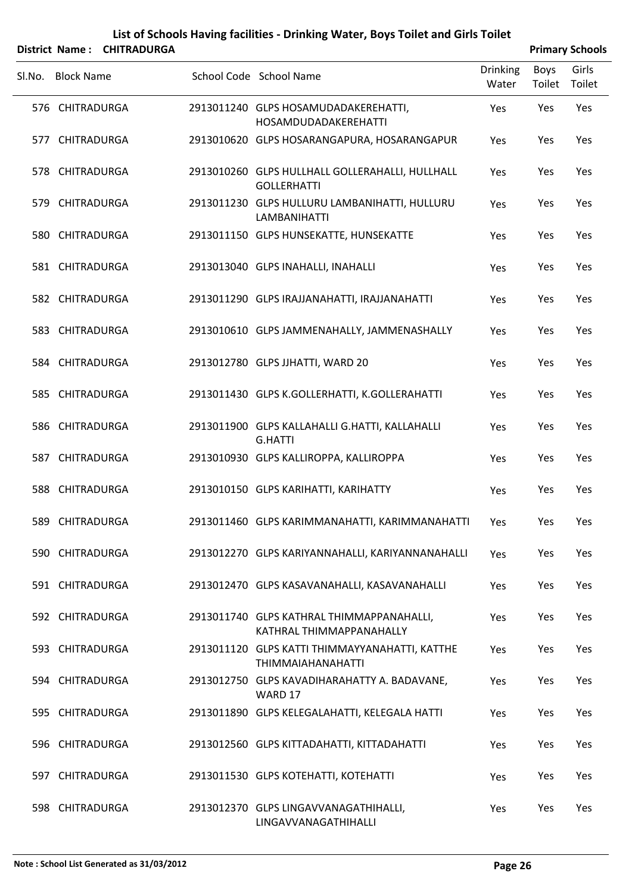|        |                   | District Name: CHITRADURGA |                                                                            |                          |                | <b>Primary Schools</b> |
|--------|-------------------|----------------------------|----------------------------------------------------------------------------|--------------------------|----------------|------------------------|
| SI.No. | <b>Block Name</b> |                            | School Code School Name                                                    | <b>Drinking</b><br>Water | Boys<br>Toilet | Girls<br>Toilet        |
|        | 576 CHITRADURGA   |                            | 2913011240 GLPS HOSAMUDADAKEREHATTI,<br><b>HOSAMDUDADAKEREHATTI</b>        | Yes                      | Yes            | Yes                    |
|        | 577 CHITRADURGA   |                            | 2913010620 GLPS HOSARANGAPURA, HOSARANGAPUR                                | Yes                      | Yes            | Yes                    |
|        | 578 CHITRADURGA   |                            | 2913010260 GLPS HULLHALL GOLLERAHALLI, HULLHALL<br><b>GOLLERHATTI</b>      | Yes                      | Yes            | Yes                    |
|        | 579 CHITRADURGA   |                            | 2913011230 GLPS HULLURU LAMBANIHATTI, HULLURU<br><b>LAMBANIHATTI</b>       | Yes                      | Yes            | Yes                    |
|        | 580 CHITRADURGA   |                            | 2913011150 GLPS HUNSEKATTE, HUNSEKATTE                                     | Yes                      | Yes            | Yes                    |
|        | 581 CHITRADURGA   |                            | 2913013040 GLPS INAHALLI, INAHALLI                                         | Yes                      | Yes            | Yes                    |
|        | 582 CHITRADURGA   |                            | 2913011290 GLPS IRAJJANAHATTI, IRAJJANAHATTI                               | Yes                      | Yes            | Yes                    |
|        | 583 CHITRADURGA   |                            | 2913010610 GLPS JAMMENAHALLY, JAMMENASHALLY                                | Yes                      | Yes            | Yes                    |
|        | 584 CHITRADURGA   |                            | 2913012780 GLPS JJHATTI, WARD 20                                           | Yes                      | Yes            | Yes                    |
|        | 585 CHITRADURGA   |                            | 2913011430 GLPS K.GOLLERHATTI, K.GOLLERAHATTI                              | Yes                      | Yes            | Yes                    |
|        | 586 CHITRADURGA   |                            | 2913011900 GLPS KALLAHALLI G.HATTI, KALLAHALLI<br><b>G.HATTI</b>           | Yes                      | Yes            | Yes                    |
|        | 587 CHITRADURGA   |                            | 2913010930 GLPS KALLIROPPA, KALLIROPPA                                     | Yes                      | Yes            | Yes                    |
|        | 588 CHITRADURGA   |                            | 2913010150 GLPS KARIHATTI, KARIHATTY                                       | Yes                      | Yes            | Yes                    |
|        | 589 CHITRADURGA   |                            | 2913011460 GLPS KARIMMANAHATTI, KARIMMANAHATTI                             | Yes                      | Yes            | Yes                    |
|        | 590 CHITRADURGA   |                            | 2913012270 GLPS KARIYANNAHALLI, KARIYANNANAHALLI                           | Yes                      | Yes            | Yes                    |
|        | 591 CHITRADURGA   |                            | 2913012470 GLPS KASAVANAHALLI, KASAVANAHALLI                               | Yes                      | Yes            | Yes                    |
|        | 592 CHITRADURGA   |                            | 2913011740 GLPS KATHRAL THIMMAPPANAHALLI,<br>KATHRAL THIMMAPPANAHALLY      | Yes                      | Yes            | Yes                    |
|        | 593 CHITRADURGA   |                            | 2913011120 GLPS KATTI THIMMAYYANAHATTI, KATTHE<br><b>THIMMAIAHANAHATTI</b> | Yes                      | Yes            | Yes                    |
|        | 594 CHITRADURGA   |                            | 2913012750 GLPS KAVADIHARAHATTY A. BADAVANE,<br>WARD 17                    | Yes                      | Yes            | Yes                    |
|        | 595 CHITRADURGA   |                            | 2913011890 GLPS KELEGALAHATTI, KELEGALA HATTI                              | Yes                      | Yes            | Yes                    |
|        | 596 CHITRADURGA   |                            | 2913012560 GLPS KITTADAHATTI, KITTADAHATTI                                 | Yes                      | Yes            | Yes                    |
|        | 597 CHITRADURGA   |                            | 2913011530 GLPS KOTEHATTI, KOTEHATTI                                       | Yes                      | Yes            | Yes                    |
|        | 598 CHITRADURGA   |                            | 2913012370 GLPS LINGAVVANAGATHIHALLI,<br>LINGAVVANAGATHIHALLI              | Yes                      | Yes            | Yes                    |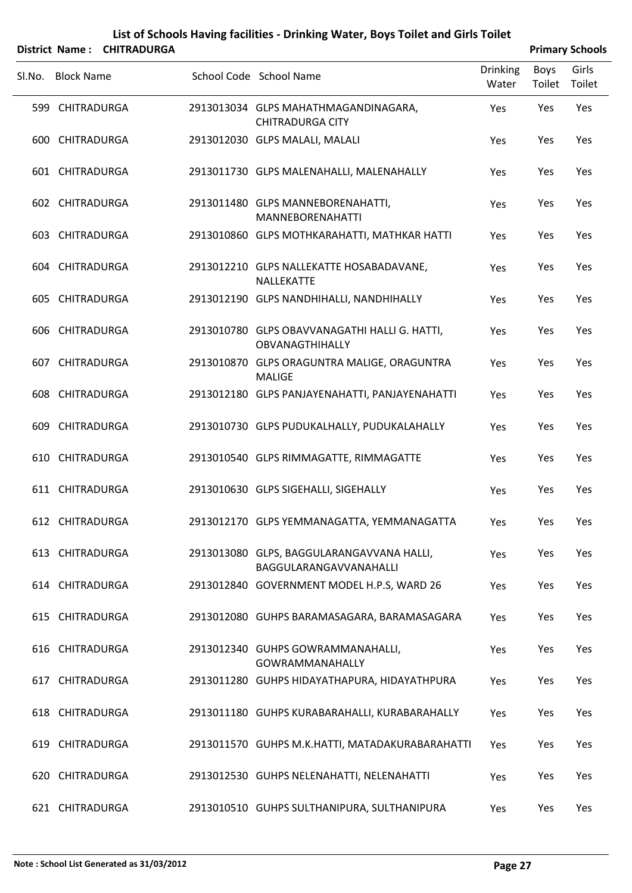|        |                   | District Name: CHITRADURGA |                                                                     |                          |                | <b>Primary Schools</b> |
|--------|-------------------|----------------------------|---------------------------------------------------------------------|--------------------------|----------------|------------------------|
| Sl.No. | <b>Block Name</b> |                            | School Code School Name                                             | <b>Drinking</b><br>Water | Boys<br>Toilet | Girls<br>Toilet        |
|        | 599 CHITRADURGA   |                            | 2913013034 GLPS MAHATHMAGANDINAGARA,<br><b>CHITRADURGA CITY</b>     | Yes                      | Yes            | Yes                    |
|        | 600 CHITRADURGA   |                            | 2913012030 GLPS MALALI, MALALI                                      | Yes                      | Yes            | Yes                    |
|        | 601 CHITRADURGA   |                            | 2913011730 GLPS MALENAHALLI, MALENAHALLY                            | Yes                      | Yes            | Yes                    |
|        | 602 CHITRADURGA   |                            | 2913011480 GLPS MANNEBORENAHATTI,<br><b>MANNEBORENAHATTI</b>        | Yes                      | Yes            | Yes                    |
|        | 603 CHITRADURGA   |                            | 2913010860 GLPS MOTHKARAHATTI, MATHKAR HATTI                        | Yes                      | Yes            | Yes                    |
|        | 604 CHITRADURGA   |                            | 2913012210 GLPS NALLEKATTE HOSABADAVANE,<br>NALLEKATTE              | Yes                      | Yes            | Yes                    |
|        | 605 CHITRADURGA   |                            | 2913012190 GLPS NANDHIHALLI, NANDHIHALLY                            | Yes                      | Yes            | Yes                    |
|        | 606 CHITRADURGA   |                            | 2913010780 GLPS OBAVVANAGATHI HALLI G. HATTI,<br>OBVANAGTHIHALLY    | Yes                      | Yes            | Yes                    |
|        | 607 CHITRADURGA   |                            | 2913010870 GLPS ORAGUNTRA MALIGE, ORAGUNTRA<br><b>MALIGE</b>        | Yes                      | Yes            | Yes                    |
|        | 608 CHITRADURGA   |                            | 2913012180 GLPS PANJAYENAHATTI, PANJAYENAHATTI                      | Yes                      | Yes            | Yes                    |
|        | 609 CHITRADURGA   |                            | 2913010730 GLPS PUDUKALHALLY, PUDUKALAHALLY                         | Yes                      | Yes            | Yes                    |
|        | 610 CHITRADURGA   |                            | 2913010540 GLPS RIMMAGATTE, RIMMAGATTE                              | Yes                      | Yes            | Yes                    |
|        | 611 CHITRADURGA   |                            | 2913010630 GLPS SIGEHALLI, SIGEHALLY                                | Yes                      | Yes            | Yes                    |
|        | 612 CHITRADURGA   |                            | 2913012170 GLPS YEMMANAGATTA, YEMMANAGATTA                          | Yes                      | Yes            | Yes                    |
|        | 613 CHITRADURGA   |                            | 2913013080 GLPS, BAGGULARANGAVVANA HALLI,<br>BAGGULARANGAVVANAHALLI | Yes                      | Yes            | Yes                    |
|        | 614 CHITRADURGA   |                            | 2913012840 GOVERNMENT MODEL H.P.S, WARD 26                          | <b>Yes</b>               | Yes            | Yes                    |
|        | 615 CHITRADURGA   |                            | 2913012080 GUHPS BARAMASAGARA, BARAMASAGARA                         | Yes                      | Yes            | Yes                    |
|        | 616 CHITRADURGA   |                            | 2913012340 GUHPS GOWRAMMANAHALLI,<br><b>GOWRAMMANAHALLY</b>         | Yes                      | Yes            | Yes                    |
|        | 617 CHITRADURGA   |                            | 2913011280 GUHPS HIDAYATHAPURA, HIDAYATHPURA                        | Yes                      | Yes            | Yes                    |
|        | 618 CHITRADURGA   |                            | 2913011180 GUHPS KURABARAHALLI, KURABARAHALLY                       | Yes                      | Yes            | Yes                    |
|        | 619 CHITRADURGA   |                            | 2913011570 GUHPS M.K.HATTI, MATADAKURABARAHATTI                     | Yes                      | Yes            | Yes                    |
|        | 620 CHITRADURGA   |                            | 2913012530 GUHPS NELENAHATTI, NELENAHATTI                           | Yes                      | Yes            | Yes                    |
|        | 621 CHITRADURGA   |                            | 2913010510 GUHPS SULTHANIPURA, SULTHANIPURA                         | Yes                      | Yes            | Yes                    |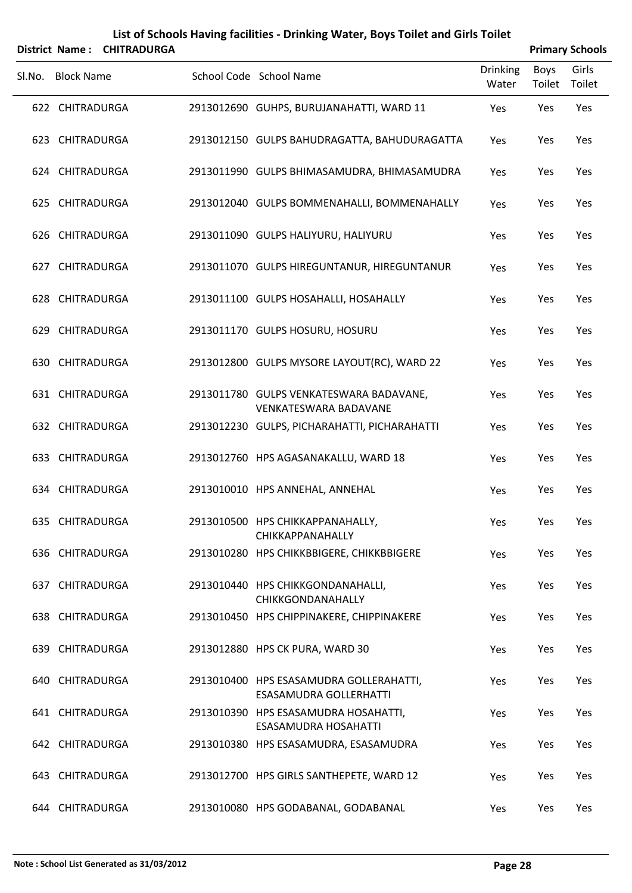|        |                   | District Name: CHITRADURGA |                                                                          |                          |                | <b>Primary Schools</b> |
|--------|-------------------|----------------------------|--------------------------------------------------------------------------|--------------------------|----------------|------------------------|
| SI.No. | <b>Block Name</b> |                            | School Code School Name                                                  | <b>Drinking</b><br>Water | Boys<br>Toilet | Girls<br>Toilet        |
|        | 622 CHITRADURGA   |                            | 2913012690 GUHPS, BURUJANAHATTI, WARD 11                                 | Yes                      | Yes            | Yes                    |
|        | 623 CHITRADURGA   |                            | 2913012150 GULPS BAHUDRAGATTA, BAHUDURAGATTA                             | Yes                      | Yes            | Yes                    |
|        | 624 CHITRADURGA   |                            | 2913011990 GULPS BHIMASAMUDRA, BHIMASAMUDRA                              | Yes                      | Yes            | Yes                    |
|        | 625 CHITRADURGA   |                            | 2913012040 GULPS BOMMENAHALLI, BOMMENAHALLY                              | Yes                      | Yes            | Yes                    |
|        | 626 CHITRADURGA   |                            | 2913011090 GULPS HALIYURU, HALIYURU                                      | Yes                      | Yes            | Yes                    |
|        | 627 CHITRADURGA   |                            | 2913011070 GULPS HIREGUNTANUR, HIREGUNTANUR                              | Yes                      | Yes            | Yes                    |
|        | 628 CHITRADURGA   |                            | 2913011100 GULPS HOSAHALLI, HOSAHALLY                                    | Yes                      | Yes            | Yes                    |
|        | 629 CHITRADURGA   |                            | 2913011170 GULPS HOSURU, HOSURU                                          | Yes                      | Yes            | Yes                    |
|        | 630 CHITRADURGA   |                            | 2913012800 GULPS MYSORE LAYOUT(RC), WARD 22                              | Yes                      | Yes            | Yes                    |
|        | 631 CHITRADURGA   |                            | 2913011780 GULPS VENKATESWARA BADAVANE,<br><b>VENKATESWARA BADAVANE</b>  | Yes                      | Yes            | Yes                    |
|        | 632 CHITRADURGA   |                            | 2913012230 GULPS, PICHARAHATTI, PICHARAHATTI                             | Yes                      | Yes            | Yes                    |
|        | 633 CHITRADURGA   |                            | 2913012760 HPS AGASANAKALLU, WARD 18                                     | Yes                      | Yes            | Yes                    |
|        | 634 CHITRADURGA   |                            | 2913010010 HPS ANNEHAL, ANNEHAL                                          | Yes                      | Yes            | Yes                    |
|        | 635 CHITRADURGA   |                            | 2913010500 HPS CHIKKAPPANAHALLY,<br>CHIKKAPPANAHALLY                     | Yes                      | Yes            | Yes                    |
|        | 636 CHITRADURGA   |                            | 2913010280 HPS CHIKKBBIGERE, CHIKKBBIGERE                                | Yes                      | Yes            | Yes                    |
|        | 637 CHITRADURGA   |                            | 2913010440 HPS CHIKKGONDANAHALLI,<br>CHIKKGONDANAHALLY                   | Yes                      | Yes            | Yes                    |
|        | 638 CHITRADURGA   |                            | 2913010450 HPS CHIPPINAKERE, CHIPPINAKERE                                | Yes                      | Yes            | Yes                    |
|        | 639 CHITRADURGA   |                            | 2913012880 HPS CK PURA, WARD 30                                          | Yes                      | Yes            | Yes                    |
|        | 640 CHITRADURGA   |                            | 2913010400 HPS ESASAMUDRA GOLLERAHATTI,<br><b>ESASAMUDRA GOLLERHATTI</b> | Yes                      | Yes            | Yes                    |
|        | 641 CHITRADURGA   |                            | 2913010390 HPS ESASAMUDRA HOSAHATTI,<br><b>ESASAMUDRA HOSAHATTI</b>      | Yes                      | Yes            | Yes                    |
|        | 642 CHITRADURGA   |                            | 2913010380 HPS ESASAMUDRA, ESASAMUDRA                                    | Yes                      | Yes            | Yes                    |
|        | 643 CHITRADURGA   |                            | 2913012700 HPS GIRLS SANTHEPETE, WARD 12                                 | Yes                      | Yes            | Yes                    |
|        | 644 CHITRADURGA   |                            | 2913010080 HPS GODABANAL, GODABANAL                                      | Yes                      | Yes            | Yes                    |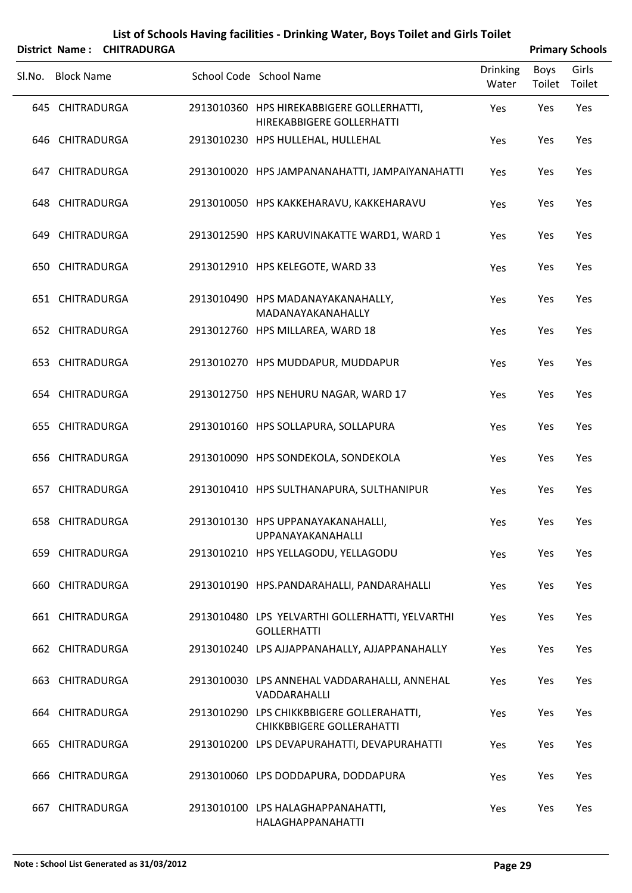|        |                   | District Name: CHITRADURGA |                                                                               |                          |                | <b>Primary Schools</b> |
|--------|-------------------|----------------------------|-------------------------------------------------------------------------------|--------------------------|----------------|------------------------|
| Sl.No. | <b>Block Name</b> |                            | School Code School Name                                                       | <b>Drinking</b><br>Water | Boys<br>Toilet | Girls<br>Toilet        |
|        | 645 CHITRADURGA   |                            | 2913010360 HPS HIREKABBIGERE GOLLERHATTI,<br>HIREKABBIGERE GOLLERHATTI        | Yes                      | Yes            | Yes                    |
|        | 646 CHITRADURGA   |                            | 2913010230 HPS HULLEHAL, HULLEHAL                                             | Yes                      | Yes            | Yes                    |
|        | 647 CHITRADURGA   |                            | 2913010020 HPS JAMPANANAHATTI, JAMPAIYANAHATTI                                | Yes                      | Yes            | Yes                    |
|        | 648 CHITRADURGA   |                            | 2913010050 HPS KAKKEHARAVU, KAKKEHARAVU                                       | Yes                      | Yes            | Yes                    |
|        | 649 CHITRADURGA   |                            | 2913012590 HPS KARUVINAKATTE WARD1, WARD 1                                    | Yes                      | Yes            | Yes                    |
|        | 650 CHITRADURGA   |                            | 2913012910 HPS KELEGOTE, WARD 33                                              | Yes                      | Yes            | Yes                    |
|        | 651 CHITRADURGA   |                            | 2913010490 HPS MADANAYAKANAHALLY,<br>MADANAYAKANAHALLY                        | Yes                      | Yes            | Yes                    |
|        | 652 CHITRADURGA   |                            | 2913012760 HPS MILLAREA, WARD 18                                              | Yes                      | Yes            | Yes                    |
|        | 653 CHITRADURGA   |                            | 2913010270 HPS MUDDAPUR, MUDDAPUR                                             | Yes                      | Yes            | Yes                    |
|        | 654 CHITRADURGA   |                            | 2913012750 HPS NEHURU NAGAR, WARD 17                                          | Yes                      | Yes            | Yes                    |
|        | 655 CHITRADURGA   |                            | 2913010160 HPS SOLLAPURA, SOLLAPURA                                           | Yes                      | Yes            | Yes                    |
|        | 656 CHITRADURGA   |                            | 2913010090 HPS SONDEKOLA, SONDEKOLA                                           | Yes                      | Yes            | Yes                    |
|        | 657 CHITRADURGA   |                            | 2913010410 HPS SULTHANAPURA, SULTHANIPUR                                      | Yes                      | Yes            | Yes                    |
|        | 658 CHITRADURGA   |                            | 2913010130 HPS UPPANAYAKANAHALLI,<br>UPPANAYAKANAHALLI                        | Yes                      | Yes            | Yes                    |
|        | 659 CHITRADURGA   |                            | 2913010210 HPS YELLAGODU, YELLAGODU                                           | Yes                      | Yes            | Yes                    |
|        | 660 CHITRADURGA   |                            | 2913010190 HPS.PANDARAHALLI, PANDARAHALLI                                     | Yes                      | Yes            | Yes                    |
|        | 661 CHITRADURGA   |                            | 2913010480 LPS YELVARTHI GOLLERHATTI, YELVARTHI<br><b>GOLLERHATTI</b>         | Yes                      | Yes            | Yes                    |
|        | 662 CHITRADURGA   |                            | 2913010240 LPS AJJAPPANAHALLY, AJJAPPANAHALLY                                 | Yes                      | Yes            | Yes                    |
|        | 663 CHITRADURGA   |                            | 2913010030 LPS ANNEHAL VADDARAHALLI, ANNEHAL<br>VADDARAHALLI                  | Yes                      | Yes            | Yes                    |
|        | 664 CHITRADURGA   |                            | 2913010290 LPS CHIKKBBIGERE GOLLERAHATTI,<br><b>CHIKKBBIGERE GOLLERAHATTI</b> | Yes                      | Yes            | Yes                    |
|        | 665 CHITRADURGA   |                            | 2913010200 LPS DEVAPURAHATTI, DEVAPURAHATTI                                   | Yes                      | Yes            | Yes                    |
|        | 666 CHITRADURGA   |                            | 2913010060 LPS DODDAPURA, DODDAPURA                                           | Yes                      | Yes            | Yes                    |
|        | 667 CHITRADURGA   |                            | 2913010100 LPS HALAGHAPPANAHATTI,<br>HALAGHAPPANAHATTI                        | Yes                      | Yes            | Yes                    |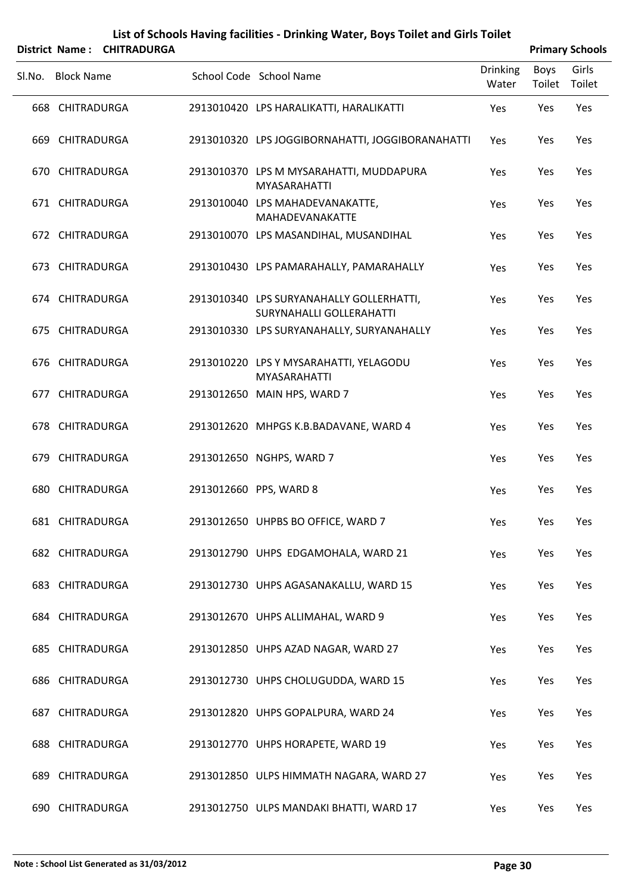|        |                   | District Name: CHITRADURGA |                                                                             |                          |                | <b>Primary Schools</b> |
|--------|-------------------|----------------------------|-----------------------------------------------------------------------------|--------------------------|----------------|------------------------|
| SI.No. | <b>Block Name</b> |                            | School Code School Name                                                     | <b>Drinking</b><br>Water | Boys<br>Toilet | Girls<br>Toilet        |
|        | 668 CHITRADURGA   |                            | 2913010420 LPS HARALIKATTI, HARALIKATTI                                     | Yes                      | Yes            | Yes                    |
|        | 669 CHITRADURGA   |                            | 2913010320 LPS JOGGIBORNAHATTI, JOGGIBORANAHATTI                            | Yes                      | Yes            | Yes                    |
|        | 670 CHITRADURGA   |                            | 2913010370 LPS M MYSARAHATTI, MUDDAPURA<br><b>MYASARAHATTI</b>              | Yes                      | Yes            | Yes                    |
|        | 671 CHITRADURGA   |                            | 2913010040 LPS MAHADEVANAKATTE,<br>MAHADEVANAKATTE                          | Yes                      | Yes            | Yes                    |
|        | 672 CHITRADURGA   |                            | 2913010070 LPS MASANDIHAL, MUSANDIHAL                                       | Yes                      | Yes            | Yes                    |
|        | 673 CHITRADURGA   |                            | 2913010430 LPS PAMARAHALLY, PAMARAHALLY                                     | Yes                      | Yes            | Yes                    |
|        | 674 CHITRADURGA   |                            | 2913010340 LPS SURYANAHALLY GOLLERHATTI,<br><b>SURYNAHALLI GOLLERAHATTI</b> | Yes                      | Yes            | Yes                    |
|        | 675 CHITRADURGA   |                            | 2913010330 LPS SURYANAHALLY, SURYANAHALLY                                   | Yes                      | Yes            | Yes                    |
|        | 676 CHITRADURGA   |                            | 2913010220 LPS Y MYSARAHATTI, YELAGODU<br><b>MYASARAHATTI</b>               | Yes                      | Yes            | Yes                    |
|        | 677 CHITRADURGA   |                            | 2913012650 MAIN HPS, WARD 7                                                 | Yes                      | Yes            | Yes                    |
|        | 678 CHITRADURGA   |                            | 2913012620 MHPGS K.B.BADAVANE, WARD 4                                       | Yes                      | Yes            | Yes                    |
|        | 679 CHITRADURGA   |                            | 2913012650 NGHPS, WARD 7                                                    | Yes                      | Yes            | Yes                    |
|        | 680 CHITRADURGA   |                            | 2913012660 PPS, WARD 8                                                      | Yes                      | Yes            | Yes                    |
|        | 681 CHITRADURGA   |                            | 2913012650 UHPBS BO OFFICE, WARD 7                                          | Yes                      | Yes            | Yes                    |
|        | 682 CHITRADURGA   |                            | 2913012790 UHPS EDGAMOHALA, WARD 21                                         | Yes                      | Yes            | Yes                    |
|        | 683 CHITRADURGA   |                            | 2913012730 UHPS AGASANAKALLU, WARD 15                                       | Yes                      | Yes            | Yes                    |
|        | 684 CHITRADURGA   |                            | 2913012670 UHPS ALLIMAHAL, WARD 9                                           | Yes                      | Yes            | Yes                    |
|        | 685 CHITRADURGA   |                            | 2913012850 UHPS AZAD NAGAR, WARD 27                                         | Yes                      | Yes            | Yes                    |
|        | 686 CHITRADURGA   |                            | 2913012730 UHPS CHOLUGUDDA, WARD 15                                         | Yes                      | Yes            | Yes                    |
|        | 687 CHITRADURGA   |                            | 2913012820 UHPS GOPALPURA, WARD 24                                          | Yes                      | Yes            | Yes                    |
|        | 688 CHITRADURGA   |                            | 2913012770 UHPS HORAPETE, WARD 19                                           | Yes                      | Yes            | Yes                    |
|        | 689 CHITRADURGA   |                            | 2913012850 ULPS HIMMATH NAGARA, WARD 27                                     | Yes                      | Yes            | Yes                    |
|        | 690 CHITRADURGA   |                            | 2913012750 ULPS MANDAKI BHATTI, WARD 17                                     | Yes                      | Yes            | Yes                    |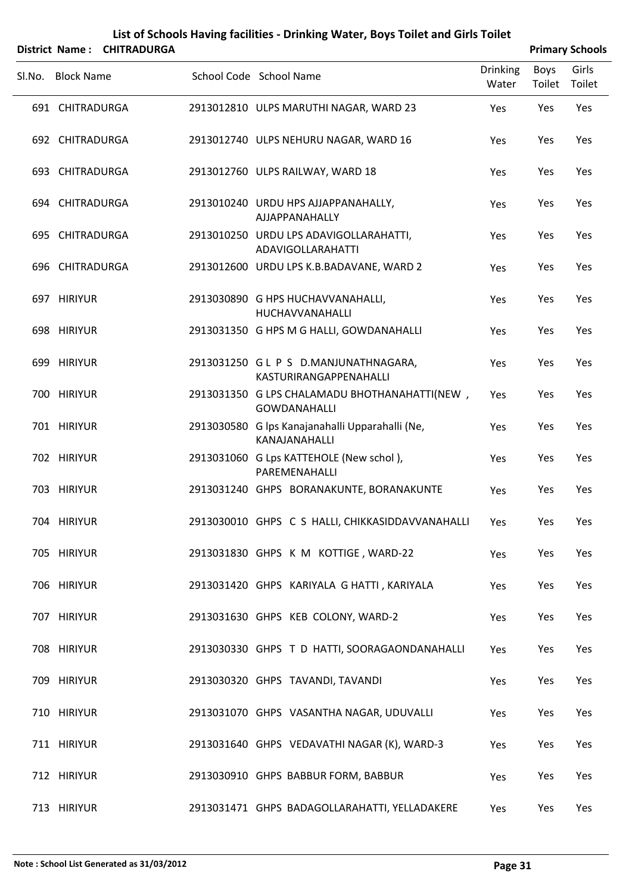|        |                   | District Name: CHITRADURGA |                                                                      |                          |                | <b>Primary Schools</b> |
|--------|-------------------|----------------------------|----------------------------------------------------------------------|--------------------------|----------------|------------------------|
| SI.No. | <b>Block Name</b> |                            | School Code School Name                                              | <b>Drinking</b><br>Water | Boys<br>Toilet | Girls<br>Toilet        |
|        | 691 CHITRADURGA   |                            | 2913012810 ULPS MARUTHI NAGAR, WARD 23                               | Yes                      | Yes            | Yes                    |
|        | 692 CHITRADURGA   |                            | 2913012740 ULPS NEHURU NAGAR, WARD 16                                | Yes                      | Yes            | Yes                    |
|        | 693 CHITRADURGA   |                            | 2913012760 ULPS RAILWAY, WARD 18                                     | Yes                      | Yes            | Yes                    |
|        | 694 CHITRADURGA   |                            | 2913010240 URDU HPS AJJAPPANAHALLY,<br>AJJAPPANAHALLY                | Yes                      | Yes            | Yes                    |
|        | 695 CHITRADURGA   |                            | 2913010250 URDU LPS ADAVIGOLLARAHATTI,<br><b>ADAVIGOLLARAHATTI</b>   | Yes                      | Yes            | Yes                    |
|        | 696 CHITRADURGA   |                            | 2913012600 URDU LPS K.B.BADAVANE, WARD 2                             | Yes                      | Yes            | Yes                    |
|        | 697 HIRIYUR       |                            | 2913030890 G HPS HUCHAVVANAHALLI,<br>HUCHAVVANAHALLI                 | Yes                      | Yes            | Yes                    |
|        | 698 HIRIYUR       |                            | 2913031350 G HPS M G HALLI, GOWDANAHALLI                             | Yes                      | Yes            | Yes                    |
|        | 699 HIRIYUR       |                            | 2913031250 GL P S D.MANJUNATHNAGARA,<br>KASTURIRANGAPPENAHALLI       | Yes                      | Yes            | Yes                    |
|        | 700 HIRIYUR       |                            | 2913031350 G LPS CHALAMADU BHOTHANAHATTI(NEW,<br><b>GOWDANAHALLI</b> | Yes                      | Yes            | Yes                    |
|        | 701 HIRIYUR       |                            | 2913030580 G lps Kanajanahalli Upparahalli (Ne,<br>KANAJANAHALLI     | Yes                      | Yes            | Yes                    |
|        | 702 HIRIYUR       |                            | 2913031060 G Lps KATTEHOLE (New schol),<br>PAREMENAHALLI             | Yes                      | Yes            | Yes                    |
|        | 703 HIRIYUR       |                            | 2913031240 GHPS BORANAKUNTE, BORANAKUNTE                             | Yes                      | Yes            | Yes                    |
|        | 704 HIRIYUR       |                            | 2913030010 GHPS C S HALLI, CHIKKASIDDAVVANAHALLI                     | Yes                      | Yes            | Yes                    |
|        | 705 HIRIYUR       |                            | 2913031830 GHPS K M KOTTIGE, WARD-22                                 | Yes                      | Yes            | Yes                    |
|        | 706 HIRIYUR       |                            | 2913031420 GHPS KARIYALA G HATTI, KARIYALA                           | Yes                      | Yes            | Yes                    |
|        | 707 HIRIYUR       |                            | 2913031630 GHPS KEB COLONY, WARD-2                                   | Yes                      | Yes            | Yes                    |
|        | 708 HIRIYUR       |                            | 2913030330 GHPS T D HATTI, SOORAGAONDANAHALLI                        | Yes                      | Yes            | Yes                    |
|        | 709 HIRIYUR       |                            | 2913030320 GHPS TAVANDI, TAVANDI                                     | Yes                      | Yes            | Yes                    |
|        | 710 HIRIYUR       |                            | 2913031070 GHPS VASANTHA NAGAR, UDUVALLI                             | Yes                      | Yes            | Yes                    |
|        | 711 HIRIYUR       |                            | 2913031640 GHPS VEDAVATHI NAGAR (K), WARD-3                          | Yes                      | Yes            | Yes                    |
|        | 712 HIRIYUR       |                            | 2913030910 GHPS BABBUR FORM, BABBUR                                  | Yes                      | Yes            | Yes                    |
|        | 713 HIRIYUR       |                            | 2913031471 GHPS BADAGOLLARAHATTI, YELLADAKERE                        | Yes                      | Yes            | Yes                    |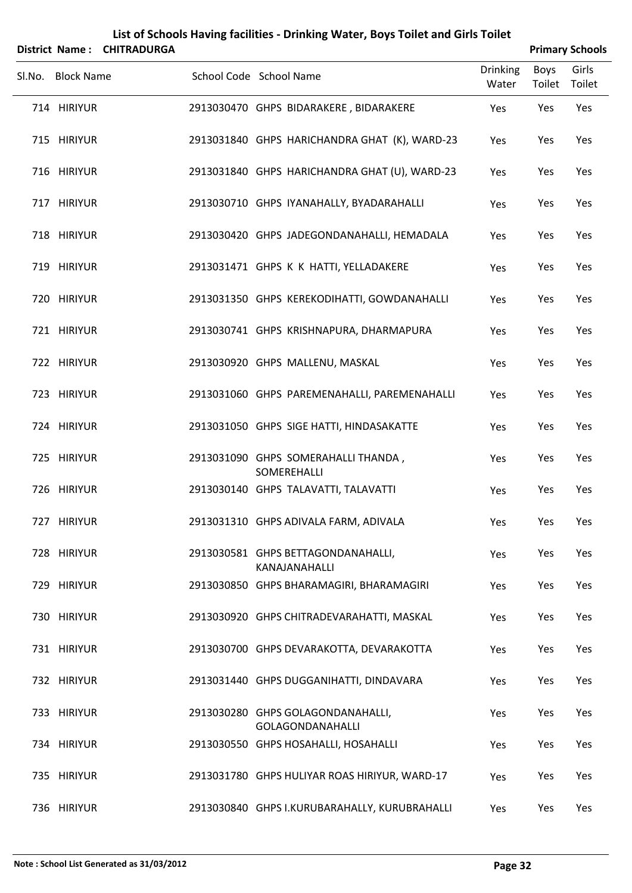| District Name:    | <b>CHITRADURGA</b> | List of Schools Having facilities - Drinking Water, Boys Toilet and Girls Toilet |                          |                       | <b>Primary Schools</b> |
|-------------------|--------------------|----------------------------------------------------------------------------------|--------------------------|-----------------------|------------------------|
| Sl.No. Block Name |                    | School Code School Name                                                          | <b>Drinking</b><br>Water | <b>Boys</b><br>Toilet | Girls<br>Toilet        |
| 714 HIRIYUR       |                    | 2913030470 GHPS BIDARAKERE, BIDARAKERE                                           | Yes                      | Yes                   | Yes                    |
| 715 HIRIYUR       |                    | 2913031840 GHPS HARICHANDRA GHAT (K), WARD-23                                    | Yes                      | Yes                   | Yes                    |
| 716 HIRIYUR       |                    | 2913031840 GHPS HARICHANDRA GHAT (U), WARD-23                                    | Yes                      | Yes                   | Yes                    |
| 717 HIRIYUR       |                    | 2913030710 GHPS IYANAHALLY, BYADARAHALLI                                         | Yes                      | Yes                   | Yes                    |
| 718 HIRIYUR       |                    | 2913030420 GHPS JADEGONDANAHALLI, HEMADALA                                       | Yes                      | Yes                   | Yes                    |
| 719 HIRIYUR       |                    | 2913031471 GHPS K K HATTI, YELLADAKERE                                           | Yes                      | Yes                   | Yes                    |
| 720 HIRIYUR       |                    | 2913031350 GHPS KEREKODIHATTI, GOWDANAHALLI                                      | Yes                      | Yes                   | Yes                    |
| 721 HIRIYUR       |                    | 2913030741 GHPS KRISHNAPURA, DHARMAPURA                                          | Yes                      | Yes                   | Yes                    |
| 722 HIRIYUR       |                    | 2913030920 GHPS MALLENU, MASKAL                                                  | Yes                      | Yes                   | Yes                    |
| 723 HIRIYUR       |                    | 2913031060 GHPS PAREMENAHALLI, PAREMENAHALLI                                     | Yes                      | Yes                   | Yes                    |
| 724 HIRIYUR       |                    | 2913031050 GHPS SIGE HATTI, HINDASAKATTE                                         | Yes                      | Yes                   | Yes                    |
| 725 HIRIYUR       |                    | 2913031090 GHPS SOMERAHALLI THANDA,<br>SOMEREHALLI                               | Yes                      | Yes                   | Yes                    |
| 726 HIRIYUR       |                    | 2913030140 GHPS TALAVATTI, TALAVATTI                                             | Yes                      | Yes                   | Yes                    |
| 727 HIRIYUR       |                    | 2913031310 GHPS ADIVALA FARM, ADIVALA                                            | Yes                      | Yes                   | Yes                    |
| 728 HIRIYUR       |                    | 2913030581 GHPS BETTAGONDANAHALLI,<br>KANAJANAHALLI                              | Yes                      | Yes                   | Yes                    |
| 729 HIRIYUR       |                    | 2913030850 GHPS BHARAMAGIRI, BHARAMAGIRI                                         | Yes                      | Yes                   | Yes                    |
| 730 HIRIYUR       |                    | 2913030920 GHPS CHITRADEVARAHATTI, MASKAL                                        | Yes                      | Yes                   | Yes                    |
| 731 HIRIYUR       |                    | 2913030700 GHPS DEVARAKOTTA, DEVARAKOTTA                                         | Yes                      | Yes                   | Yes                    |
| 732 HIRIYUR       |                    | 2913031440 GHPS DUGGANIHATTI, DINDAVARA                                          | Yes                      | Yes                   | Yes                    |
| 733 HIRIYUR       |                    | 2913030280 GHPS GOLAGONDANAHALLI,<br><b>GOLAGONDANAHALLI</b>                     | Yes                      | Yes                   | Yes                    |
| 734 HIRIYUR       |                    | 2913030550 GHPS HOSAHALLI, HOSAHALLI                                             | Yes                      | Yes                   | Yes                    |
| 735 HIRIYUR       |                    | 2913031780 GHPS HULIYAR ROAS HIRIYUR, WARD-17                                    | Yes                      | Yes                   | Yes                    |
| 736 HIRIYUR       |                    | 2913030840 GHPS I.KURUBARAHALLY, KURUBRAHALLI                                    | Yes                      | Yes                   | Yes                    |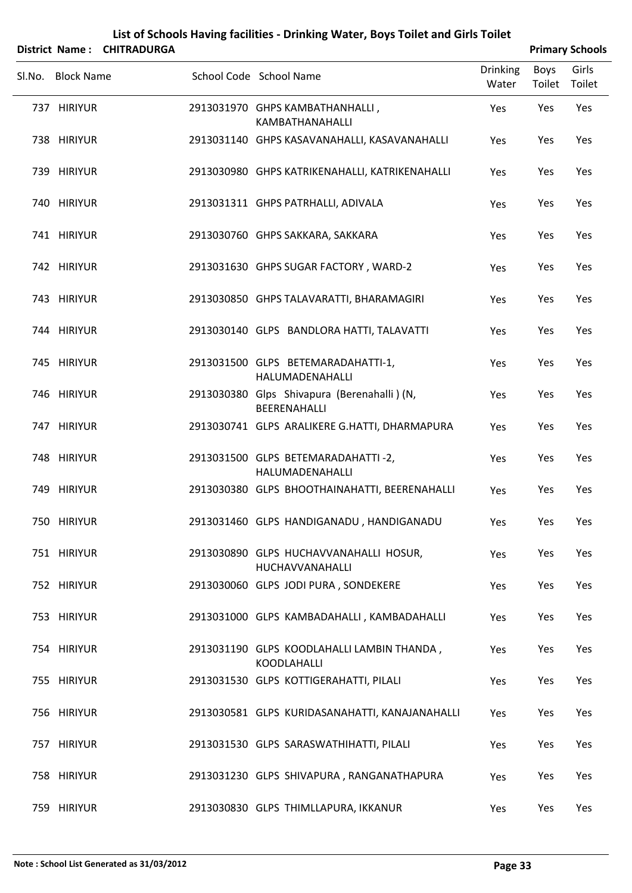|                   | List of Schools Having facilities - Drinking Water, Boys Toilet and Girls Toilet |  |                                                             |                          |                       |                        |  |  |  |
|-------------------|----------------------------------------------------------------------------------|--|-------------------------------------------------------------|--------------------------|-----------------------|------------------------|--|--|--|
|                   | District Name: CHITRADURGA                                                       |  |                                                             |                          |                       | <b>Primary Schools</b> |  |  |  |
| Sl.No. Block Name |                                                                                  |  | School Code School Name                                     | <b>Drinking</b><br>Water | <b>Boys</b><br>Toilet | Girls<br>Toilet        |  |  |  |
| 737 HIRIYUR       |                                                                                  |  | 2913031970 GHPS KAMBATHANHALLI,<br>KAMBATHANAHALLI          | Yes                      | Yes                   | Yes                    |  |  |  |
| 738 HIRIYUR       |                                                                                  |  | 2913031140 GHPS KASAVANAHALLI, KASAVANAHALLI                | Yes                      | Yes                   | Yes                    |  |  |  |
| 739 HIRIYUR       |                                                                                  |  | 2913030980 GHPS KATRIKENAHALLI, KATRIKENAHALLI              | Yes                      | Yes                   | Yes                    |  |  |  |
| 740 HIRIYUR       |                                                                                  |  | 2913031311 GHPS PATRHALLI, ADIVALA                          | Yes                      | Yes                   | Yes                    |  |  |  |
| 741 HIRIYUR       |                                                                                  |  | 2913030760 GHPS SAKKARA, SAKKARA                            | Yes                      | Yes                   | Yes                    |  |  |  |
| 742 HIRIYUR       |                                                                                  |  | 2913031630 GHPS SUGAR FACTORY, WARD-2                       | Yes                      | Yes                   | Yes                    |  |  |  |
| 743 HIRIYUR       |                                                                                  |  | 2913030850 GHPS TALAVARATTI, BHARAMAGIRI                    | Yes                      | Yes                   | Yes                    |  |  |  |
| 744 HIRIYUR       |                                                                                  |  | 2913030140 GLPS BANDLORA HATTI, TALAVATTI                   | Yes                      | Yes                   | Yes                    |  |  |  |
| 745 HIRIYUR       |                                                                                  |  | 2913031500 GLPS BETEMARADAHATTI-1,<br>HALUMADENAHALLI       | Yes                      | Yes                   | Yes                    |  |  |  |
| 746 HIRIYUR       |                                                                                  |  | 2913030380 Glps Shivapura (Berenahalli) (N,<br>BEERENAHALLI | Yes                      | Yes                   | Yes                    |  |  |  |
| 747 HIRIYUR       |                                                                                  |  | 2913030741 GLPS ARALIKERE G.HATTI, DHARMAPURA               | Yes                      | Yes                   | Yes                    |  |  |  |
| 748 HIRIYUR       |                                                                                  |  | 2913031500 GLPS BETEMARADAHATTI-2,<br>HALUMADENAHALLI       | Yes                      | Yes                   | Yes                    |  |  |  |
| 749 HIRIYUR       |                                                                                  |  | 2913030380 GLPS BHOOTHAINAHATTI, BEERENAHALLI               | Yes                      | Yes                   | Yes                    |  |  |  |
| 750 HIRIYUR       |                                                                                  |  | 2913031460 GLPS HANDIGANADU, HANDIGANADU                    | Yes                      | Yes                   | Yes                    |  |  |  |
| 751 HIRIYUR       |                                                                                  |  | 2913030890 GLPS HUCHAVVANAHALLI HOSUR,<br>HUCHAVVANAHALLI   | Yes                      | Yes                   | Yes                    |  |  |  |
| 752 HIRIYUR       |                                                                                  |  | 2913030060 GLPS JODI PURA, SONDEKERE                        | Yes                      | Yes                   | Yes                    |  |  |  |
| 753 HIRIYUR       |                                                                                  |  | 2913031000 GLPS KAMBADAHALLI, KAMBADAHALLI                  | Yes                      | Yes                   | Yes                    |  |  |  |
| 754 HIRIYUR       |                                                                                  |  | 2913031190 GLPS KOODLAHALLI LAMBIN THANDA,<br>KOODLAHALLI   | Yes                      | Yes                   | Yes                    |  |  |  |
| 755 HIRIYUR       |                                                                                  |  | 2913031530 GLPS KOTTIGERAHATTI, PILALI                      | Yes                      | Yes                   | Yes                    |  |  |  |
| 756 HIRIYUR       |                                                                                  |  | 2913030581 GLPS KURIDASANAHATTI, KANAJANAHALLI              | Yes                      | Yes                   | Yes                    |  |  |  |
| 757 HIRIYUR       |                                                                                  |  | 2913031530 GLPS SARASWATHIHATTI, PILALI                     | Yes                      | Yes                   | Yes                    |  |  |  |
| 758 HIRIYUR       |                                                                                  |  | 2913031230 GLPS SHIVAPURA, RANGANATHAPURA                   | Yes                      | Yes                   | Yes                    |  |  |  |
| 759 HIRIYUR       |                                                                                  |  | 2913030830 GLPS THIMLLAPURA, IKKANUR                        | Yes                      | Yes                   | Yes                    |  |  |  |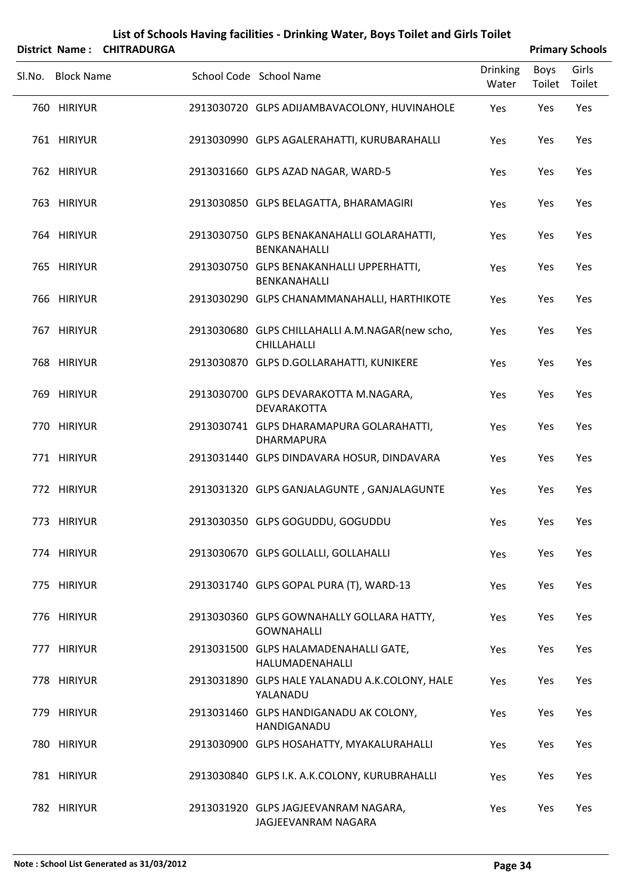|        |                   | District Name: CHITRADURGA |                                                                |                          |                | <b>Primary Schools</b> |
|--------|-------------------|----------------------------|----------------------------------------------------------------|--------------------------|----------------|------------------------|
| Sl.No. | <b>Block Name</b> |                            | School Code School Name                                        | <b>Drinking</b><br>Water | Boys<br>Toilet | Girls<br>Toilet        |
|        | 760 HIRIYUR       |                            | 2913030720 GLPS ADIJAMBAVACOLONY, HUVINAHOLE                   | Yes                      | Yes            | Yes                    |
|        | 761 HIRIYUR       |                            | 2913030990 GLPS AGALERAHATTI, KURUBARAHALLI                    | Yes                      | Yes            | Yes                    |
|        | 762 HIRIYUR       |                            | 2913031660 GLPS AZAD NAGAR, WARD-5                             | Yes                      | Yes            | Yes                    |
|        | 763 HIRIYUR       |                            | 2913030850 GLPS BELAGATTA, BHARAMAGIRI                         | Yes                      | Yes            | Yes                    |
|        | 764 HIRIYUR       |                            | 2913030750 GLPS BENAKANAHALLI GOLARAHATTI,<br>BENKANAHALLI     | Yes                      | Yes            | Yes                    |
|        | 765 HIRIYUR       |                            | 2913030750 GLPS BENAKANHALLI UPPERHATTI,<br>BENKANAHALLI       | Yes                      | Yes            | Yes                    |
|        | 766 HIRIYUR       |                            | 2913030290 GLPS CHANAMMANAHALLI, HARTHIKOTE                    | Yes                      | Yes            | Yes                    |
|        | 767 HIRIYUR       |                            | 2913030680 GLPS CHILLAHALLI A.M.NAGAR(new scho,<br>CHILLAHALLI | Yes                      | Yes            | Yes                    |
|        | 768 HIRIYUR       |                            | 2913030870 GLPS D.GOLLARAHATTI, KUNIKERE                       | Yes                      | Yes            | Yes                    |
|        | 769 HIRIYUR       |                            | 2913030700 GLPS DEVARAKOTTA M.NAGARA,<br>DEVARAKOTTA           | Yes                      | Yes            | Yes                    |
|        | 770 HIRIYUR       |                            | 2913030741 GLPS DHARAMAPURA GOLARAHATTI,<br>DHARMAPURA         | Yes                      | Yes            | Yes                    |
|        | 771 HIRIYUR       |                            | 2913031440 GLPS DINDAVARA HOSUR, DINDAVARA                     | Yes                      | Yes            | Yes                    |
|        | 772 HIRIYUR       |                            | 2913031320 GLPS GANJALAGUNTE, GANJALAGUNTE                     | Yes                      | Yes            | Yes                    |
|        | 773 HIRIYUR       |                            | 2913030350 GLPS GOGUDDU, GOGUDDU                               | Yes                      | Yes            | Yes                    |
|        | 774 HIRIYUR       |                            | 2913030670 GLPS GOLLALLI, GOLLAHALLI                           | Yes                      | Yes            | Yes                    |
|        | 775 HIRIYUR       |                            | 2913031740 GLPS GOPAL PURA (T), WARD-13                        | Yes                      | Yes            | Yes                    |
|        | 776 HIRIYUR       |                            | 2913030360 GLPS GOWNAHALLY GOLLARA HATTY,<br><b>GOWNAHALLI</b> | Yes                      | Yes            | Yes                    |
|        | 777 HIRIYUR       |                            | 2913031500 GLPS HALAMADENAHALLI GATE,<br>HALUMADENAHALLI       | Yes                      | Yes            | Yes                    |
|        | 778 HIRIYUR       |                            | 2913031890 GLPS HALE YALANADU A.K.COLONY, HALE<br>YALANADU     | Yes                      | Yes            | Yes                    |
|        | 779 HIRIYUR       |                            | 2913031460 GLPS HANDIGANADU AK COLONY,<br>HANDIGANADU          | Yes                      | Yes            | Yes                    |
|        | 780 HIRIYUR       |                            | 2913030900 GLPS HOSAHATTY, MYAKALURAHALLI                      | Yes                      | Yes            | Yes                    |
|        | 781 HIRIYUR       |                            | 2913030840 GLPS I.K. A.K.COLONY, KURUBRAHALLI                  | Yes                      | Yes            | Yes                    |
|        | 782 HIRIYUR       |                            | 2913031920 GLPS JAGJEEVANRAM NAGARA,<br>JAGJEEVANRAM NAGARA    | Yes                      | Yes            | Yes                    |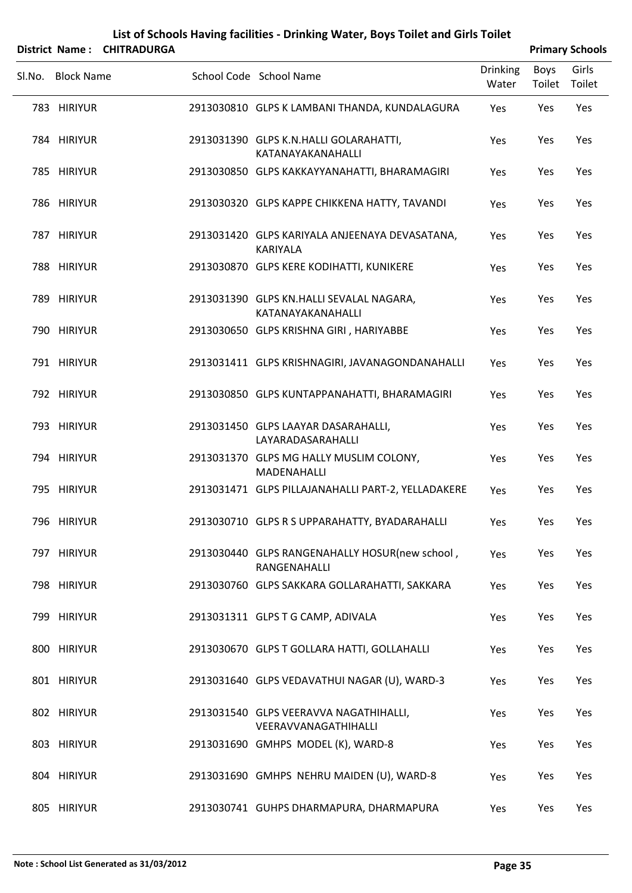|                   | District Name: CHITRADURGA |                                                                |                          |                | <b>Primary Schools</b> |
|-------------------|----------------------------|----------------------------------------------------------------|--------------------------|----------------|------------------------|
| Sl.No. Block Name |                            | School Code School Name                                        | <b>Drinking</b><br>Water | Boys<br>Toilet | Girls<br>Toilet        |
| 783 HIRIYUR       |                            | 2913030810 GLPS K LAMBANI THANDA, KUNDALAGURA                  | Yes                      | Yes            | Yes                    |
| 784 HIRIYUR       |                            | 2913031390 GLPS K.N.HALLI GOLARAHATTI,<br>KATANAYAKANAHALLI    | Yes                      | Yes            | Yes                    |
| 785 HIRIYUR       |                            | 2913030850 GLPS KAKKAYYANAHATTI, BHARAMAGIRI                   | Yes                      | Yes            | Yes                    |
| 786 HIRIYUR       |                            | 2913030320 GLPS KAPPE CHIKKENA HATTY, TAVANDI                  | Yes                      | Yes            | Yes                    |
| 787 HIRIYUR       |                            | 2913031420 GLPS KARIYALA ANJEENAYA DEVASATANA,<br>KARIYALA     | Yes                      | Yes            | Yes                    |
| 788 HIRIYUR       |                            | 2913030870 GLPS KERE KODIHATTI, KUNIKERE                       | Yes                      | Yes            | Yes                    |
| 789 HIRIYUR       |                            | 2913031390 GLPS KN.HALLI SEVALAL NAGARA,<br>KATANAYAKANAHALLI  | Yes                      | Yes            | Yes                    |
| 790 HIRIYUR       |                            | 2913030650 GLPS KRISHNA GIRI, HARIYABBE                        | Yes                      | Yes            | Yes                    |
| 791 HIRIYUR       |                            | 2913031411 GLPS KRISHNAGIRI, JAVANAGONDANAHALLI                | Yes                      | Yes            | Yes                    |
| 792 HIRIYUR       |                            | 2913030850 GLPS KUNTAPPANAHATTI, BHARAMAGIRI                   | Yes                      | Yes            | Yes                    |
| 793 HIRIYUR       |                            | 2913031450 GLPS LAAYAR DASARAHALLI,<br>LAYARADASARAHALLI       | Yes                      | Yes            | Yes                    |
| 794 HIRIYUR       |                            | 2913031370 GLPS MG HALLY MUSLIM COLONY,<br>MADENAHALLI         | Yes                      | Yes            | Yes                    |
| 795 HIRIYUR       |                            | 2913031471 GLPS PILLAJANAHALLI PART-2, YELLADAKERE             | Yes                      | Yes            | Yes                    |
| 796 HIRIYUR       |                            | 2913030710 GLPS R S UPPARAHATTY, BYADARAHALLI                  | Yes                      | Yes            | Yes                    |
| 797 HIRIYUR       |                            | 2913030440 GLPS RANGENAHALLY HOSUR(new school,<br>RANGENAHALLI | Yes                      | Yes            | Yes                    |
| 798 HIRIYUR       |                            | 2913030760 GLPS SAKKARA GOLLARAHATTI, SAKKARA                  | Yes                      | Yes            | Yes                    |
| 799 HIRIYUR       |                            | 2913031311 GLPS T G CAMP, ADIVALA                              | Yes                      | Yes            | Yes                    |
| 800 HIRIYUR       |                            | 2913030670 GLPS T GOLLARA HATTI, GOLLAHALLI                    | Yes                      | Yes            | Yes                    |
| 801 HIRIYUR       |                            | 2913031640 GLPS VEDAVATHUI NAGAR (U), WARD-3                   | Yes                      | Yes            | Yes                    |
| 802 HIRIYUR       |                            | 2913031540 GLPS VEERAVVA NAGATHIHALLI,<br>VEERAVVANAGATHIHALLI | Yes                      | Yes            | Yes                    |
| 803 HIRIYUR       |                            | 2913031690 GMHPS MODEL (K), WARD-8                             | Yes                      | Yes            | Yes                    |
| 804 HIRIYUR       |                            | 2913031690 GMHPS NEHRU MAIDEN (U), WARD-8                      | Yes                      | Yes            | Yes                    |
| 805 HIRIYUR       |                            | 2913030741 GUHPS DHARMAPURA, DHARMAPURA                        | Yes                      | Yes            | Yes                    |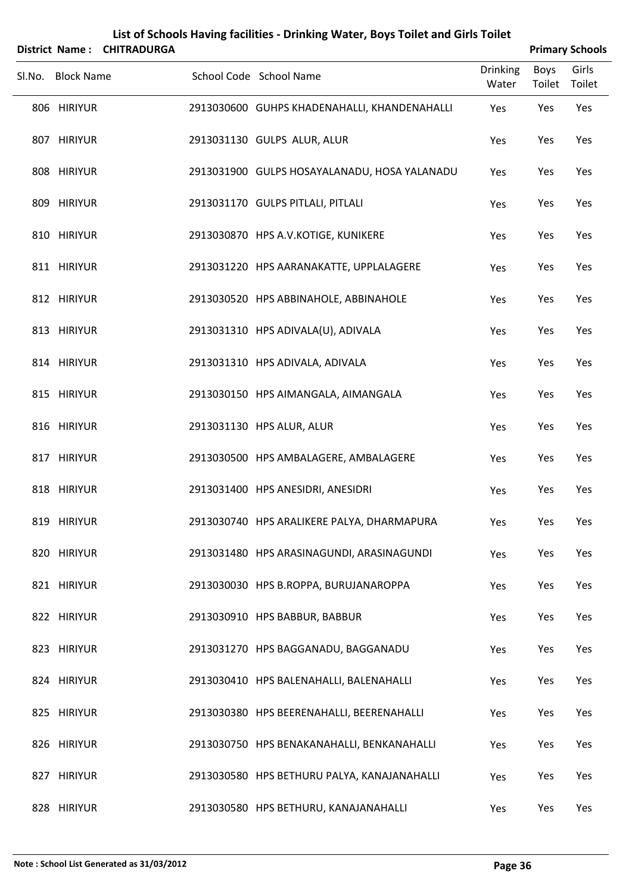|                   | District Name: CHITRADURGA |                                              |                          |                | <b>Primary Schools</b> |
|-------------------|----------------------------|----------------------------------------------|--------------------------|----------------|------------------------|
| Sl.No. Block Name |                            | School Code School Name                      | <b>Drinking</b><br>Water | Boys<br>Toilet | Girls<br>Toilet        |
| 806 HIRIYUR       |                            | 2913030600 GUHPS KHADENAHALLI, KHANDENAHALLI | Yes                      | Yes            | Yes                    |
| 807 HIRIYUR       |                            | 2913031130 GULPS ALUR, ALUR                  | Yes                      | Yes            | Yes                    |
| 808 HIRIYUR       |                            | 2913031900 GULPS HOSAYALANADU, HOSA YALANADU | Yes                      | Yes            | Yes                    |
| 809 HIRIYUR       |                            | 2913031170 GULPS PITLALI, PITLALI            | Yes                      | Yes            | Yes                    |
| 810 HIRIYUR       |                            | 2913030870 HPS A.V.KOTIGE, KUNIKERE          | Yes                      | Yes            | Yes                    |
| 811 HIRIYUR       |                            | 2913031220 HPS AARANAKATTE, UPPLALAGERE      | Yes                      | Yes            | Yes                    |
| 812 HIRIYUR       |                            | 2913030520 HPS ABBINAHOLE, ABBINAHOLE        | Yes                      | Yes            | Yes                    |
| 813 HIRIYUR       |                            | 2913031310 HPS ADIVALA(U), ADIVALA           | Yes                      | Yes            | Yes                    |
| 814 HIRIYUR       |                            | 2913031310 HPS ADIVALA, ADIVALA              | Yes                      | Yes            | Yes                    |
| 815 HIRIYUR       |                            | 2913030150 HPS AIMANGALA, AIMANGALA          | Yes                      | Yes            | Yes                    |
| 816 HIRIYUR       |                            | 2913031130 HPS ALUR, ALUR                    | Yes                      | Yes            | Yes                    |
| 817 HIRIYUR       |                            | 2913030500 HPS AMBALAGERE, AMBALAGERE        | Yes                      | Yes            | Yes                    |
| 818 HIRIYUR       |                            | 2913031400 HPS ANESIDRI, ANESIDRI            | Yes                      | Yes            | Yes                    |
| 819 HIRIYUR       |                            | 2913030740 HPS ARALIKERE PALYA, DHARMAPURA   | Yes                      | Yes            | Yes                    |
| 820 HIRIYUR       |                            | 2913031480 HPS ARASINAGUNDI, ARASINAGUNDI    | Yes                      | Yes            | Yes                    |
| 821 HIRIYUR       |                            | 2913030030 HPS B.ROPPA, BURUJANAROPPA        | Yes                      | Yes            | Yes                    |
| 822 HIRIYUR       |                            | 2913030910 HPS BABBUR, BABBUR                | Yes                      | Yes            | Yes                    |
| 823 HIRIYUR       |                            | 2913031270 HPS BAGGANADU, BAGGANADU          | Yes                      | Yes            | Yes                    |
| 824 HIRIYUR       |                            | 2913030410 HPS BALENAHALLI, BALENAHALLI      | Yes                      | Yes            | Yes                    |
| 825 HIRIYUR       |                            | 2913030380 HPS BEERENAHALLI, BEERENAHALLI    | Yes                      | Yes            | Yes                    |
| 826 HIRIYUR       |                            | 2913030750 HPS BENAKANAHALLI, BENKANAHALLI   | Yes                      | Yes            | Yes                    |
| 827 HIRIYUR       |                            | 2913030580 HPS BETHURU PALYA, KANAJANAHALLI  | Yes                      | Yes            | Yes                    |
| 828 HIRIYUR       |                            | 2913030580 HPS BETHURU, KANAJANAHALLI        | Yes                      | Yes            | Yes                    |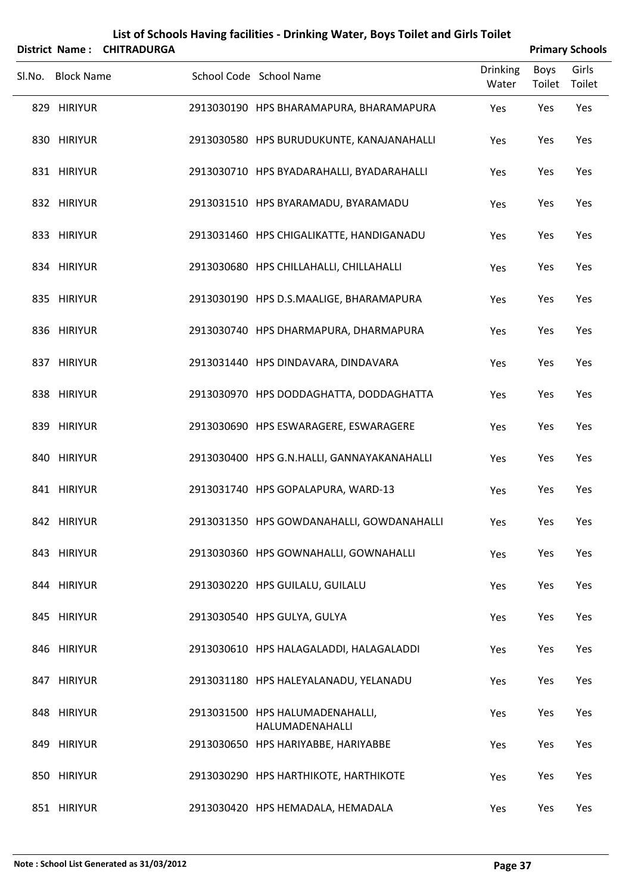|        | <b>District Name:</b><br><b>CHITRADURGA</b> |                                                    |                          |                       | <b>Primary Schools</b> |
|--------|---------------------------------------------|----------------------------------------------------|--------------------------|-----------------------|------------------------|
| SI.No. | <b>Block Name</b>                           | School Code School Name                            | <b>Drinking</b><br>Water | <b>Boys</b><br>Toilet | Girls<br>Toilet        |
|        | 829 HIRIYUR                                 | 2913030190 HPS BHARAMAPURA, BHARAMAPURA            | Yes                      | Yes                   | Yes                    |
|        | 830 HIRIYUR                                 | 2913030580 HPS BURUDUKUNTE, KANAJANAHALLI          | Yes                      | Yes                   | Yes                    |
|        | 831 HIRIYUR                                 | 2913030710 HPS BYADARAHALLI, BYADARAHALLI          | Yes                      | Yes                   | Yes                    |
|        | 832 HIRIYUR                                 | 2913031510 HPS BYARAMADU, BYARAMADU                | Yes                      | Yes                   | Yes                    |
|        | 833 HIRIYUR                                 | 2913031460 HPS CHIGALIKATTE, HANDIGANADU           | Yes                      | Yes                   | Yes                    |
|        | 834 HIRIYUR                                 | 2913030680 HPS CHILLAHALLI, CHILLAHALLI            | Yes                      | Yes                   | Yes                    |
|        | 835 HIRIYUR                                 | 2913030190 HPS D.S.MAALIGE, BHARAMAPURA            | Yes                      | Yes                   | Yes                    |
|        | 836 HIRIYUR                                 | 2913030740 HPS DHARMAPURA, DHARMAPURA              | Yes                      | Yes                   | Yes                    |
|        | 837 HIRIYUR                                 | 2913031440 HPS DINDAVARA, DINDAVARA                | Yes                      | Yes                   | Yes                    |
|        | 838 HIRIYUR                                 | 2913030970 HPS DODDAGHATTA, DODDAGHATTA            | Yes                      | Yes                   | Yes                    |
|        | 839 HIRIYUR                                 | 2913030690 HPS ESWARAGERE, ESWARAGERE              | Yes                      | Yes                   | Yes                    |
|        | 840 HIRIYUR                                 | 2913030400 HPS G.N.HALLI, GANNAYAKANAHALLI         | Yes                      | Yes                   | Yes                    |
|        | 841 HIRIYUR                                 | 2913031740 HPS GOPALAPURA, WARD-13                 | Yes                      | Yes                   | Yes                    |
|        | 842 HIRIYUR                                 | 2913031350 HPS GOWDANAHALLI, GOWDANAHALLI          | Yes                      | Yes                   | Yes                    |
|        | 843 HIRIYUR                                 | 2913030360 HPS GOWNAHALLI, GOWNAHALLI              | Yes                      | Yes                   | Yes                    |
|        | 844 HIRIYUR                                 | 2913030220 HPS GUILALU, GUILALU                    | Yes                      | Yes                   | Yes                    |
|        | 845 HIRIYUR                                 | 2913030540 HPS GULYA, GULYA                        | Yes                      | Yes                   | Yes                    |
|        | 846 HIRIYUR                                 | 2913030610 HPS HALAGALADDI, HALAGALADDI            | Yes                      | Yes                   | Yes                    |
|        | 847 HIRIYUR                                 | 2913031180 HPS HALEYALANADU, YELANADU              | Yes                      | Yes                   | Yes                    |
|        | 848 HIRIYUR                                 | 2913031500 HPS HALUMADENAHALLI,<br>HALUMADENAHALLI | Yes                      | Yes                   | Yes                    |
|        | 849 HIRIYUR                                 | 2913030650 HPS HARIYABBE, HARIYABBE                | Yes                      | Yes                   | Yes                    |
|        | 850 HIRIYUR                                 | 2913030290 HPS HARTHIKOTE, HARTHIKOTE              | Yes                      | Yes                   | Yes                    |
|        | 851 HIRIYUR                                 | 2913030420 HPS HEMADALA, HEMADALA                  | Yes                      | Yes                   | Yes                    |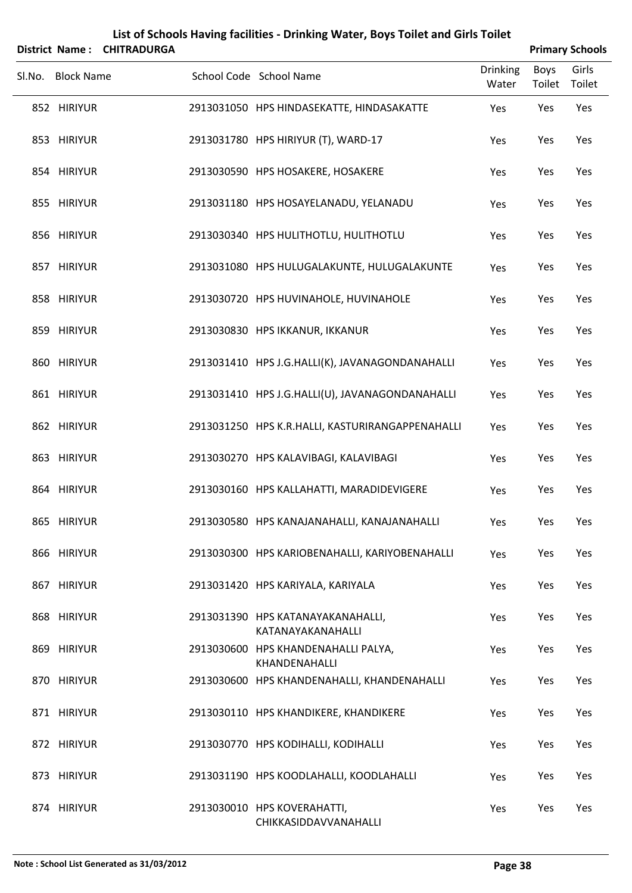|                   | District Name: CHITRADURGA | List of Schools Having facilities - Drinking Water, Boys Toilet and Girls Toilet |                          |                | <b>Primary Schools</b> |
|-------------------|----------------------------|----------------------------------------------------------------------------------|--------------------------|----------------|------------------------|
| Sl.No. Block Name |                            | School Code School Name                                                          | <b>Drinking</b><br>Water | Boys<br>Toilet | Girls<br>Toilet        |
| 852 HIRIYUR       |                            | 2913031050 HPS HINDASEKATTE, HINDASAKATTE                                        | Yes                      | Yes            | Yes                    |
| 853 HIRIYUR       |                            | 2913031780 HPS HIRIYUR (T), WARD-17                                              | Yes                      | Yes            | Yes                    |
| 854 HIRIYUR       |                            | 2913030590 HPS HOSAKERE, HOSAKERE                                                | Yes                      | Yes            | Yes                    |
| 855 HIRIYUR       |                            | 2913031180 HPS HOSAYELANADU, YELANADU                                            | Yes                      | Yes            | Yes                    |
| 856 HIRIYUR       |                            | 2913030340 HPS HULITHOTLU, HULITHOTLU                                            | Yes                      | Yes            | Yes                    |
| 857 HIRIYUR       |                            | 2913031080 HPS HULUGALAKUNTE, HULUGALAKUNTE                                      | Yes                      | Yes            | Yes                    |
| 858 HIRIYUR       |                            | 2913030720 HPS HUVINAHOLE, HUVINAHOLE                                            | Yes                      | Yes            | Yes                    |
| 859 HIRIYUR       |                            | 2913030830 HPS IKKANUR, IKKANUR                                                  | Yes                      | Yes            | Yes                    |
| 860 HIRIYUR       |                            | 2913031410 HPS J.G.HALLI(K), JAVANAGONDANAHALLI                                  | Yes                      | Yes            | Yes                    |
| 861 HIRIYUR       |                            | 2913031410 HPS J.G.HALLI(U), JAVANAGONDANAHALLI                                  | Yes                      | Yes            | Yes                    |
| 862 HIRIYUR       |                            | 2913031250 HPS K.R.HALLI, KASTURIRANGAPPENAHALLI                                 | Yes                      | Yes            | Yes                    |
| 863 HIRIYUR       |                            | 2913030270 HPS KALAVIBAGI, KALAVIBAGI                                            | Yes                      | Yes            | Yes                    |
| 864 HIRIYUR       |                            | 2913030160 HPS KALLAHATTI, MARADIDEVIGERE                                        | Yes                      | Yes            | Yes                    |
| 865 HIRIYUR       |                            | 2913030580 HPS KANAJANAHALLI, KANAJANAHALLI                                      | Yes                      | Yes            | Yes                    |
| 866 HIRIYUR       |                            | 2913030300 HPS KARIOBENAHALLI, KARIYOBENAHALLI                                   | Yes                      | Yes            | Yes                    |
| 867 HIRIYUR       |                            | 2913031420 HPS KARIYALA, KARIYALA                                                | Yes                      | Yes            | Yes                    |
| 868 HIRIYUR       |                            | 2913031390 HPS KATANAYAKANAHALLI,<br>KATANAYAKANAHALLI                           | <b>Yes</b>               | Yes            | Yes                    |
| 869 HIRIYUR       |                            | 2913030600 HPS KHANDENAHALLI PALYA,<br>KHANDENAHALLI                             | Yes                      | Yes            | Yes                    |
| 870 HIRIYUR       |                            | 2913030600 HPS KHANDENAHALLI, KHANDENAHALLI                                      | <b>Yes</b>               | Yes            | Yes                    |
| 871 HIRIYUR       |                            | 2913030110 HPS KHANDIKERE, KHANDIKERE                                            | Yes                      | Yes            | Yes                    |
| 872 HIRIYUR       |                            | 2913030770 HPS KODIHALLI, KODIHALLI                                              | <b>Yes</b>               | Yes            | Yes                    |
| 873 HIRIYUR       |                            | 2913031190 HPS KOODLAHALLI, KOODLAHALLI                                          | Yes                      | Yes            | Yes                    |
| 874 HIRIYUR       |                            | 2913030010 HPS KOVERAHATTI,<br>CHIKKASIDDAVVANAHALLI                             | Yes                      | Yes            | Yes                    |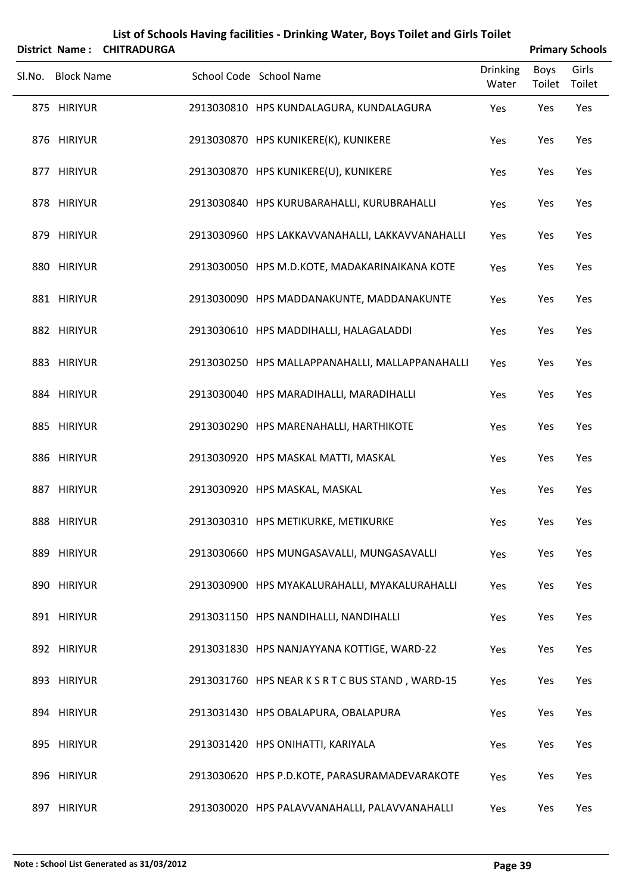|        | District Name:    | <b>CHITRADURGA</b> | List of Schools Having facilities - Drinking Water, Boys Toilet and Girls Toilet |                          |                | <b>Primary Schools</b> |
|--------|-------------------|--------------------|----------------------------------------------------------------------------------|--------------------------|----------------|------------------------|
| Sl.No. | <b>Block Name</b> |                    | School Code School Name                                                          | <b>Drinking</b><br>Water | Boys<br>Toilet | Girls<br>Toilet        |
|        | 875 HIRIYUR       |                    | 2913030810 HPS KUNDALAGURA, KUNDALAGURA                                          | Yes                      | Yes            | Yes                    |
|        | 876 HIRIYUR       |                    | 2913030870 HPS KUNIKERE(K), KUNIKERE                                             | Yes                      | Yes            | Yes                    |
|        | 877 HIRIYUR       |                    | 2913030870 HPS KUNIKERE(U), KUNIKERE                                             | Yes                      | Yes            | Yes                    |
|        | 878 HIRIYUR       |                    | 2913030840 HPS KURUBARAHALLI, KURUBRAHALLI                                       | Yes                      | Yes            | Yes                    |
|        | 879 HIRIYUR       |                    | 2913030960 HPS LAKKAVVANAHALLI, LAKKAVVANAHALLI                                  | Yes                      | Yes            | Yes                    |
|        | 880 HIRIYUR       |                    | 2913030050 HPS M.D.KOTE, MADAKARINAIKANA KOTE                                    | Yes                      | Yes            | Yes                    |
|        | 881 HIRIYUR       |                    | 2913030090 HPS MADDANAKUNTE, MADDANAKUNTE                                        | Yes                      | Yes            | Yes                    |
|        | 882 HIRIYUR       |                    | 2913030610 HPS MADDIHALLI, HALAGALADDI                                           | Yes                      | Yes            | Yes                    |
|        | 883 HIRIYUR       |                    | 2913030250 HPS MALLAPPANAHALLI, MALLAPPANAHALLI                                  | Yes                      | Yes            | Yes                    |
|        | 884 HIRIYUR       |                    | 2913030040 HPS MARADIHALLI, MARADIHALLI                                          | Yes                      | Yes            | Yes                    |
|        | 885 HIRIYUR       |                    | 2913030290 HPS MARENAHALLI, HARTHIKOTE                                           | Yes                      | Yes            | Yes                    |
|        | 886 HIRIYUR       |                    | 2913030920 HPS MASKAL MATTI, MASKAL                                              | Yes                      | Yes            | Yes                    |
|        | 887 HIRIYUR       |                    | 2913030920 HPS MASKAL, MASKAL                                                    | Yes                      | Yes            | Yes                    |
|        | 888 HIRIYUR       |                    | 2913030310 HPS METIKURKE, METIKURKE                                              | Yes                      | Yes            | Yes                    |
|        | 889 HIRIYUR       |                    | 2913030660 HPS MUNGASAVALLI, MUNGASAVALLI                                        | Yes                      | Yes            | Yes                    |
|        | 890 HIRIYUR       |                    | 2913030900 HPS MYAKALURAHALLI, MYAKALURAHALLI                                    | Yes                      | Yes            | Yes                    |
|        | 891 HIRIYUR       |                    | 2913031150 HPS NANDIHALLI, NANDIHALLI                                            | Yes                      | Yes            | Yes                    |
|        | 892 HIRIYUR       |                    | 2913031830 HPS NANJAYYANA KOTTIGE, WARD-22                                       | Yes                      | Yes            | Yes                    |
|        | 893 HIRIYUR       |                    | 2913031760 HPS NEAR K S R T C BUS STAND, WARD-15                                 | Yes                      | Yes            | Yes                    |
|        | 894 HIRIYUR       |                    | 2913031430 HPS OBALAPURA, OBALAPURA                                              | Yes                      | Yes            | Yes                    |
|        | 895 HIRIYUR       |                    | 2913031420 HPS ONIHATTI, KARIYALA                                                | Yes                      | Yes            | Yes                    |
|        | 896 HIRIYUR       |                    | 2913030620 HPS P.D.KOTE, PARASURAMADEVARAKOTE                                    | Yes                      | Yes            | Yes                    |
|        | 897 HIRIYUR       |                    | 2913030020 HPS PALAVVANAHALLI, PALAVVANAHALLI                                    | Yes                      | Yes            | Yes                    |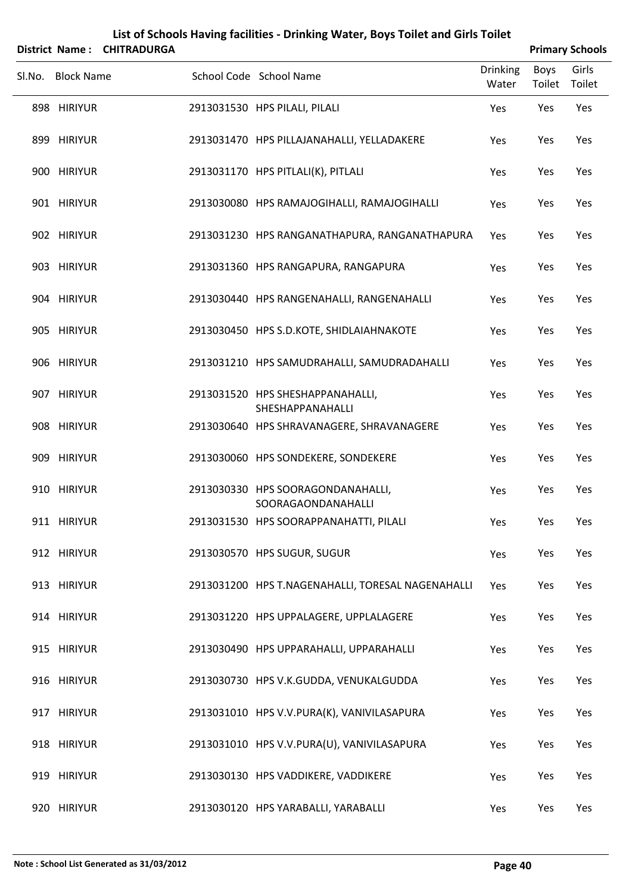|        | <b>District Name:</b> | <b>CHITRADURGA</b> |                                                         |                          |                | <b>Primary Schools</b> |
|--------|-----------------------|--------------------|---------------------------------------------------------|--------------------------|----------------|------------------------|
| SI.No. | <b>Block Name</b>     |                    | School Code School Name                                 | <b>Drinking</b><br>Water | Boys<br>Toilet | Girls<br>Toilet        |
|        | 898 HIRIYUR           |                    | 2913031530 HPS PILALI, PILALI                           | Yes                      | Yes            | Yes                    |
|        | 899 HIRIYUR           |                    | 2913031470 HPS PILLAJANAHALLI, YELLADAKERE              | Yes                      | Yes            | Yes                    |
|        | 900 HIRIYUR           |                    | 2913031170 HPS PITLALI(K), PITLALI                      | Yes                      | Yes            | Yes                    |
|        | 901 HIRIYUR           |                    | 2913030080 HPS RAMAJOGIHALLI, RAMAJOGIHALLI             | Yes                      | Yes            | Yes                    |
|        | 902 HIRIYUR           |                    | 2913031230 HPS RANGANATHAPURA, RANGANATHAPURA           | Yes                      | Yes            | Yes                    |
|        | 903 HIRIYUR           |                    | 2913031360 HPS RANGAPURA, RANGAPURA                     | Yes                      | Yes            | Yes                    |
|        | 904 HIRIYUR           |                    | 2913030440 HPS RANGENAHALLI, RANGENAHALLI               | Yes                      | Yes            | Yes                    |
|        | 905 HIRIYUR           |                    | 2913030450 HPS S.D.KOTE, SHIDLAIAHNAKOTE                | Yes                      | Yes            | Yes                    |
|        | 906 HIRIYUR           |                    | 2913031210 HPS SAMUDRAHALLI, SAMUDRADAHALLI             | Yes                      | Yes            | Yes                    |
|        | 907 HIRIYUR           |                    | 2913031520 HPS SHESHAPPANAHALLI,<br>SHESHAPPANAHALLI    | Yes                      | Yes            | Yes                    |
|        | 908 HIRIYUR           |                    | 2913030640 HPS SHRAVANAGERE, SHRAVANAGERE               | Yes                      | Yes            | Yes                    |
|        | 909 HIRIYUR           |                    | 2913030060 HPS SONDEKERE, SONDEKERE                     | Yes                      | Yes            | Yes                    |
|        | 910 HIRIYUR           |                    | 2913030330 HPS SOORAGONDANAHALLI,<br>SOORAGAONDANAHALLI | Yes                      | Yes            | Yes                    |
|        | 911 HIRIYUR           |                    | 2913031530 HPS SOORAPPANAHATTI, PILALI                  | Yes                      | Yes            | Yes                    |
|        | 912 HIRIYUR           |                    | 2913030570 HPS SUGUR, SUGUR                             | Yes                      | Yes            | Yes                    |
|        | 913 HIRIYUR           |                    | 2913031200 HPS T.NAGENAHALLI, TORESAL NAGENAHALLI       | Yes                      | Yes            | Yes                    |
|        | 914 HIRIYUR           |                    | 2913031220 HPS UPPALAGERE, UPPLALAGERE                  | Yes                      | Yes            | Yes                    |
|        | 915 HIRIYUR           |                    | 2913030490 HPS UPPARAHALLI, UPPARAHALLI                 | Yes                      | Yes            | Yes                    |
|        | 916 HIRIYUR           |                    | 2913030730 HPS V.K.GUDDA, VENUKALGUDDA                  | Yes                      | Yes            | Yes                    |
|        | 917 HIRIYUR           |                    | 2913031010 HPS V.V.PURA(K), VANIVILASAPURA              | Yes                      | Yes            | Yes                    |
|        | 918 HIRIYUR           |                    | 2913031010 HPS V.V.PURA(U), VANIVILASAPURA              | Yes                      | Yes            | Yes                    |
|        | 919 HIRIYUR           |                    | 2913030130 HPS VADDIKERE, VADDIKERE                     | Yes                      | Yes            | Yes                    |
|        | 920 HIRIYUR           |                    | 2913030120 HPS YARABALLI, YARABALLI                     | Yes                      | Yes            | Yes                    |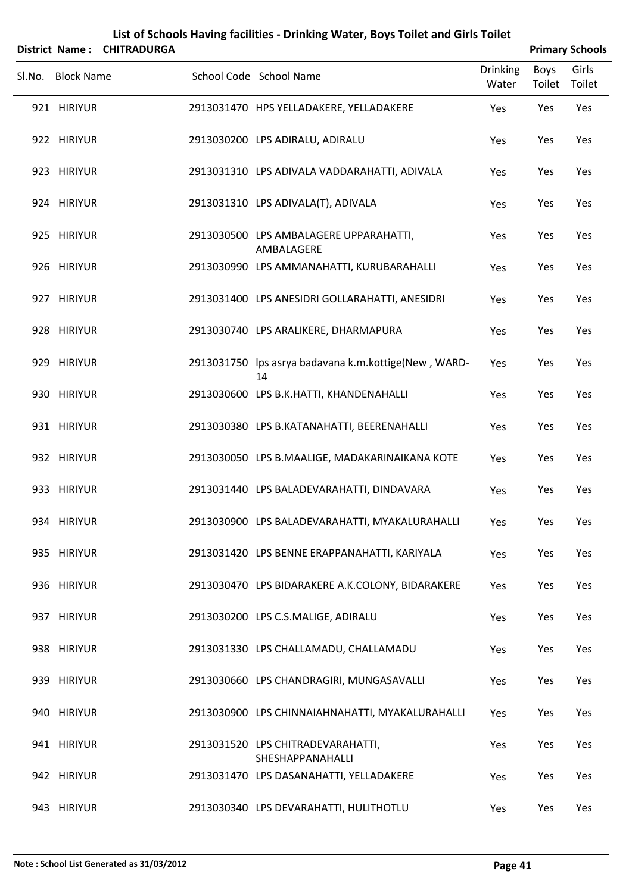|        | <b>District Name:</b> | List of Schools Having facilities - Drinking Water, Boys Toilet and Girls Toilet<br><b>CHITRADURGA</b> | <b>Primary Schools</b>                                     |                          |                |                 |
|--------|-----------------------|--------------------------------------------------------------------------------------------------------|------------------------------------------------------------|--------------------------|----------------|-----------------|
| Sl.No. | <b>Block Name</b>     |                                                                                                        | School Code School Name                                    | <b>Drinking</b><br>Water | Boys<br>Toilet | Girls<br>Toilet |
|        | 921 HIRIYUR           |                                                                                                        | 2913031470 HPS YELLADAKERE, YELLADAKERE                    | Yes                      | Yes            | Yes             |
|        | 922 HIRIYUR           |                                                                                                        | 2913030200 LPS ADIRALU, ADIRALU                            | Yes                      | Yes            | Yes             |
|        | 923 HIRIYUR           |                                                                                                        | 2913031310 LPS ADIVALA VADDARAHATTI, ADIVALA               | Yes                      | Yes            | Yes             |
|        | 924 HIRIYUR           |                                                                                                        | 2913031310 LPS ADIVALA(T), ADIVALA                         | Yes                      | Yes            | Yes             |
|        | 925 HIRIYUR           |                                                                                                        | 2913030500 LPS AMBALAGERE UPPARAHATTI,<br>AMBALAGERE       | Yes                      | Yes            | Yes             |
|        | 926 HIRIYUR           |                                                                                                        | 2913030990 LPS AMMANAHATTI, KURUBARAHALLI                  | Yes                      | Yes            | Yes             |
|        | 927 HIRIYUR           |                                                                                                        | 2913031400 LPS ANESIDRI GOLLARAHATTI, ANESIDRI             | Yes                      | Yes            | Yes             |
|        | 928 HIRIYUR           |                                                                                                        | 2913030740 LPS ARALIKERE, DHARMAPURA                       | Yes                      | Yes            | Yes             |
|        | 929 HIRIYUR           |                                                                                                        | 2913031750 lps asrya badavana k.m.kottige(New, WARD-<br>14 | Yes                      | Yes            | Yes             |
|        | 930 HIRIYUR           |                                                                                                        | 2913030600 LPS B.K.HATTI, KHANDENAHALLI                    | Yes                      | Yes            | Yes             |
|        | 931 HIRIYUR           |                                                                                                        | 2913030380 LPS B.KATANAHATTI, BEERENAHALLI                 | Yes                      | Yes            | Yes             |
|        | 932 HIRIYUR           |                                                                                                        | 2913030050 LPS B.MAALIGE, MADAKARINAIKANA KOTE             | Yes                      | Yes            | Yes             |
|        | 933 HIRIYUR           |                                                                                                        | 2913031440 LPS BALADEVARAHATTI, DINDAVARA                  | Yes                      | Yes            | Yes             |
|        | 934 HIRIYUR           |                                                                                                        | 2913030900 LPS BALADEVARAHATTI, MYAKALURAHALLI             | Yes                      | Yes            | Yes             |
|        | 935 HIRIYUR           |                                                                                                        | 2913031420 LPS BENNE ERAPPANAHATTI, KARIYALA               | Yes                      | Yes            | Yes             |
|        | 936 HIRIYUR           |                                                                                                        | 2913030470 LPS BIDARAKERE A.K.COLONY, BIDARAKERE           | Yes                      | Yes            | Yes             |
|        | 937 HIRIYUR           |                                                                                                        | 2913030200 LPS C.S.MALIGE, ADIRALU                         | Yes                      | Yes            | Yes             |
|        | 938 HIRIYUR           |                                                                                                        | 2913031330 LPS CHALLAMADU, CHALLAMADU                      | Yes                      | Yes            | Yes             |
|        | 939 HIRIYUR           |                                                                                                        | 2913030660 LPS CHANDRAGIRI, MUNGASAVALLI                   | Yes                      | Yes            | Yes             |
|        | 940 HIRIYUR           |                                                                                                        | 2913030900 LPS CHINNAIAHNAHATTI, MYAKALURAHALLI            | Yes                      | Yes            | Yes             |
|        | 941 HIRIYUR           |                                                                                                        | 2913031520 LPS CHITRADEVARAHATTI,<br>SHESHAPPANAHALLI      | Yes                      | Yes            | Yes             |
|        | 942 HIRIYUR           |                                                                                                        | 2913031470 LPS DASANAHATTI, YELLADAKERE                    | Yes                      | Yes            | Yes             |
|        | 943 HIRIYUR           |                                                                                                        | 2913030340 LPS DEVARAHATTI, HULITHOTLU                     | Yes                      | Yes            | Yes             |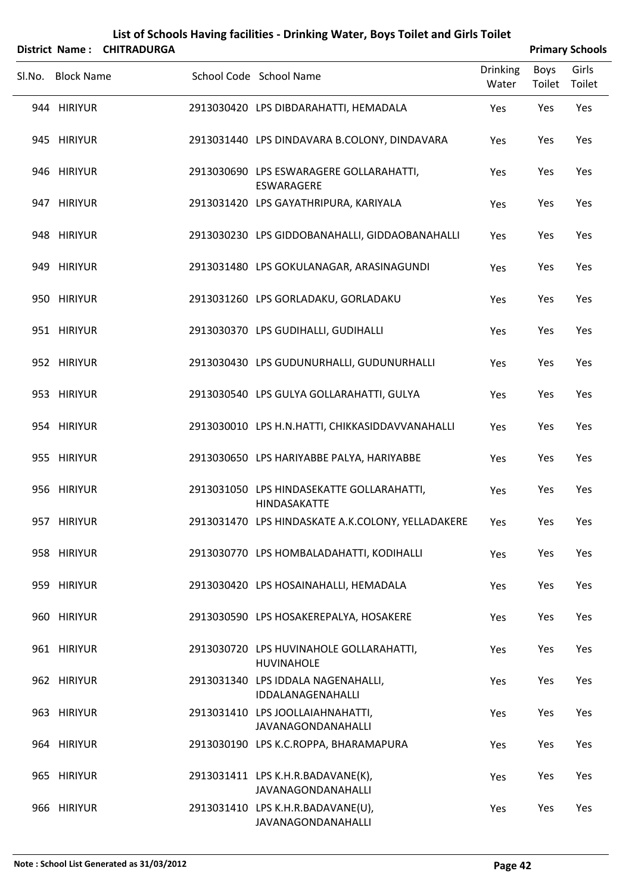|        | <b>District Name:</b> | <b>CHITRADURGA</b> | List of Schools Having facilities - Drinking Water, Boys Toilet and Girls Toilet |                          |                       | <b>Primary Schools</b> |
|--------|-----------------------|--------------------|----------------------------------------------------------------------------------|--------------------------|-----------------------|------------------------|
| Sl.No. | <b>Block Name</b>     |                    | School Code School Name                                                          | <b>Drinking</b><br>Water | <b>Boys</b><br>Toilet | Girls<br>Toilet        |
|        | 944 HIRIYUR           |                    | 2913030420 LPS DIBDARAHATTI, HEMADALA                                            | Yes                      | Yes                   | Yes                    |
|        | 945 HIRIYUR           |                    | 2913031440 LPS DINDAVARA B.COLONY, DINDAVARA                                     | Yes                      | Yes                   | Yes                    |
|        | 946 HIRIYUR           |                    | 2913030690 LPS ESWARAGERE GOLLARAHATTI,<br>ESWARAGERE                            | Yes                      | Yes                   | Yes                    |
|        | 947 HIRIYUR           |                    | 2913031420 LPS GAYATHRIPURA, KARIYALA                                            | Yes                      | Yes                   | Yes                    |
|        | 948 HIRIYUR           |                    | 2913030230 LPS GIDDOBANAHALLI, GIDDAOBANAHALLI                                   | Yes                      | Yes                   | Yes                    |
|        | 949 HIRIYUR           |                    | 2913031480 LPS GOKULANAGAR, ARASINAGUNDI                                         | Yes                      | Yes                   | Yes                    |
|        | 950 HIRIYUR           |                    | 2913031260 LPS GORLADAKU, GORLADAKU                                              | Yes                      | Yes                   | Yes                    |
|        | 951 HIRIYUR           |                    | 2913030370 LPS GUDIHALLI, GUDIHALLI                                              | Yes                      | Yes                   | Yes                    |
|        | 952 HIRIYUR           |                    | 2913030430 LPS GUDUNURHALLI, GUDUNURHALLI                                        | Yes                      | Yes                   | Yes                    |
|        | 953 HIRIYUR           |                    | 2913030540 LPS GULYA GOLLARAHATTI, GULYA                                         | Yes                      | Yes                   | Yes                    |
|        | 954 HIRIYUR           |                    | 2913030010 LPS H.N.HATTI, CHIKKASIDDAVVANAHALLI                                  | Yes                      | Yes                   | Yes                    |
|        | 955 HIRIYUR           |                    | 2913030650 LPS HARIYABBE PALYA, HARIYABBE                                        | Yes                      | Yes                   | Yes                    |
|        | 956 HIRIYUR           |                    | 2913031050 LPS HINDASEKATTE GOLLARAHATTI,<br>HINDASAKATTE                        | Yes                      | Yes                   | Yes                    |
|        | 957 HIRIYUR           |                    | 2913031470 LPS HINDASKATE A.K.COLONY, YELLADAKERE                                | Yes                      | Yes                   | Yes                    |
|        | 958 HIRIYUR           |                    | 2913030770 LPS HOMBALADAHATTI, KODIHALLI                                         | Yes                      | Yes                   | Yes                    |
|        | 959 HIRIYUR           |                    | 2913030420 LPS HOSAINAHALLI, HEMADALA                                            | Yes                      | Yes                   | Yes                    |
|        | 960 HIRIYUR           |                    | 2913030590 LPS HOSAKEREPALYA, HOSAKERE                                           | Yes                      | Yes                   | Yes                    |
|        | 961 HIRIYUR           |                    | 2913030720 LPS HUVINAHOLE GOLLARAHATTI,<br><b>HUVINAHOLE</b>                     | Yes                      | Yes                   | Yes                    |
|        | 962 HIRIYUR           |                    | 2913031340 LPS IDDALA NAGENAHALLI,<br>IDDALANAGENAHALLI                          | Yes                      | Yes                   | Yes                    |
|        | 963 HIRIYUR           |                    | 2913031410 LPS JOOLLAIAHNAHATTI,<br>JAVANAGONDANAHALLI                           | Yes                      | Yes                   | Yes                    |
|        | 964 HIRIYUR           |                    | 2913030190 LPS K.C.ROPPA, BHARAMAPURA                                            | Yes                      | Yes                   | Yes                    |
|        | 965 HIRIYUR           |                    | 2913031411 LPS K.H.R.BADAVANE(K),<br>JAVANAGONDANAHALLI                          | Yes                      | Yes                   | Yes                    |
|        | 966 HIRIYUR           |                    | 2913031410 LPS K.H.R.BADAVANE(U),<br>JAVANAGONDANAHALLI                          | Yes                      | Yes                   | Yes                    |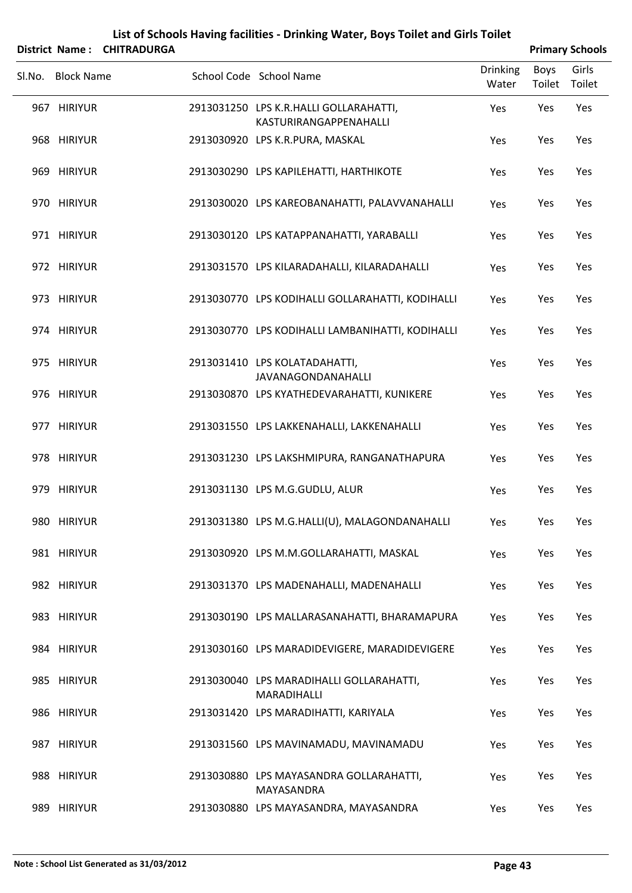| List of Schools Having facilities - Drinking Water, Boys Toilet and Girls Toilet<br>District Name: CHITRADURGA<br><b>Primary Schools</b> |                   |  |  |                                                                  |                          |                       |                 |  |  |
|------------------------------------------------------------------------------------------------------------------------------------------|-------------------|--|--|------------------------------------------------------------------|--------------------------|-----------------------|-----------------|--|--|
|                                                                                                                                          | SI.No. Block Name |  |  | School Code School Name                                          | <b>Drinking</b><br>Water | <b>Boys</b><br>Toilet | Girls<br>Toilet |  |  |
|                                                                                                                                          | 967 HIRIYUR       |  |  | 2913031250 LPS K.R.HALLI GOLLARAHATTI,<br>KASTURIRANGAPPENAHALLI | Yes                      | Yes                   | Yes             |  |  |
|                                                                                                                                          | 968 HIRIYUR       |  |  | 2913030920 LPS K.R.PURA, MASKAL                                  | Yes                      | Yes                   | Yes             |  |  |
|                                                                                                                                          | 969 HIRIYUR       |  |  | 2913030290 LPS KAPILEHATTI, HARTHIKOTE                           | Yes                      | Yes                   | Yes             |  |  |
|                                                                                                                                          | 970 HIRIYUR       |  |  | 2913030020 LPS KAREOBANAHATTI, PALAVVANAHALLI                    | Yes                      | Yes                   | Yes             |  |  |
|                                                                                                                                          | 971 HIRIYUR       |  |  | 2913030120 LPS KATAPPANAHATTI, YARABALLI                         | Yes                      | Yes                   | Yes             |  |  |
|                                                                                                                                          | 972 HIRIYUR       |  |  | 2913031570 LPS KILARADAHALLI, KILARADAHALLI                      | Yes                      | Yes                   | Yes             |  |  |
|                                                                                                                                          | 973 HIRIYUR       |  |  | 2913030770 LPS KODIHALLI GOLLARAHATTI, KODIHALLI                 | Yes                      | Yes                   | Yes             |  |  |
|                                                                                                                                          | 974 HIRIYUR       |  |  | 2913030770 LPS KODIHALLI LAMBANIHATTI, KODIHALLI                 | Yes                      | Yes                   | Yes             |  |  |
|                                                                                                                                          | 975 HIRIYUR       |  |  | 2913031410 LPS KOLATADAHATTI,<br>JAVANAGONDANAHALLI              | Yes                      | Yes                   | Yes             |  |  |
|                                                                                                                                          | 976 HIRIYUR       |  |  | 2913030870 LPS KYATHEDEVARAHATTI, KUNIKERE                       | Yes                      | Yes                   | Yes             |  |  |
|                                                                                                                                          | 977 HIRIYUR       |  |  | 2913031550 LPS LAKKENAHALLI, LAKKENAHALLI                        | Yes                      | Yes                   | Yes             |  |  |
|                                                                                                                                          | 978 HIRIYUR       |  |  | 2913031230 LPS LAKSHMIPURA, RANGANATHAPURA                       | Yes                      | Yes                   | Yes             |  |  |
|                                                                                                                                          | 979 HIRIYUR       |  |  | 2913031130 LPS M.G.GUDLU, ALUR                                   | Yes                      | Yes                   | Yes             |  |  |
|                                                                                                                                          | 980 HIRIYUR       |  |  | 2913031380 LPS M.G.HALLI(U), MALAGONDANAHALLI                    | Yes                      | Yes                   | Yes             |  |  |
|                                                                                                                                          | 981 HIRIYUR       |  |  | 2913030920 LPS M.M.GOLLARAHATTI, MASKAL                          | Yes                      | Yes                   | Yes             |  |  |
|                                                                                                                                          | 982 HIRIYUR       |  |  | 2913031370 LPS MADENAHALLI, MADENAHALLI                          | Yes                      | Yes                   | Yes             |  |  |
|                                                                                                                                          | 983 HIRIYUR       |  |  | 2913030190 LPS MALLARASANAHATTI, BHARAMAPURA                     | Yes                      | Yes                   | Yes             |  |  |
|                                                                                                                                          | 984 HIRIYUR       |  |  | 2913030160 LPS MARADIDEVIGERE, MARADIDEVIGERE                    | Yes                      | Yes                   | Yes             |  |  |
|                                                                                                                                          | 985 HIRIYUR       |  |  | 2913030040 LPS MARADIHALLI GOLLARAHATTI,<br>MARADIHALLI          | Yes                      | Yes                   | Yes             |  |  |
|                                                                                                                                          | 986 HIRIYUR       |  |  | 2913031420 LPS MARADIHATTI, KARIYALA                             | Yes                      | Yes                   | Yes             |  |  |
|                                                                                                                                          | 987 HIRIYUR       |  |  | 2913031560 LPS MAVINAMADU, MAVINAMADU                            | Yes                      | Yes                   | Yes             |  |  |
|                                                                                                                                          | 988 HIRIYUR       |  |  | 2913030880 LPS MAYASANDRA GOLLARAHATTI,<br>MAYASANDRA            | Yes                      | Yes                   | Yes             |  |  |
|                                                                                                                                          | 989 HIRIYUR       |  |  | 2913030880 LPS MAYASANDRA, MAYASANDRA                            | Yes                      | Yes                   | Yes             |  |  |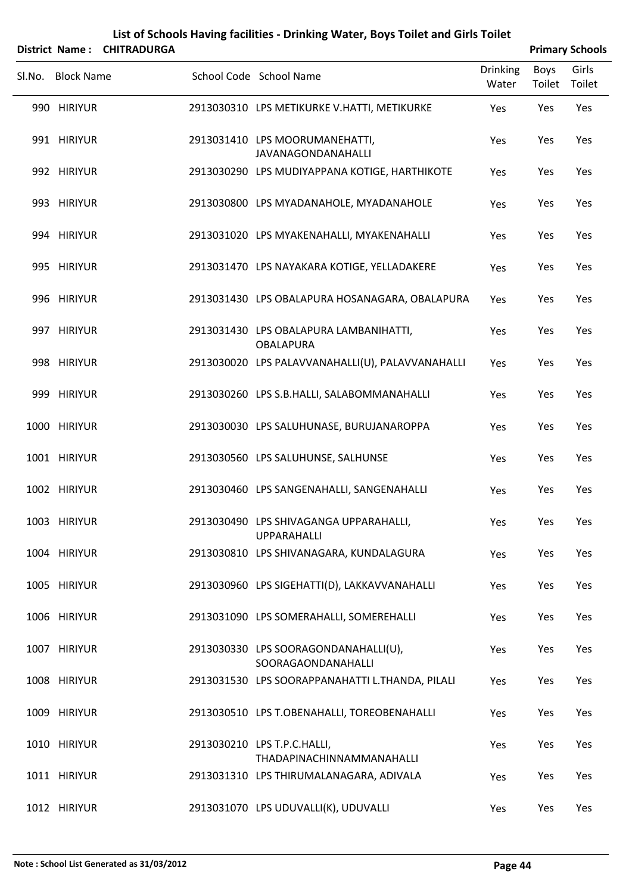|        |                   | District Name: CHITRADURGA |                                                                 |                          |                | <b>Primary Schools</b> |
|--------|-------------------|----------------------------|-----------------------------------------------------------------|--------------------------|----------------|------------------------|
| SI.No. | <b>Block Name</b> |                            | School Code School Name                                         | <b>Drinking</b><br>Water | Boys<br>Toilet | Girls<br>Toilet        |
|        | 990 HIRIYUR       |                            | 2913030310 LPS METIKURKE V.HATTI, METIKURKE                     | Yes                      | Yes            | Yes                    |
|        | 991 HIRIYUR       |                            | 2913031410 LPS MOORUMANEHATTI,<br>JAVANAGONDANAHALLI            | Yes                      | Yes            | Yes                    |
|        | 992 HIRIYUR       |                            | 2913030290 LPS MUDIYAPPANA KOTIGE, HARTHIKOTE                   | Yes                      | Yes            | Yes                    |
|        | 993 HIRIYUR       |                            | 2913030800 LPS MYADANAHOLE, MYADANAHOLE                         | Yes                      | Yes            | Yes                    |
|        | 994 HIRIYUR       |                            | 2913031020 LPS MYAKENAHALLI, MYAKENAHALLI                       | Yes                      | Yes            | Yes                    |
|        | 995 HIRIYUR       |                            | 2913031470 LPS NAYAKARA KOTIGE, YELLADAKERE                     | Yes                      | Yes            | Yes                    |
|        | 996 HIRIYUR       |                            | 2913031430 LPS OBALAPURA HOSANAGARA, OBALAPURA                  | Yes                      | Yes            | Yes                    |
|        | 997 HIRIYUR       |                            | 2913031430 LPS OBALAPURA LAMBANIHATTI,<br><b>OBALAPURA</b>      | Yes                      | Yes            | Yes                    |
|        | 998 HIRIYUR       |                            | 2913030020 LPS PALAVVANAHALLI(U), PALAVVANAHALLI                | Yes                      | Yes            | Yes                    |
|        | 999 HIRIYUR       |                            | 2913030260 LPS S.B.HALLI, SALABOMMANAHALLI                      | Yes                      | Yes            | Yes                    |
|        | 1000 HIRIYUR      |                            | 2913030030 LPS SALUHUNASE, BURUJANAROPPA                        | Yes                      | Yes            | Yes                    |
|        | 1001 HIRIYUR      |                            | 2913030560 LPS SALUHUNSE, SALHUNSE                              | Yes                      | Yes            | Yes                    |
|        | 1002 HIRIYUR      |                            | 2913030460 LPS SANGENAHALLI, SANGENAHALLI                       | Yes                      | Yes            | Yes                    |
|        | 1003 HIRIYUR      |                            | 2913030490 LPS SHIVAGANGA UPPARAHALLI,<br><b>UPPARAHALLI</b>    | Yes                      | Yes            | Yes                    |
|        | 1004 HIRIYUR      |                            | 2913030810 LPS SHIVANAGARA, KUNDALAGURA                         | Yes                      | Yes            | Yes                    |
|        | 1005 HIRIYUR      |                            | 2913030960 LPS SIGEHATTI(D), LAKKAVVANAHALLI                    | Yes                      | Yes            | Yes                    |
|        | 1006 HIRIYUR      |                            | 2913031090 LPS SOMERAHALLI, SOMEREHALLI                         | Yes                      | Yes            | Yes                    |
|        | 1007 HIRIYUR      |                            | 2913030330 LPS SOORAGONDANAHALLI(U),<br>SOORAGAONDANAHALLI      | Yes                      | Yes            | Yes                    |
|        | 1008 HIRIYUR      |                            | 2913031530 LPS SOORAPPANAHATTI L.THANDA, PILALI                 | Yes                      | Yes            | Yes                    |
|        | 1009 HIRIYUR      |                            | 2913030510 LPS T.OBENAHALLI, TOREOBENAHALLI                     | Yes                      | Yes            | Yes                    |
|        | 1010 HIRIYUR      |                            | 2913030210 LPS T.P.C.HALLI,<br><b>THADAPINACHINNAMMANAHALLI</b> | Yes                      | Yes            | Yes                    |
|        | 1011 HIRIYUR      |                            | 2913031310 LPS THIRUMALANAGARA, ADIVALA                         | Yes                      | Yes            | Yes                    |
|        | 1012 HIRIYUR      |                            | 2913031070 LPS UDUVALLI(K), UDUVALLI                            | Yes                      | Yes            | Yes                    |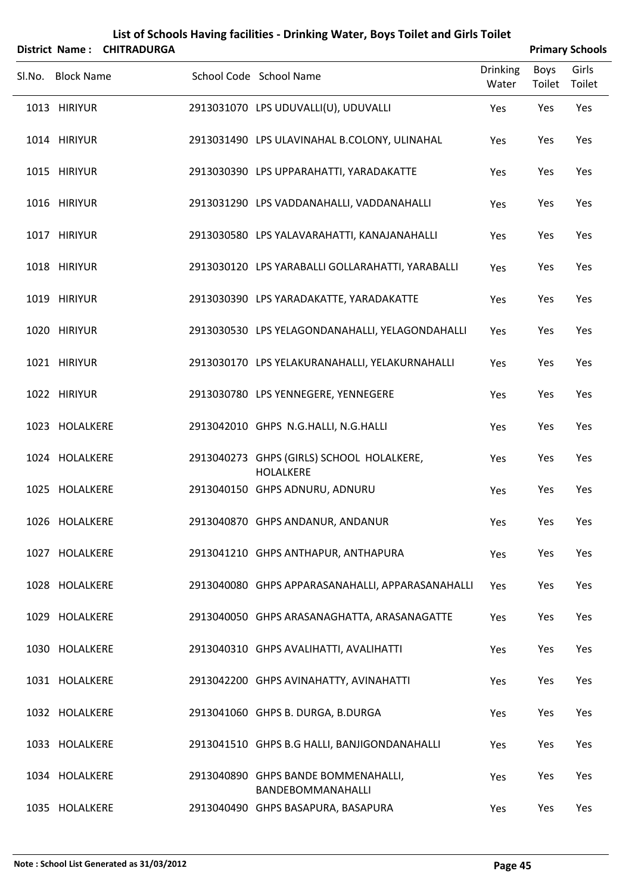|        |                   | District Name: CHITRADURGA |                                                          |                          |                       | <b>Primary Schools</b> |
|--------|-------------------|----------------------------|----------------------------------------------------------|--------------------------|-----------------------|------------------------|
| SI.No. | <b>Block Name</b> |                            | School Code School Name                                  | <b>Drinking</b><br>Water | <b>Boys</b><br>Toilet | Girls<br>Toilet        |
|        | 1013 HIRIYUR      |                            | 2913031070 LPS UDUVALLI(U), UDUVALLI                     | Yes                      | Yes                   | Yes                    |
|        | 1014 HIRIYUR      |                            | 2913031490 LPS ULAVINAHAL B.COLONY, ULINAHAL             | Yes                      | Yes                   | Yes                    |
|        | 1015 HIRIYUR      |                            | 2913030390 LPS UPPARAHATTI, YARADAKATTE                  | Yes                      | Yes                   | Yes                    |
|        | 1016 HIRIYUR      |                            | 2913031290 LPS VADDANAHALLI, VADDANAHALLI                | Yes                      | Yes                   | Yes                    |
|        | 1017 HIRIYUR      |                            | 2913030580 LPS YALAVARAHATTI, KANAJANAHALLI              | Yes                      | Yes                   | Yes                    |
|        | 1018 HIRIYUR      |                            | 2913030120 LPS YARABALLI GOLLARAHATTI, YARABALLI         | Yes                      | Yes                   | Yes                    |
|        | 1019 HIRIYUR      |                            | 2913030390 LPS YARADAKATTE, YARADAKATTE                  | Yes                      | Yes                   | Yes                    |
|        | 1020 HIRIYUR      |                            | 2913030530 LPS YELAGONDANAHALLI, YELAGONDAHALLI          | Yes                      | Yes                   | Yes                    |
|        | 1021 HIRIYUR      |                            | 2913030170 LPS YELAKURANAHALLI, YELAKURNAHALLI           | Yes                      | Yes                   | Yes                    |
|        | 1022 HIRIYUR      |                            | 2913030780 LPS YENNEGERE, YENNEGERE                      | Yes                      | Yes                   | Yes                    |
|        | 1023 HOLALKERE    |                            | 2913042010 GHPS N.G.HALLI, N.G.HALLI                     | Yes                      | Yes                   | Yes                    |
|        | 1024 HOLALKERE    |                            | 2913040273 GHPS (GIRLS) SCHOOL HOLALKERE,<br>HOLALKERE   | Yes                      | Yes                   | Yes                    |
|        | 1025 HOLALKERE    |                            | 2913040150 GHPS ADNURU, ADNURU                           | Yes                      | Yes                   | Yes                    |
|        | 1026 HOLALKERE    |                            | 2913040870 GHPS ANDANUR, ANDANUR                         | Yes                      | Yes                   | Yes                    |
|        | 1027 HOLALKERE    |                            | 2913041210 GHPS ANTHAPUR, ANTHAPURA                      | Yes                      | Yes                   | Yes                    |
|        | 1028 HOLALKERE    |                            | 2913040080 GHPS APPARASANAHALLI, APPARASANAHALLI         | Yes                      | Yes                   | Yes                    |
|        | 1029 HOLALKERE    |                            | 2913040050 GHPS ARASANAGHATTA, ARASANAGATTE              | Yes                      | Yes                   | Yes                    |
|        | 1030 HOLALKERE    |                            | 2913040310 GHPS AVALIHATTI, AVALIHATTI                   | Yes                      | Yes                   | Yes                    |
|        | 1031 HOLALKERE    |                            | 2913042200 GHPS AVINAHATTY, AVINAHATTI                   | Yes                      | Yes                   | Yes                    |
|        | 1032 HOLALKERE    |                            | 2913041060 GHPS B. DURGA, B.DURGA                        | Yes                      | Yes                   | Yes                    |
|        | 1033 HOLALKERE    |                            | 2913041510 GHPS B.G HALLI, BANJIGONDANAHALLI             | Yes                      | Yes                   | Yes                    |
|        | 1034 HOLALKERE    |                            | 2913040890 GHPS BANDE BOMMENAHALLI,<br>BANDEBOMMANAHALLI | Yes                      | Yes                   | Yes                    |
|        | 1035 HOLALKERE    |                            | 2913040490 GHPS BASAPURA, BASAPURA                       | Yes                      | Yes                   | Yes                    |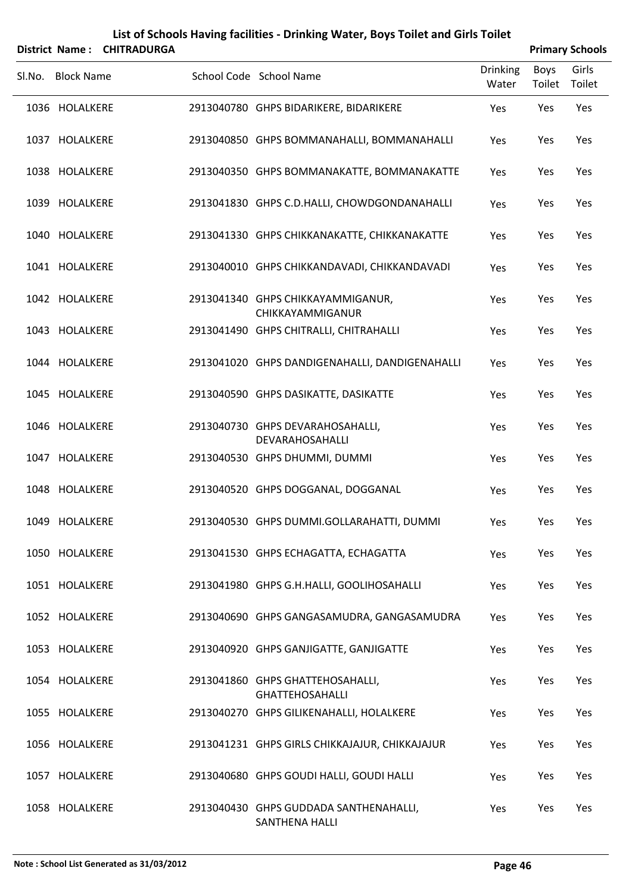|        |                   | District Name: CHITRADURGA |                                                            |                          |                | <b>Primary Schools</b> |
|--------|-------------------|----------------------------|------------------------------------------------------------|--------------------------|----------------|------------------------|
| Sl.No. | <b>Block Name</b> |                            | School Code School Name                                    | <b>Drinking</b><br>Water | Boys<br>Toilet | Girls<br>Toilet        |
|        | 1036 HOLALKERE    |                            | 2913040780 GHPS BIDARIKERE, BIDARIKERE                     | Yes                      | Yes            | Yes                    |
|        | 1037 HOLALKERE    |                            | 2913040850 GHPS BOMMANAHALLI, BOMMANAHALLI                 | Yes                      | Yes            | Yes                    |
|        | 1038 HOLALKERE    |                            | 2913040350 GHPS BOMMANAKATTE, BOMMANAKATTE                 | Yes                      | Yes            | Yes                    |
|        | 1039 HOLALKERE    |                            | 2913041830 GHPS C.D.HALLI, CHOWDGONDANAHALLI               | Yes                      | Yes            | Yes                    |
|        | 1040 HOLALKERE    |                            | 2913041330 GHPS CHIKKANAKATTE, CHIKKANAKATTE               | Yes                      | Yes            | Yes                    |
|        | 1041 HOLALKERE    |                            | 2913040010 GHPS CHIKKANDAVADI, CHIKKANDAVADI               | Yes                      | Yes            | Yes                    |
|        | 1042 HOLALKERE    |                            | 2913041340 GHPS CHIKKAYAMMIGANUR,<br>CHIKKAYAMMIGANUR      | Yes                      | Yes            | Yes                    |
|        | 1043 HOLALKERE    |                            | 2913041490 GHPS CHITRALLI, CHITRAHALLI                     | Yes                      | Yes            | Yes                    |
|        | 1044 HOLALKERE    |                            | 2913041020 GHPS DANDIGENAHALLI, DANDIGENAHALLI             | Yes                      | Yes            | Yes                    |
|        | 1045 HOLALKERE    |                            | 2913040590 GHPS DASIKATTE, DASIKATTE                       | Yes                      | Yes            | Yes                    |
|        | 1046 HOLALKERE    |                            | 2913040730 GHPS DEVARAHOSAHALLI,<br>DEVARAHOSAHALLI        | Yes                      | Yes            | Yes                    |
|        | 1047 HOLALKERE    |                            | 2913040530 GHPS DHUMMI, DUMMI                              | Yes                      | Yes            | Yes                    |
|        | 1048 HOLALKERE    |                            | 2913040520 GHPS DOGGANAL, DOGGANAL                         | Yes                      | Yes            | Yes                    |
|        | 1049 HOLALKERE    |                            | 2913040530 GHPS DUMMI.GOLLARAHATTI, DUMMI                  | Yes                      | Yes            | Yes                    |
|        | 1050 HOLALKERE    |                            | 2913041530 GHPS ECHAGATTA, ECHAGATTA                       | Yes                      | Yes            | Yes                    |
|        | 1051 HOLALKERE    |                            | 2913041980 GHPS G.H.HALLI, GOOLIHOSAHALLI                  | Yes                      | Yes            | Yes                    |
|        | 1052 HOLALKERE    |                            | 2913040690 GHPS GANGASAMUDRA, GANGASAMUDRA                 | Yes                      | Yes            | Yes                    |
|        | 1053 HOLALKERE    |                            | 2913040920 GHPS GANJIGATTE, GANJIGATTE                     | Yes                      | Yes            | Yes                    |
|        | 1054 HOLALKERE    |                            | 2913041860 GHPS GHATTEHOSAHALLI,<br><b>GHATTEHOSAHALLI</b> | Yes                      | Yes            | Yes                    |
|        | 1055 HOLALKERE    |                            | 2913040270 GHPS GILIKENAHALLI, HOLALKERE                   | Yes                      | Yes            | Yes                    |
|        | 1056 HOLALKERE    |                            | 2913041231 GHPS GIRLS CHIKKAJAJUR, CHIKKAJAJUR             | Yes                      | Yes            | Yes                    |
|        | 1057 HOLALKERE    |                            | 2913040680 GHPS GOUDI HALLI, GOUDI HALLI                   | Yes                      | Yes            | Yes                    |
|        | 1058 HOLALKERE    |                            | 2913040430 GHPS GUDDADA SANTHENAHALLI,<br>SANTHENA HALLI   | Yes                      | Yes            | Yes                    |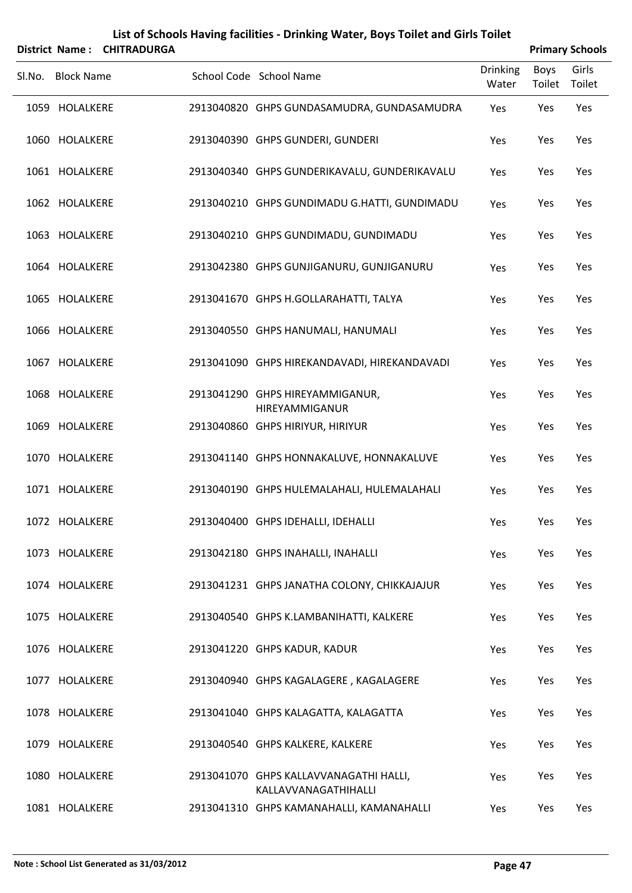|        | <b>District Name:</b> | List of Schools Having facilities - Drinking Water, Boys Toilet and Girls Toilet<br><b>CHITRADURGA</b> | <b>Primary Schools</b>                                         |                          |                       |                 |
|--------|-----------------------|--------------------------------------------------------------------------------------------------------|----------------------------------------------------------------|--------------------------|-----------------------|-----------------|
| Sl.No. | <b>Block Name</b>     |                                                                                                        | School Code School Name                                        | <b>Drinking</b><br>Water | <b>Boys</b><br>Toilet | Girls<br>Toilet |
|        | 1059 HOLALKERE        |                                                                                                        | 2913040820 GHPS GUNDASAMUDRA, GUNDASAMUDRA                     | Yes                      | Yes                   | Yes             |
|        | 1060 HOLALKERE        |                                                                                                        | 2913040390 GHPS GUNDERI, GUNDERI                               | Yes                      | Yes                   | Yes             |
|        | 1061 HOLALKERE        |                                                                                                        | 2913040340 GHPS GUNDERIKAVALU, GUNDERIKAVALU                   | Yes                      | Yes                   | Yes             |
|        | 1062 HOLALKERE        |                                                                                                        | 2913040210 GHPS GUNDIMADU G.HATTI, GUNDIMADU                   | Yes                      | Yes                   | Yes             |
|        | 1063 HOLALKERE        |                                                                                                        | 2913040210 GHPS GUNDIMADU, GUNDIMADU                           | Yes                      | Yes                   | Yes             |
|        | 1064 HOLALKERE        |                                                                                                        | 2913042380 GHPS GUNJIGANURU, GUNJIGANURU                       | Yes                      | Yes                   | Yes             |
|        | 1065 HOLALKERE        |                                                                                                        | 2913041670 GHPS H.GOLLARAHATTI, TALYA                          | Yes                      | Yes                   | Yes             |
|        | 1066 HOLALKERE        |                                                                                                        | 2913040550 GHPS HANUMALI, HANUMALI                             | Yes                      | Yes                   | Yes             |
|        | 1067 HOLALKERE        |                                                                                                        | 2913041090 GHPS HIREKANDAVADI, HIREKANDAVADI                   | Yes                      | Yes                   | Yes             |
|        | 1068 HOLALKERE        |                                                                                                        | 2913041290 GHPS HIREYAMMIGANUR,<br>HIREYAMMIGANUR              | Yes                      | Yes                   | Yes             |
|        | 1069 HOLALKERE        |                                                                                                        | 2913040860 GHPS HIRIYUR, HIRIYUR                               | Yes                      | Yes                   | Yes             |
|        | 1070 HOLALKERE        |                                                                                                        | 2913041140 GHPS HONNAKALUVE, HONNAKALUVE                       | Yes                      | Yes                   | Yes             |
|        | 1071 HOLALKERE        |                                                                                                        | 2913040190 GHPS HULEMALAHALI, HULEMALAHALI                     | Yes                      | Yes                   | Yes             |
|        | 1072 HOLALKERE        |                                                                                                        | 2913040400 GHPS IDEHALLI, IDEHALLI                             | Yes                      | Yes                   | Yes             |
|        | 1073 HOLALKERE        |                                                                                                        | 2913042180 GHPS INAHALLI, INAHALLI                             | Yes                      | Yes                   | Yes             |
|        | 1074 HOLALKERE        |                                                                                                        | 2913041231 GHPS JANATHA COLONY, CHIKKAJAJUR                    | Yes                      | Yes                   | Yes             |
|        | 1075 HOLALKERE        |                                                                                                        | 2913040540 GHPS K.LAMBANIHATTI, KALKERE                        | Yes                      | Yes                   | Yes             |
|        | 1076 HOLALKERE        |                                                                                                        | 2913041220 GHPS KADUR, KADUR                                   | Yes                      | Yes                   | Yes             |
|        | 1077 HOLALKERE        |                                                                                                        | 2913040940 GHPS KAGALAGERE, KAGALAGERE                         | Yes                      | Yes                   | Yes             |
|        | 1078 HOLALKERE        |                                                                                                        | 2913041040 GHPS KALAGATTA, KALAGATTA                           | Yes                      | Yes                   | Yes             |
|        | 1079 HOLALKERE        |                                                                                                        | 2913040540 GHPS KALKERE, KALKERE                               | Yes                      | Yes                   | Yes             |
|        | 1080 HOLALKERE        |                                                                                                        | 2913041070 GHPS KALLAVVANAGATHI HALLI,<br>KALLAVVANAGATHIHALLI | Yes                      | Yes                   | Yes             |
|        | 1081 HOLALKERE        |                                                                                                        | 2913041310 GHPS KAMANAHALLI, KAMANAHALLI                       | Yes                      | Yes                   | Yes             |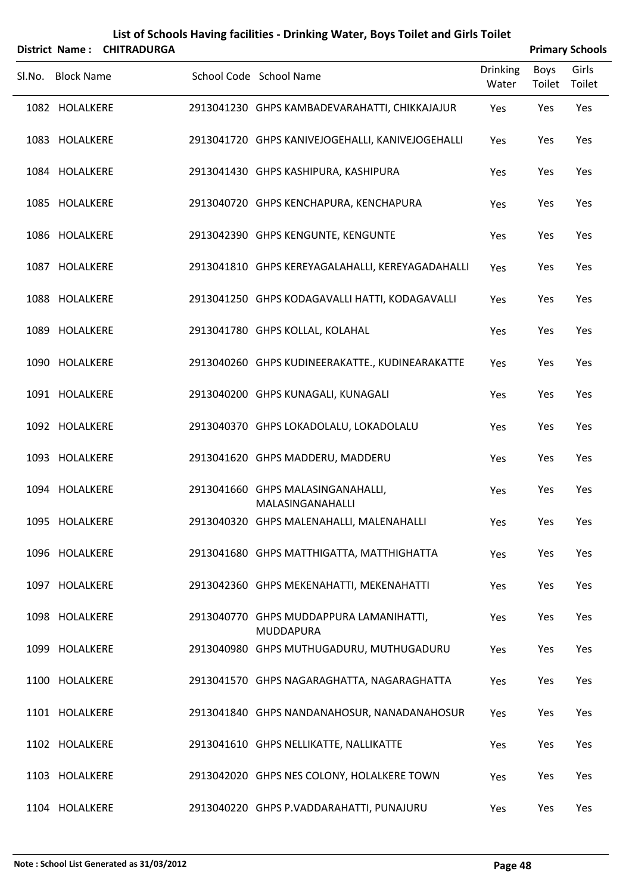|        |                   | District Name: CHITRADURGA |                                                             |                          |                       | <b>Primary Schools</b> |
|--------|-------------------|----------------------------|-------------------------------------------------------------|--------------------------|-----------------------|------------------------|
| SI.No. | <b>Block Name</b> |                            | School Code School Name                                     | <b>Drinking</b><br>Water | <b>Boys</b><br>Toilet | Girls<br>Toilet        |
|        | 1082 HOLALKERE    |                            | 2913041230 GHPS KAMBADEVARAHATTI, CHIKKAJAJUR               | Yes                      | Yes                   | Yes                    |
|        | 1083 HOLALKERE    |                            | 2913041720 GHPS KANIVEJOGEHALLI, KANIVEJOGEHALLI            | Yes                      | Yes                   | Yes                    |
|        | 1084 HOLALKERE    |                            | 2913041430 GHPS KASHIPURA, KASHIPURA                        | Yes                      | Yes                   | Yes                    |
|        | 1085 HOLALKERE    |                            | 2913040720 GHPS KENCHAPURA, KENCHAPURA                      | Yes                      | Yes                   | Yes                    |
|        | 1086 HOLALKERE    |                            | 2913042390 GHPS KENGUNTE, KENGUNTE                          | Yes                      | Yes                   | Yes                    |
|        | 1087 HOLALKERE    |                            | 2913041810 GHPS KEREYAGALAHALLI, KEREYAGADAHALLI            | Yes                      | Yes                   | Yes                    |
|        | 1088 HOLALKERE    |                            | 2913041250 GHPS KODAGAVALLI HATTI, KODAGAVALLI              | Yes                      | Yes                   | Yes                    |
|        | 1089 HOLALKERE    |                            | 2913041780 GHPS KOLLAL, KOLAHAL                             | Yes                      | Yes                   | Yes                    |
|        | 1090 HOLALKERE    |                            | 2913040260 GHPS KUDINEERAKATTE., KUDINEARAKATTE             | Yes                      | Yes                   | Yes                    |
|        | 1091 HOLALKERE    |                            | 2913040200 GHPS KUNAGALI, KUNAGALI                          | Yes                      | Yes                   | Yes                    |
|        | 1092 HOLALKERE    |                            | 2913040370 GHPS LOKADOLALU, LOKADOLALU                      | Yes                      | Yes                   | Yes                    |
|        | 1093 HOLALKERE    |                            | 2913041620 GHPS MADDERU, MADDERU                            | Yes                      | Yes                   | Yes                    |
|        | 1094 HOLALKERE    |                            | 2913041660 GHPS MALASINGANAHALLI,<br>MALASINGANAHALLI       | Yes                      | Yes                   | Yes                    |
|        | 1095 HOLALKERE    |                            | 2913040320 GHPS MALENAHALLI, MALENAHALLI                    | Yes                      | Yes                   | Yes                    |
|        | 1096 HOLALKERE    |                            | 2913041680 GHPS MATTHIGATTA, MATTHIGHATTA                   | Yes                      | Yes                   | Yes                    |
|        | 1097 HOLALKERE    |                            | 2913042360 GHPS MEKENAHATTI, MEKENAHATTI                    | Yes                      | Yes                   | Yes                    |
|        | 1098 HOLALKERE    |                            | 2913040770 GHPS MUDDAPPURA LAMANIHATTI,<br><b>MUDDAPURA</b> | Yes                      | Yes                   | Yes                    |
|        | 1099 HOLALKERE    |                            | 2913040980 GHPS MUTHUGADURU, MUTHUGADURU                    | Yes                      | Yes                   | Yes                    |
|        | 1100 HOLALKERE    |                            | 2913041570 GHPS NAGARAGHATTA, NAGARAGHATTA                  | Yes                      | Yes                   | Yes                    |
|        | 1101 HOLALKERE    |                            | 2913041840 GHPS NANDANAHOSUR, NANADANAHOSUR                 | Yes                      | Yes                   | Yes                    |
|        | 1102 HOLALKERE    |                            | 2913041610 GHPS NELLIKATTE, NALLIKATTE                      | Yes                      | Yes                   | Yes                    |
|        | 1103 HOLALKERE    |                            | 2913042020 GHPS NES COLONY, HOLALKERE TOWN                  | Yes                      | Yes                   | Yes                    |
|        | 1104 HOLALKERE    |                            | 2913040220 GHPS P.VADDARAHATTI, PUNAJURU                    | Yes                      | Yes                   | Yes                    |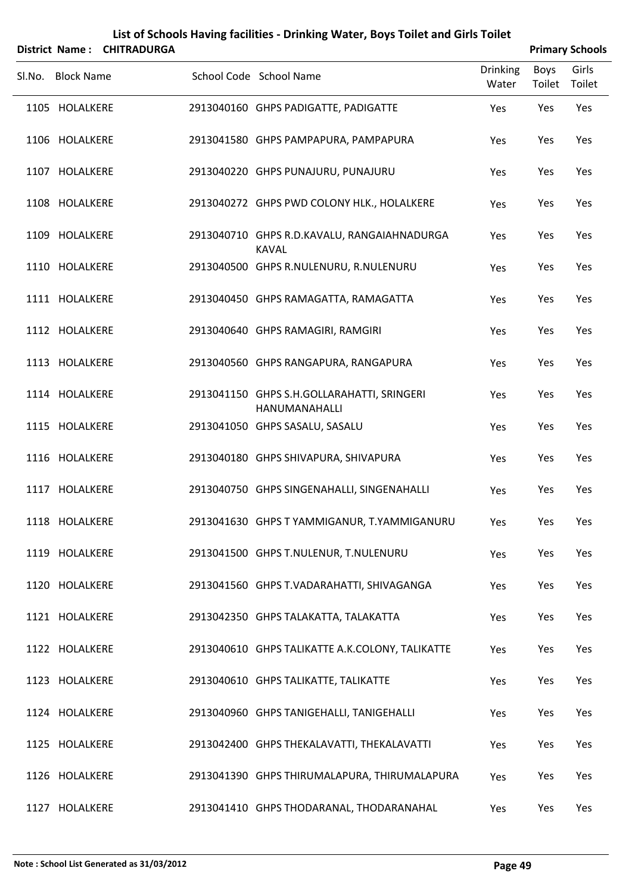|        |                   | District Name: CHITRADURGA |                                                             |                          |                | <b>Primary Schools</b> |
|--------|-------------------|----------------------------|-------------------------------------------------------------|--------------------------|----------------|------------------------|
| Sl.No. | <b>Block Name</b> |                            | School Code School Name                                     | <b>Drinking</b><br>Water | Boys<br>Toilet | Girls<br>Toilet        |
|        | 1105 HOLALKERE    |                            | 2913040160 GHPS PADIGATTE, PADIGATTE                        | Yes                      | Yes            | Yes                    |
|        | 1106 HOLALKERE    |                            | 2913041580 GHPS PAMPAPURA, PAMPAPURA                        | Yes                      | Yes            | Yes                    |
|        | 1107 HOLALKERE    |                            | 2913040220 GHPS PUNAJURU, PUNAJURU                          | Yes                      | Yes            | Yes                    |
|        | 1108 HOLALKERE    |                            | 2913040272 GHPS PWD COLONY HLK., HOLALKERE                  | Yes                      | Yes            | Yes                    |
|        | 1109 HOLALKERE    |                            | 2913040710 GHPS R.D.KAVALU, RANGAIAHNADURGA<br><b>KAVAL</b> | Yes                      | Yes            | Yes                    |
|        | 1110 HOLALKERE    |                            | 2913040500 GHPS R.NULENURU, R.NULENURU                      | Yes                      | Yes            | Yes                    |
|        | 1111 HOLALKERE    |                            | 2913040450 GHPS RAMAGATTA, RAMAGATTA                        | Yes                      | Yes            | Yes                    |
|        | 1112 HOLALKERE    |                            | 2913040640 GHPS RAMAGIRI, RAMGIRI                           | Yes                      | Yes            | Yes                    |
|        | 1113 HOLALKERE    |                            | 2913040560 GHPS RANGAPURA, RANGAPURA                        | Yes                      | Yes            | Yes                    |
|        | 1114 HOLALKERE    |                            | 2913041150 GHPS S.H.GOLLARAHATTI, SRINGERI<br>HANUMANAHALLI | Yes                      | Yes            | Yes                    |
|        | 1115 HOLALKERE    |                            | 2913041050 GHPS SASALU, SASALU                              | Yes                      | Yes            | Yes                    |
|        | 1116 HOLALKERE    |                            | 2913040180 GHPS SHIVAPURA, SHIVAPURA                        | Yes                      | Yes            | Yes                    |
|        | 1117 HOLALKERE    |                            | 2913040750 GHPS SINGENAHALLI, SINGENAHALLI                  | Yes                      | Yes            | Yes                    |
|        | 1118 HOLALKERE    |                            | 2913041630 GHPS T YAMMIGANUR, T.YAMMIGANURU                 | Yes                      | Yes            | Yes                    |
|        | 1119 HOLALKERE    |                            | 2913041500 GHPS T.NULENUR, T.NULENURU                       | Yes                      | Yes            | Yes                    |
|        | 1120 HOLALKERE    |                            | 2913041560 GHPS T.VADARAHATTI, SHIVAGANGA                   | Yes                      | Yes            | Yes                    |
|        | 1121 HOLALKERE    |                            | 2913042350 GHPS TALAKATTA, TALAKATTA                        | Yes                      | Yes            | Yes                    |
|        | 1122 HOLALKERE    |                            | 2913040610 GHPS TALIKATTE A.K.COLONY, TALIKATTE             | Yes                      | Yes            | Yes                    |
|        | 1123 HOLALKERE    |                            | 2913040610 GHPS TALIKATTE, TALIKATTE                        | Yes                      | Yes            | Yes                    |
|        | 1124 HOLALKERE    |                            | 2913040960 GHPS TANIGEHALLI, TANIGEHALLI                    | Yes                      | Yes            | Yes                    |
|        | 1125 HOLALKERE    |                            | 2913042400 GHPS THEKALAVATTI, THEKALAVATTI                  | Yes                      | Yes            | Yes                    |
|        | 1126 HOLALKERE    |                            | 2913041390 GHPS THIRUMALAPURA, THIRUMALAPURA                | Yes                      | Yes            | Yes                    |
|        | 1127 HOLALKERE    |                            | 2913041410 GHPS THODARANAL, THODARANAHAL                    | Yes                      | Yes            | Yes                    |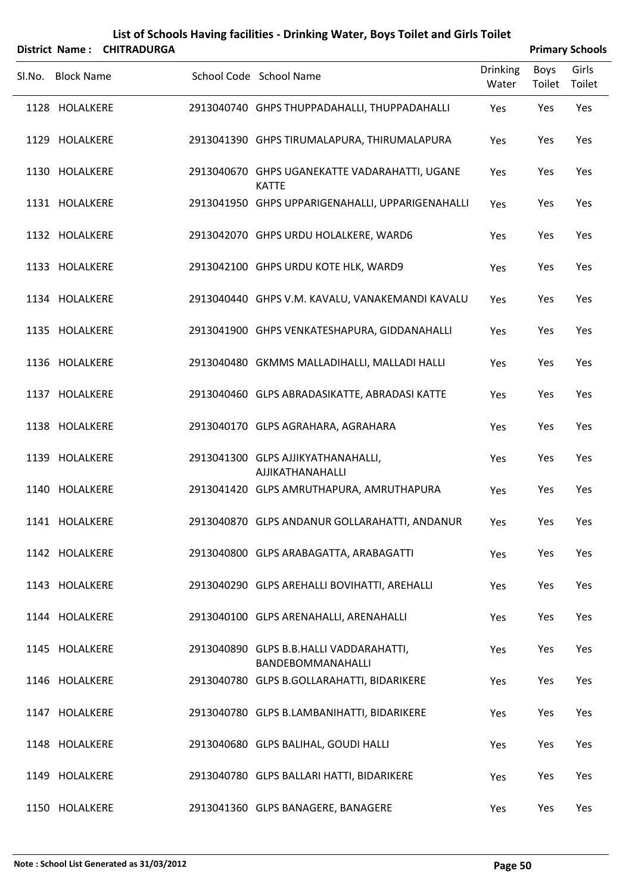|        |                   | District Name: CHITRADURGA |                                                               |                          |                | <b>Primary Schools</b> |
|--------|-------------------|----------------------------|---------------------------------------------------------------|--------------------------|----------------|------------------------|
| SI.No. | <b>Block Name</b> |                            | School Code School Name                                       | <b>Drinking</b><br>Water | Boys<br>Toilet | Girls<br>Toilet        |
|        | 1128 HOLALKERE    |                            | 2913040740 GHPS THUPPADAHALLI, THUPPADAHALLI                  | Yes                      | Yes            | Yes                    |
|        | 1129 HOLALKERE    |                            | 2913041390 GHPS TIRUMALAPURA, THIRUMALAPURA                   | Yes                      | Yes            | Yes                    |
|        | 1130 HOLALKERE    |                            | 2913040670 GHPS UGANEKATTE VADARAHATTI, UGANE<br><b>KATTE</b> | Yes                      | Yes            | Yes                    |
|        | 1131 HOLALKERE    |                            | 2913041950 GHPS UPPARIGENAHALLI, UPPARIGENAHALLI              | Yes                      | Yes            | Yes                    |
|        | 1132 HOLALKERE    |                            | 2913042070 GHPS URDU HOLALKERE, WARD6                         | Yes                      | Yes            | Yes                    |
|        | 1133 HOLALKERE    |                            | 2913042100 GHPS URDU KOTE HLK, WARD9                          | Yes                      | Yes            | Yes                    |
|        | 1134 HOLALKERE    |                            | 2913040440 GHPS V.M. KAVALU, VANAKEMANDI KAVALU               | Yes                      | Yes            | Yes                    |
|        | 1135 HOLALKERE    |                            | 2913041900 GHPS VENKATESHAPURA, GIDDANAHALLI                  | Yes                      | Yes            | Yes                    |
|        | 1136 HOLALKERE    |                            | 2913040480 GKMMS MALLADIHALLI, MALLADI HALLI                  | Yes                      | Yes            | Yes                    |
|        | 1137 HOLALKERE    |                            | 2913040460 GLPS ABRADASIKATTE, ABRADASI KATTE                 | Yes                      | Yes            | Yes                    |
|        | 1138 HOLALKERE    |                            | 2913040170 GLPS AGRAHARA, AGRAHARA                            | Yes                      | Yes            | Yes                    |
|        | 1139 HOLALKERE    |                            | 2913041300 GLPS AJJIKYATHANAHALLI,<br>AJJIKATHANAHALLI        | Yes                      | Yes            | Yes                    |
|        | 1140 HOLALKERE    |                            | 2913041420 GLPS AMRUTHAPURA, AMRUTHAPURA                      | Yes                      | Yes            | Yes                    |
|        | 1141 HOLALKERE    |                            | 2913040870 GLPS ANDANUR GOLLARAHATTI, ANDANUR                 | Yes                      | Yes            | Yes                    |
|        | 1142 HOLALKERE    |                            | 2913040800 GLPS ARABAGATTA, ARABAGATTI                        | Yes                      | Yes            | Yes                    |
|        | 1143 HOLALKERE    |                            | 2913040290 GLPS AREHALLI BOVIHATTI, AREHALLI                  | Yes                      | Yes            | Yes                    |
|        | 1144 HOLALKERE    |                            | 2913040100 GLPS ARENAHALLI, ARENAHALLI                        | Yes                      | Yes            | Yes                    |
|        | 1145 HOLALKERE    |                            | 2913040890 GLPS B.B.HALLI VADDARAHATTI,<br>BANDEBOMMANAHALLI  | Yes                      | Yes            | Yes                    |
|        | 1146 HOLALKERE    |                            | 2913040780 GLPS B.GOLLARAHATTI, BIDARIKERE                    | Yes                      | Yes            | Yes                    |
|        | 1147 HOLALKERE    |                            | 2913040780 GLPS B.LAMBANIHATTI, BIDARIKERE                    | Yes                      | Yes            | Yes                    |
|        | 1148 HOLALKERE    |                            | 2913040680 GLPS BALIHAL, GOUDI HALLI                          | Yes                      | Yes            | Yes                    |
|        | 1149 HOLALKERE    |                            | 2913040780 GLPS BALLARI HATTI, BIDARIKERE                     | Yes                      | Yes            | Yes                    |
|        | 1150 HOLALKERE    |                            | 2913041360 GLPS BANAGERE, BANAGERE                            | Yes                      | Yes            | Yes                    |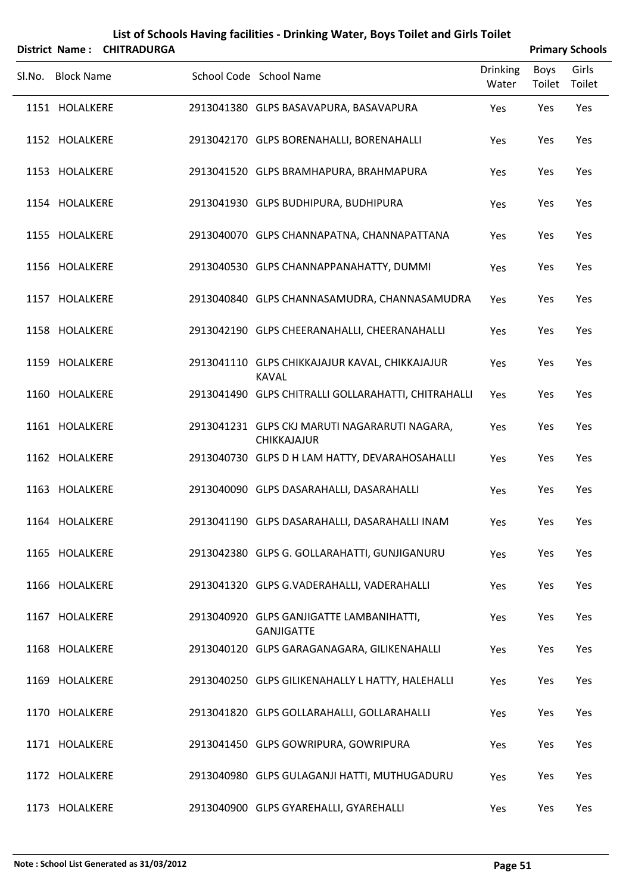|        |                   | District Name: CHITRADURGA |                                                                     |                   |                | <b>Primary Schools</b> |
|--------|-------------------|----------------------------|---------------------------------------------------------------------|-------------------|----------------|------------------------|
| Sl.No. | <b>Block Name</b> |                            | School Code School Name                                             | Drinking<br>Water | Boys<br>Toilet | Girls<br>Toilet        |
|        | 1151 HOLALKERE    |                            | 2913041380 GLPS BASAVAPURA, BASAVAPURA                              | Yes               | Yes            | Yes                    |
|        | 1152 HOLALKERE    |                            | 2913042170 GLPS BORENAHALLI, BORENAHALLI                            | Yes               | Yes            | Yes                    |
|        | 1153 HOLALKERE    |                            | 2913041520 GLPS BRAMHAPURA, BRAHMAPURA                              | Yes               | Yes            | Yes                    |
|        | 1154 HOLALKERE    |                            | 2913041930 GLPS BUDHIPURA, BUDHIPURA                                | Yes               | Yes            | Yes                    |
|        | 1155 HOLALKERE    |                            | 2913040070 GLPS CHANNAPATNA, CHANNAPATTANA                          | Yes               | Yes            | Yes                    |
|        | 1156 HOLALKERE    |                            | 2913040530 GLPS CHANNAPPANAHATTY, DUMMI                             | Yes               | Yes            | Yes                    |
|        | 1157 HOLALKERE    |                            | 2913040840 GLPS CHANNASAMUDRA, CHANNASAMUDRA                        | Yes               | Yes            | Yes                    |
|        | 1158 HOLALKERE    |                            | 2913042190 GLPS CHEERANAHALLI, CHEERANAHALLI                        | Yes               | Yes            | Yes                    |
|        | 1159 HOLALKERE    |                            | 2913041110 GLPS CHIKKAJAJUR KAVAL, CHIKKAJAJUR<br><b>KAVAL</b>      | Yes               | Yes            | Yes                    |
|        | 1160 HOLALKERE    |                            | 2913041490 GLPS CHITRALLI GOLLARAHATTI, CHITRAHALLI                 | Yes               | Yes            | Yes                    |
|        | 1161 HOLALKERE    |                            | 2913041231 GLPS CKJ MARUTI NAGARARUTI NAGARA,<br><b>CHIKKAJAJUR</b> | Yes               | Yes            | Yes                    |
|        | 1162 HOLALKERE    |                            | 2913040730 GLPS D H LAM HATTY, DEVARAHOSAHALLI                      | Yes               | Yes            | Yes                    |
|        | 1163 HOLALKERE    |                            | 2913040090 GLPS DASARAHALLI, DASARAHALLI                            | Yes               | Yes            | Yes                    |
|        | 1164 HOLALKERE    |                            | 2913041190 GLPS DASARAHALLI, DASARAHALLI INAM                       | Yes               | Yes            | Yes                    |
|        | 1165 HOLALKERE    |                            | 2913042380 GLPS G. GOLLARAHATTI, GUNJIGANURU                        | Yes               | Yes            | Yes                    |
|        | 1166 HOLALKERE    |                            | 2913041320 GLPS G.VADERAHALLI, VADERAHALLI                          | Yes               | Yes            | Yes                    |
|        | 1167 HOLALKERE    |                            | 2913040920 GLPS GANJIGATTE LAMBANIHATTI,<br><b>GANJIGATTE</b>       | Yes               | Yes            | Yes                    |
|        | 1168 HOLALKERE    |                            | 2913040120 GLPS GARAGANAGARA, GILIKENAHALLI                         | Yes               | Yes            | Yes                    |
|        | 1169 HOLALKERE    |                            | 2913040250 GLPS GILIKENAHALLY L HATTY, HALEHALLI                    | Yes               | Yes            | Yes                    |
|        | 1170 HOLALKERE    |                            | 2913041820 GLPS GOLLARAHALLI, GOLLARAHALLI                          | Yes               | Yes            | Yes                    |
|        | 1171 HOLALKERE    |                            | 2913041450 GLPS GOWRIPURA, GOWRIPURA                                | Yes               | Yes            | Yes                    |
|        | 1172 HOLALKERE    |                            | 2913040980 GLPS GULAGANJI HATTI, MUTHUGADURU                        | Yes               | Yes            | Yes                    |
|        | 1173 HOLALKERE    |                            | 2913040900 GLPS GYAREHALLI, GYAREHALLI                              | Yes               | Yes            | Yes                    |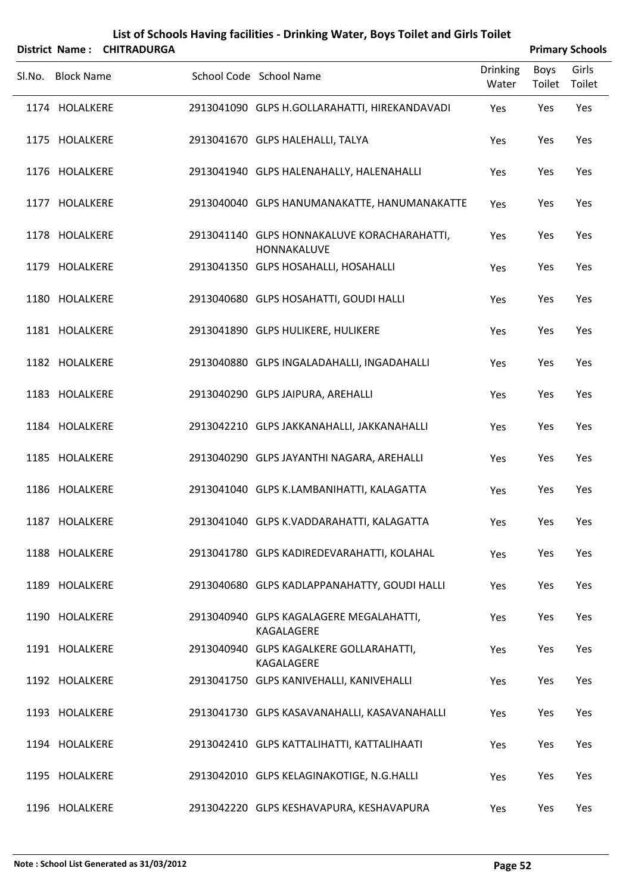|                   | District Name: CHITRADURGA |                                                            |                          |                | <b>Primary Schools</b> |
|-------------------|----------------------------|------------------------------------------------------------|--------------------------|----------------|------------------------|
| Sl.No. Block Name |                            | School Code School Name                                    | <b>Drinking</b><br>Water | Boys<br>Toilet | Girls<br>Toilet        |
| 1174 HOLALKERE    |                            | 2913041090 GLPS H.GOLLARAHATTI, HIREKANDAVADI              | Yes                      | Yes            | Yes                    |
| 1175 HOLALKERE    |                            | 2913041670 GLPS HALEHALLI, TALYA                           | Yes                      | Yes            | Yes                    |
| 1176 HOLALKERE    |                            | 2913041940 GLPS HALENAHALLY, HALENAHALLI                   | Yes                      | Yes            | Yes                    |
| 1177 HOLALKERE    |                            | 2913040040 GLPS HANUMANAKATTE, HANUMANAKATTE               | Yes                      | Yes            | Yes                    |
| 1178 HOLALKERE    |                            | 2913041140 GLPS HONNAKALUVE KORACHARAHATTI,<br>HONNAKALUVE | Yes                      | Yes            | Yes                    |
| 1179 HOLALKERE    |                            | 2913041350 GLPS HOSAHALLI, HOSAHALLI                       | Yes                      | Yes            | Yes                    |
| 1180 HOLALKERE    |                            | 2913040680 GLPS HOSAHATTI, GOUDI HALLI                     | Yes                      | Yes            | Yes                    |
| 1181 HOLALKERE    |                            | 2913041890 GLPS HULIKERE, HULIKERE                         | Yes                      | Yes            | Yes                    |
| 1182 HOLALKERE    |                            | 2913040880 GLPS INGALADAHALLI, INGADAHALLI                 | Yes                      | Yes            | Yes                    |
| 1183 HOLALKERE    |                            | 2913040290 GLPS JAIPURA, AREHALLI                          | Yes                      | Yes            | Yes                    |
| 1184 HOLALKERE    |                            | 2913042210 GLPS JAKKANAHALLI, JAKKANAHALLI                 | Yes                      | Yes            | Yes                    |
| 1185 HOLALKERE    |                            | 2913040290 GLPS JAYANTHI NAGARA, AREHALLI                  | Yes                      | Yes            | Yes                    |
| 1186 HOLALKERE    |                            | 2913041040 GLPS K.LAMBANIHATTI, KALAGATTA                  | Yes                      | Yes            | Yes                    |
| 1187 HOLALKERE    |                            | 2913041040 GLPS K.VADDARAHATTI, KALAGATTA                  | Yes                      | Yes            | Yes                    |
| 1188 HOLALKERE    |                            | 2913041780 GLPS KADIREDEVARAHATTI, KOLAHAL                 | Yes                      | Yes            | Yes                    |
| 1189 HOLALKERE    |                            | 2913040680 GLPS KADLAPPANAHATTY, GOUDI HALLI               | Yes                      | Yes            | Yes                    |
| 1190 HOLALKERE    |                            | 2913040940 GLPS KAGALAGERE MEGALAHATTI,<br>KAGALAGERE      | Yes                      | Yes            | Yes                    |
| 1191 HOLALKERE    |                            | 2913040940 GLPS KAGALKERE GOLLARAHATTI,<br>KAGALAGERE      | Yes                      | Yes            | Yes                    |
| 1192 HOLALKERE    |                            | 2913041750 GLPS KANIVEHALLI, KANIVEHALLI                   | Yes                      | Yes            | Yes                    |
| 1193 HOLALKERE    |                            | 2913041730 GLPS KASAVANAHALLI, KASAVANAHALLI               | Yes                      | Yes            | Yes                    |
| 1194 HOLALKERE    |                            | 2913042410 GLPS KATTALIHATTI, KATTALIHAATI                 | Yes                      | Yes            | Yes                    |
| 1195 HOLALKERE    |                            | 2913042010 GLPS KELAGINAKOTIGE, N.G.HALLI                  | Yes                      | Yes            | Yes                    |
|                   |                            |                                                            |                          |                |                        |

HOLALKERE 2913042220 GLPS KESHAVAPURA, KESHAVAPURA Yes Yes Yes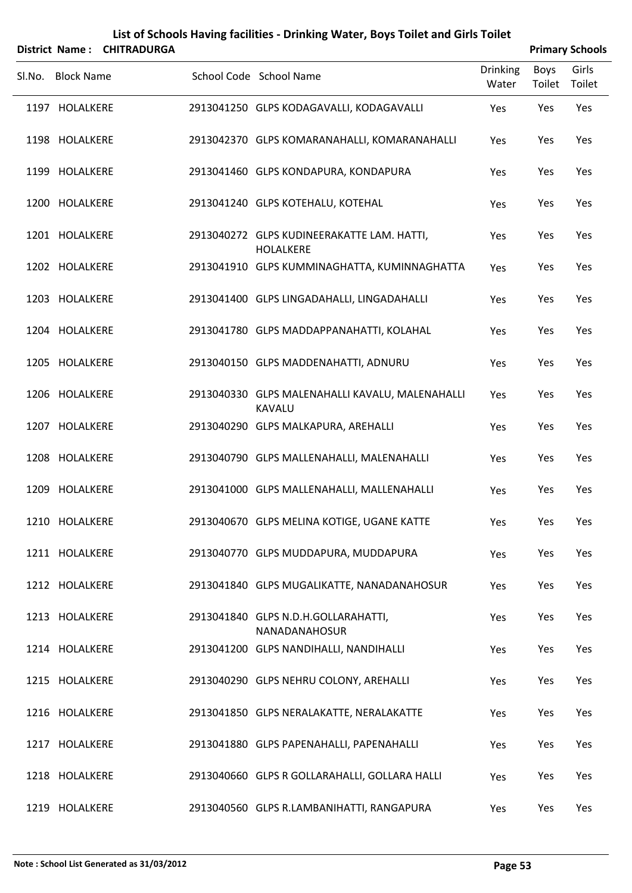|        | List of Schools Having facilities - Drinking Water, Boys Toilet and Girls Toilet |                    |  |                                                                |                          |                |                        |  |  |  |
|--------|----------------------------------------------------------------------------------|--------------------|--|----------------------------------------------------------------|--------------------------|----------------|------------------------|--|--|--|
|        | <b>District Name:</b>                                                            | <b>CHITRADURGA</b> |  |                                                                |                          |                | <b>Primary Schools</b> |  |  |  |
| Sl.No. | <b>Block Name</b>                                                                |                    |  | School Code School Name                                        | <b>Drinking</b><br>Water | Boys<br>Toilet | Girls<br>Toilet        |  |  |  |
|        | 1197 HOLALKERE                                                                   |                    |  | 2913041250 GLPS KODAGAVALLI, KODAGAVALLI                       | Yes                      | Yes            | Yes                    |  |  |  |
|        | 1198 HOLALKERE                                                                   |                    |  | 2913042370 GLPS KOMARANAHALLI, KOMARANAHALLI                   | Yes                      | Yes            | Yes                    |  |  |  |
|        | 1199 HOLALKERE                                                                   |                    |  | 2913041460 GLPS KONDAPURA, KONDAPURA                           | Yes                      | Yes            | Yes                    |  |  |  |
|        | 1200 HOLALKERE                                                                   |                    |  | 2913041240 GLPS KOTEHALU, KOTEHAL                              | <b>Yes</b>               | Yes            | Yes                    |  |  |  |
|        | 1201 HOLALKERE                                                                   |                    |  | 2913040272 GLPS KUDINEERAKATTE LAM. HATTI,<br><b>HOLALKERE</b> | Yes                      | Yes            | Yes                    |  |  |  |
|        | 1202 HOLALKERE                                                                   |                    |  | 2913041910 GLPS KUMMINAGHATTA, KUMINNAGHATTA                   | Yes                      | Yes            | Yes                    |  |  |  |
|        | 1203 HOLALKERE                                                                   |                    |  | 2913041400 GLPS LINGADAHALLI, LINGADAHALLI                     | Yes                      | Yes            | Yes                    |  |  |  |
|        | 1204 HOLALKERE                                                                   |                    |  | 2913041780 GLPS MADDAPPANAHATTI, KOLAHAL                       | Yes                      | Yes            | Yes                    |  |  |  |
|        | 1205 HOLALKERE                                                                   |                    |  | 2913040150 GLPS MADDENAHATTI, ADNURU                           | Yes                      | Yes            | Yes                    |  |  |  |
|        | 1206 HOLALKERE                                                                   |                    |  | 2913040330 GLPS MALENAHALLI KAVALU, MALENAHALLI<br>KAVALU      | Yes                      | Yes            | Yes                    |  |  |  |

HOLALKERE 2913040290 GLPS MALKAPURA, AREHALLI Yes Yes Yes

HOLALKERE 2913040790 GLPS MALLENAHALLI, MALENAHALLI Yes Yes Yes

HOLALKERE 2913041000 GLPS MALLENAHALLI, MALLENAHALLI Yes Yes Yes

HOLALKERE 2913040670 GLPS MELINA KOTIGE, UGANE KATTE Yes Yes Yes

HOLALKERE 2913040770 GLPS MUDDAPURA, MUDDAPURA Yes Yes Yes

HOLALKERE 2913041840 GLPS MUGALIKATTE, NANADANAHOSUR Yes Yes Yes

HOLALKERE 2913041840 GLPS N.D.H.GOLLARAHATTI, Yes Yes Yes NANADANAHOSUR HOLALKERE 2913041200 GLPS NANDIHALLI, NANDIHALLI Yes Yes Yes

HOLALKERE 2913040290 GLPS NEHRU COLONY, AREHALLI Yes Yes Yes

HOLALKERE 2913041850 GLPS NERALAKATTE, NERALAKATTE Yes Yes Yes

HOLALKERE 2913041880 GLPS PAPENAHALLI, PAPENAHALLI Yes Yes Yes

HOLALKERE 2913040660 GLPS R GOLLARAHALLI, GOLLARA HALLI Yes Yes Yes

HOLALKERE 2913040560 GLPS R.LAMBANIHATTI, RANGAPURA Yes Yes Yes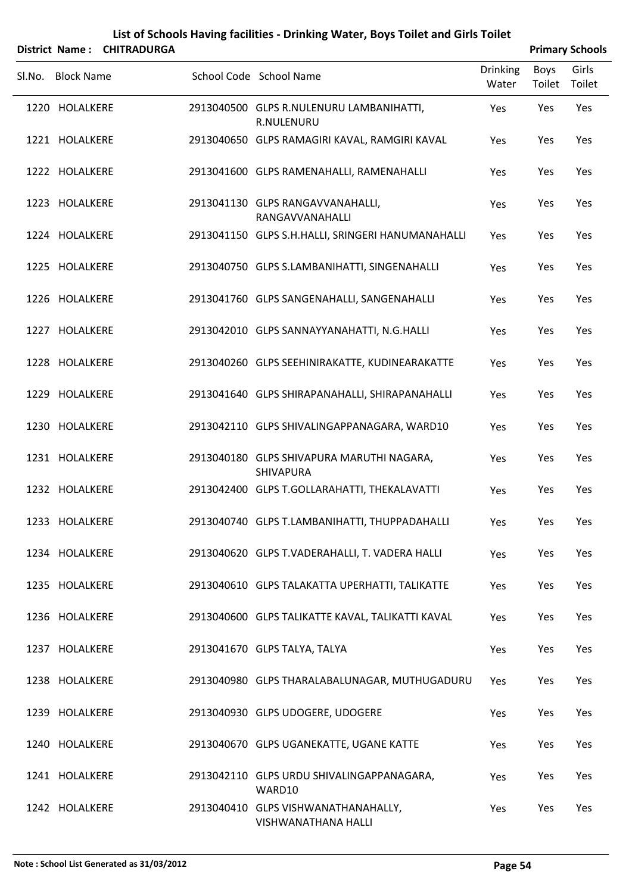| <b>District Name:</b> | <b>CHITRADURGA</b> | List of Schools Having facilities - Drinking Water, Boys Toilet and Girls Toilet |                          |                | <b>Primary Schools</b> |
|-----------------------|--------------------|----------------------------------------------------------------------------------|--------------------------|----------------|------------------------|
| Sl.No. Block Name     |                    | School Code School Name                                                          | <b>Drinking</b><br>Water | Boys<br>Toilet | Girls<br>Toilet        |
| 1220 HOLALKERE        |                    | 2913040500 GLPS R.NULENURU LAMBANIHATTI,<br>R.NULENURU                           | Yes                      | Yes            | Yes                    |
| 1221 HOLALKERE        |                    | 2913040650 GLPS RAMAGIRI KAVAL, RAMGIRI KAVAL                                    | Yes                      | Yes            | Yes                    |
| 1222 HOLALKERE        |                    | 2913041600 GLPS RAMENAHALLI, RAMENAHALLI                                         | Yes                      | Yes            | Yes                    |
| 1223 HOLALKERE        |                    | 2913041130 GLPS RANGAVVANAHALLI,<br>RANGAVVANAHALLI                              | Yes                      | Yes            | Yes                    |
| 1224 HOLALKERE        |                    | 2913041150 GLPS S.H.HALLI, SRINGERI HANUMANAHALLI                                | Yes                      | Yes            | Yes                    |
| 1225 HOLALKERE        |                    | 2913040750 GLPS S.LAMBANIHATTI, SINGENAHALLI                                     | Yes                      | Yes            | Yes                    |
| 1226 HOLALKERE        |                    | 2913041760 GLPS SANGENAHALLI, SANGENAHALLI                                       | Yes                      | Yes            | Yes                    |
| 1227 HOLALKERE        |                    | 2913042010 GLPS SANNAYYANAHATTI, N.G.HALLI                                       | Yes                      | Yes            | Yes                    |
| 1228 HOLALKERE        |                    | 2913040260 GLPS SEEHINIRAKATTE, KUDINEARAKATTE                                   | Yes                      | Yes            | Yes                    |
| 1229 HOLALKERE        |                    | 2913041640 GLPS SHIRAPANAHALLI, SHIRAPANAHALLI                                   | Yes                      | Yes            | Yes                    |
| 1230 HOLALKERE        |                    | 2913042110 GLPS SHIVALINGAPPANAGARA, WARD10                                      | Yes                      | Yes            | Yes                    |
| 1231 HOLALKERE        |                    | 2913040180 GLPS SHIVAPURA MARUTHI NAGARA,<br>SHIVAPURA                           | Yes                      | Yes            | Yes                    |
| 1232 HOLALKERE        |                    | 2913042400 GLPS T.GOLLARAHATTI, THEKALAVATTI                                     | Yes                      | Yes            | Yes                    |
| 1233 HOLALKERE        |                    | 2913040740 GLPS T.LAMBANIHATTI, THUPPADAHALLI                                    | Yes                      | Yes            | Yes                    |
| 1234 HOLALKERE        |                    | 2913040620 GLPS T.VADERAHALLI, T. VADERA HALLI                                   | Yes                      | Yes            | Yes                    |
| 1235 HOLALKERE        |                    | 2913040610 GLPS TALAKATTA UPERHATTI, TALIKATTE                                   | Yes                      | Yes            | Yes                    |
| 1236 HOLALKERE        |                    | 2913040600 GLPS TALIKATTE KAVAL, TALIKATTI KAVAL                                 | Yes                      | Yes            | Yes                    |
| 1237 HOLALKERE        |                    | 2913041670 GLPS TALYA, TALYA                                                     | Yes                      | Yes            | Yes                    |
| 1238 HOLALKERE        |                    | 2913040980 GLPS THARALABALUNAGAR, MUTHUGADURU                                    | Yes                      | Yes            | Yes                    |
| 1239 HOLALKERE        |                    | 2913040930 GLPS UDOGERE, UDOGERE                                                 | Yes                      | Yes            | Yes                    |
| 1240 HOLALKERE        |                    | 2913040670 GLPS UGANEKATTE, UGANE KATTE                                          | Yes                      | Yes            | Yes                    |
| 1241 HOLALKERE        |                    | 2913042110 GLPS URDU SHIVALINGAPPANAGARA,<br>WARD10                              | Yes                      | Yes            | Yes                    |
| 1242 HOLALKERE        |                    | 2913040410 GLPS VISHWANATHANAHALLY,<br><b>VISHWANATHANA HALLI</b>                | Yes                      | Yes            | Yes                    |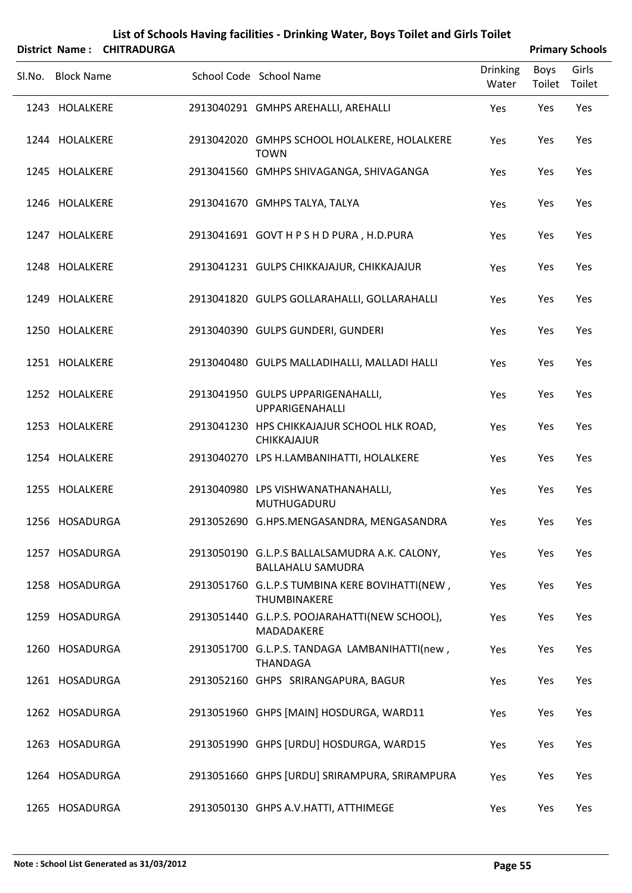| District Name: | List of Schools Having facilities - Drinking Water, Boys Toilet and Girls Toilet | <b>Primary Schools</b> |                                                                           |                 |        |        |
|----------------|----------------------------------------------------------------------------------|------------------------|---------------------------------------------------------------------------|-----------------|--------|--------|
|                |                                                                                  | <b>CHITRADURGA</b>     |                                                                           | <b>Drinking</b> | Boys   | Girls  |
| Sl.No.         | <b>Block Name</b>                                                                |                        | School Code School Name                                                   | Water           | Toilet | Toilet |
|                | 1243 HOLALKERE                                                                   |                        | 2913040291 GMHPS AREHALLI, AREHALLI                                       | Yes             | Yes    | Yes    |
|                | 1244 HOLALKERE                                                                   |                        | 2913042020 GMHPS SCHOOL HOLALKERE, HOLALKERE<br><b>TOWN</b>               | Yes             | Yes    | Yes    |
|                | 1245 HOLALKERE                                                                   |                        | 2913041560 GMHPS SHIVAGANGA, SHIVAGANGA                                   | Yes             | Yes    | Yes    |
|                | 1246 HOLALKERE                                                                   |                        | 2913041670 GMHPS TALYA, TALYA                                             | Yes             | Yes    | Yes    |
|                | 1247 HOLALKERE                                                                   |                        | 2913041691 GOVT H P S H D PURA, H.D.PURA                                  | Yes             | Yes    | Yes    |
|                | 1248 HOLALKERE                                                                   |                        | 2913041231 GULPS CHIKKAJAJUR, CHIKKAJAJUR                                 | Yes             | Yes    | Yes    |
|                | 1249 HOLALKERE                                                                   |                        | 2913041820 GULPS GOLLARAHALLI, GOLLARAHALLI                               | Yes             | Yes    | Yes    |
|                | 1250 HOLALKERE                                                                   |                        | 2913040390 GULPS GUNDERI, GUNDERI                                         | Yes             | Yes    | Yes    |
|                | 1251 HOLALKERE                                                                   |                        | 2913040480 GULPS MALLADIHALLI, MALLADI HALLI                              | Yes             | Yes    | Yes    |
|                | 1252 HOLALKERE                                                                   |                        | 2913041950 GULPS UPPARIGENAHALLI,<br>UPPARIGENAHALLI                      | Yes             | Yes    | Yes    |
|                | 1253 HOLALKERE                                                                   |                        | 2913041230 HPS CHIKKAJAJUR SCHOOL HLK ROAD,<br>CHIKKAJAJUR                | Yes             | Yes    | Yes    |
|                | 1254 HOLALKERE                                                                   |                        | 2913040270 LPS H.LAMBANIHATTI, HOLALKERE                                  | Yes             | Yes    | Yes    |
|                | 1255 HOLALKERE                                                                   |                        | 2913040980 LPS VISHWANATHANAHALLI,<br>MUTHUGADURU                         | Yes             | Yes    | Yes    |
|                | 1256 HOSADURGA                                                                   |                        | 2913052690 G.HPS.MENGASANDRA, MENGASANDRA                                 | Yes             | Yes    | Yes    |
|                | 1257 HOSADURGA                                                                   |                        | 2913050190 G.L.P.S BALLALSAMUDRA A.K. CALONY,<br><b>BALLAHALU SAMUDRA</b> | Yes             | Yes    | Yes    |
|                | 1258 HOSADURGA                                                                   |                        | 2913051760 G.L.P.S TUMBINA KERE BOVIHATTI(NEW,<br>THUMBINAKERE            | Yes             | Yes    | Yes    |
|                | 1259 HOSADURGA                                                                   |                        | 2913051440 G.L.P.S. POOJARAHATTI(NEW SCHOOL),<br>MADADAKERE               | Yes             | Yes    | Yes    |
|                | 1260 HOSADURGA                                                                   |                        | 2913051700 G.L.P.S. TANDAGA LAMBANIHATTI(new,<br><b>THANDAGA</b>          | Yes             | Yes    | Yes    |
|                | 1261 HOSADURGA                                                                   |                        | 2913052160 GHPS SRIRANGAPURA, BAGUR                                       | Yes             | Yes    | Yes    |
|                | 1262 HOSADURGA                                                                   |                        | 2913051960 GHPS [MAIN] HOSDURGA, WARD11                                   | Yes             | Yes    | Yes    |
|                | 1263 HOSADURGA                                                                   |                        | 2913051990 GHPS [URDU] HOSDURGA, WARD15                                   | Yes             | Yes    | Yes    |
|                | 1264 HOSADURGA                                                                   |                        | 2913051660 GHPS [URDU] SRIRAMPURA, SRIRAMPURA                             | Yes             | Yes    | Yes    |
|                | 1265 HOSADURGA                                                                   |                        | 2913050130 GHPS A.V.HATTI, ATTHIMEGE                                      | Yes             | Yes    | Yes    |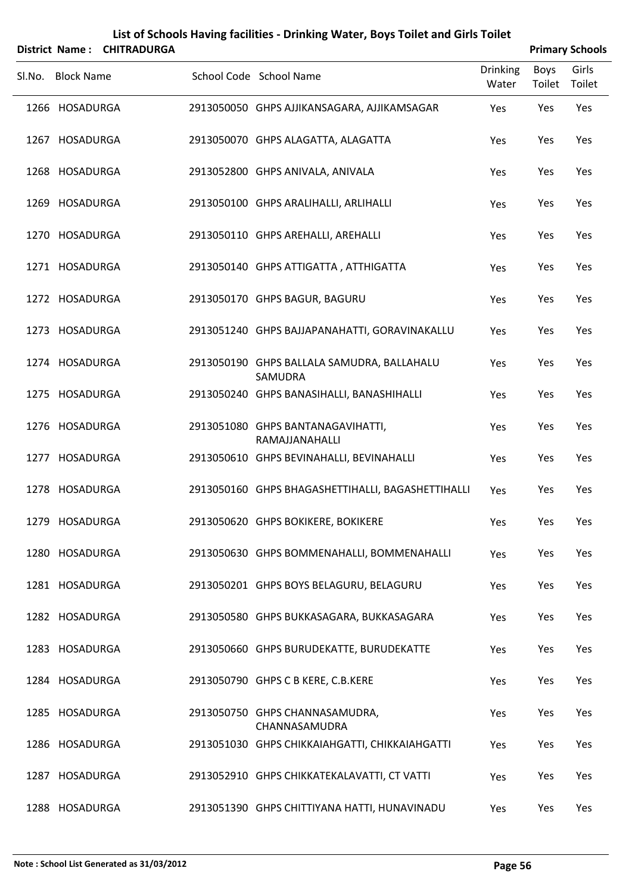| District Name: CHITRADURGA |                   |  |                                                                 | <b>Primary Schools</b>   |      |                        |  |  |
|----------------------------|-------------------|--|-----------------------------------------------------------------|--------------------------|------|------------------------|--|--|
|                            | Sl.No. Block Name |  | School Code School Name                                         | <b>Drinking</b><br>Water | Boys | Girls<br>Toilet Toilet |  |  |
|                            | 1266 HOSADURGA    |  | 2913050050 GHPS AJJIKANSAGARA, AJJIKAMSAGAR                     | Yes                      | Yes  | Yes                    |  |  |
|                            | 1267 HOSADURGA    |  | 2913050070 GHPS ALAGATTA, ALAGATTA                              | Yes                      | Yes  | Yes                    |  |  |
|                            | 1268 HOSADURGA    |  | 2913052800 GHPS ANIVALA, ANIVALA                                | Yes                      | Yes  | Yes                    |  |  |
|                            | 1269 HOSADURGA    |  | 2913050100 GHPS ARALIHALLI, ARLIHALLI                           | Yes                      | Yes  | Yes                    |  |  |
|                            | 1270 HOSADURGA    |  | 2913050110 GHPS AREHALLI, AREHALLI                              | Yes                      | Yes  | Yes                    |  |  |
|                            | 1271 HOSADURGA    |  | 2913050140 GHPS ATTIGATTA, ATTHIGATTA                           | Yes                      | Yes  | Yes                    |  |  |
|                            | 1272 HOSADURGA    |  | 2913050170 GHPS BAGUR, BAGURU                                   | Yes                      | Yes  | Yes                    |  |  |
|                            | 1273 HOSADURGA    |  | 2913051240 GHPS BAJJAPANAHATTI, GORAVINAKALLU                   | Yes                      | Yes  | Yes                    |  |  |
|                            | 1274 HOSADURGA    |  | 2913050190 GHPS BALLALA SAMUDRA, BALLAHALU<br>SAMUDRA           | Yes                      | Yes  | Yes                    |  |  |
|                            | 1275 HOSADURGA    |  | 2913050240 GHPS BANASIHALLI, BANASHIHALLI                       | Yes                      | Yes  | Yes                    |  |  |
|                            | 1276 HOSADURGA    |  | 2913051080 GHPS BANTANAGAVIHATTI,<br>RAMAJJANAHALLI             | Yes                      | Yes  | Yes                    |  |  |
|                            | 1277 HOSADURGA    |  | 2913050610 GHPS BEVINAHALLI, BEVINAHALLI                        | Yes                      | Yes  | Yes                    |  |  |
|                            | 1278 HOSADURGA    |  | 2913050160 GHPS BHAGASHETTIHALLI, BAGASHETTIHALLI               | Yes                      | Yes  | Yes                    |  |  |
|                            | 1279 HOSADURGA    |  | 2913050620 GHPS BOKIKERE, BOKIKERE                              | Yes                      | Yes  | Yes                    |  |  |
|                            | 1280 HOSADURGA    |  | 2913050630 GHPS BOMMENAHALLI, BOMMENAHALLI                      | Yes                      | Yes  | Yes                    |  |  |
|                            | 1281 HOSADURGA    |  | 2913050201 GHPS BOYS BELAGURU, BELAGURU                         | Yes                      | Yes  | Yes                    |  |  |
|                            | 1282 HOSADURGA    |  | 2913050580 GHPS BUKKASAGARA, BUKKASAGARA                        | Yes                      | Yes  | Yes                    |  |  |
|                            | 1283 HOSADURGA    |  | 2913050660 GHPS BURUDEKATTE, BURUDEKATTE                        | Yes                      | Yes  | Yes                    |  |  |
|                            | 1284 HOSADURGA    |  | 2913050790 GHPS C B KERE, C.B.KERE                              | Yes                      | Yes  | Yes                    |  |  |
|                            | 1285 HOSADURGA    |  | 2913050750 GHPS CHANNASAMUDRA,                                  | Yes                      | Yes  | Yes                    |  |  |
|                            | 1286 HOSADURGA    |  | CHANNASAMUDRA<br>2913051030 GHPS CHIKKAIAHGATTI, CHIKKAIAHGATTI | Yes                      | Yes  | Yes                    |  |  |
|                            | 1287 HOSADURGA    |  | 2913052910 GHPS CHIKKATEKALAVATTI, CT VATTI                     | Yes                      | Yes  | Yes                    |  |  |
|                            | 1288 HOSADURGA    |  | 2913051390 GHPS CHITTIYANA HATTI, HUNAVINADU                    | Yes                      | Yes  | Yes                    |  |  |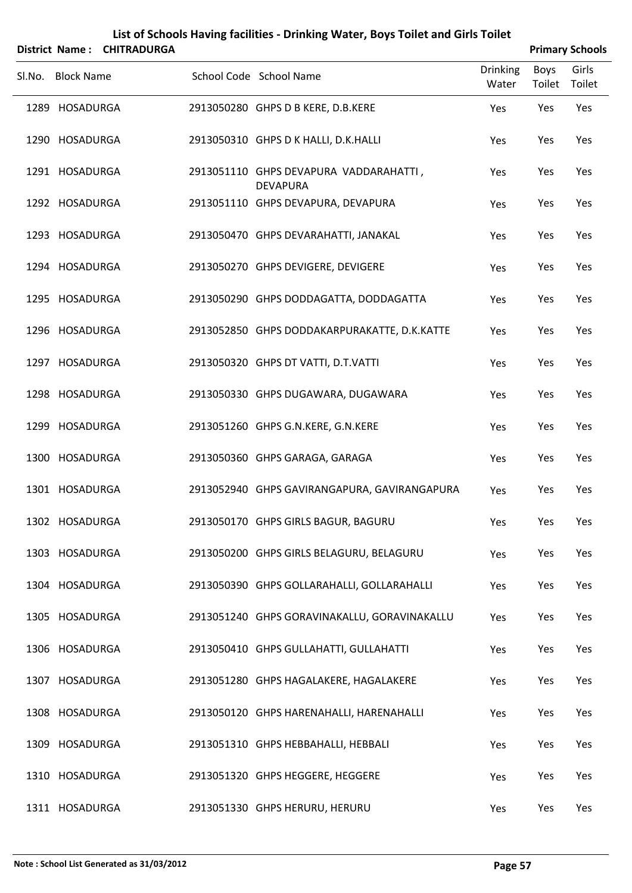| List of Schools Having facilities - Drinking Water, Boys Toilet and Girls Toilet |                   |                            |  |                                                           |                          |                       |                        |  |
|----------------------------------------------------------------------------------|-------------------|----------------------------|--|-----------------------------------------------------------|--------------------------|-----------------------|------------------------|--|
|                                                                                  |                   | District Name: CHITRADURGA |  |                                                           |                          |                       | <b>Primary Schools</b> |  |
| Sl.No.                                                                           | <b>Block Name</b> |                            |  | School Code School Name                                   | <b>Drinking</b><br>Water | <b>Boys</b><br>Toilet | Girls<br>Toilet        |  |
|                                                                                  | 1289 HOSADURGA    |                            |  | 2913050280 GHPS D B KERE, D.B.KERE                        | Yes                      | Yes                   | Yes                    |  |
|                                                                                  | 1290 HOSADURGA    |                            |  | 2913050310 GHPS D K HALLI, D.K.HALLI                      | Yes                      | Yes                   | Yes                    |  |
|                                                                                  | 1291 HOSADURGA    |                            |  | 2913051110 GHPS DEVAPURA VADDARAHATTI,<br><b>DEVAPURA</b> | Yes                      | Yes                   | Yes                    |  |
|                                                                                  | 1292 HOSADURGA    |                            |  | 2913051110 GHPS DEVAPURA, DEVAPURA                        | Yes                      | Yes                   | Yes                    |  |
|                                                                                  | 1293 HOSADURGA    |                            |  | 2913050470 GHPS DEVARAHATTI, JANAKAL                      | Yes                      | Yes                   | Yes                    |  |
|                                                                                  | 1294 HOSADURGA    |                            |  | 2913050270 GHPS DEVIGERE, DEVIGERE                        | Yes                      | Yes                   | Yes                    |  |
|                                                                                  | 1295 HOSADURGA    |                            |  | 2913050290 GHPS DODDAGATTA, DODDAGATTA                    | Yes                      | Yes                   | Yes                    |  |
|                                                                                  | 1296 HOSADURGA    |                            |  | 2913052850 GHPS DODDAKARPURAKATTE, D.K.KATTE              | Yes                      | Yes                   | Yes                    |  |
|                                                                                  | 1297 HOSADURGA    |                            |  | 2913050320 GHPS DT VATTI, D.T.VATTI                       | Yes                      | Yes                   | Yes                    |  |
|                                                                                  | 1298 HOSADURGA    |                            |  | 2913050330 GHPS DUGAWARA, DUGAWARA                        | Yes                      | Yes                   | Yes                    |  |
|                                                                                  | 1299 HOSADURGA    |                            |  | 2913051260 GHPS G.N.KERE, G.N.KERE                        | Yes                      | Yes                   | Yes                    |  |
|                                                                                  | 1300 HOSADURGA    |                            |  | 2913050360 GHPS GARAGA, GARAGA                            | Yes                      | Yes                   | Yes                    |  |
|                                                                                  | 1301 HOSADURGA    |                            |  | 2913052940 GHPS GAVIRANGAPURA, GAVIRANGAPURA              | Yes                      | Yes                   | Yes                    |  |
|                                                                                  | 1302 HOSADURGA    |                            |  | 2913050170 GHPS GIRLS BAGUR, BAGURU                       | Yes                      | Yes                   | Yes                    |  |
|                                                                                  | 1303 HOSADURGA    |                            |  | 2913050200 GHPS GIRLS BELAGURU, BELAGURU                  | Yes                      | Yes                   | Yes                    |  |
|                                                                                  | 1304 HOSADURGA    |                            |  | 2913050390 GHPS GOLLARAHALLI, GOLLARAHALLI                | Yes                      | Yes                   | Yes                    |  |
|                                                                                  | 1305 HOSADURGA    |                            |  | 2913051240 GHPS GORAVINAKALLU, GORAVINAKALLU              | Yes                      | Yes                   | Yes                    |  |
|                                                                                  | 1306 HOSADURGA    |                            |  | 2913050410 GHPS GULLAHATTI, GULLAHATTI                    | Yes                      | Yes                   | Yes                    |  |
|                                                                                  | 1307 HOSADURGA    |                            |  | 2913051280 GHPS HAGALAKERE, HAGALAKERE                    | Yes                      | Yes                   | Yes                    |  |
|                                                                                  | 1308 HOSADURGA    |                            |  | 2913050120 GHPS HARENAHALLI, HARENAHALLI                  | Yes                      | Yes                   | Yes                    |  |
|                                                                                  | 1309 HOSADURGA    |                            |  | 2913051310 GHPS HEBBAHALLI, HEBBALI                       | Yes                      | Yes                   | Yes                    |  |
|                                                                                  | 1310 HOSADURGA    |                            |  | 2913051320 GHPS HEGGERE, HEGGERE                          | Yes                      | Yes                   | Yes                    |  |
|                                                                                  | 1311 HOSADURGA    |                            |  | 2913051330 GHPS HERURU, HERURU                            | Yes                      | Yes                   | Yes                    |  |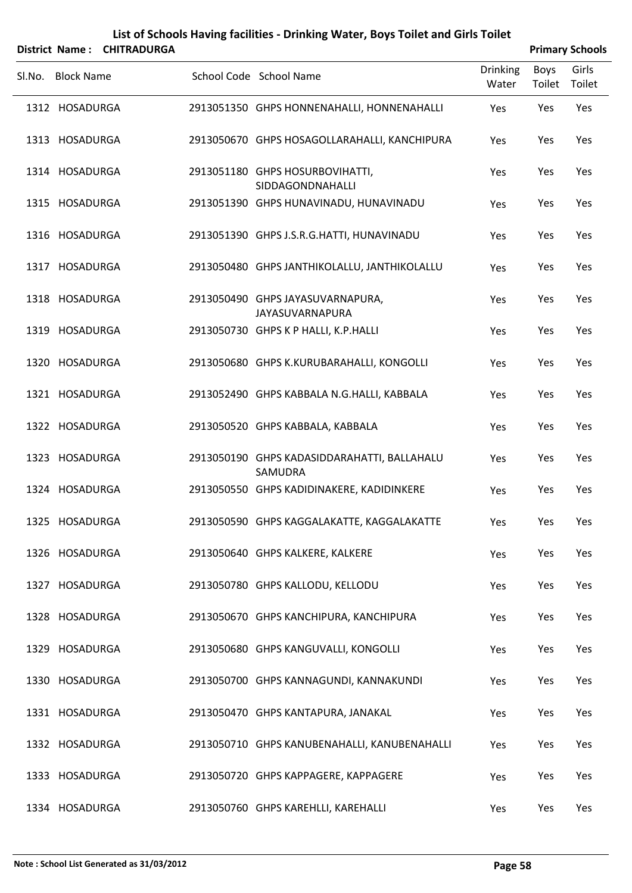|        |                   | District Name: CHITRADURGA |                                                            |                          |                | <b>Primary Schools</b> |
|--------|-------------------|----------------------------|------------------------------------------------------------|--------------------------|----------------|------------------------|
| Sl.No. | <b>Block Name</b> |                            | School Code School Name                                    | <b>Drinking</b><br>Water | Boys<br>Toilet | Girls<br>Toilet        |
|        | 1312 HOSADURGA    |                            | 2913051350 GHPS HONNENAHALLI, HONNENAHALLI                 | Yes                      | Yes            | Yes                    |
|        | 1313 HOSADURGA    |                            | 2913050670 GHPS HOSAGOLLARAHALLI, KANCHIPURA               | Yes                      | Yes            | Yes                    |
|        | 1314 HOSADURGA    |                            | 2913051180 GHPS HOSURBOVIHATTI,<br>SIDDAGONDNAHALLI        | Yes                      | Yes            | Yes                    |
|        | 1315 HOSADURGA    |                            | 2913051390 GHPS HUNAVINADU, HUNAVINADU                     | Yes                      | Yes            | Yes                    |
|        | 1316 HOSADURGA    |                            | 2913051390 GHPS J.S.R.G.HATTI, HUNAVINADU                  | Yes                      | Yes            | Yes                    |
|        | 1317 HOSADURGA    |                            | 2913050480 GHPS JANTHIKOLALLU, JANTHIKOLALLU               | Yes                      | Yes            | Yes                    |
|        | 1318 HOSADURGA    |                            | 2913050490 GHPS JAYASUVARNAPURA,<br><b>JAYASUVARNAPURA</b> | Yes                      | Yes            | Yes                    |
|        | 1319 HOSADURGA    |                            | 2913050730 GHPS K P HALLI, K.P.HALLI                       | Yes                      | Yes            | Yes                    |
|        | 1320 HOSADURGA    |                            | 2913050680 GHPS K.KURUBARAHALLI, KONGOLLI                  | Yes                      | Yes            | Yes                    |
|        | 1321 HOSADURGA    |                            | 2913052490 GHPS KABBALA N.G.HALLI, KABBALA                 | Yes                      | Yes            | Yes                    |
|        | 1322 HOSADURGA    |                            | 2913050520 GHPS KABBALA, KABBALA                           | Yes                      | Yes            | Yes                    |
|        | 1323 HOSADURGA    |                            | 2913050190 GHPS KADASIDDARAHATTI, BALLAHALU<br>SAMUDRA     | Yes                      | Yes            | Yes                    |
|        | 1324 HOSADURGA    |                            | 2913050550 GHPS KADIDINAKERE, KADIDINKERE                  | Yes                      | Yes            | Yes                    |
|        | 1325 HOSADURGA    |                            | 2913050590 GHPS KAGGALAKATTE, KAGGALAKATTE                 | Yes                      | Yes            | Yes                    |
|        | 1326 HOSADURGA    |                            | 2913050640 GHPS KALKERE, KALKERE                           | Yes                      | Yes            | Yes                    |
|        | 1327 HOSADURGA    |                            | 2913050780 GHPS KALLODU, KELLODU                           | Yes                      | Yes            | Yes                    |
|        | 1328 HOSADURGA    |                            | 2913050670 GHPS KANCHIPURA, KANCHIPURA                     | Yes                      | Yes            | Yes                    |
|        | 1329 HOSADURGA    |                            | 2913050680 GHPS KANGUVALLI, KONGOLLI                       | Yes                      | Yes            | Yes                    |
|        | 1330 HOSADURGA    |                            | 2913050700 GHPS KANNAGUNDI, KANNAKUNDI                     | Yes                      | Yes            | Yes                    |
|        | 1331 HOSADURGA    |                            | 2913050470 GHPS KANTAPURA, JANAKAL                         | Yes                      | Yes            | Yes                    |
|        | 1332 HOSADURGA    |                            | 2913050710 GHPS KANUBENAHALLI, KANUBENAHALLI               | Yes                      | Yes            | Yes                    |
|        | 1333 HOSADURGA    |                            | 2913050720 GHPS KAPPAGERE, KAPPAGERE                       | Yes                      | Yes            | Yes                    |

HOSADURGA 2913050760 GHPS KAREHLLI, KAREHALLI Yes Yes Yes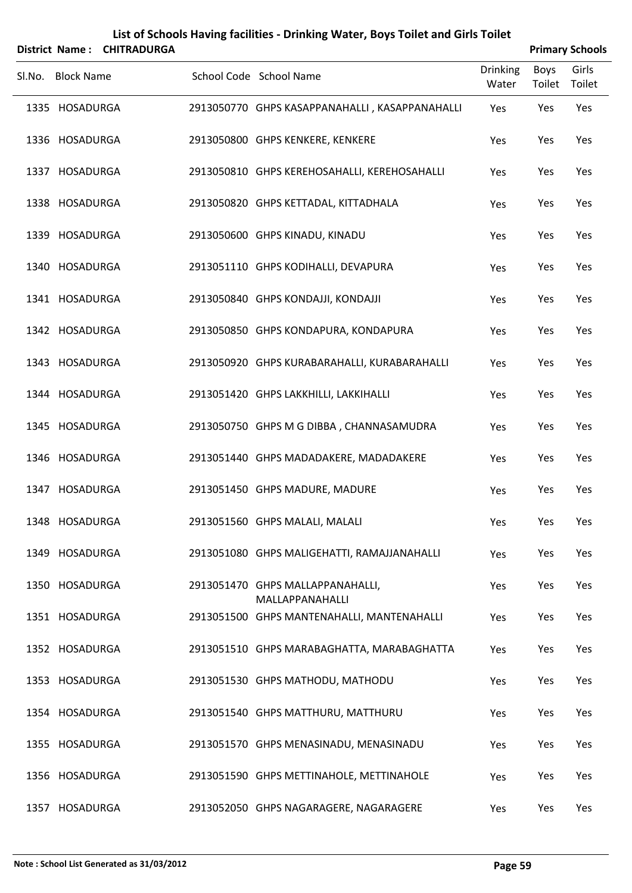|        | District Name:    | <b>CHITRADURGA</b> | List of Schools Having facilities - Drinking Water, Boys Toilet and Girls Toilet |                 |        | <b>Primary Schools</b> |
|--------|-------------------|--------------------|----------------------------------------------------------------------------------|-----------------|--------|------------------------|
|        |                   |                    |                                                                                  | <b>Drinking</b> | Boys   | Girls                  |
| Sl.No. | <b>Block Name</b> |                    | School Code School Name                                                          | Water           | Toilet | Toilet                 |
|        | 1335 HOSADURGA    |                    | 2913050770 GHPS KASAPPANAHALLI, KASAPPANAHALLI                                   | Yes             | Yes    | Yes                    |
|        | 1336 HOSADURGA    |                    | 2913050800 GHPS KENKERE, KENKERE                                                 | Yes             | Yes    | Yes                    |
|        | 1337 HOSADURGA    |                    | 2913050810 GHPS KEREHOSAHALLI, KEREHOSAHALLI                                     | Yes             | Yes    | Yes                    |
|        | 1338 HOSADURGA    |                    | 2913050820 GHPS KETTADAL, KITTADHALA                                             | Yes             | Yes    | Yes                    |
|        | 1339 HOSADURGA    |                    | 2913050600 GHPS KINADU, KINADU                                                   | Yes             | Yes    | Yes                    |
|        | 1340 HOSADURGA    |                    | 2913051110 GHPS KODIHALLI, DEVAPURA                                              | Yes             | Yes    | Yes                    |
|        | 1341 HOSADURGA    |                    | 2913050840 GHPS KONDAJJI, KONDAJJI                                               | Yes             | Yes    | Yes                    |
|        | 1342 HOSADURGA    |                    | 2913050850 GHPS KONDAPURA, KONDAPURA                                             | Yes             | Yes    | Yes                    |
|        | 1343 HOSADURGA    |                    | 2913050920 GHPS KURABARAHALLI, KURABARAHALLI                                     | Yes             | Yes    | Yes                    |
|        | 1344 HOSADURGA    |                    | 2913051420 GHPS LAKKHILLI, LAKKIHALLI                                            | Yes             | Yes    | Yes                    |
|        | 1345 HOSADURGA    |                    | 2913050750 GHPS M G DIBBA, CHANNASAMUDRA                                         | Yes             | Yes    | Yes                    |
|        | 1346 HOSADURGA    |                    | 2913051440 GHPS MADADAKERE, MADADAKERE                                           | Yes             | Yes    | Yes                    |
|        | 1347 HOSADURGA    |                    | 2913051450 GHPS MADURE, MADURE                                                   | Yes             | Yes    | Yes                    |
|        | 1348 HOSADURGA    |                    | 2913051560 GHPS MALALI, MALALI                                                   | Yes             | Yes    | Yes                    |
|        | 1349 HOSADURGA    |                    | 2913051080 GHPS MALIGEHATTI, RAMAJJANAHALLI                                      | Yes             | Yes    | Yes                    |
|        | 1350 HOSADURGA    |                    | 2913051470 GHPS MALLAPPANAHALLI,<br>MALLAPPANAHALLI                              | Yes             | Yes    | Yes                    |
|        | 1351 HOSADURGA    |                    | 2913051500 GHPS MANTENAHALLI, MANTENAHALLI                                       | Yes             | Yes    | Yes                    |
|        | 1352 HOSADURGA    |                    | 2913051510 GHPS MARABAGHATTA, MARABAGHATTA                                       | Yes             | Yes    | Yes                    |
|        | 1353 HOSADURGA    |                    | 2913051530 GHPS MATHODU, MATHODU                                                 | Yes             | Yes    | Yes                    |
|        | 1354 HOSADURGA    |                    | 2913051540 GHPS MATTHURU, MATTHURU                                               | Yes             | Yes    | Yes                    |
|        | 1355 HOSADURGA    |                    | 2913051570 GHPS MENASINADU, MENASINADU                                           | Yes             | Yes    | Yes                    |
|        | 1356 HOSADURGA    |                    | 2913051590 GHPS METTINAHOLE, METTINAHOLE                                         | Yes             | Yes    | Yes                    |
|        | 1357 HOSADURGA    |                    | 2913052050 GHPS NAGARAGERE, NAGARAGERE                                           | Yes             | Yes    | Yes                    |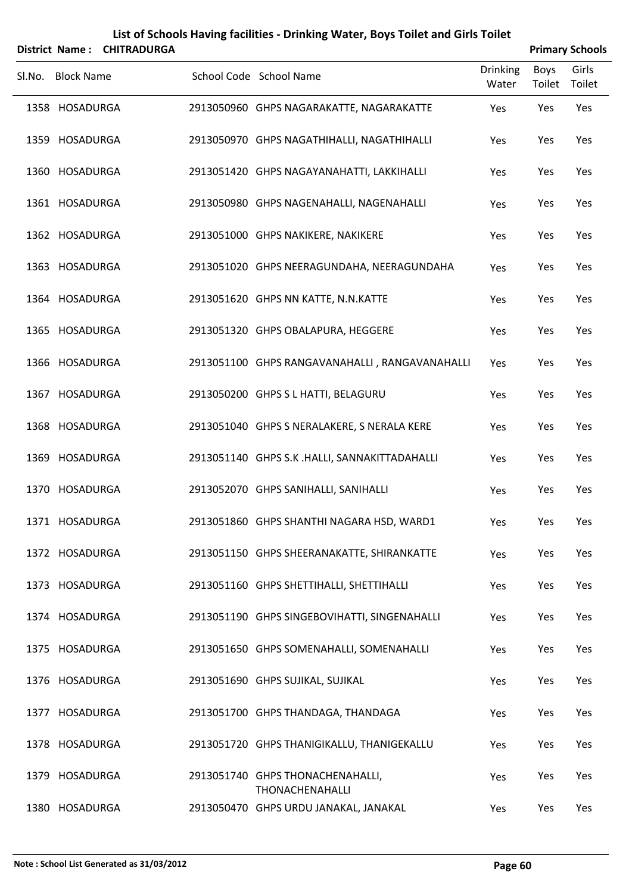|        | <b>District Name:</b> | <b>CHITRADURGA</b> | List of Schools Having facilities - Drinking Water, Boys Toilet and Girls Toilet |                          |                | <b>Primary Schools</b> |
|--------|-----------------------|--------------------|----------------------------------------------------------------------------------|--------------------------|----------------|------------------------|
| Sl.No. | <b>Block Name</b>     |                    | School Code School Name                                                          | <b>Drinking</b><br>Water | Boys<br>Toilet | Girls<br>Toilet        |
|        | 1358 HOSADURGA        |                    | 2913050960 GHPS NAGARAKATTE, NAGARAKATTE                                         | Yes                      | Yes            | Yes                    |
|        | 1359 HOSADURGA        |                    | 2913050970 GHPS NAGATHIHALLI, NAGATHIHALLI                                       | Yes                      | Yes            | Yes                    |
|        | 1360 HOSADURGA        |                    | 2913051420 GHPS NAGAYANAHATTI, LAKKIHALLI                                        | Yes                      | Yes            | Yes                    |
|        | 1361 HOSADURGA        |                    | 2913050980 GHPS NAGENAHALLI, NAGENAHALLI                                         | Yes                      | Yes            | Yes                    |
|        | 1362 HOSADURGA        |                    | 2913051000 GHPS NAKIKERE, NAKIKERE                                               | Yes                      | Yes            | Yes                    |
|        | 1363 HOSADURGA        |                    | 2913051020 GHPS NEERAGUNDAHA, NEERAGUNDAHA                                       | Yes                      | Yes            | Yes                    |
|        | 1364 HOSADURGA        |                    | 2913051620 GHPS NN KATTE, N.N.KATTE                                              | Yes                      | Yes            | Yes                    |
|        | 1365 HOSADURGA        |                    | 2913051320 GHPS OBALAPURA, HEGGERE                                               | Yes                      | Yes            | Yes                    |
|        | 1366 HOSADURGA        |                    | 2913051100 GHPS RANGAVANAHALLI, RANGAVANAHALLI                                   | Yes                      | Yes            | Yes                    |
|        | 1367 HOSADURGA        |                    | 2913050200 GHPS S L HATTI, BELAGURU                                              | Yes                      | Yes            | Yes                    |
|        | 1368 HOSADURGA        |                    | 2913051040 GHPS S NERALAKERE, S NERALA KERE                                      | Yes                      | Yes            | Yes                    |
|        | 1369 HOSADURGA        |                    | 2913051140 GHPS S.K .HALLI, SANNAKITTADAHALLI                                    | Yes                      | Yes            | Yes                    |
|        | 1370 HOSADURGA        |                    | 2913052070 GHPS SANIHALLI, SANIHALLI                                             | Yes                      | Yes            | Yes                    |
|        | 1371 HOSADURGA        |                    | 2913051860 GHPS SHANTHI NAGARA HSD, WARD1                                        | Yes                      | Yes            | Yes                    |
|        | 1372 HOSADURGA        |                    | 2913051150 GHPS SHEERANAKATTE, SHIRANKATTE                                       | Yes                      | Yes            | Yes                    |
|        | 1373 HOSADURGA        |                    | 2913051160 GHPS SHETTIHALLI, SHETTIHALLI                                         | Yes                      | Yes            | Yes                    |
|        | 1374 HOSADURGA        |                    | 2913051190 GHPS SINGEBOVIHATTI, SINGENAHALLI                                     | Yes                      | Yes            | Yes                    |
|        | 1375 HOSADURGA        |                    | 2913051650 GHPS SOMENAHALLI, SOMENAHALLI                                         | Yes                      | Yes            | Yes                    |
|        | 1376 HOSADURGA        |                    | 2913051690 GHPS SUJIKAL, SUJIKAL                                                 | Yes                      | Yes            | Yes                    |
|        | 1377 HOSADURGA        |                    | 2913051700 GHPS THANDAGA, THANDAGA                                               | Yes                      | Yes            | Yes                    |
|        | 1378 HOSADURGA        |                    | 2913051720 GHPS THANIGIKALLU, THANIGEKALLU                                       | Yes                      | Yes            | Yes                    |
|        | 1379 HOSADURGA        |                    | 2913051740 GHPS THONACHENAHALLI,<br>THONACHENAHALLI                              | Yes                      | Yes            | Yes                    |
|        | 1380 HOSADURGA        |                    | 2913050470 GHPS URDU JANAKAL, JANAKAL                                            | Yes                      | Yes            | Yes                    |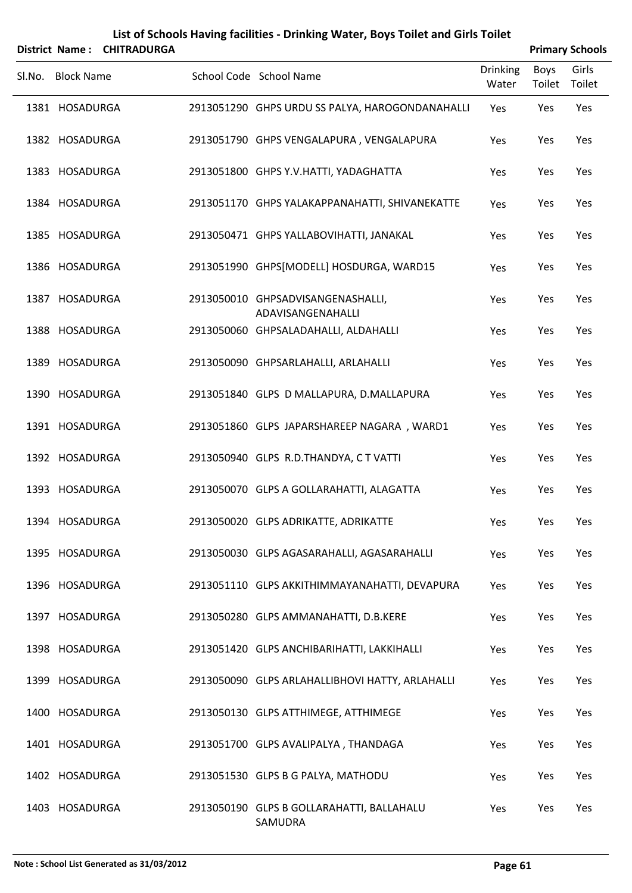|        |                   | District Name: CHITRADURGA |                                                        |                          |                | <b>Primary Schools</b> |
|--------|-------------------|----------------------------|--------------------------------------------------------|--------------------------|----------------|------------------------|
| SI.No. | <b>Block Name</b> |                            | School Code School Name                                | <b>Drinking</b><br>Water | Boys<br>Toilet | Girls<br>Toilet        |
|        | 1381 HOSADURGA    |                            | 2913051290 GHPS URDU SS PALYA, HAROGONDANAHALLI        | Yes                      | Yes            | Yes                    |
|        | 1382 HOSADURGA    |                            | 2913051790 GHPS VENGALAPURA, VENGALAPURA               | Yes                      | Yes            | Yes                    |
|        | 1383 HOSADURGA    |                            | 2913051800 GHPS Y.V.HATTI, YADAGHATTA                  | Yes                      | Yes            | Yes                    |
|        | 1384 HOSADURGA    |                            | 2913051170 GHPS YALAKAPPANAHATTI, SHIVANEKATTE         | Yes                      | Yes            | Yes                    |
|        | 1385 HOSADURGA    |                            | 2913050471 GHPS YALLABOVIHATTI, JANAKAL                | Yes                      | Yes            | Yes                    |
|        | 1386 HOSADURGA    |                            | 2913051990 GHPS[MODELL] HOSDURGA, WARD15               | Yes                      | Yes            | Yes                    |
|        | 1387 HOSADURGA    |                            | 2913050010 GHPSADVISANGENASHALLI,<br>ADAVISANGENAHALLI | Yes                      | Yes            | Yes                    |
|        | 1388 HOSADURGA    |                            | 2913050060 GHPSALADAHALLI, ALDAHALLI                   | Yes                      | Yes            | Yes                    |
|        | 1389 HOSADURGA    |                            | 2913050090 GHPSARLAHALLI, ARLAHALLI                    | Yes                      | Yes            | Yes                    |
|        | 1390 HOSADURGA    |                            | 2913051840 GLPS D MALLAPURA, D.MALLAPURA               | Yes                      | Yes            | Yes                    |
|        | 1391 HOSADURGA    |                            | 2913051860 GLPS JAPARSHAREEP NAGARA, WARD1             | Yes                      | Yes            | Yes                    |
|        | 1392 HOSADURGA    |                            | 2913050940 GLPS R.D.THANDYA, C T VATTI                 | Yes                      | Yes            | Yes                    |
|        | 1393 HOSADURGA    |                            | 2913050070 GLPS A GOLLARAHATTI, ALAGATTA               | Yes                      | Yes            | Yes                    |
|        | 1394 HOSADURGA    |                            | 2913050020 GLPS ADRIKATTE, ADRIKATTE                   | Yes                      | Yes            | Yes                    |
|        | 1395 HOSADURGA    |                            | 2913050030 GLPS AGASARAHALLI, AGASARAHALLI             | Yes                      | Yes            | Yes                    |
|        | 1396 HOSADURGA    |                            | 2913051110 GLPS AKKITHIMMAYANAHATTI, DEVAPURA          | Yes                      | Yes            | Yes                    |
|        | 1397 HOSADURGA    |                            | 2913050280 GLPS AMMANAHATTI, D.B.KERE                  | Yes                      | Yes            | Yes                    |
|        | 1398 HOSADURGA    |                            | 2913051420 GLPS ANCHIBARIHATTI, LAKKIHALLI             | Yes                      | Yes            | Yes                    |
|        | 1399 HOSADURGA    |                            | 2913050090 GLPS ARLAHALLIBHOVI HATTY, ARLAHALLI        | Yes                      | Yes            | Yes                    |
|        | 1400 HOSADURGA    |                            | 2913050130 GLPS ATTHIMEGE, ATTHIMEGE                   | Yes                      | Yes            | Yes                    |
|        | 1401 HOSADURGA    |                            | 2913051700 GLPS AVALIPALYA, THANDAGA                   | Yes                      | Yes            | Yes                    |
|        | 1402 HOSADURGA    |                            | 2913051530 GLPS B G PALYA, MATHODU                     | Yes                      | Yes            | Yes                    |
|        | 1403 HOSADURGA    |                            | 2913050190 GLPS B GOLLARAHATTI, BALLAHALU<br>SAMUDRA   | Yes                      | Yes            | Yes                    |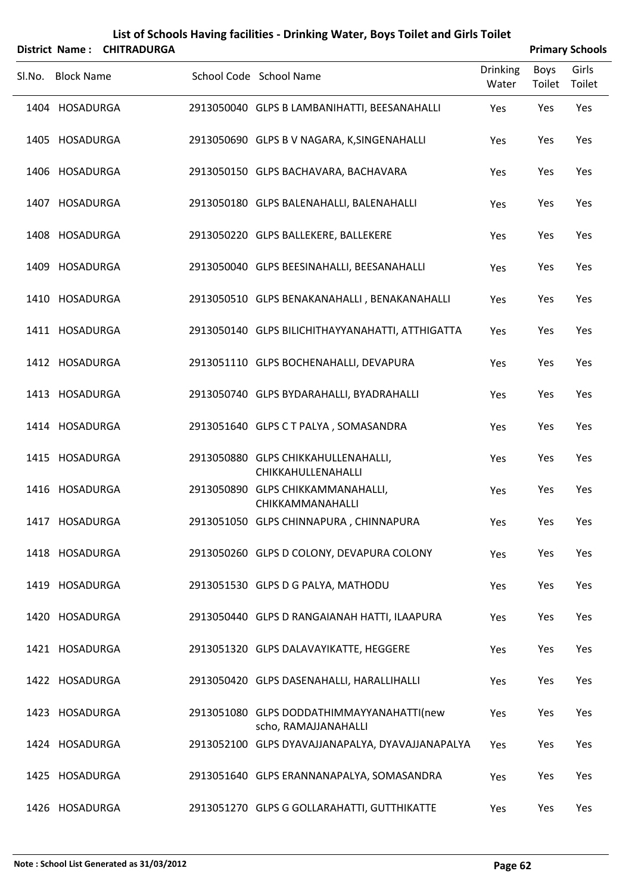|        | <b>District Name:</b> | <b>CHITRADURGA</b> | List of Schools Having facilities - Drinking Water, Boys Toilet and Girls Toilet |                          |                | <b>Primary Schools</b> |
|--------|-----------------------|--------------------|----------------------------------------------------------------------------------|--------------------------|----------------|------------------------|
| Sl.No. | <b>Block Name</b>     |                    | School Code School Name                                                          | <b>Drinking</b><br>Water | Boys<br>Toilet | Girls<br>Toilet        |
|        | 1404 HOSADURGA        |                    | 2913050040 GLPS B LAMBANIHATTI, BEESANAHALLI                                     | Yes                      | Yes            | Yes                    |
|        | 1405 HOSADURGA        |                    | 2913050690 GLPS B V NAGARA, K, SINGENAHALLI                                      | Yes                      | Yes            | Yes                    |
|        | 1406 HOSADURGA        |                    | 2913050150 GLPS BACHAVARA, BACHAVARA                                             | Yes                      | Yes            | Yes                    |
|        | 1407 HOSADURGA        |                    | 2913050180 GLPS BALENAHALLI, BALENAHALLI                                         | Yes                      | Yes            | Yes                    |
|        | 1408 HOSADURGA        |                    | 2913050220 GLPS BALLEKERE, BALLEKERE                                             | Yes                      | Yes            | Yes                    |
|        | 1409 HOSADURGA        |                    | 2913050040 GLPS BEESINAHALLI, BEESANAHALLI                                       | Yes                      | Yes            | Yes                    |
|        | 1410 HOSADURGA        |                    | 2913050510 GLPS BENAKANAHALLI, BENAKANAHALLI                                     | Yes                      | Yes            | Yes                    |
|        | 1411 HOSADURGA        |                    | 2913050140 GLPS BILICHITHAYYANAHATTI, ATTHIGATTA                                 | Yes                      | Yes            | Yes                    |
|        | 1412 HOSADURGA        |                    | 2913051110 GLPS BOCHENAHALLI, DEVAPURA                                           | Yes                      | Yes            | Yes                    |
|        | 1413 HOSADURGA        |                    | 2913050740 GLPS BYDARAHALLI, BYADRAHALLI                                         | Yes                      | Yes            | Yes                    |
|        | 1414 HOSADURGA        |                    | 2913051640 GLPS C T PALYA, SOMASANDRA                                            | Yes                      | Yes            | Yes                    |
|        | 1415 HOSADURGA        |                    | 2913050880 GLPS CHIKKAHULLENAHALLI,<br>CHIKKAHULLENAHALLI                        | Yes                      | Yes            | Yes                    |
|        | 1416 HOSADURGA        |                    | 2913050890 GLPS CHIKKAMMANAHALLI,<br>CHIKKAMMANAHALLI                            | Yes                      | Yes            | Yes                    |
|        | 1417 HOSADURGA        |                    | 2913051050 GLPS CHINNAPURA, CHINNAPURA                                           | Yes                      | Yes            | Yes                    |
|        | 1418 HOSADURGA        |                    | 2913050260 GLPS D COLONY, DEVAPURA COLONY                                        | Yes                      | Yes            | Yes                    |
|        | 1419 HOSADURGA        |                    | 2913051530 GLPS D G PALYA, MATHODU                                               | Yes                      | Yes            | Yes                    |
|        | 1420 HOSADURGA        |                    | 2913050440 GLPS D RANGAIANAH HATTI, ILAAPURA                                     | Yes                      | Yes            | Yes                    |
|        | 1421 HOSADURGA        |                    | 2913051320 GLPS DALAVAYIKATTE, HEGGERE                                           | Yes                      | Yes            | Yes                    |
|        | 1422 HOSADURGA        |                    | 2913050420 GLPS DASENAHALLI, HARALLIHALLI                                        | Yes                      | Yes            | Yes                    |
|        | 1423 HOSADURGA        |                    | 2913051080 GLPS DODDATHIMMAYYANAHATTI(new<br>scho, RAMAJJANAHALLI                | Yes                      | Yes            | Yes                    |
|        | 1424 HOSADURGA        |                    | 2913052100 GLPS DYAVAJJANAPALYA, DYAVAJJANAPALYA                                 | Yes                      | Yes            | Yes                    |
|        | 1425 HOSADURGA        |                    | 2913051640 GLPS ERANNANAPALYA, SOMASANDRA                                        | Yes                      | Yes            | Yes                    |
|        | 1426 HOSADURGA        |                    | 2913051270 GLPS G GOLLARAHATTI, GUTTHIKATTE                                      | Yes                      | Yes            | Yes                    |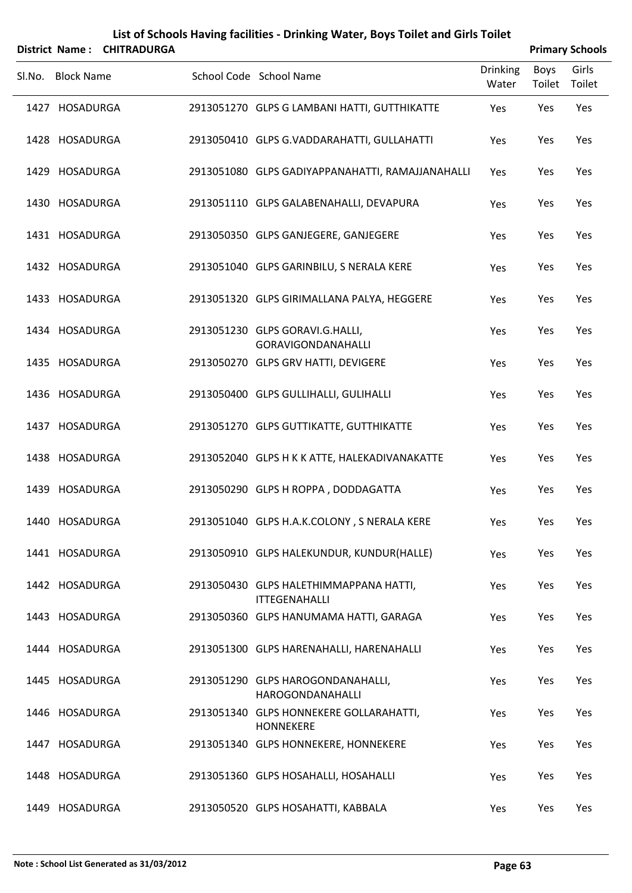|        |                   | District Name: CHITRADURGA |                                                                |                          |                | <b>Primary Schools</b> |
|--------|-------------------|----------------------------|----------------------------------------------------------------|--------------------------|----------------|------------------------|
| Sl.No. | <b>Block Name</b> |                            | School Code School Name                                        | <b>Drinking</b><br>Water | Boys<br>Toilet | Girls<br>Toilet        |
|        | 1427 HOSADURGA    |                            | 2913051270 GLPS G LAMBANI HATTI, GUTTHIKATTE                   | Yes                      | Yes            | Yes                    |
|        | 1428 HOSADURGA    |                            | 2913050410 GLPS G.VADDARAHATTI, GULLAHATTI                     | Yes                      | Yes            | Yes                    |
|        | 1429 HOSADURGA    |                            | 2913051080 GLPS GADIYAPPANAHATTI, RAMAJJANAHALLI               | Yes                      | Yes            | Yes                    |
|        | 1430 HOSADURGA    |                            | 2913051110 GLPS GALABENAHALLI, DEVAPURA                        | Yes                      | Yes            | Yes                    |
|        | 1431 HOSADURGA    |                            | 2913050350 GLPS GANJEGERE, GANJEGERE                           | Yes                      | Yes            | Yes                    |
|        | 1432 HOSADURGA    |                            | 2913051040 GLPS GARINBILU, S NERALA KERE                       | Yes                      | Yes            | Yes                    |
|        | 1433 HOSADURGA    |                            | 2913051320 GLPS GIRIMALLANA PALYA, HEGGERE                     | Yes                      | Yes            | Yes                    |
|        | 1434 HOSADURGA    |                            | 2913051230 GLPS GORAVI.G.HALLI,<br><b>GORAVIGONDANAHALLI</b>   | Yes                      | Yes            | Yes                    |
|        | 1435 HOSADURGA    |                            | 2913050270 GLPS GRV HATTI, DEVIGERE                            | Yes                      | Yes            | Yes                    |
|        | 1436 HOSADURGA    |                            | 2913050400 GLPS GULLIHALLI, GULIHALLI                          | Yes                      | Yes            | Yes                    |
|        | 1437 HOSADURGA    |                            | 2913051270 GLPS GUTTIKATTE, GUTTHIKATTE                        | Yes                      | Yes            | Yes                    |
|        | 1438 HOSADURGA    |                            | 2913052040 GLPS H K K ATTE, HALEKADIVANAKATTE                  | Yes                      | Yes            | Yes                    |
|        | 1439 HOSADURGA    |                            | 2913050290 GLPS H ROPPA, DODDAGATTA                            | Yes                      | Yes            | Yes                    |
|        | 1440 HOSADURGA    |                            | 2913051040 GLPS H.A.K.COLONY, S NERALA KERE                    | Yes                      | Yes            | Yes                    |
|        | 1441 HOSADURGA    |                            | 2913050910 GLPS HALEKUNDUR, KUNDUR(HALLE)                      | Yes                      | Yes            | Yes                    |
|        | 1442 HOSADURGA    |                            | 2913050430 GLPS HALETHIMMAPPANA HATTI,<br><b>ITTEGENAHALLI</b> | Yes                      | Yes            | Yes                    |
|        | 1443 HOSADURGA    |                            | 2913050360 GLPS HANUMAMA HATTI, GARAGA                         | Yes                      | Yes            | Yes                    |
|        | 1444 HOSADURGA    |                            | 2913051300 GLPS HARENAHALLI, HARENAHALLI                       | Yes                      | Yes            | Yes                    |
|        | 1445 HOSADURGA    |                            | 2913051290 GLPS HAROGONDANAHALLI,<br>HAROGONDANAHALLI          | Yes                      | Yes            | Yes                    |
|        | 1446 HOSADURGA    |                            | 2913051340 GLPS HONNEKERE GOLLARAHATTI,<br><b>HONNEKERE</b>    | Yes                      | Yes            | Yes                    |
|        | 1447 HOSADURGA    |                            | 2913051340 GLPS HONNEKERE, HONNEKERE                           | Yes                      | Yes            | Yes                    |
|        | 1448 HOSADURGA    |                            | 2913051360 GLPS HOSAHALLI, HOSAHALLI                           | Yes                      | Yes            | Yes                    |
|        | 1449 HOSADURGA    |                            | 2913050520 GLPS HOSAHATTI, KABBALA                             | Yes                      | Yes            | Yes                    |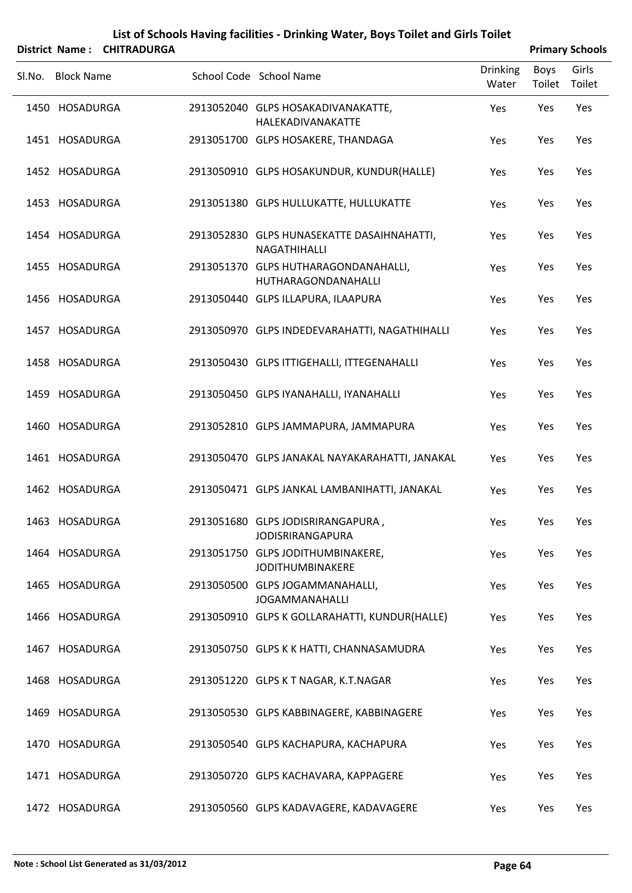|        |                   | District Name: CHITRADURGA |                                                              |                          |                | <b>Primary Schools</b> |
|--------|-------------------|----------------------------|--------------------------------------------------------------|--------------------------|----------------|------------------------|
| SI.No. | <b>Block Name</b> |                            | School Code School Name                                      | <b>Drinking</b><br>Water | Boys<br>Toilet | Girls<br>Toilet        |
|        | 1450 HOSADURGA    |                            | 2913052040 GLPS HOSAKADIVANAKATTE,<br>HALEKADIVANAKATTE      | Yes                      | Yes            | Yes                    |
|        | 1451 HOSADURGA    |                            | 2913051700 GLPS HOSAKERE, THANDAGA                           | Yes                      | Yes            | Yes                    |
|        | 1452 HOSADURGA    |                            | 2913050910 GLPS HOSAKUNDUR, KUNDUR(HALLE)                    | Yes                      | Yes            | Yes                    |
|        | 1453 HOSADURGA    |                            | 2913051380 GLPS HULLUKATTE, HULLUKATTE                       | Yes                      | Yes            | Yes                    |
|        | 1454 HOSADURGA    |                            | 2913052830 GLPS HUNASEKATTE DASAIHNAHATTI,<br>NAGATHIHALLI   | Yes                      | Yes            | Yes                    |
|        | 1455 HOSADURGA    |                            | 2913051370 GLPS HUTHARAGONDANAHALLI,<br>HUTHARAGONDANAHALLI  | Yes                      | Yes            | Yes                    |
|        | 1456 HOSADURGA    |                            | 2913050440 GLPS ILLAPURA, ILAAPURA                           | Yes                      | Yes            | Yes                    |
|        | 1457 HOSADURGA    |                            | 2913050970 GLPS INDEDEVARAHATTI, NAGATHIHALLI                | Yes                      | Yes            | Yes                    |
|        | 1458 HOSADURGA    |                            | 2913050430 GLPS ITTIGEHALLI, ITTEGENAHALLI                   | Yes                      | Yes            | Yes                    |
|        | 1459 HOSADURGA    |                            | 2913050450 GLPS IYANAHALLI, IYANAHALLI                       | Yes                      | Yes            | Yes                    |
|        | 1460 HOSADURGA    |                            | 2913052810 GLPS JAMMAPURA, JAMMAPURA                         | Yes                      | Yes            | Yes                    |
|        | 1461 HOSADURGA    |                            | 2913050470 GLPS JANAKAL NAYAKARAHATTI, JANAKAL               | Yes                      | Yes            | Yes                    |
|        | 1462 HOSADURGA    |                            | 2913050471 GLPS JANKAL LAMBANIHATTI, JANAKAL                 | Yes                      | Yes            | Yes                    |
|        | 1463 HOSADURGA    |                            | 2913051680 GLPS JODISRIRANGAPURA,<br><b>JODISRIRANGAPURA</b> | Yes                      | Yes            | Yes                    |
|        | 1464 HOSADURGA    |                            | 2913051750 GLPS JODITHUMBINAKERE,<br><b>JODITHUMBINAKERE</b> | Yes                      | Yes            | Yes                    |
|        | 1465 HOSADURGA    |                            | 2913050500 GLPS JOGAMMANAHALLI,<br><b>JOGAMMANAHALLI</b>     | Yes                      | Yes            | Yes                    |
|        | 1466 HOSADURGA    |                            | 2913050910 GLPS K GOLLARAHATTI, KUNDUR(HALLE)                | Yes                      | Yes            | Yes                    |
|        | 1467 HOSADURGA    |                            | 2913050750 GLPS K K HATTI, CHANNASAMUDRA                     | Yes                      | Yes            | Yes                    |
|        | 1468 HOSADURGA    |                            | 2913051220 GLPS K T NAGAR, K.T.NAGAR                         | Yes                      | Yes            | Yes                    |
|        | 1469 HOSADURGA    |                            | 2913050530 GLPS KABBINAGERE, KABBINAGERE                     | Yes                      | Yes            | Yes                    |
|        | 1470 HOSADURGA    |                            | 2913050540 GLPS KACHAPURA, KACHAPURA                         | Yes                      | Yes            | Yes                    |
|        | 1471 HOSADURGA    |                            | 2913050720 GLPS KACHAVARA, KAPPAGERE                         | Yes                      | Yes            | Yes                    |
|        | 1472 HOSADURGA    |                            | 2913050560 GLPS KADAVAGERE, KADAVAGERE                       | Yes                      | Yes            | Yes                    |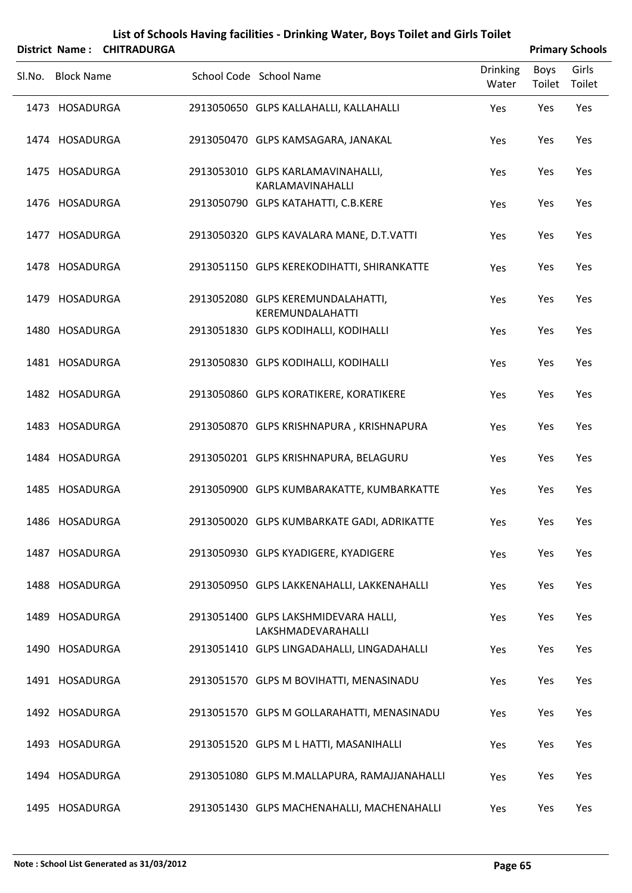|                   | District Name: CHITRADURGA |                                                            |                          |                | <b>Primary Schools</b> |
|-------------------|----------------------------|------------------------------------------------------------|--------------------------|----------------|------------------------|
| Sl.No. Block Name |                            | School Code School Name                                    | <b>Drinking</b><br>Water | Boys<br>Toilet | Girls<br>Toilet        |
| 1473 HOSADURGA    |                            | 2913050650 GLPS KALLAHALLI, KALLAHALLI                     | Yes                      | Yes            | Yes                    |
| 1474 HOSADURGA    |                            | 2913050470 GLPS KAMSAGARA, JANAKAL                         | Yes                      | Yes            | Yes                    |
| 1475 HOSADURGA    |                            | 2913053010 GLPS KARLAMAVINAHALLI,<br>KARLAMAVINAHALLI      | Yes                      | Yes            | Yes                    |
| 1476 HOSADURGA    |                            | 2913050790 GLPS KATAHATTI, C.B.KERE                        | Yes                      | Yes            | Yes                    |
| 1477 HOSADURGA    |                            | 2913050320 GLPS KAVALARA MANE, D.T.VATTI                   | Yes                      | Yes            | Yes                    |
| 1478 HOSADURGA    |                            | 2913051150 GLPS KEREKODIHATTI, SHIRANKATTE                 | Yes                      | Yes            | Yes                    |
| 1479 HOSADURGA    |                            | 2913052080 GLPS KEREMUNDALAHATTI,<br>KEREMUNDALAHATTI      | Yes                      | Yes            | Yes                    |
| 1480 HOSADURGA    |                            | 2913051830 GLPS KODIHALLI, KODIHALLI                       | Yes                      | Yes            | Yes                    |
| 1481 HOSADURGA    |                            | 2913050830 GLPS KODIHALLI, KODIHALLI                       | Yes                      | Yes            | Yes                    |
| 1482 HOSADURGA    |                            | 2913050860 GLPS KORATIKERE, KORATIKERE                     | Yes                      | Yes            | Yes                    |
| 1483 HOSADURGA    |                            | 2913050870 GLPS KRISHNAPURA, KRISHNAPURA                   | Yes                      | Yes            | Yes                    |
| 1484 HOSADURGA    |                            | 2913050201 GLPS KRISHNAPURA, BELAGURU                      | Yes                      | Yes            | Yes                    |
| 1485 HOSADURGA    |                            | 2913050900 GLPS KUMBARAKATTE, KUMBARKATTE                  | Yes                      | Yes            | Yes                    |
| 1486 HOSADURGA    |                            | 2913050020 GLPS KUMBARKATE GADI, ADRIKATTE                 | Yes                      | Yes            | Yes                    |
| 1487 HOSADURGA    |                            | 2913050930 GLPS KYADIGERE, KYADIGERE                       | Yes                      | Yes            | Yes                    |
| 1488 HOSADURGA    |                            | 2913050950 GLPS LAKKENAHALLI, LAKKENAHALLI                 | Yes                      | Yes            | Yes                    |
| 1489 HOSADURGA    |                            | 2913051400 GLPS LAKSHMIDEVARA HALLI,<br>LAKSHMADEVARAHALLI | Yes                      | Yes            | Yes                    |
| 1490 HOSADURGA    |                            | 2913051410 GLPS LINGADAHALLI, LINGADAHALLI                 | Yes                      | Yes            | Yes                    |
| 1491 HOSADURGA    |                            | 2913051570 GLPS M BOVIHATTI, MENASINADU                    | Yes                      | Yes            | Yes                    |
| 1492 HOSADURGA    |                            | 2913051570 GLPS M GOLLARAHATTI, MENASINADU                 | Yes                      | Yes            | Yes                    |
| 1493 HOSADURGA    |                            | 2913051520 GLPS M L HATTI, MASANIHALLI                     | Yes                      | Yes            | Yes                    |
| 1494 HOSADURGA    |                            | 2913051080 GLPS M.MALLAPURA, RAMAJJANAHALLI                | Yes                      | Yes            | Yes                    |
| 1495 HOSADURGA    |                            | 2913051430 GLPS MACHENAHALLI, MACHENAHALLI                 | Yes                      | Yes            | Yes                    |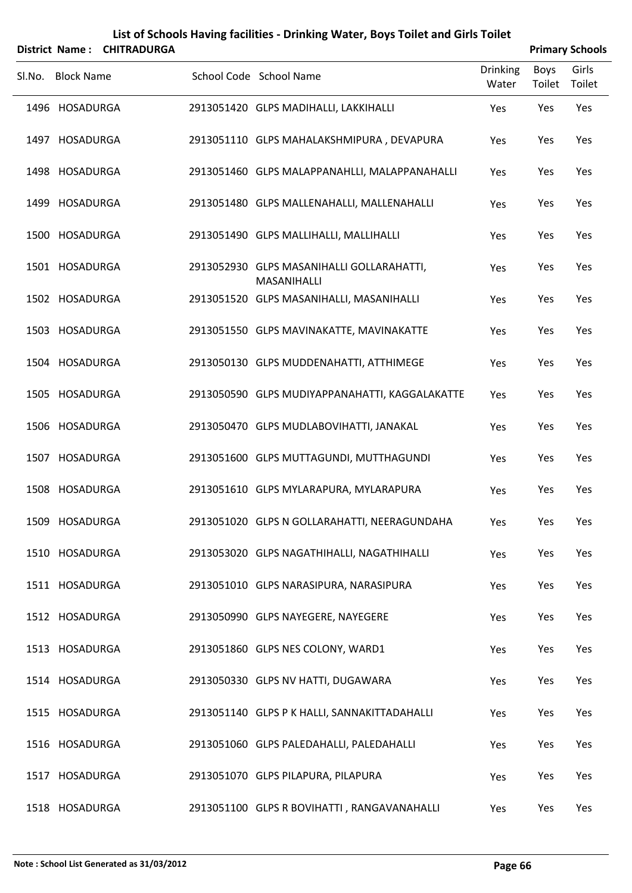|        |                   | District Name: CHITRADURGA |                                                          |                          |                | <b>Primary Schools</b> |
|--------|-------------------|----------------------------|----------------------------------------------------------|--------------------------|----------------|------------------------|
| SI.No. | <b>Block Name</b> |                            | School Code School Name                                  | <b>Drinking</b><br>Water | Boys<br>Toilet | Girls<br>Toilet        |
|        | 1496 HOSADURGA    |                            | 2913051420 GLPS MADIHALLI, LAKKIHALLI                    | Yes                      | Yes            | Yes                    |
|        | 1497 HOSADURGA    |                            | 2913051110 GLPS MAHALAKSHMIPURA, DEVAPURA                | Yes                      | Yes            | Yes                    |
|        | 1498 HOSADURGA    |                            | 2913051460 GLPS MALAPPANAHLLI, MALAPPANAHALLI            | Yes                      | Yes            | Yes                    |
|        | 1499 HOSADURGA    |                            | 2913051480 GLPS MALLENAHALLI, MALLENAHALLI               | Yes                      | Yes            | Yes                    |
|        | 1500 HOSADURGA    |                            | 2913051490 GLPS MALLIHALLI, MALLIHALLI                   | Yes                      | Yes            | Yes                    |
|        | 1501 HOSADURGA    |                            | 2913052930 GLPS MASANIHALLI GOLLARAHATTI,<br>MASANIHALLI | Yes                      | Yes            | Yes                    |
|        | 1502 HOSADURGA    |                            | 2913051520 GLPS MASANIHALLI, MASANIHALLI                 | Yes                      | Yes            | Yes                    |
|        | 1503 HOSADURGA    |                            | 2913051550 GLPS MAVINAKATTE, MAVINAKATTE                 | Yes                      | Yes            | Yes                    |
|        | 1504 HOSADURGA    |                            | 2913050130 GLPS MUDDENAHATTI, ATTHIMEGE                  | Yes                      | Yes            | Yes                    |
|        | 1505 HOSADURGA    |                            | 2913050590 GLPS MUDIYAPPANAHATTI, KAGGALAKATTE           | Yes                      | Yes            | Yes                    |
|        | 1506 HOSADURGA    |                            | 2913050470 GLPS MUDLABOVIHATTI, JANAKAL                  | Yes                      | Yes            | Yes                    |
|        | 1507 HOSADURGA    |                            | 2913051600 GLPS MUTTAGUNDI, MUTTHAGUNDI                  | Yes                      | Yes            | Yes                    |
|        | 1508 HOSADURGA    |                            | 2913051610 GLPS MYLARAPURA, MYLARAPURA                   | Yes                      | Yes            | Yes                    |
|        | 1509 HOSADURGA    |                            | 2913051020 GLPS N GOLLARAHATTI, NEERAGUNDAHA             | Yes                      | Yes            | Yes                    |
|        | 1510 HOSADURGA    |                            | 2913053020 GLPS NAGATHIHALLI, NAGATHIHALLI               | Yes                      | Yes            | Yes                    |
|        | 1511 HOSADURGA    |                            | 2913051010 GLPS NARASIPURA, NARASIPURA                   | Yes                      | Yes            | Yes                    |
|        | 1512 HOSADURGA    |                            | 2913050990 GLPS NAYEGERE, NAYEGERE                       | Yes                      | Yes            | Yes                    |
|        | 1513 HOSADURGA    |                            | 2913051860 GLPS NES COLONY, WARD1                        | Yes                      | Yes            | Yes                    |
|        | 1514 HOSADURGA    |                            | 2913050330 GLPS NV HATTI, DUGAWARA                       | Yes                      | Yes            | Yes                    |
|        | 1515 HOSADURGA    |                            | 2913051140 GLPS P K HALLI, SANNAKITTADAHALLI             | Yes                      | Yes            | Yes                    |
|        | 1516 HOSADURGA    |                            | 2913051060 GLPS PALEDAHALLI, PALEDAHALLI                 | Yes                      | Yes            | Yes                    |
|        | 1517 HOSADURGA    |                            | 2913051070 GLPS PILAPURA, PILAPURA                       | Yes                      | Yes            | Yes                    |
|        | 1518 HOSADURGA    |                            | 2913051100 GLPS R BOVIHATTI, RANGAVANAHALLI              | Yes                      | Yes            | Yes                    |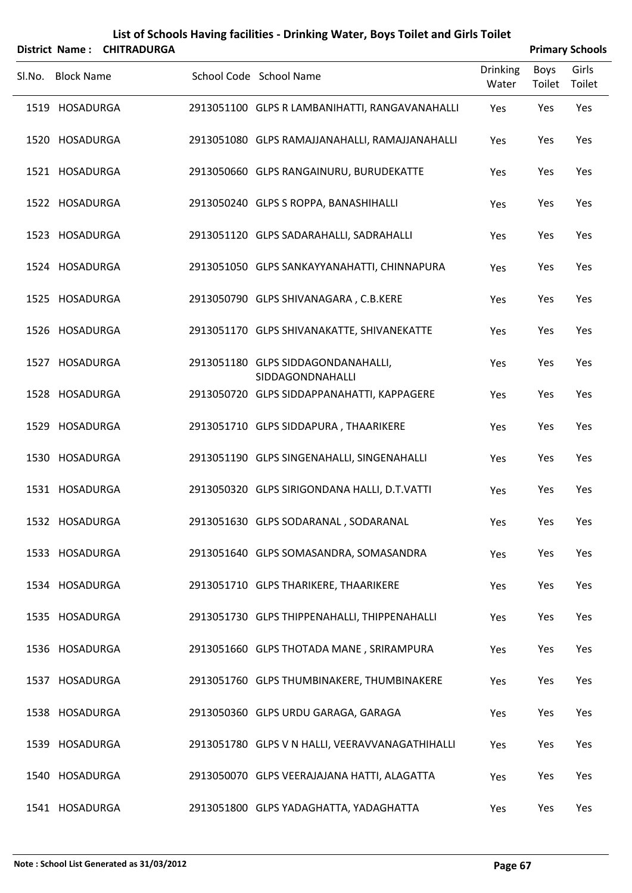|        |                   | District Name: CHITRADURGA |                                                        |                          |                | <b>Primary Schools</b> |
|--------|-------------------|----------------------------|--------------------------------------------------------|--------------------------|----------------|------------------------|
| Sl.No. | <b>Block Name</b> |                            | School Code School Name                                | <b>Drinking</b><br>Water | Boys<br>Toilet | Girls<br>Toilet        |
|        | 1519 HOSADURGA    |                            | 2913051100 GLPS R LAMBANIHATTI, RANGAVANAHALLI         | Yes                      | Yes            | Yes                    |
|        | 1520 HOSADURGA    |                            | 2913051080 GLPS RAMAJJANAHALLI, RAMAJJANAHALLI         | Yes                      | Yes            | Yes                    |
|        | 1521 HOSADURGA    |                            | 2913050660 GLPS RANGAINURU, BURUDEKATTE                | Yes                      | Yes            | Yes                    |
|        | 1522 HOSADURGA    |                            | 2913050240 GLPS S ROPPA, BANASHIHALLI                  | Yes                      | Yes            | Yes                    |
|        | 1523 HOSADURGA    |                            | 2913051120 GLPS SADARAHALLI, SADRAHALLI                | Yes                      | Yes            | Yes                    |
|        | 1524 HOSADURGA    |                            | 2913051050 GLPS SANKAYYANAHATTI, CHINNAPURA            | Yes                      | Yes            | Yes                    |
|        | 1525 HOSADURGA    |                            | 2913050790 GLPS SHIVANAGARA, C.B.KERE                  | Yes                      | Yes            | Yes                    |
|        | 1526 HOSADURGA    |                            | 2913051170 GLPS SHIVANAKATTE, SHIVANEKATTE             | Yes                      | Yes            | Yes                    |
|        | 1527 HOSADURGA    |                            | 2913051180 GLPS SIDDAGONDANAHALLI,<br>SIDDAGONDNAHALLI | Yes                      | Yes            | Yes                    |
|        | 1528 HOSADURGA    |                            | 2913050720 GLPS SIDDAPPANAHATTI, KAPPAGERE             | Yes                      | Yes            | Yes                    |
|        | 1529 HOSADURGA    |                            | 2913051710 GLPS SIDDAPURA, THAARIKERE                  | Yes                      | Yes            | Yes                    |
|        | 1530 HOSADURGA    |                            | 2913051190 GLPS SINGENAHALLI, SINGENAHALLI             | Yes                      | Yes            | Yes                    |
|        | 1531 HOSADURGA    |                            | 2913050320 GLPS SIRIGONDANA HALLI, D.T.VATTI           | Yes                      | Yes            | Yes                    |
|        | 1532 HOSADURGA    |                            | 2913051630 GLPS SODARANAL, SODARANAL                   | Yes                      | Yes            | Yes                    |
|        | 1533 HOSADURGA    |                            | 2913051640 GLPS SOMASANDRA, SOMASANDRA                 | Yes                      | Yes            | Yes                    |
|        | 1534 HOSADURGA    |                            | 2913051710 GLPS THARIKERE, THAARIKERE                  | Yes                      | Yes            | Yes                    |
|        | 1535 HOSADURGA    |                            | 2913051730 GLPS THIPPENAHALLI, THIPPENAHALLI           | Yes                      | Yes            | Yes                    |
|        | 1536 HOSADURGA    |                            | 2913051660 GLPS THOTADA MANE, SRIRAMPURA               | Yes                      | Yes            | Yes                    |
|        | 1537 HOSADURGA    |                            | 2913051760 GLPS THUMBINAKERE, THUMBINAKERE             | Yes                      | Yes            | Yes                    |
|        | 1538 HOSADURGA    |                            | 2913050360 GLPS URDU GARAGA, GARAGA                    | Yes                      | Yes            | Yes                    |
|        | 1539 HOSADURGA    |                            | 2913051780 GLPS V N HALLI, VEERAVVANAGATHIHALLI        | Yes                      | Yes            | Yes                    |
|        | 1540 HOSADURGA    |                            | 2913050070 GLPS VEERAJAJANA HATTI, ALAGATTA            | Yes                      | Yes            | Yes                    |
|        | 1541 HOSADURGA    |                            | 2913051800 GLPS YADAGHATTA, YADAGHATTA                 | Yes                      | Yes            | Yes                    |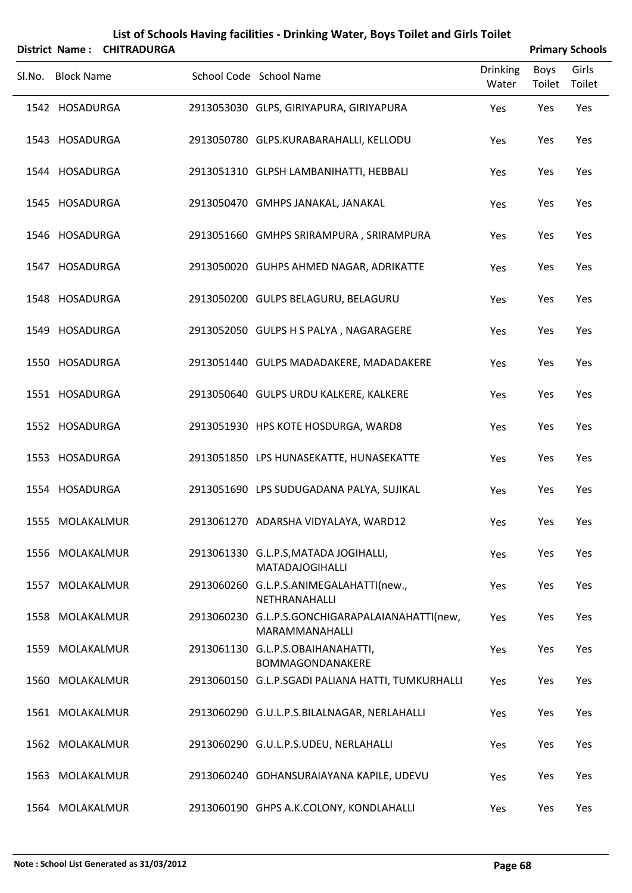|        | District Name:    | <b>CHITRADURGA</b> | List of Schools Having facilities - Drinking Water, Boys Toilet and Girls Toilet |                          |                       | <b>Primary Schools</b> |  |
|--------|-------------------|--------------------|----------------------------------------------------------------------------------|--------------------------|-----------------------|------------------------|--|
| SI.No. | <b>Block Name</b> |                    | School Code School Name                                                          | <b>Drinking</b><br>Water | <b>Boys</b><br>Toilet | Girls<br>Toilet        |  |
|        | 1542 HOSADURGA    |                    | 2913053030 GLPS, GIRIYAPURA, GIRIYAPURA                                          | Yes                      | Yes                   | Yes                    |  |
|        | 1543 HOSADURGA    |                    | 2913050780 GLPS.KURABARAHALLI, KELLODU                                           | Yes                      | Yes                   | Yes                    |  |
|        | 1544 HOSADURGA    |                    | 2913051310 GLPSH LAMBANIHATTI, HEBBALI                                           | Yes                      | Yes                   | Yes                    |  |
|        | 1545 HOSADURGA    |                    | 2913050470 GMHPS JANAKAL, JANAKAL                                                | Yes                      | Yes                   | Yes                    |  |
|        | 1546 HOSADURGA    |                    | 2913051660 GMHPS SRIRAMPURA, SRIRAMPURA                                          | Yes                      | Yes                   | Yes                    |  |
|        | 1547 HOSADURGA    |                    | 2913050020 GUHPS AHMED NAGAR, ADRIKATTE                                          | Yes                      | Yes                   | Yes                    |  |
|        | 1548 HOSADURGA    |                    | 2913050200 GULPS BELAGURU, BELAGURU                                              | Yes                      | Yes                   | Yes                    |  |
|        | 1549 HOSADURGA    |                    | 2913052050 GULPS H S PALYA, NAGARAGERE                                           | Yes                      | Yes                   | Yes                    |  |
|        | 1550 HOSADURGA    |                    | 2913051440 GULPS MADADAKERE, MADADAKERE                                          | Yes                      | Yes                   | Yes                    |  |
|        | 1551 HOSADURGA    |                    | 2913050640 GULPS URDU KALKERE, KALKERE                                           | Yes                      | Yes                   | Yes                    |  |
|        | 1552 HOSADURGA    |                    | 2913051930 HPS KOTE HOSDURGA, WARD8                                              | Yes                      | Yes                   | Yes                    |  |
|        | 1553 HOSADURGA    |                    | 2913051850 LPS HUNASEKATTE, HUNASEKATTE                                          | Yes                      | Yes                   | Yes                    |  |
|        | 1554 HOSADURGA    |                    | 2913051690 LPS SUDUGADANA PALYA, SUJIKAL                                         | Yes                      | Yes                   | Yes                    |  |
|        | 1555 MOLAKALMUR   |                    | 2913061270 ADARSHA VIDYALAYA, WARD12                                             | Yes                      | Yes                   | Yes                    |  |
|        | 1556 MOLAKALMUR   |                    | 2913061330 G.L.P.S, MATADA JOGIHALLI,<br><b>MATADAJOGIHALLI</b>                  | Yes                      | Yes                   | Yes                    |  |
|        | 1557 MOLAKALMUR   |                    | 2913060260 G.L.P.S.ANIMEGALAHATTI(new.,<br>NETHRANAHALLI                         | Yes                      | Yes                   | Yes                    |  |
|        | 1558 MOLAKALMUR   |                    | 2913060230 G.L.P.S.GONCHIGARAPALAIANAHATTI(new,<br>MARAMMANAHALLI                | Yes                      | Yes                   | Yes                    |  |
|        | 1559 MOLAKALMUR   |                    | 2913061130 G.L.P.S.OBAIHANAHATTI,<br>BOMMAGONDANAKERE                            | Yes                      | Yes                   | Yes                    |  |
|        | 1560 MOLAKALMUR   |                    | 2913060150 G.L.P.SGADI PALIANA HATTI, TUMKURHALLI                                | Yes                      | Yes                   | Yes                    |  |
| 1561   | MOLAKALMUR        |                    | 2913060290 G.U.L.P.S.BILALNAGAR, NERLAHALLI                                      | Yes                      | Yes                   | Yes                    |  |
|        | 1562 MOLAKALMUR   |                    | 2913060290 G.U.L.P.S.UDEU, NERLAHALLI                                            | Yes                      | Yes                   | Yes                    |  |
|        | 1563 MOLAKALMUR   |                    | 2913060240 GDHANSURAIAYANA KAPILE, UDEVU                                         | Yes                      | Yes                   | Yes                    |  |
|        | 1564 MOLAKALMUR   |                    | 2913060190 GHPS A.K.COLONY, KONDLAHALLI                                          | Yes                      | Yes                   | Yes                    |  |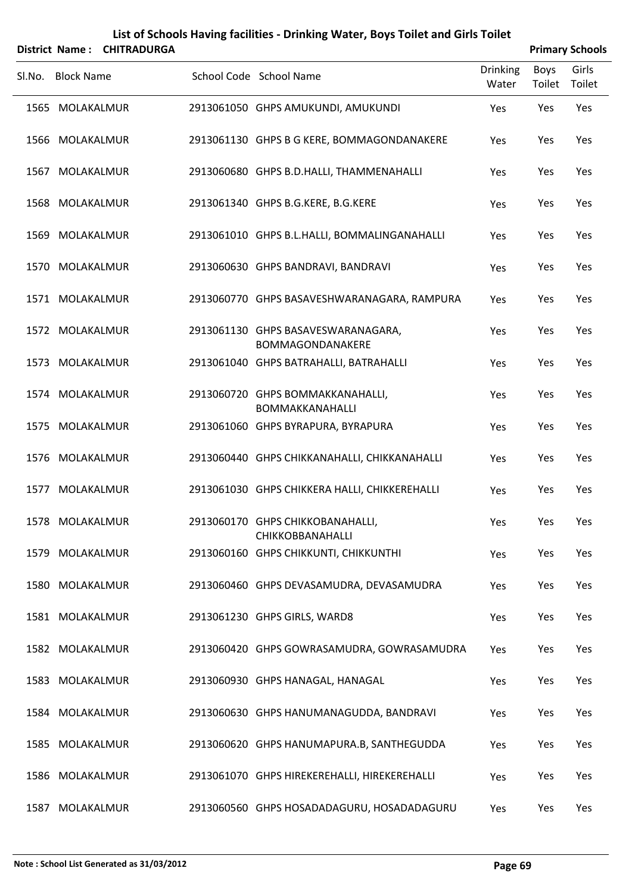|        |                   | District Name: CHITRADURGA |                                                        |                          |                | <b>Primary Schools</b> |
|--------|-------------------|----------------------------|--------------------------------------------------------|--------------------------|----------------|------------------------|
| SI.No. | <b>Block Name</b> |                            | School Code School Name                                | <b>Drinking</b><br>Water | Boys<br>Toilet | Girls<br>Toilet        |
|        | 1565 MOLAKALMUR   |                            | 2913061050 GHPS AMUKUNDI, AMUKUNDI                     | Yes                      | Yes            | Yes                    |
|        | 1566 MOLAKALMUR   |                            | 2913061130 GHPS B G KERE, BOMMAGONDANAKERE             | Yes                      | Yes            | Yes                    |
|        | 1567 MOLAKALMUR   |                            | 2913060680 GHPS B.D.HALLI, THAMMENAHALLI               | Yes                      | Yes            | Yes                    |
|        | 1568 MOLAKALMUR   |                            | 2913061340 GHPS B.G.KERE, B.G.KERE                     | Yes                      | Yes            | Yes                    |
|        | 1569 MOLAKALMUR   |                            | 2913061010 GHPS B.L.HALLI, BOMMALINGANAHALLI           | Yes                      | Yes            | Yes                    |
|        | 1570 MOLAKALMUR   |                            | 2913060630 GHPS BANDRAVI, BANDRAVI                     | Yes                      | Yes            | Yes                    |
|        | 1571 MOLAKALMUR   |                            | 2913060770 GHPS BASAVESHWARANAGARA, RAMPURA            | Yes                      | Yes            | Yes                    |
|        | 1572 MOLAKALMUR   |                            | 2913061130 GHPS BASAVESWARANAGARA,<br>BOMMAGONDANAKERE | Yes                      | Yes            | Yes                    |
|        | 1573 MOLAKALMUR   |                            | 2913061040 GHPS BATRAHALLI, BATRAHALLI                 | Yes                      | Yes            | Yes                    |
|        | 1574 MOLAKALMUR   |                            | 2913060720 GHPS BOMMAKKANAHALLI,<br>BOMMAKKANAHALLI    | Yes                      | Yes            | Yes                    |
|        | 1575 MOLAKALMUR   |                            | 2913061060 GHPS BYRAPURA, BYRAPURA                     | Yes                      | Yes            | Yes                    |
|        | 1576 MOLAKALMUR   |                            | 2913060440 GHPS CHIKKANAHALLI, CHIKKANAHALLI           | Yes                      | Yes            | Yes                    |
|        | 1577 MOLAKALMUR   |                            | 2913061030 GHPS CHIKKERA HALLI, CHIKKEREHALLI          | Yes                      | Yes            | Yes                    |
|        | 1578 MOLAKALMUR   |                            | 2913060170 GHPS CHIKKOBANAHALLI,<br>CHIKKOBBANAHALLI   | Yes                      | Yes            | Yes                    |
|        | 1579 MOLAKALMUR   |                            | 2913060160 GHPS CHIKKUNTI, CHIKKUNTHI                  | Yes                      | Yes            | Yes                    |
|        | 1580 MOLAKALMUR   |                            | 2913060460 GHPS DEVASAMUDRA, DEVASAMUDRA               | Yes                      | Yes            | Yes                    |
|        | 1581 MOLAKALMUR   |                            | 2913061230 GHPS GIRLS, WARD8                           | Yes                      | Yes            | Yes                    |
|        | 1582 MOLAKALMUR   |                            | 2913060420 GHPS GOWRASAMUDRA, GOWRASAMUDRA             | Yes                      | Yes            | Yes                    |
|        | 1583 MOLAKALMUR   |                            | 2913060930 GHPS HANAGAL, HANAGAL                       | Yes                      | Yes            | Yes                    |
|        | 1584 MOLAKALMUR   |                            | 2913060630 GHPS HANUMANAGUDDA, BANDRAVI                | Yes                      | Yes            | Yes                    |
|        | 1585 MOLAKALMUR   |                            | 2913060620 GHPS HANUMAPURA.B, SANTHEGUDDA              | Yes                      | Yes            | Yes                    |
|        | 1586 MOLAKALMUR   |                            | 2913061070 GHPS HIREKEREHALLI, HIREKEREHALLI           | Yes                      | Yes            | Yes                    |
|        | 1587 MOLAKALMUR   |                            | 2913060560 GHPS HOSADADAGURU, HOSADADAGURU             | Yes                      | Yes            | Yes                    |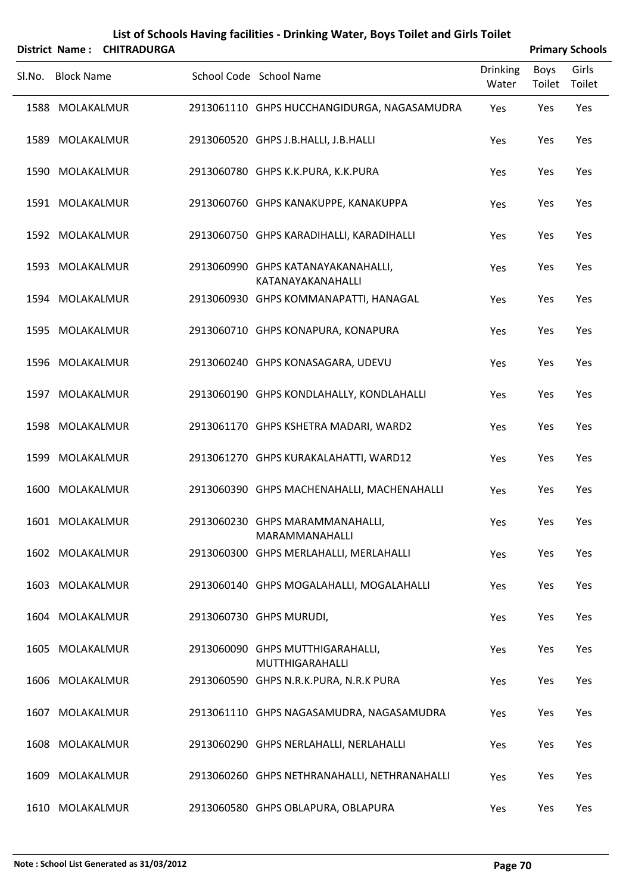|        |                   | District Name: CHITRADURGA |                                                          |                          |                | <b>Primary Schools</b> |
|--------|-------------------|----------------------------|----------------------------------------------------------|--------------------------|----------------|------------------------|
| SI.No. | <b>Block Name</b> |                            | School Code School Name                                  | <b>Drinking</b><br>Water | Boys<br>Toilet | Girls<br>Toilet        |
|        | 1588 MOLAKALMUR   |                            | 2913061110 GHPS HUCCHANGIDURGA, NAGASAMUDRA              | Yes                      | Yes            | Yes                    |
| 1589   | MOLAKALMUR        |                            | 2913060520 GHPS J.B.HALLI, J.B.HALLI                     | Yes                      | Yes            | Yes                    |
|        | 1590 MOLAKALMUR   |                            | 2913060780 GHPS K.K.PURA, K.K.PURA                       | Yes                      | Yes            | Yes                    |
|        | 1591 MOLAKALMUR   |                            | 2913060760 GHPS KANAKUPPE, KANAKUPPA                     | Yes                      | Yes            | Yes                    |
|        | 1592 MOLAKALMUR   |                            | 2913060750 GHPS KARADIHALLI, KARADIHALLI                 | Yes                      | Yes            | Yes                    |
|        | 1593 MOLAKALMUR   |                            | 2913060990 GHPS KATANAYAKANAHALLI,<br>KATANAYAKANAHALLI  | Yes                      | Yes            | Yes                    |
|        | 1594 MOLAKALMUR   |                            | 2913060930 GHPS KOMMANAPATTI, HANAGAL                    | Yes                      | Yes            | Yes                    |
|        | 1595 MOLAKALMUR   |                            | 2913060710 GHPS KONAPURA, KONAPURA                       | Yes                      | Yes            | Yes                    |
|        | 1596 MOLAKALMUR   |                            | 2913060240 GHPS KONASAGARA, UDEVU                        | Yes                      | Yes            | Yes                    |
|        | 1597 MOLAKALMUR   |                            | 2913060190 GHPS KONDLAHALLY, KONDLAHALLI                 | Yes                      | Yes            | Yes                    |
|        | 1598 MOLAKALMUR   |                            | 2913061170 GHPS KSHETRA MADARI, WARD2                    | Yes                      | Yes            | Yes                    |
| 1599   | MOLAKALMUR        |                            | 2913061270 GHPS KURAKALAHATTI, WARD12                    | Yes                      | Yes            | Yes                    |
|        | 1600 MOLAKALMUR   |                            | 2913060390 GHPS MACHENAHALLI, MACHENAHALLI               | Yes                      | Yes            | Yes                    |
|        | 1601 MOLAKALMUR   |                            | 2913060230 GHPS MARAMMANAHALLI,<br><b>MARAMMANAHALLI</b> | Yes                      | Yes            | Yes                    |
|        | 1602 MOLAKALMUR   |                            | 2913060300 GHPS MERLAHALLI, MERLAHALLI                   | Yes                      | Yes            | Yes                    |
|        | 1603 MOLAKALMUR   |                            | 2913060140 GHPS MOGALAHALLI, MOGALAHALLI                 | Yes                      | Yes            | Yes                    |
| 1604   | MOLAKALMUR        |                            | 2913060730 GHPS MURUDI,                                  | Yes                      | Yes            | Yes                    |
|        | 1605 MOLAKALMUR   |                            | 2913060090 GHPS MUTTHIGARAHALLI,<br>MUTTHIGARAHALLI      | Yes                      | Yes            | Yes                    |
| 1606   | MOLAKALMUR        |                            | 2913060590 GHPS N.R.K.PURA, N.R.K PURA                   | Yes                      | Yes            | Yes                    |
|        | 1607 MOLAKALMUR   |                            | 2913061110 GHPS NAGASAMUDRA, NAGASAMUDRA                 | Yes                      | Yes            | Yes                    |
| 1608   | MOLAKALMUR        |                            | 2913060290 GHPS NERLAHALLI, NERLAHALLI                   | Yes                      | Yes            | Yes                    |
| 1609   | MOLAKALMUR        |                            | 2913060260 GHPS NETHRANAHALLI, NETHRANAHALLI             | Yes                      | Yes            | Yes                    |
|        | 1610 MOLAKALMUR   |                            | 2913060580 GHPS OBLAPURA, OBLAPURA                       | Yes                      | Yes            | Yes                    |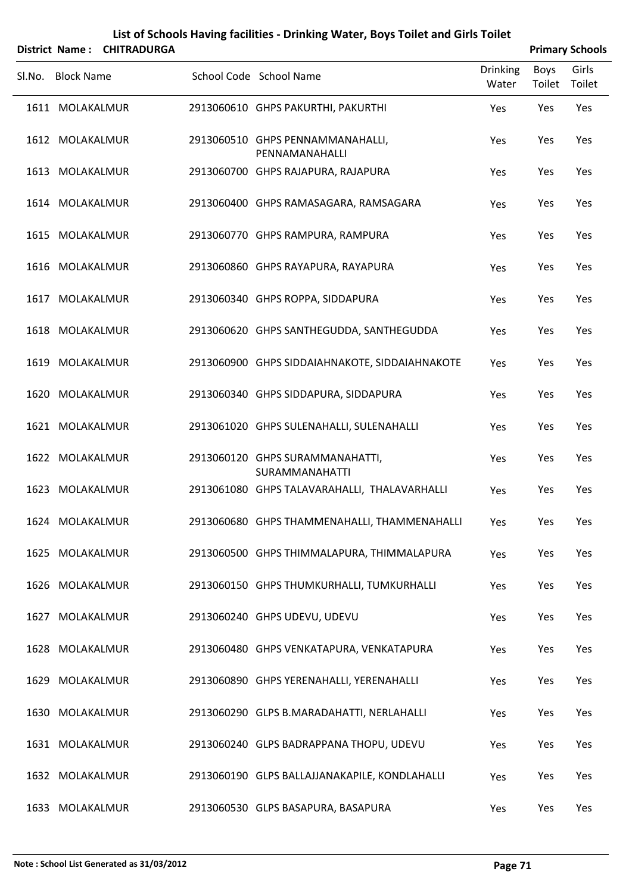| List of Schools Having facilities - Drinking Water, Boys Toilet and Girls Toilet<br>District Name: CHITRADURGA<br><b>Primary Schools</b> |                   |  |  |                                                          |                          |                |                 |  |
|------------------------------------------------------------------------------------------------------------------------------------------|-------------------|--|--|----------------------------------------------------------|--------------------------|----------------|-----------------|--|
|                                                                                                                                          | Sl.No. Block Name |  |  | School Code School Name                                  | <b>Drinking</b><br>Water | Boys<br>Toilet | Girls<br>Toilet |  |
|                                                                                                                                          | 1611 MOLAKALMUR   |  |  | 2913060610 GHPS PAKURTHI, PAKURTHI                       | Yes                      | Yes            | Yes             |  |
|                                                                                                                                          | 1612 MOLAKALMUR   |  |  | 2913060510 GHPS PENNAMMANAHALLI,<br>PENNAMANAHALLI       | Yes                      | Yes            | Yes             |  |
|                                                                                                                                          | 1613 MOLAKALMUR   |  |  | 2913060700 GHPS RAJAPURA, RAJAPURA                       | Yes                      | Yes            | Yes             |  |
|                                                                                                                                          | 1614 MOLAKALMUR   |  |  | 2913060400 GHPS RAMASAGARA, RAMSAGARA                    | Yes                      | Yes            | Yes             |  |
|                                                                                                                                          | 1615 MOLAKALMUR   |  |  | 2913060770 GHPS RAMPURA, RAMPURA                         | Yes                      | Yes            | Yes             |  |
|                                                                                                                                          | 1616 MOLAKALMUR   |  |  | 2913060860 GHPS RAYAPURA, RAYAPURA                       | Yes                      | Yes            | Yes             |  |
|                                                                                                                                          | 1617 MOLAKALMUR   |  |  | 2913060340 GHPS ROPPA, SIDDAPURA                         | Yes                      | Yes            | Yes             |  |
|                                                                                                                                          | 1618 MOLAKALMUR   |  |  | 2913060620 GHPS SANTHEGUDDA, SANTHEGUDDA                 | Yes                      | Yes            | Yes             |  |
|                                                                                                                                          | 1619 MOLAKALMUR   |  |  | 2913060900 GHPS SIDDAIAHNAKOTE, SIDDAIAHNAKOTE           | Yes                      | Yes            | Yes             |  |
|                                                                                                                                          | 1620 MOLAKALMUR   |  |  | 2913060340 GHPS SIDDAPURA, SIDDAPURA                     | Yes                      | Yes            | Yes             |  |
|                                                                                                                                          | 1621 MOLAKALMUR   |  |  | 2913061020 GHPS SULENAHALLI, SULENAHALLI                 | Yes                      | Yes            | Yes             |  |
|                                                                                                                                          | 1622 MOLAKALMUR   |  |  | 2913060120 GHPS SURAMMANAHATTI,<br><b>SURAMMANAHATTI</b> | Yes                      | Yes            | Yes             |  |
|                                                                                                                                          | 1623 MOLAKALMUR   |  |  | 2913061080 GHPS TALAVARAHALLI, THALAVARHALLI             | Yes                      | Yes            | Yes             |  |
|                                                                                                                                          | 1624 MOLAKALMUR   |  |  | 2913060680 GHPS THAMMENAHALLI, THAMMENAHALLI             | Yes                      | Yes            | Yes             |  |
|                                                                                                                                          | 1625 MOLAKALMUR   |  |  | 2913060500 GHPS THIMMALAPURA, THIMMALAPURA               | Yes                      | Yes            | Yes             |  |
|                                                                                                                                          | 1626 MOLAKALMUR   |  |  | 2913060150 GHPS THUMKURHALLI, TUMKURHALLI                | Yes                      | Yes            | Yes             |  |
|                                                                                                                                          | 1627 MOLAKALMUR   |  |  | 2913060240 GHPS UDEVU, UDEVU                             | Yes                      | Yes            | Yes             |  |
|                                                                                                                                          | 1628 MOLAKALMUR   |  |  | 2913060480 GHPS VENKATAPURA, VENKATAPURA                 | Yes                      | Yes            | Yes             |  |
|                                                                                                                                          | 1629 MOLAKALMUR   |  |  | 2913060890 GHPS YERENAHALLI, YERENAHALLI                 | Yes                      | Yes            | Yes             |  |
|                                                                                                                                          | 1630 MOLAKALMUR   |  |  | 2913060290 GLPS B.MARADAHATTI, NERLAHALLI                | Yes                      | Yes            | Yes             |  |
|                                                                                                                                          | 1631 MOLAKALMUR   |  |  | 2913060240 GLPS BADRAPPANA THOPU, UDEVU                  | Yes                      | Yes            | Yes             |  |
|                                                                                                                                          | 1632 MOLAKALMUR   |  |  | 2913060190 GLPS BALLAJJANAKAPILE, KONDLAHALLI            | Yes                      | Yes            | Yes             |  |
|                                                                                                                                          | 1633 MOLAKALMUR   |  |  | 2913060530 GLPS BASAPURA, BASAPURA                       | Yes                      | Yes            | Yes             |  |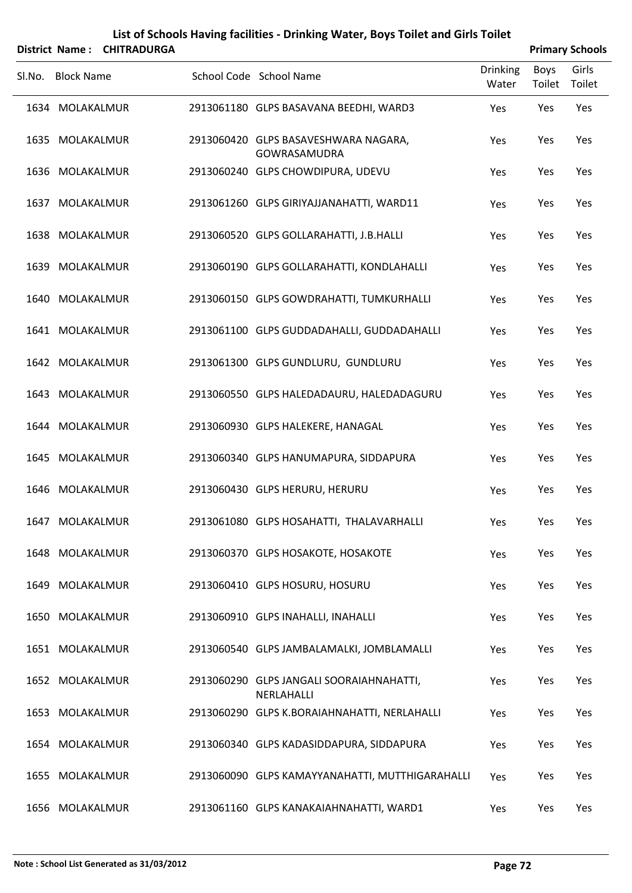|        |                   | District Name: CHITRADURGA |                                                        |                          |                | <b>Primary Schools</b> |
|--------|-------------------|----------------------------|--------------------------------------------------------|--------------------------|----------------|------------------------|
| SI.No. | <b>Block Name</b> |                            | School Code School Name                                | <b>Drinking</b><br>Water | Boys<br>Toilet | Girls<br>Toilet        |
|        | 1634 MOLAKALMUR   |                            | 2913061180 GLPS BASAVANA BEEDHI, WARD3                 | Yes                      | Yes            | Yes                    |
|        | 1635 MOLAKALMUR   |                            | 2913060420 GLPS BASAVESHWARA NAGARA,<br>GOWRASAMUDRA   | Yes                      | Yes            | Yes                    |
|        | 1636 MOLAKALMUR   |                            | 2913060240 GLPS CHOWDIPURA, UDEVU                      | Yes                      | Yes            | Yes                    |
|        | 1637 MOLAKALMUR   |                            | 2913061260 GLPS GIRIYAJJANAHATTI, WARD11               | Yes                      | Yes            | Yes                    |
|        | 1638 MOLAKALMUR   |                            | 2913060520 GLPS GOLLARAHATTI, J.B.HALLI                | Yes                      | Yes            | Yes                    |
|        | 1639 MOLAKALMUR   |                            | 2913060190 GLPS GOLLARAHATTI, KONDLAHALLI              | Yes                      | Yes            | Yes                    |
|        | 1640 MOLAKALMUR   |                            | 2913060150 GLPS GOWDRAHATTI, TUMKURHALLI               | Yes                      | Yes            | Yes                    |
|        | 1641 MOLAKALMUR   |                            | 2913061100 GLPS GUDDADAHALLI, GUDDADAHALLI             | Yes                      | Yes            | Yes                    |
|        | 1642 MOLAKALMUR   |                            | 2913061300 GLPS GUNDLURU, GUNDLURU                     | Yes                      | Yes            | Yes                    |
|        | 1643 MOLAKALMUR   |                            | 2913060550 GLPS HALEDADAURU, HALEDADAGURU              | Yes                      | Yes            | Yes                    |
|        | 1644 MOLAKALMUR   |                            | 2913060930 GLPS HALEKERE, HANAGAL                      | Yes                      | Yes            | Yes                    |
|        | 1645 MOLAKALMUR   |                            | 2913060340 GLPS HANUMAPURA, SIDDAPURA                  | Yes                      | Yes            | Yes                    |
|        | 1646 MOLAKALMUR   |                            | 2913060430 GLPS HERURU, HERURU                         | Yes                      | Yes            | Yes                    |
|        | 1647 MOLAKALMUR   |                            | 2913061080 GLPS HOSAHATTI, THALAVARHALLI               | Yes                      | Yes            | Yes                    |
|        | 1648 MOLAKALMUR   |                            | 2913060370 GLPS HOSAKOTE, HOSAKOTE                     | Yes                      | Yes            | Yes                    |
|        | 1649 MOLAKALMUR   |                            | 2913060410 GLPS HOSURU, HOSURU                         | Yes                      | Yes            | Yes                    |
|        | 1650 MOLAKALMUR   |                            | 2913060910 GLPS INAHALLI, INAHALLI                     | Yes                      | Yes            | Yes                    |
|        | 1651 MOLAKALMUR   |                            | 2913060540 GLPS JAMBALAMALKI, JOMBLAMALLI              | Yes                      | Yes            | Yes                    |
|        | 1652 MOLAKALMUR   |                            | 2913060290 GLPS JANGALI SOORAIAHNAHATTI,<br>NERLAHALLI | Yes                      | Yes            | Yes                    |
|        | 1653 MOLAKALMUR   |                            | 2913060290 GLPS K.BORAIAHNAHATTI, NERLAHALLI           | Yes                      | Yes            | Yes                    |
|        | 1654 MOLAKALMUR   |                            | 2913060340 GLPS KADASIDDAPURA, SIDDAPURA               | Yes                      | Yes            | Yes                    |
|        | 1655 MOLAKALMUR   |                            | 2913060090 GLPS KAMAYYANAHATTI, MUTTHIGARAHALLI        | Yes                      | Yes            | Yes                    |
|        | 1656 MOLAKALMUR   |                            | 2913061160 GLPS KANAKAIAHNAHATTI, WARD1                | Yes                      | Yes            | Yes                    |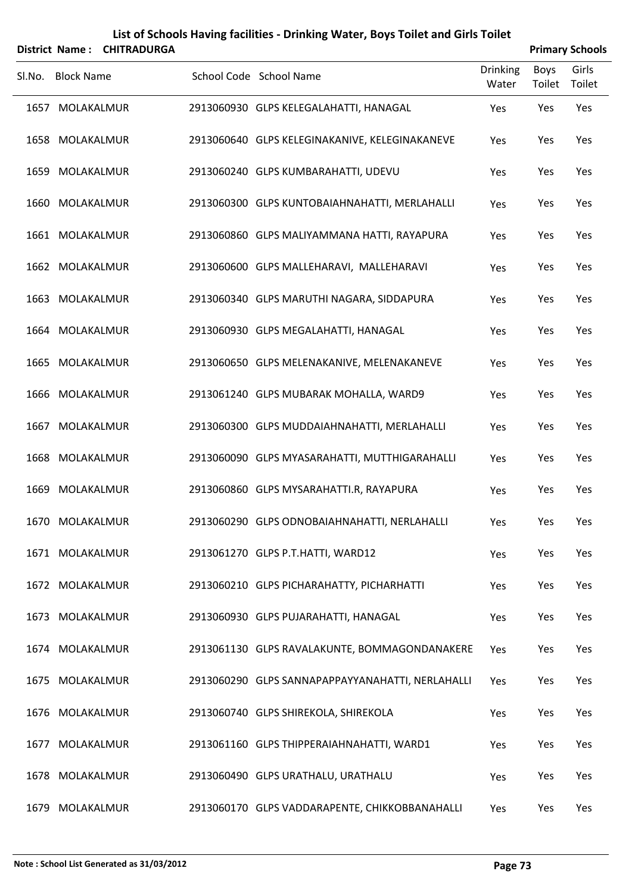|        |                   | District Name: CHITRADURGA |                                                  |                          | <b>Primary Schools</b> |                 |
|--------|-------------------|----------------------------|--------------------------------------------------|--------------------------|------------------------|-----------------|
| SI.No. | <b>Block Name</b> |                            | School Code School Name                          | <b>Drinking</b><br>Water | Boys<br>Toilet         | Girls<br>Toilet |
|        | 1657 MOLAKALMUR   |                            | 2913060930 GLPS KELEGALAHATTI, HANAGAL           | Yes                      | Yes                    | Yes             |
|        | 1658 MOLAKALMUR   |                            | 2913060640 GLPS KELEGINAKANIVE, KELEGINAKANEVE   | Yes                      | Yes                    | Yes             |
|        | 1659 MOLAKALMUR   |                            | 2913060240 GLPS KUMBARAHATTI, UDEVU              | Yes                      | Yes                    | Yes             |
|        | 1660 MOLAKALMUR   |                            | 2913060300 GLPS KUNTOBAIAHNAHATTI, MERLAHALLI    | Yes                      | Yes                    | Yes             |
|        | 1661 MOLAKALMUR   |                            | 2913060860 GLPS MALIYAMMANA HATTI, RAYAPURA      | Yes                      | Yes                    | Yes             |
|        | 1662 MOLAKALMUR   |                            | 2913060600 GLPS MALLEHARAVI, MALLEHARAVI         | Yes                      | Yes                    | Yes             |
|        | 1663 MOLAKALMUR   |                            | 2913060340 GLPS MARUTHI NAGARA, SIDDAPURA        | Yes                      | Yes                    | Yes             |
|        | 1664 MOLAKALMUR   |                            | 2913060930 GLPS MEGALAHATTI, HANAGAL             | Yes                      | Yes                    | Yes             |
|        | 1665 MOLAKALMUR   |                            | 2913060650 GLPS MELENAKANIVE, MELENAKANEVE       | Yes                      | Yes                    | Yes             |
|        | 1666 MOLAKALMUR   |                            | 2913061240 GLPS MUBARAK MOHALLA, WARD9           | Yes                      | Yes                    | Yes             |
|        | 1667 MOLAKALMUR   |                            | 2913060300 GLPS MUDDAIAHNAHATTI, MERLAHALLI      | Yes                      | Yes                    | Yes             |
|        | 1668 MOLAKALMUR   |                            | 2913060090 GLPS MYASARAHATTI, MUTTHIGARAHALLI    | Yes                      | Yes                    | Yes             |
|        | 1669 MOLAKALMUR   |                            | 2913060860 GLPS MYSARAHATTI.R, RAYAPURA          | Yes                      | Yes                    | Yes             |
|        | 1670 MOLAKALMUR   |                            | 2913060290 GLPS ODNOBAIAHNAHATTI, NERLAHALLI     | Yes                      | Yes                    | Yes             |
|        | 1671 MOLAKALMUR   |                            | 2913061270 GLPS P.T.HATTI, WARD12                | Yes                      | Yes                    | Yes             |
|        | 1672 MOLAKALMUR   |                            | 2913060210 GLPS PICHARAHATTY, PICHARHATTI        | Yes                      | Yes                    | Yes             |
|        | 1673 MOLAKALMUR   |                            | 2913060930 GLPS PUJARAHATTI, HANAGAL             | Yes                      | Yes                    | Yes             |
|        | 1674 MOLAKALMUR   |                            | 2913061130 GLPS RAVALAKUNTE, BOMMAGONDANAKERE    | Yes                      | Yes                    | Yes             |
|        | 1675 MOLAKALMUR   |                            | 2913060290 GLPS SANNAPAPPAYYANAHATTI, NERLAHALLI | Yes                      | Yes                    | Yes             |
|        | 1676 MOLAKALMUR   |                            | 2913060740 GLPS SHIREKOLA, SHIREKOLA             | Yes                      | Yes                    | Yes             |
|        | 1677 MOLAKALMUR   |                            | 2913061160 GLPS THIPPERAIAHNAHATTI, WARD1        | Yes                      | Yes                    | Yes             |
|        | 1678 MOLAKALMUR   |                            | 2913060490 GLPS URATHALU, URATHALU               | Yes                      | Yes                    | Yes             |
|        | 1679 MOLAKALMUR   |                            | 2913060170 GLPS VADDARAPENTE, CHIKKOBBANAHALLI   | Yes                      | Yes                    | Yes             |